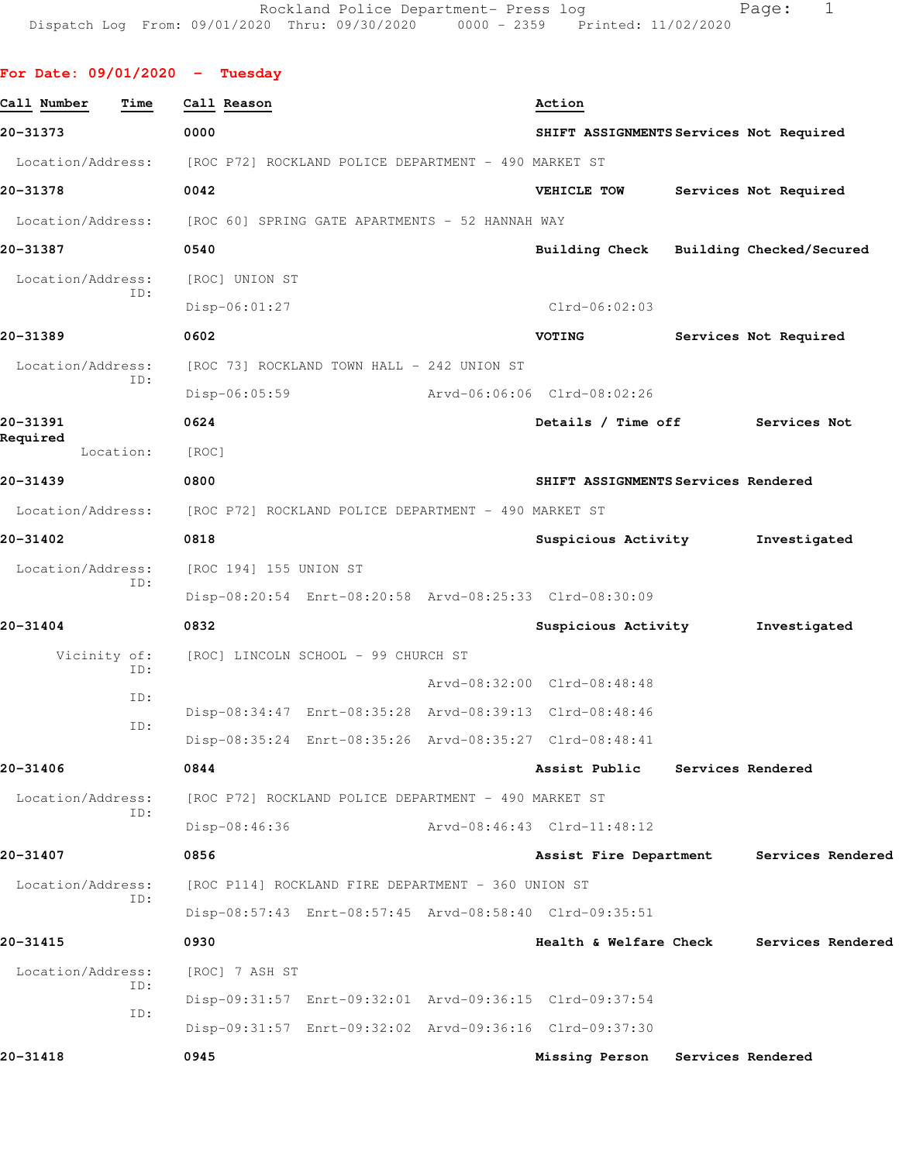| For Date: $09/01/2020 -$ Tuesday |                                                                        |                                                         |                          |
|----------------------------------|------------------------------------------------------------------------|---------------------------------------------------------|--------------------------|
| Call Number<br>Time              | Call Reason                                                            | Action                                                  |                          |
| 20-31373                         | 0000                                                                   | SHIFT ASSIGNMENTS Services Not Required                 |                          |
|                                  | Location/Address: [ROC P72] ROCKLAND POLICE DEPARTMENT - 490 MARKET ST |                                                         |                          |
| 20-31378                         | 0042                                                                   | VEHICLE TOW                                             | Services Not Required    |
|                                  | Location/Address: [ROC 60] SPRING GATE APARTMENTS - 52 HANNAH WAY      |                                                         |                          |
| 20-31387                         | 0540                                                                   | Building Check                                          | Building Checked/Secured |
| Location/Address:                | [ROC] UNION ST                                                         |                                                         |                          |
| ID:                              | $Disp-06:01:27$                                                        | $Clrd-06:02:03$                                         |                          |
| 20-31389                         | 0602                                                                   | VOTING                                                  | Services Not Required    |
| Location/Address:                | [ROC 73] ROCKLAND TOWN HALL - 242 UNION ST                             |                                                         |                          |
| ID:                              | $Disp-06:05:59$                                                        | Arvd-06:06:06 Clrd-08:02:26                             |                          |
| 20-31391                         | 0624                                                                   | Details / Time off                                      | Services Not             |
| Required<br>Location:            | [ROC]                                                                  |                                                         |                          |
| 20-31439                         | 0800                                                                   | SHIFT ASSIGNMENTS Services Rendered                     |                          |
| Location/Address:                | [ROC P72] ROCKLAND POLICE DEPARTMENT - 490 MARKET ST                   |                                                         |                          |
| 20-31402                         | 0818                                                                   | Suspicious Activity                                     | Investigated             |
| Location/Address:                | [ROC 194] 155 UNION ST                                                 |                                                         |                          |
| ID:                              |                                                                        | Disp-08:20:54 Enrt-08:20:58 Arvd-08:25:33 Clrd-08:30:09 |                          |
| 20-31404                         | 0832                                                                   | Suspicious Activity                                     | Investigated             |
| Vicinity of:                     | [ROC] LINCOLN SCHOOL - 99 CHURCH ST                                    |                                                         |                          |
| ID:                              |                                                                        | Arvd-08:32:00 Clrd-08:48:48                             |                          |
| ID:                              |                                                                        | Disp-08:34:47 Enrt-08:35:28 Arvd-08:39:13 Clrd-08:48:46 |                          |
| ID:                              |                                                                        | Disp-08:35:24 Enrt-08:35:26 Arvd-08:35:27 Clrd-08:48:41 |                          |
| 20-31406                         | 0844                                                                   | Assist Public                                           | Services Rendered        |
| Location/Address:                | [ROC P72] ROCKLAND POLICE DEPARTMENT - 490 MARKET ST                   |                                                         |                          |
| ID:                              | Disp-08:46:36                                                          | Arvd-08:46:43 Clrd-11:48:12                             |                          |
| 20-31407                         | 0856                                                                   | Assist Fire Department                                  | Services Rendered        |
| Location/Address:                | [ROC P114] ROCKLAND FIRE DEPARTMENT - 360 UNION ST                     |                                                         |                          |
| ID:                              |                                                                        | Disp-08:57:43 Enrt-08:57:45 Arvd-08:58:40 Clrd-09:35:51 |                          |
| 20-31415                         | 0930                                                                   | Health & Welfare Check                                  | Services Rendered        |
| Location/Address:                | [ROC] 7 ASH ST                                                         |                                                         |                          |
| ID:                              |                                                                        | Disp-09:31:57 Enrt-09:32:01 Arvd-09:36:15 Clrd-09:37:54 |                          |
| ID:                              |                                                                        | Disp-09:31:57 Enrt-09:32:02 Arvd-09:36:16 Clrd-09:37:30 |                          |
| 20-31418                         | 0945                                                                   | Missing Person                                          | Services Rendered        |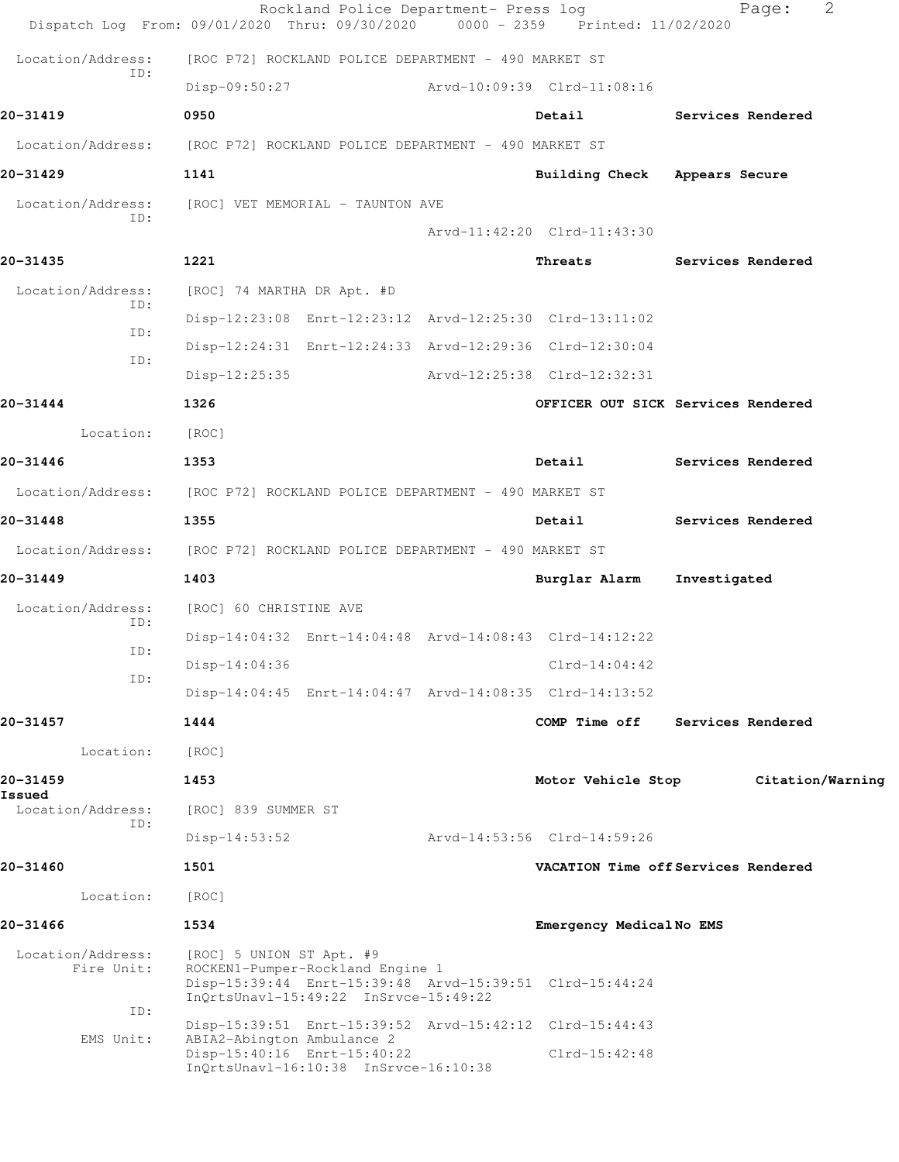|                                        | Rockland Police Department- Press log<br>Dispatch Log From: 09/01/2020 Thru: 09/30/2020 0000 - 2359 Printed: 11/02/2020                                          |                               | 2<br>Page:                          |
|----------------------------------------|------------------------------------------------------------------------------------------------------------------------------------------------------------------|-------------------------------|-------------------------------------|
| Location/Address:                      | [ROC P72] ROCKLAND POLICE DEPARTMENT - 490 MARKET ST                                                                                                             |                               |                                     |
| ID:                                    | Disp-09:50:27                                                                                                                                                    | Arvd-10:09:39 Clrd-11:08:16   |                                     |
| 20-31419                               | 0950                                                                                                                                                             | Detail                        | Services Rendered                   |
| Location/Address:                      | [ROC P72] ROCKLAND POLICE DEPARTMENT - 490 MARKET ST                                                                                                             |                               |                                     |
| 20-31429                               | 1141                                                                                                                                                             | Building Check Appears Secure |                                     |
| Location/Address:                      | [ROC] VET MEMORIAL - TAUNTON AVE                                                                                                                                 |                               |                                     |
| TD:                                    |                                                                                                                                                                  | Arvd-11:42:20 Clrd-11:43:30   |                                     |
| 20-31435                               | 1221                                                                                                                                                             | Threats                       | Services Rendered                   |
| Location/Address:                      | [ROC] 74 MARTHA DR Apt. #D                                                                                                                                       |                               |                                     |
| TD:                                    | Disp-12:23:08 Enrt-12:23:12 Arvd-12:25:30 Clrd-13:11:02                                                                                                          |                               |                                     |
| ID:<br>ID:                             | Disp-12:24:31 Enrt-12:24:33 Arvd-12:29:36 Clrd-12:30:04                                                                                                          |                               |                                     |
|                                        | $Disp-12:25:35$                                                                                                                                                  | Arvd-12:25:38 Clrd-12:32:31   |                                     |
| 20-31444                               | 1326                                                                                                                                                             |                               | OFFICER OUT SICK Services Rendered  |
| Location:                              | [ROC]                                                                                                                                                            |                               |                                     |
| 20-31446                               | 1353                                                                                                                                                             | Detail                        | Services Rendered                   |
|                                        | Location/Address: [ROC P72] ROCKLAND POLICE DEPARTMENT - 490 MARKET ST                                                                                           |                               |                                     |
| 20-31448                               | 1355                                                                                                                                                             | Detail                        | Services Rendered                   |
| Location/Address:                      | [ROC P72] ROCKLAND POLICE DEPARTMENT - 490 MARKET ST                                                                                                             |                               |                                     |
| 20-31449                               | 1403                                                                                                                                                             | Burglar Alarm                 | Investigated                        |
| Location/Address:<br>ID:               | [ROC] 60 CHRISTINE AVE                                                                                                                                           |                               |                                     |
| ID:                                    | Disp-14:04:32 Enrt-14:04:48 Arvd-14:08:43 Clrd-14:12:22                                                                                                          |                               |                                     |
| ID:                                    | Disp-14:04:36                                                                                                                                                    | $Clrd-14:04:42$               |                                     |
|                                        | Disp-14:04:45 Enrt-14:04:47 Arvd-14:08:35 Clrd-14:13:52                                                                                                          |                               |                                     |
| 20-31457                               | 1444                                                                                                                                                             | COMP Time off                 | Services Rendered                   |
| Location:                              | [ROC]                                                                                                                                                            |                               |                                     |
| 20-31459<br>Issued                     | 1453                                                                                                                                                             | Motor Vehicle Stop            | Citation/Warning                    |
| Location/Address:<br>ID:               | [ROC] 839 SUMMER ST                                                                                                                                              |                               |                                     |
|                                        | $Disp-14:53:52$                                                                                                                                                  | Arvd-14:53:56 Clrd-14:59:26   |                                     |
| 20-31460                               | 1501                                                                                                                                                             |                               | VACATION Time off Services Rendered |
| Location:                              | [ROC]                                                                                                                                                            |                               |                                     |
| 20-31466                               | 1534                                                                                                                                                             | Emergency MedicalNo EMS       |                                     |
| Location/Address:<br>Fire Unit:<br>ID: | [ROC] 5 UNION ST Apt. #9<br>ROCKEN1-Pumper-Rockland Engine 1<br>Disp-15:39:44 Enrt-15:39:48 Arvd-15:39:51 Clrd-15:44:24<br>InQrtsUnavl-15:49:22 InSrvce-15:49:22 |                               |                                     |
| EMS Unit:                              | Disp-15:39:51 Enrt-15:39:52 Arvd-15:42:12 Clrd-15:44:43<br>ABIA2-Abington Ambulance 2                                                                            |                               |                                     |
|                                        | Disp-15:40:16 Enrt-15:40:22<br>InQrtsUnavl-16:10:38 InSrvce-16:10:38                                                                                             | $Clrd-15:42:48$               |                                     |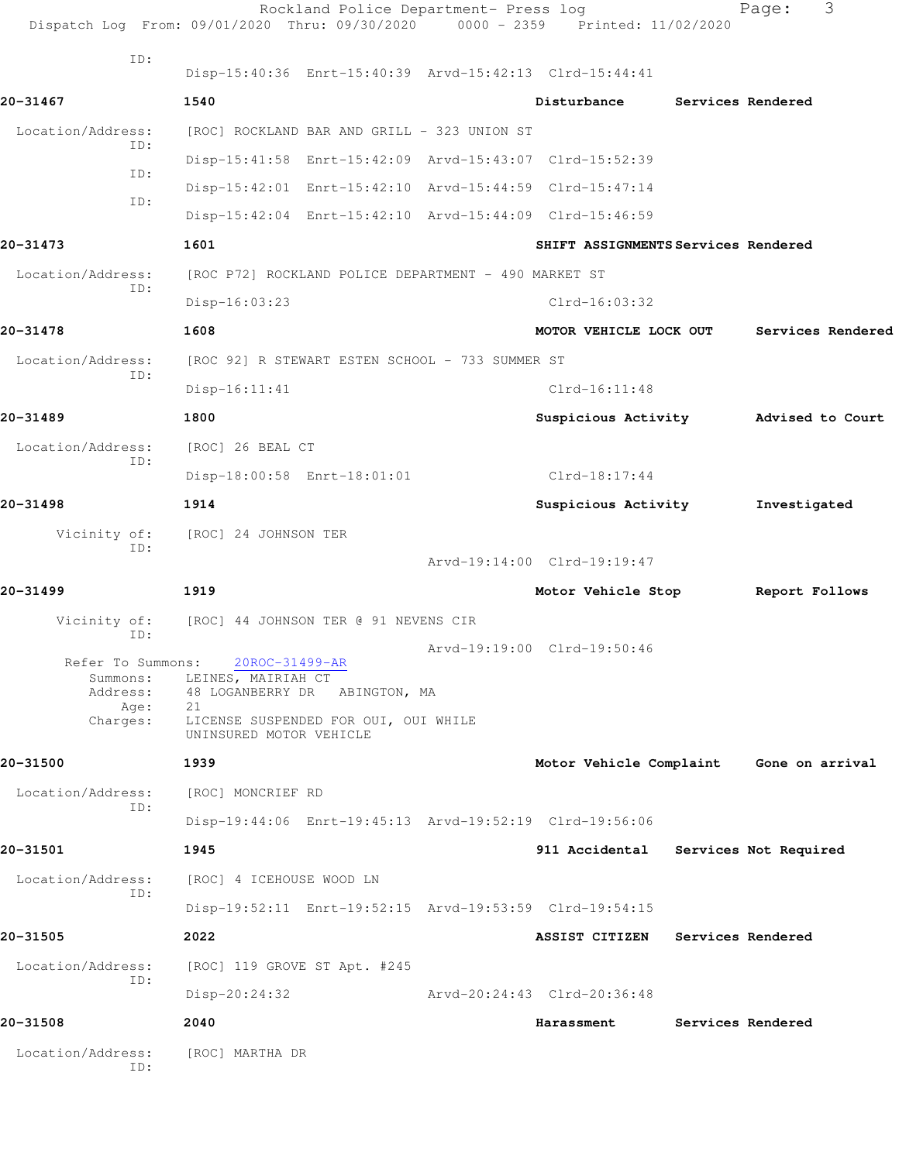|                                           | Rockland Police Department- Press log<br>Dispatch Log From: 09/01/2020 Thru: 09/30/2020 0000 - 2359 Printed: 11/02/2020 |                                         |                          | Page:                 | 3 |
|-------------------------------------------|-------------------------------------------------------------------------------------------------------------------------|-----------------------------------------|--------------------------|-----------------------|---|
| ID:                                       | Disp-15:40:36 Enrt-15:40:39 Arvd-15:42:13 Clrd-15:44:41                                                                 |                                         |                          |                       |   |
| 20-31467                                  | 1540                                                                                                                    | Disturbance                             |                          | Services Rendered     |   |
| Location/Address:                         | [ROC] ROCKLAND BAR AND GRILL - 323 UNION ST                                                                             |                                         |                          |                       |   |
| ID:                                       | Disp-15:41:58 Enrt-15:42:09 Arvd-15:43:07 Clrd-15:52:39                                                                 |                                         |                          |                       |   |
| ID:                                       | Disp-15:42:01 Enrt-15:42:10 Arvd-15:44:59 Clrd-15:47:14                                                                 |                                         |                          |                       |   |
| ID:                                       | Disp-15:42:04 Enrt-15:42:10 Arvd-15:44:09 Clrd-15:46:59                                                                 |                                         |                          |                       |   |
| 20-31473                                  | 1601                                                                                                                    | SHIFT ASSIGNMENTS Services Rendered     |                          |                       |   |
| Location/Address:                         | [ROC P72] ROCKLAND POLICE DEPARTMENT - 490 MARKET ST                                                                    |                                         |                          |                       |   |
| ID:                                       | $Disp-16:03:23$                                                                                                         | $Clrd-16:03:32$                         |                          |                       |   |
| 20-31478                                  | 1608                                                                                                                    | MOTOR VEHICLE LOCK OUT                  |                          | Services Rendered     |   |
| Location/Address:                         | [ROC 92] R STEWART ESTEN SCHOOL - 733 SUMMER ST                                                                         |                                         |                          |                       |   |
| ID:                                       | Disp-16:11:41                                                                                                           | $Clrd-16:11:48$                         |                          |                       |   |
| 20-31489                                  | 1800                                                                                                                    | Suspicious Activity Medised to Court    |                          |                       |   |
| Location/Address:                         | [ROC] 26 BEAL CT                                                                                                        |                                         |                          |                       |   |
| ID:                                       | Disp-18:00:58 Enrt-18:01:01                                                                                             | Clrd-18:17:44                           |                          |                       |   |
| 20-31498                                  | 1914                                                                                                                    | Suspicious Activity                     |                          | Investigated          |   |
| Vicinity of:                              | [ROC] 24 JOHNSON TER                                                                                                    |                                         |                          |                       |   |
| ID:                                       |                                                                                                                         | Arvd-19:14:00 Clrd-19:19:47             |                          |                       |   |
| 20-31499                                  | 1919                                                                                                                    | Motor Vehicle Stop                      |                          | Report Follows        |   |
| Vicinity of:                              | [ROC] 44 JOHNSON TER @ 91 NEVENS CIR                                                                                    |                                         |                          |                       |   |
| ID:                                       |                                                                                                                         | Arvd-19:19:00 Clrd-19:50:46             |                          |                       |   |
| Refer To Summons:<br>Summons:<br>Address: | 20ROC-31499-AR<br>LEINES, MAIRIAH CT<br>48 LOGANBERRY DR ABINGTON, MA<br>21                                             |                                         |                          |                       |   |
| Age:<br>Charges:                          | LICENSE SUSPENDED FOR OUI, OUI WHILE<br>UNINSURED MOTOR VEHICLE                                                         |                                         |                          |                       |   |
| 20-31500                                  | 1939                                                                                                                    | Motor Vehicle Complaint Gone on arrival |                          |                       |   |
| Location/Address:<br>ID:                  | [ROC] MONCRIEF RD                                                                                                       |                                         |                          |                       |   |
|                                           | Disp-19:44:06 Enrt-19:45:13 Arvd-19:52:19 Clrd-19:56:06                                                                 |                                         |                          |                       |   |
| 20-31501                                  | 1945                                                                                                                    | 911 Accidental                          |                          | Services Not Required |   |
| Location/Address:                         | [ROC] 4 ICEHOUSE WOOD LN                                                                                                |                                         |                          |                       |   |
| ID:                                       | Disp-19:52:11 Enrt-19:52:15 Arvd-19:53:59 Clrd-19:54:15                                                                 |                                         |                          |                       |   |
| 20-31505                                  | 2022                                                                                                                    | <b>ASSIST CITIZEN</b>                   | <b>Services Rendered</b> |                       |   |
| Location/Address:                         | [ROC] 119 GROVE ST Apt. #245                                                                                            |                                         |                          |                       |   |
| ID:                                       | Disp-20:24:32                                                                                                           | Arvd-20:24:43 Clrd-20:36:48             |                          |                       |   |
| 20-31508                                  | 2040                                                                                                                    | Harassment                              |                          | Services Rendered     |   |
| Location/Address:<br>ID:                  | [ROC] MARTHA DR                                                                                                         |                                         |                          |                       |   |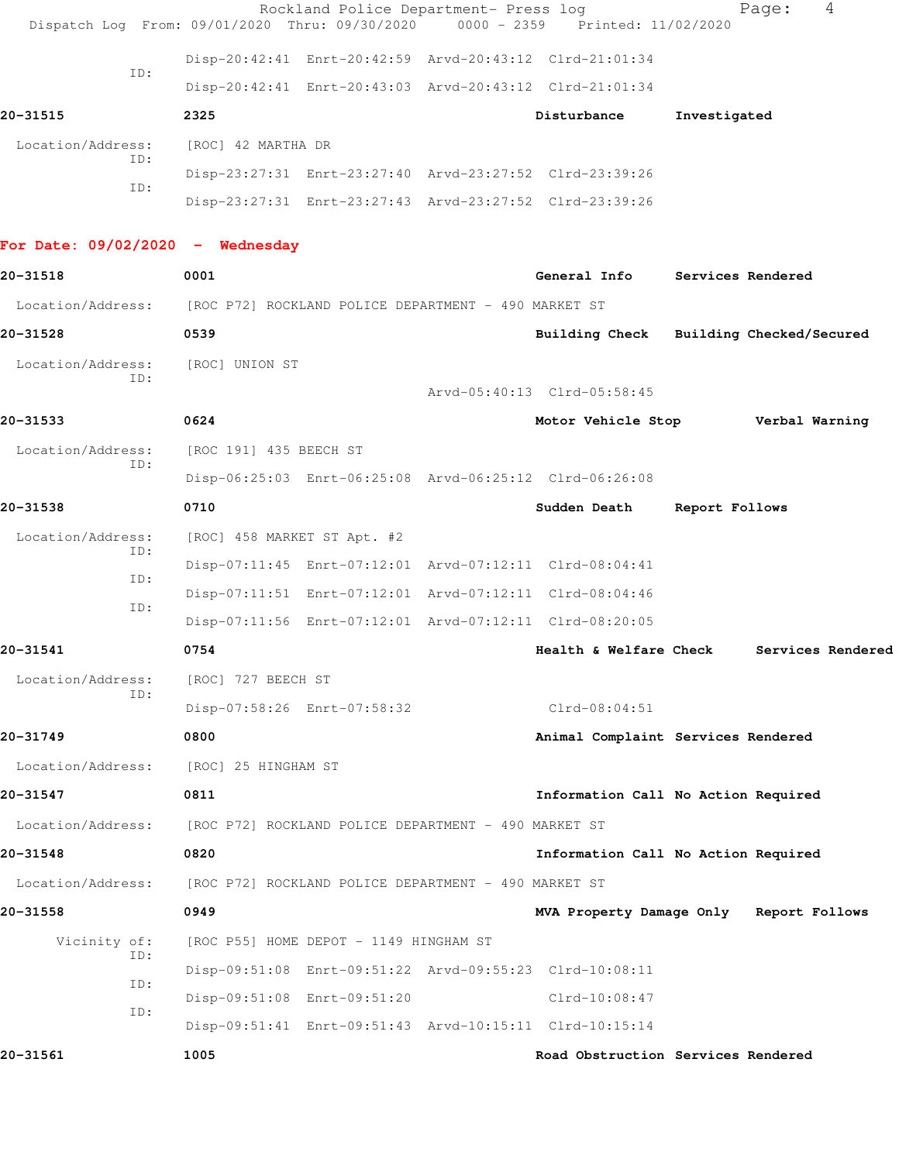|                                    | Rockland Police Department- Press log<br>Dispatch Log From: 09/01/2020 Thru: 09/30/2020 | $0000 - 2359$ | Printed: 11/02/2020         | Page:                                   | 4 |
|------------------------------------|-----------------------------------------------------------------------------------------|---------------|-----------------------------|-----------------------------------------|---|
|                                    | Disp-20:42:41 Enrt-20:42:59 Arvd-20:43:12 Clrd-21:01:34                                 |               |                             |                                         |   |
| ID:                                | Disp-20:42:41 Enrt-20:43:03 Arvd-20:43:12 Clrd-21:01:34                                 |               |                             |                                         |   |
| 20-31515                           | 2325                                                                                    |               | Disturbance                 | Investigated                            |   |
| Location/Address:                  | [ROC] 42 MARTHA DR                                                                      |               |                             |                                         |   |
| ID:                                | Disp-23:27:31 Enrt-23:27:40 Arvd-23:27:52 Clrd-23:39:26                                 |               |                             |                                         |   |
| ID:                                | Disp-23:27:31 Enrt-23:27:43 Arvd-23:27:52 Clrd-23:39:26                                 |               |                             |                                         |   |
| For Date: $09/02/2020 -$ Wednesday |                                                                                         |               |                             |                                         |   |
| 20-31518                           | 0001                                                                                    |               | General Info                | Services Rendered                       |   |
|                                    | Location/Address: [ROC P72] ROCKLAND POLICE DEPARTMENT - 490 MARKET ST                  |               |                             |                                         |   |
| 20-31528                           | 0539                                                                                    |               |                             | Building Check Building Checked/Secured |   |
| Location/Address:                  | [ROC] UNION ST                                                                          |               |                             |                                         |   |
| ID:                                |                                                                                         |               | Arvd-05:40:13 Clrd-05:58:45 |                                         |   |
| 20-31533                           | 0624                                                                                    |               | Motor Vehicle Stop          | Verbal Warning                          |   |
| Location/Address:                  | [ROC 191] 435 BEECH ST                                                                  |               |                             |                                         |   |
| ID:                                | Disp-06:25:03 Enrt-06:25:08 Arvd-06:25:12 Clrd-06:26:08                                 |               |                             |                                         |   |
| 20-31538                           | 0710                                                                                    |               | Sudden Death                | Report Follows                          |   |
| Location/Address:                  | [ROC] 458 MARKET ST Apt. #2                                                             |               |                             |                                         |   |
| ID:                                | Disp-07:11:45 Enrt-07:12:01 Arvd-07:12:11 Clrd-08:04:41                                 |               |                             |                                         |   |
| ID:<br>ID:                         | Disp-07:11:51 Enrt-07:12:01 Arvd-07:12:11 Clrd-08:04:46                                 |               |                             |                                         |   |
|                                    | Disp-07:11:56 Enrt-07:12:01 Arvd-07:12:11 Clrd-08:20:05                                 |               |                             |                                         |   |
| 20-31541                           | 0754                                                                                    |               | Health & Welfare Check      | Services Rendered                       |   |
| Location/Address:<br>ID:           | [ROC] 727 BEECH ST                                                                      |               |                             |                                         |   |
|                                    | Disp-07:58:26 Enrt-07:58:32                                                             |               | $Clrd-08:04:51$             |                                         |   |
| 20-31749                           | 0800                                                                                    |               |                             | Animal Complaint Services Rendered      |   |
| Location/Address:                  | [ROC] 25 HINGHAM ST                                                                     |               |                             |                                         |   |
| 20-31547                           | 0811                                                                                    |               |                             | Information Call No Action Required     |   |
| Location/Address:                  | [ROC P72] ROCKLAND POLICE DEPARTMENT - 490 MARKET ST                                    |               |                             |                                         |   |
| 20-31548                           | 0820                                                                                    |               |                             | Information Call No Action Required     |   |
| Location/Address:                  | [ROC P72] ROCKLAND POLICE DEPARTMENT - 490 MARKET ST                                    |               |                             |                                         |   |
| 20-31558                           | 0949                                                                                    |               |                             | MVA Property Damage Only Report Follows |   |
| Vicinity of:<br>ID:                | [ROC P55] HOME DEPOT - 1149 HINGHAM ST                                                  |               |                             |                                         |   |
| ID:                                | Disp-09:51:08 Enrt-09:51:22 Arvd-09:55:23 Clrd-10:08:11                                 |               |                             |                                         |   |
| ID:                                | Disp-09:51:08 Enrt-09:51:20                                                             |               | $Clrd-10:08:47$             |                                         |   |
|                                    | Disp-09:51:41 Enrt-09:51:43 Arvd-10:15:11 Clrd-10:15:14                                 |               |                             |                                         |   |
| 20-31561                           | 1005                                                                                    |               |                             | Road Obstruction Services Rendered      |   |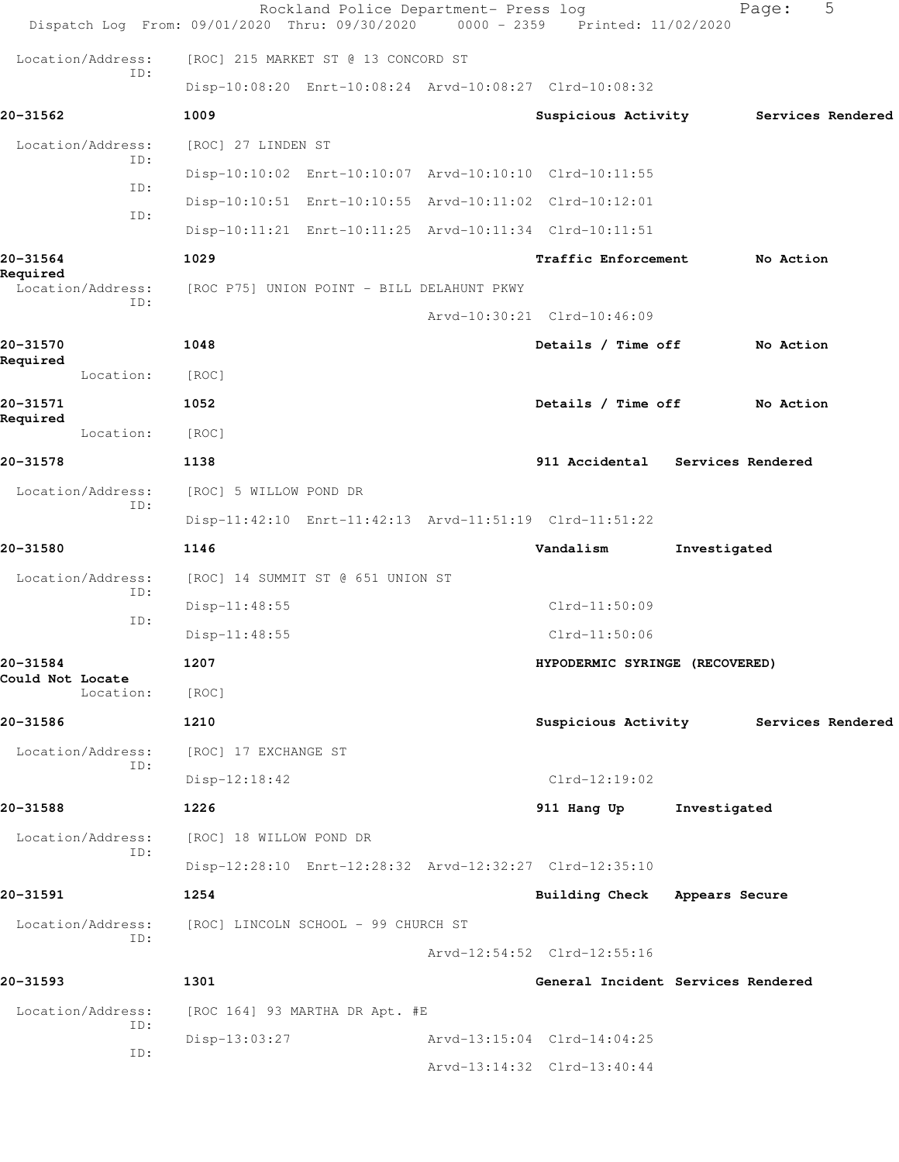|                               | Rockland Police Department- Press log<br>Dispatch Log From: 09/01/2020 Thru: 09/30/2020 | 0000 - 2359 Printed: 11/02/2020    |              | Page:             | 5 |
|-------------------------------|-----------------------------------------------------------------------------------------|------------------------------------|--------------|-------------------|---|
| Location/Address:             | [ROC] 215 MARKET ST @ 13 CONCORD ST                                                     |                                    |              |                   |   |
| ID:                           | Disp-10:08:20 Enrt-10:08:24 Arvd-10:08:27 Clrd-10:08:32                                 |                                    |              |                   |   |
| 20-31562                      | 1009                                                                                    | Suspicious Activity                |              | Services Rendered |   |
| Location/Address:             | [ROC] 27 LINDEN ST                                                                      |                                    |              |                   |   |
| ID:                           | Disp-10:10:02 Enrt-10:10:07 Arvd-10:10:10 Clrd-10:11:55                                 |                                    |              |                   |   |
| ID:                           | Disp-10:10:51 Enrt-10:10:55 Arvd-10:11:02 Clrd-10:12:01                                 |                                    |              |                   |   |
| ID:                           | Disp-10:11:21 Enrt-10:11:25 Arvd-10:11:34 Clrd-10:11:51                                 |                                    |              |                   |   |
| 20-31564                      | 1029                                                                                    | Traffic Enforcement                |              | No Action         |   |
| Required<br>Location/Address: | [ROC P75] UNION POINT - BILL DELAHUNT PKWY                                              |                                    |              |                   |   |
| ID:                           |                                                                                         | Arvd-10:30:21 Clrd-10:46:09        |              |                   |   |
| 20-31570                      | 1048                                                                                    | Details / Time off                 |              | No Action         |   |
| Required<br>Location:         | [ROC]                                                                                   |                                    |              |                   |   |
| 20-31571                      | 1052                                                                                    | Details / Time off                 |              | No Action         |   |
| Required<br>Location:         | [ROC]                                                                                   |                                    |              |                   |   |
| 20-31578                      | 1138                                                                                    | 911 Accidental Services Rendered   |              |                   |   |
| Location/Address:             | [ROC] 5 WILLOW POND DR                                                                  |                                    |              |                   |   |
| ID:                           | Disp-11:42:10 Enrt-11:42:13 Arvd-11:51:19 Clrd-11:51:22                                 |                                    |              |                   |   |
| 20-31580                      | 1146                                                                                    | Vandalism                          | Investigated |                   |   |
| Location/Address:             | [ROC] 14 SUMMIT ST @ 651 UNION ST                                                       |                                    |              |                   |   |
| ID:                           | Disp-11:48:55                                                                           | $Clrd-11:50:09$                    |              |                   |   |
| ID:                           | Disp-11:48:55                                                                           | $Clrd-11:50:06$                    |              |                   |   |
| 20-31584                      | 1207                                                                                    | HYPODERMIC SYRINGE (RECOVERED)     |              |                   |   |
| Could Not Locate<br>Location: | [ROC]                                                                                   |                                    |              |                   |   |
| 20-31586                      | 1210                                                                                    | Suspicious Activity                |              | Services Rendered |   |
| Location/Address:<br>ID:      | [ROC] 17 EXCHANGE ST                                                                    |                                    |              |                   |   |
|                               | $Disp-12:18:42$                                                                         | $Clrd-12:19:02$                    |              |                   |   |
| 20-31588                      | 1226                                                                                    | 911 Hang Up                        | Investigated |                   |   |
| Location/Address:<br>ID:      | [ROC] 18 WILLOW POND DR                                                                 |                                    |              |                   |   |
|                               | Disp-12:28:10 Enrt-12:28:32 Arvd-12:32:27 Clrd-12:35:10                                 |                                    |              |                   |   |
| 20-31591                      | 1254                                                                                    | Building Check Appears Secure      |              |                   |   |
| Location/Address:<br>ID:      | [ROC] LINCOLN SCHOOL - 99 CHURCH ST                                                     |                                    |              |                   |   |
|                               |                                                                                         | Arvd-12:54:52 Clrd-12:55:16        |              |                   |   |
| 20-31593                      | 1301                                                                                    | General Incident Services Rendered |              |                   |   |
| Location/Address:<br>ID:      | [ROC 164] 93 MARTHA DR Apt. #E                                                          |                                    |              |                   |   |
| ID:                           | Disp-13:03:27                                                                           | Arvd-13:15:04 Clrd-14:04:25        |              |                   |   |
|                               |                                                                                         | Arvd-13:14:32 Clrd-13:40:44        |              |                   |   |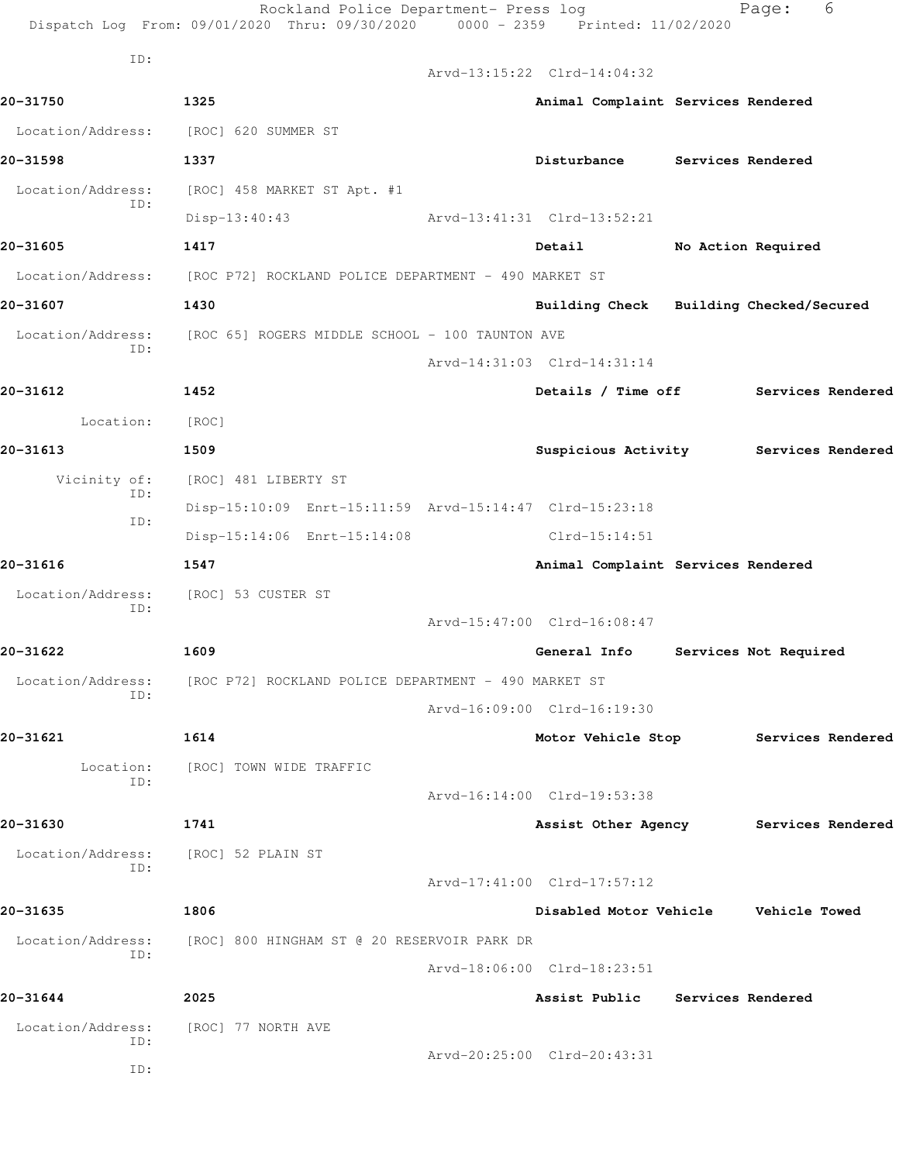| ID:<br>Arvd-13:15:22 Clrd-14:04:32<br>20-31750<br>1325<br>Animal Complaint Services Rendered<br>Location/Address:<br>[ROC] 620 SUMMER ST<br>20-31598<br>1337<br>Disturbance<br>Services Rendered<br>Location/Address:<br>[ROC] 458 MARKET ST Apt. #1<br>ID:<br>Arvd-13:41:31 Clrd-13:52:21<br>$Disp-13:40:43$<br>20-31605<br>1417<br>Detail<br>No Action Required<br>Location/Address: [ROC P72] ROCKLAND POLICE DEPARTMENT - 490 MARKET ST<br>20-31607<br>1430<br>Building Check Building Checked/Secured<br>Location/Address:<br>[ROC 65] ROGERS MIDDLE SCHOOL - 100 TAUNTON AVE<br>ID:<br>Arvd-14:31:03 Clrd-14:31:14<br>20-31612<br>1452<br>Details / Time off<br>Services Rendered<br>Location:<br>[ROC]<br>20-31613<br>1509<br>Suspicious Activity<br>Services Rendered<br>Vicinity of:<br>[ROC] 481 LIBERTY ST<br>ID:<br>Disp-15:10:09 Enrt-15:11:59 Arvd-15:14:47 Clrd-15:23:18<br>ID:<br>Disp-15:14:06 Enrt-15:14:08<br>$Clrd-15:14:51$<br>20-31616<br>1547<br>Animal Complaint Services Rendered<br>Location/Address:<br>[ROC] 53 CUSTER ST<br>ID:<br>Arvd-15:47:00 Clrd-16:08:47 |  |
|---------------------------------------------------------------------------------------------------------------------------------------------------------------------------------------------------------------------------------------------------------------------------------------------------------------------------------------------------------------------------------------------------------------------------------------------------------------------------------------------------------------------------------------------------------------------------------------------------------------------------------------------------------------------------------------------------------------------------------------------------------------------------------------------------------------------------------------------------------------------------------------------------------------------------------------------------------------------------------------------------------------------------------------------------------------------------------------------|--|
|                                                                                                                                                                                                                                                                                                                                                                                                                                                                                                                                                                                                                                                                                                                                                                                                                                                                                                                                                                                                                                                                                             |  |
|                                                                                                                                                                                                                                                                                                                                                                                                                                                                                                                                                                                                                                                                                                                                                                                                                                                                                                                                                                                                                                                                                             |  |
|                                                                                                                                                                                                                                                                                                                                                                                                                                                                                                                                                                                                                                                                                                                                                                                                                                                                                                                                                                                                                                                                                             |  |
|                                                                                                                                                                                                                                                                                                                                                                                                                                                                                                                                                                                                                                                                                                                                                                                                                                                                                                                                                                                                                                                                                             |  |
|                                                                                                                                                                                                                                                                                                                                                                                                                                                                                                                                                                                                                                                                                                                                                                                                                                                                                                                                                                                                                                                                                             |  |
|                                                                                                                                                                                                                                                                                                                                                                                                                                                                                                                                                                                                                                                                                                                                                                                                                                                                                                                                                                                                                                                                                             |  |
|                                                                                                                                                                                                                                                                                                                                                                                                                                                                                                                                                                                                                                                                                                                                                                                                                                                                                                                                                                                                                                                                                             |  |
|                                                                                                                                                                                                                                                                                                                                                                                                                                                                                                                                                                                                                                                                                                                                                                                                                                                                                                                                                                                                                                                                                             |  |
|                                                                                                                                                                                                                                                                                                                                                                                                                                                                                                                                                                                                                                                                                                                                                                                                                                                                                                                                                                                                                                                                                             |  |
|                                                                                                                                                                                                                                                                                                                                                                                                                                                                                                                                                                                                                                                                                                                                                                                                                                                                                                                                                                                                                                                                                             |  |
|                                                                                                                                                                                                                                                                                                                                                                                                                                                                                                                                                                                                                                                                                                                                                                                                                                                                                                                                                                                                                                                                                             |  |
|                                                                                                                                                                                                                                                                                                                                                                                                                                                                                                                                                                                                                                                                                                                                                                                                                                                                                                                                                                                                                                                                                             |  |
|                                                                                                                                                                                                                                                                                                                                                                                                                                                                                                                                                                                                                                                                                                                                                                                                                                                                                                                                                                                                                                                                                             |  |
|                                                                                                                                                                                                                                                                                                                                                                                                                                                                                                                                                                                                                                                                                                                                                                                                                                                                                                                                                                                                                                                                                             |  |
|                                                                                                                                                                                                                                                                                                                                                                                                                                                                                                                                                                                                                                                                                                                                                                                                                                                                                                                                                                                                                                                                                             |  |
|                                                                                                                                                                                                                                                                                                                                                                                                                                                                                                                                                                                                                                                                                                                                                                                                                                                                                                                                                                                                                                                                                             |  |
|                                                                                                                                                                                                                                                                                                                                                                                                                                                                                                                                                                                                                                                                                                                                                                                                                                                                                                                                                                                                                                                                                             |  |
|                                                                                                                                                                                                                                                                                                                                                                                                                                                                                                                                                                                                                                                                                                                                                                                                                                                                                                                                                                                                                                                                                             |  |
|                                                                                                                                                                                                                                                                                                                                                                                                                                                                                                                                                                                                                                                                                                                                                                                                                                                                                                                                                                                                                                                                                             |  |
|                                                                                                                                                                                                                                                                                                                                                                                                                                                                                                                                                                                                                                                                                                                                                                                                                                                                                                                                                                                                                                                                                             |  |
| 20-31622<br>1609<br>General Info<br>Services Not Required                                                                                                                                                                                                                                                                                                                                                                                                                                                                                                                                                                                                                                                                                                                                                                                                                                                                                                                                                                                                                                   |  |
| Location/Address:<br>[ROC P72] ROCKLAND POLICE DEPARTMENT - 490 MARKET ST<br>ID:                                                                                                                                                                                                                                                                                                                                                                                                                                                                                                                                                                                                                                                                                                                                                                                                                                                                                                                                                                                                            |  |
| Arvd-16:09:00 Clrd-16:19:30                                                                                                                                                                                                                                                                                                                                                                                                                                                                                                                                                                                                                                                                                                                                                                                                                                                                                                                                                                                                                                                                 |  |
| 20-31621<br>1614<br>Motor Vehicle Stop Services Rendered                                                                                                                                                                                                                                                                                                                                                                                                                                                                                                                                                                                                                                                                                                                                                                                                                                                                                                                                                                                                                                    |  |
| Location:<br>[ROC] TOWN WIDE TRAFFIC<br>ID:                                                                                                                                                                                                                                                                                                                                                                                                                                                                                                                                                                                                                                                                                                                                                                                                                                                                                                                                                                                                                                                 |  |
| Arvd-16:14:00 Clrd-19:53:38                                                                                                                                                                                                                                                                                                                                                                                                                                                                                                                                                                                                                                                                                                                                                                                                                                                                                                                                                                                                                                                                 |  |
| 20-31630<br>1741<br>Assist Other Agency Services Rendered                                                                                                                                                                                                                                                                                                                                                                                                                                                                                                                                                                                                                                                                                                                                                                                                                                                                                                                                                                                                                                   |  |
| Location/Address:<br>[ROC] 52 PLAIN ST<br>ID:                                                                                                                                                                                                                                                                                                                                                                                                                                                                                                                                                                                                                                                                                                                                                                                                                                                                                                                                                                                                                                               |  |
| Arvd-17:41:00 Clrd-17:57:12                                                                                                                                                                                                                                                                                                                                                                                                                                                                                                                                                                                                                                                                                                                                                                                                                                                                                                                                                                                                                                                                 |  |
| 20-31635<br>1806<br>Disabled Motor Vehicle Vehicle Towed                                                                                                                                                                                                                                                                                                                                                                                                                                                                                                                                                                                                                                                                                                                                                                                                                                                                                                                                                                                                                                    |  |
| Location/Address:<br>[ROC] 800 HINGHAM ST @ 20 RESERVOIR PARK DR<br>ID:                                                                                                                                                                                                                                                                                                                                                                                                                                                                                                                                                                                                                                                                                                                                                                                                                                                                                                                                                                                                                     |  |
| Arvd-18:06:00 Clrd-18:23:51                                                                                                                                                                                                                                                                                                                                                                                                                                                                                                                                                                                                                                                                                                                                                                                                                                                                                                                                                                                                                                                                 |  |
| 20-31644<br>2025<br>Assist Public Services Rendered                                                                                                                                                                                                                                                                                                                                                                                                                                                                                                                                                                                                                                                                                                                                                                                                                                                                                                                                                                                                                                         |  |
| Location/Address:<br>[ROC] 77 NORTH AVE<br>ID:                                                                                                                                                                                                                                                                                                                                                                                                                                                                                                                                                                                                                                                                                                                                                                                                                                                                                                                                                                                                                                              |  |
| Arvd-20:25:00 Clrd-20:43:31<br>ID:                                                                                                                                                                                                                                                                                                                                                                                                                                                                                                                                                                                                                                                                                                                                                                                                                                                                                                                                                                                                                                                          |  |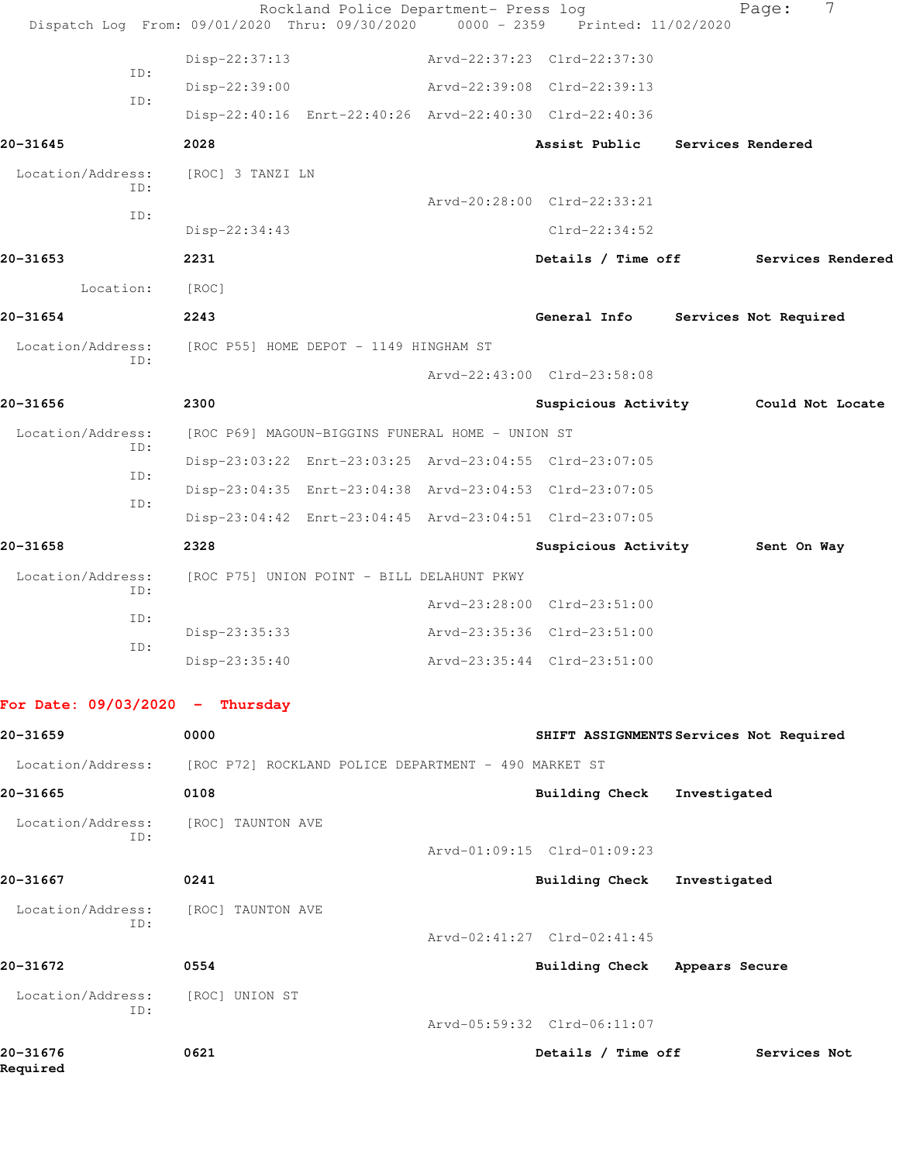|                                   | Rockland Police Department- Press log                   |                                 | 7<br>Page:                              |  |
|-----------------------------------|---------------------------------------------------------|---------------------------------|-----------------------------------------|--|
|                                   | Dispatch Log From: 09/01/2020 Thru: 09/30/2020          | 0000 - 2359 Printed: 11/02/2020 |                                         |  |
| ID:                               | Disp-22:37:13                                           | Arvd-22:37:23 Clrd-22:37:30     |                                         |  |
| ID:                               | Disp-22:39:00                                           | Arvd-22:39:08 Clrd-22:39:13     |                                         |  |
|                                   | Disp-22:40:16 Enrt-22:40:26 Arvd-22:40:30 Clrd-22:40:36 |                                 |                                         |  |
| 20-31645                          | 2028                                                    | Assist Public                   | Services Rendered                       |  |
| Location/Address:<br>ID:          | [ROC] 3 TANZI LN                                        |                                 |                                         |  |
| ID:                               |                                                         | Arvd-20:28:00 Clrd-22:33:21     |                                         |  |
|                                   | Disp-22:34:43                                           | $Clrd-22:34:52$                 |                                         |  |
| 20-31653                          | 2231                                                    |                                 | Details / Time off Services Rendered    |  |
| Location:                         | [ROC]                                                   |                                 |                                         |  |
| 20-31654                          | 2243                                                    | General Info                    | Services Not Required                   |  |
| Location/Address:                 | [ROC P55] HOME DEPOT - 1149 HINGHAM ST                  |                                 |                                         |  |
| ID:                               |                                                         | Arvd-22:43:00 Clrd-23:58:08     |                                         |  |
| 20-31656                          | 2300                                                    | Suspicious Activity             | Could Not Locate                        |  |
| Location/Address:                 | [ROC P69] MAGOUN-BIGGINS FUNERAL HOME - UNION ST        |                                 |                                         |  |
| ID:                               | Disp-23:03:22 Enrt-23:03:25 Arvd-23:04:55 Clrd-23:07:05 |                                 |                                         |  |
| ID:                               | Disp-23:04:35 Enrt-23:04:38 Arvd-23:04:53 Clrd-23:07:05 |                                 |                                         |  |
| ID:                               | Disp-23:04:42 Enrt-23:04:45 Arvd-23:04:51 Clrd-23:07:05 |                                 |                                         |  |
| 20-31658                          | 2328                                                    | Suspicious Activity             | Sent On Way                             |  |
| Location/Address:                 | [ROC P75] UNION POINT - BILL DELAHUNT PKWY              |                                 |                                         |  |
| ID:                               |                                                         | Arvd-23:28:00 Clrd-23:51:00     |                                         |  |
| ID:                               | Disp-23:35:33                                           | Arvd-23:35:36 Clrd-23:51:00     |                                         |  |
| ID:                               | Disp-23:35:40                                           | Arvd-23:35:44 Clrd-23:51:00     |                                         |  |
|                                   |                                                         |                                 |                                         |  |
| For Date: $09/03/2020 -$ Thursday |                                                         |                                 |                                         |  |
| 20-31659                          | 0000                                                    |                                 | SHIFT ASSIGNMENTS Services Not Required |  |
| Location/Address:                 | [ROC P72] ROCKLAND POLICE DEPARTMENT - 490 MARKET ST    |                                 |                                         |  |
| 20-31665                          | 0108                                                    | <b>Building Check</b>           | Investigated                            |  |
| Location/Address:                 | [ROC] TAUNTON AVE                                       |                                 |                                         |  |
| ID:                               |                                                         | Arvd-01:09:15 Clrd-01:09:23     |                                         |  |
| 20-31667                          | 0241                                                    | <b>Building Check</b>           | Investigated                            |  |
| Location/Address:                 | [ROC] TAUNTON AVE                                       |                                 |                                         |  |
| ID:                               |                                                         | Arvd-02:41:27 Clrd-02:41:45     |                                         |  |
| 20-31672                          | 0554                                                    | Building Check Appears Secure   |                                         |  |
| Location/Address:                 | [ROC] UNION ST                                          |                                 |                                         |  |
| ID:                               |                                                         | Arvd-05:59:32 Clrd-06:11:07     |                                         |  |
| 20-31676                          | 0621                                                    | Details / Time off              | Services Not                            |  |
| Required                          |                                                         |                                 |                                         |  |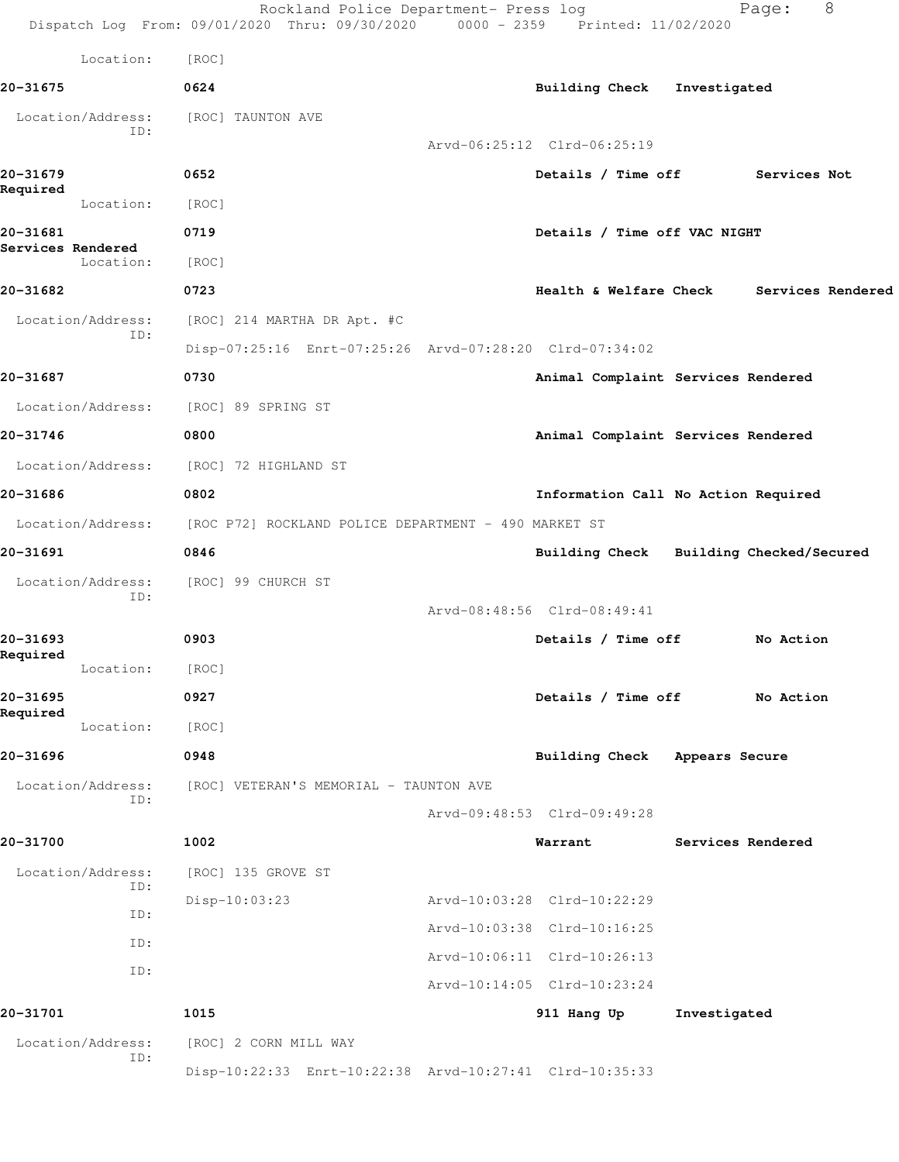|                               |            | Rockland Police Department- Press log<br>Dispatch Log From: 09/01/2020 Thru: 09/30/2020 0000 - 2359 Printed: 11/02/2020 |                                         |              | Page:             | 8 |
|-------------------------------|------------|-------------------------------------------------------------------------------------------------------------------------|-----------------------------------------|--------------|-------------------|---|
|                               | Location:  | [ROC]                                                                                                                   |                                         |              |                   |   |
| 20-31675                      |            | 0624                                                                                                                    | Building Check Investigated             |              |                   |   |
| Location/Address:             | ID:        | [ROC] TAUNTON AVE                                                                                                       |                                         |              |                   |   |
|                               |            |                                                                                                                         | Arvd-06:25:12 Clrd-06:25:19             |              |                   |   |
| 20-31679<br>Required          |            | 0652                                                                                                                    | Details / Time off                      |              | Services Not      |   |
|                               | Location:  | [ROC]                                                                                                                   |                                         |              |                   |   |
| 20-31681<br>Services Rendered |            | 0719                                                                                                                    | Details / Time off VAC NIGHT            |              |                   |   |
|                               | Location:  | [ROC]                                                                                                                   |                                         |              |                   |   |
| 20-31682                      |            | 0723                                                                                                                    | Health & Welfare Check                  |              | Services Rendered |   |
| Location/Address:             |            | [ROC] 214 MARTHA DR Apt. #C                                                                                             |                                         |              |                   |   |
|                               | ID:        | Disp-07:25:16 Enrt-07:25:26 Arvd-07:28:20 Clrd-07:34:02                                                                 |                                         |              |                   |   |
| 20-31687                      |            | 0730                                                                                                                    | Animal Complaint Services Rendered      |              |                   |   |
| Location/Address:             |            | [ROC] 89 SPRING ST                                                                                                      |                                         |              |                   |   |
| 20-31746                      |            | 0800                                                                                                                    | Animal Complaint Services Rendered      |              |                   |   |
| Location/Address:             |            | [ROC] 72 HIGHLAND ST                                                                                                    |                                         |              |                   |   |
| 20-31686                      |            | 0802                                                                                                                    | Information Call No Action Required     |              |                   |   |
| Location/Address:             |            | [ROC P72] ROCKLAND POLICE DEPARTMENT - 490 MARKET ST                                                                    |                                         |              |                   |   |
| 20-31691                      |            | 0846                                                                                                                    | Building Check Building Checked/Secured |              |                   |   |
| Location/Address:             |            | [ROC] 99 CHURCH ST                                                                                                      |                                         |              |                   |   |
|                               | ID:        |                                                                                                                         | Arvd-08:48:56 Clrd-08:49:41             |              |                   |   |
| 20-31693                      |            | 0903                                                                                                                    | Details / Time off                      |              | No Action         |   |
| Required                      | Location:  | [ROC]                                                                                                                   |                                         |              |                   |   |
| 20-31695                      |            | 0927                                                                                                                    | Details / Time off                      |              | No Action         |   |
| Required                      | Location:  | [ROC]                                                                                                                   |                                         |              |                   |   |
| 20-31696                      |            | 0948                                                                                                                    | Building Check Appears Secure           |              |                   |   |
| Location/Address:             |            | [ROC] VETERAN'S MEMORIAL - TAUNTON AVE                                                                                  |                                         |              |                   |   |
|                               | ID:        |                                                                                                                         | Arvd-09:48:53 Clrd-09:49:28             |              |                   |   |
| 20-31700                      |            | 1002                                                                                                                    | Warrant                                 |              | Services Rendered |   |
| Location/Address:             |            | [ROC] 135 GROVE ST                                                                                                      |                                         |              |                   |   |
|                               | ID:        | Disp-10:03:23                                                                                                           | Arvd-10:03:28 Clrd-10:22:29             |              |                   |   |
|                               | ID:        |                                                                                                                         | Arvd-10:03:38 Clrd-10:16:25             |              |                   |   |
|                               | ID:<br>ID: |                                                                                                                         | Arvd-10:06:11 Clrd-10:26:13             |              |                   |   |
|                               |            |                                                                                                                         | Arvd-10:14:05 Clrd-10:23:24             |              |                   |   |
| 20-31701                      |            | 1015                                                                                                                    | 911 Hang Up                             | Investigated |                   |   |
| Location/Address:             | ID:        | [ROC] 2 CORN MILL WAY                                                                                                   |                                         |              |                   |   |
|                               |            | Disp-10:22:33 Enrt-10:22:38 Arvd-10:27:41 Clrd-10:35:33                                                                 |                                         |              |                   |   |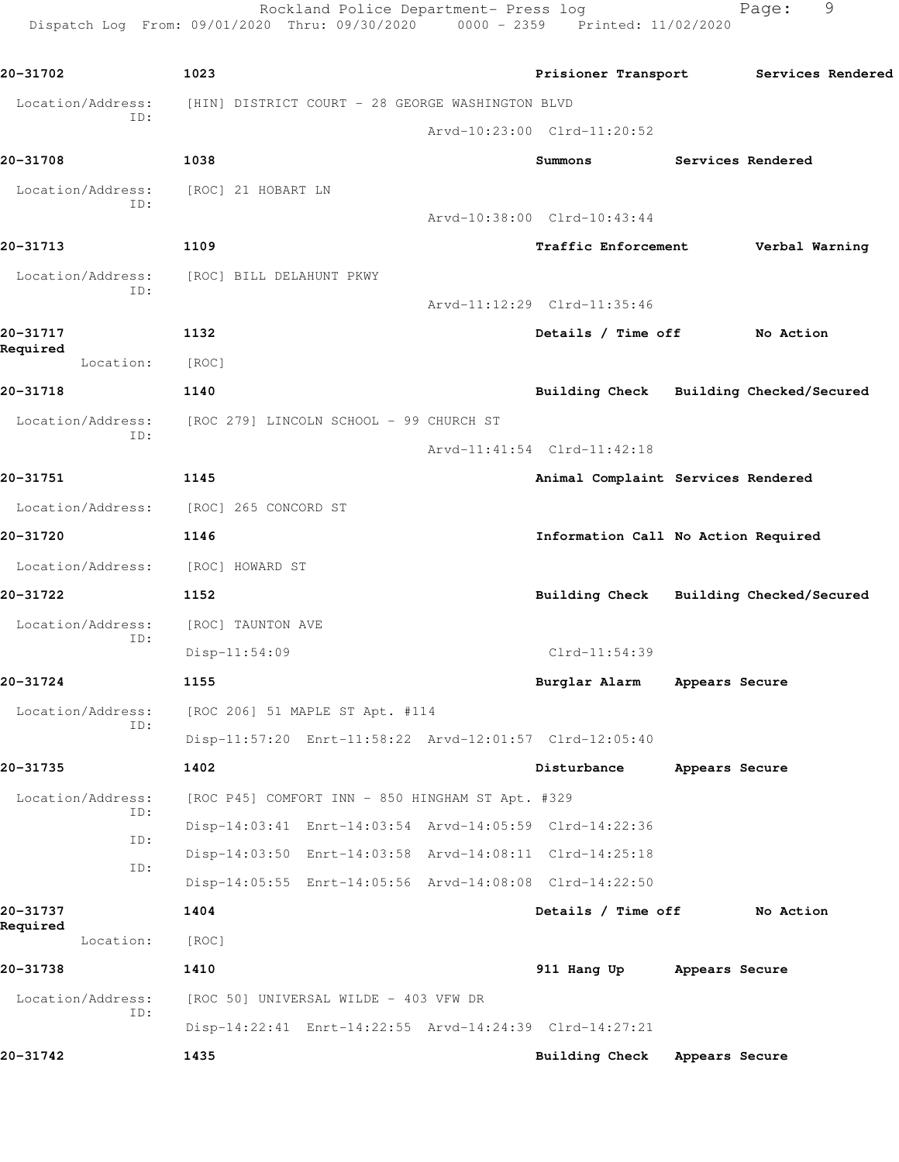Dispatch Log From: 09/01/2020 Thru: 09/30/2020 0000 - 2359 Printed: 11/02/2020 **20-31702 1023 Prisioner Transport Services Rendered** Location/Address: [HIN] DISTRICT COURT - 28 GEORGE WASHINGTON BLVD ID: Arvd-10:23:00 Clrd-11:20:52 **20-31708 1038 Summons Services Rendered** Location/Address: [ROC] 21 HOBART LN ID: Arvd-10:38:00 Clrd-10:43:44 **20-31713 1109 Traffic Enforcement Verbal Warning** Location/Address: [ROC] BILL DELAHUNT PKWY ID: Arvd-11:12:29 Clrd-11:35:46 **20-31717 1132 Details / Time off No Action Required**  Location: [ROC] **20-31718 1140 Building Check Building Checked/Secured** Location/Address: [ROC 279] LINCOLN SCHOOL - 99 CHURCH ST ID: Arvd-11:41:54 Clrd-11:42:18 **20-31751 1145 Animal Complaint Services Rendered** Location/Address: [ROC] 265 CONCORD ST **20-31720 1146 Information Call No Action Required** Location/Address: [ROC] HOWARD ST **20-31722 1152 Building Check Building Checked/Secured** Location/Address: [ROC] TAUNTON AVE ID: Disp-11:54:09 Clrd-11:54:39 **20-31724 1155 Burglar Alarm Appears Secure** Location/Address: [ROC 206] 51 MAPLE ST Apt. #114 ID: Disp-11:57:20 Enrt-11:58:22 Arvd-12:01:57 Clrd-12:05:40 **20-31735 1402 Disturbance Appears Secure** Location/Address: [ROC P45] COMFORT INN - 850 HINGHAM ST Apt. #329 ID: Disp-14:03:41 Enrt-14:03:54 Arvd-14:05:59 Clrd-14:22:36 ID: Disp-14:03:50 Enrt-14:03:58 Arvd-14:08:11 Clrd-14:25:18 ID: Disp-14:05:55 Enrt-14:05:56 Arvd-14:08:08 Clrd-14:22:50 **20-31737 1404 Details / Time off No Action Required**  Location: [ROC] **20-31738 1410 911 Hang Up Appears Secure** Location/Address: [ROC 50] UNIVERSAL WILDE - 403 VFW DR ID: Disp-14:22:41 Enrt-14:22:55 Arvd-14:24:39 Clrd-14:27:21

**20-31742 1435 Building Check Appears Secure**

Rockland Police Department- Press log Fage: 9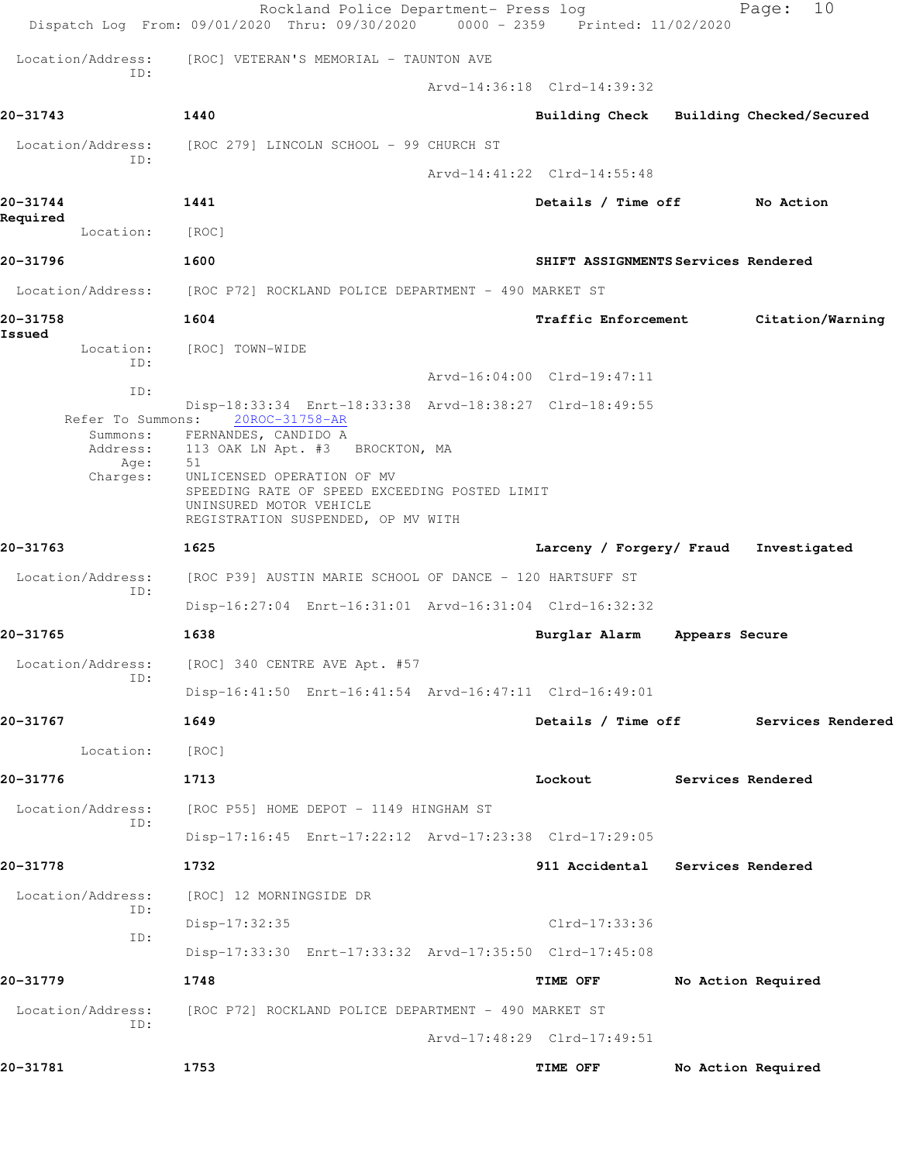|          |                               | Dispatch Log From: 09/01/2020 Thru: 09/30/2020 0000 - 2359 Printed: 11/02/2020 | Rockland Police Department- Press log |                                         |                   | 10<br>Page:        |  |
|----------|-------------------------------|--------------------------------------------------------------------------------|---------------------------------------|-----------------------------------------|-------------------|--------------------|--|
|          | Location/Address:             | [ROC] VETERAN'S MEMORIAL - TAUNTON AVE                                         |                                       |                                         |                   |                    |  |
|          | ID:                           |                                                                                |                                       | Arvd-14:36:18 Clrd-14:39:32             |                   |                    |  |
| 20-31743 |                               | 1440                                                                           |                                       | Building Check Building Checked/Secured |                   |                    |  |
|          |                               | Location/Address: [ROC 279] LINCOLN SCHOOL - 99 CHURCH ST                      |                                       |                                         |                   |                    |  |
|          | ID:                           |                                                                                |                                       | Arvd-14:41:22 Clrd-14:55:48             |                   |                    |  |
| 20-31744 |                               | 1441                                                                           |                                       | Details / Time off No Action            |                   |                    |  |
| Required | Location:                     | [ROC]                                                                          |                                       |                                         |                   |                    |  |
| 20-31796 |                               | 1600                                                                           |                                       | SHIFT ASSIGNMENTS Services Rendered     |                   |                    |  |
|          | Location/Address:             | [ROC P72] ROCKLAND POLICE DEPARTMENT - 490 MARKET ST                           |                                       |                                         |                   |                    |  |
| 20-31758 |                               | 1604                                                                           |                                       | <b>Traffic Enforcement</b>              |                   | Citation/Warning   |  |
| Issued   | Location:                     | [ROC] TOWN-WIDE                                                                |                                       |                                         |                   |                    |  |
|          | ID:                           |                                                                                |                                       | Arvd-16:04:00 Clrd-19:47:11             |                   |                    |  |
|          | ID:                           | Disp-18:33:34 Enrt-18:33:38 Arvd-18:38:27 Clrd-18:49:55                        |                                       |                                         |                   |                    |  |
|          | Refer To Summons:<br>Summons: | 20ROC-31758-AR<br>FERNANDES, CANDIDO A                                         |                                       |                                         |                   |                    |  |
|          | Address:<br>Age:<br>Charges:  | 113 OAK LN Apt. #3 BROCKTON, MA<br>51<br>UNLICENSED OPERATION OF MV            |                                       |                                         |                   |                    |  |
|          |                               | SPEEDING RATE OF SPEED EXCEEDING POSTED LIMIT<br>UNINSURED MOTOR VEHICLE       |                                       |                                         |                   |                    |  |
|          |                               | REGISTRATION SUSPENDED, OP MV WITH                                             |                                       |                                         |                   |                    |  |
| 20-31763 |                               | 1625                                                                           |                                       | Larceny / Forgery/ Fraud                |                   | Investigated       |  |
|          | Location/Address:<br>ID:      | [ROC P39] AUSTIN MARIE SCHOOL OF DANCE - 120 HARTSUFF ST                       |                                       |                                         |                   |                    |  |
|          |                               | Disp-16:27:04 Enrt-16:31:01 Arvd-16:31:04 Clrd-16:32:32                        |                                       |                                         |                   |                    |  |
| 20-31765 |                               | 1638                                                                           |                                       | Burglar Alarm                           | Appears Secure    |                    |  |
|          | Location/Address:<br>ID:      | [ROC] 340 CENTRE AVE Apt. #57                                                  |                                       |                                         |                   |                    |  |
|          |                               | Disp-16:41:50 Enrt-16:41:54 Arvd-16:47:11 Clrd-16:49:01                        |                                       |                                         |                   |                    |  |
| 20-31767 |                               | 1649                                                                           |                                       | Details / Time off                      |                   | Services Rendered  |  |
|          | Location:                     | [ROC]                                                                          |                                       |                                         |                   |                    |  |
| 20-31776 |                               | 1713                                                                           |                                       | Lockout                                 | Services Rendered |                    |  |
|          | Location/Address:<br>TD:      | [ROC P55] HOME DEPOT - 1149 HINGHAM ST                                         |                                       |                                         |                   |                    |  |
|          |                               | Disp-17:16:45 Enrt-17:22:12 Arvd-17:23:38 Clrd-17:29:05                        |                                       |                                         |                   |                    |  |
| 20-31778 |                               | 1732                                                                           |                                       | 911 Accidental                          | Services Rendered |                    |  |
|          | Location/Address:<br>ID:      | [ROC] 12 MORNINGSIDE DR                                                        |                                       |                                         |                   |                    |  |
|          | ID:                           | Disp-17:32:35                                                                  |                                       | Clrd-17:33:36                           |                   |                    |  |
|          |                               | Disp-17:33:30 Enrt-17:33:32 Arvd-17:35:50 Clrd-17:45:08                        |                                       |                                         |                   |                    |  |
| 20-31779 |                               | 1748                                                                           |                                       | TIME OFF                                |                   | No Action Required |  |
|          | Location/Address:<br>ID:      | [ROC P72] ROCKLAND POLICE DEPARTMENT - 490 MARKET ST                           |                                       |                                         |                   |                    |  |
|          |                               |                                                                                |                                       | Arvd-17:48:29 Clrd-17:49:51             |                   |                    |  |
| 20-31781 |                               | 1753                                                                           |                                       | TIME OFF                                |                   | No Action Required |  |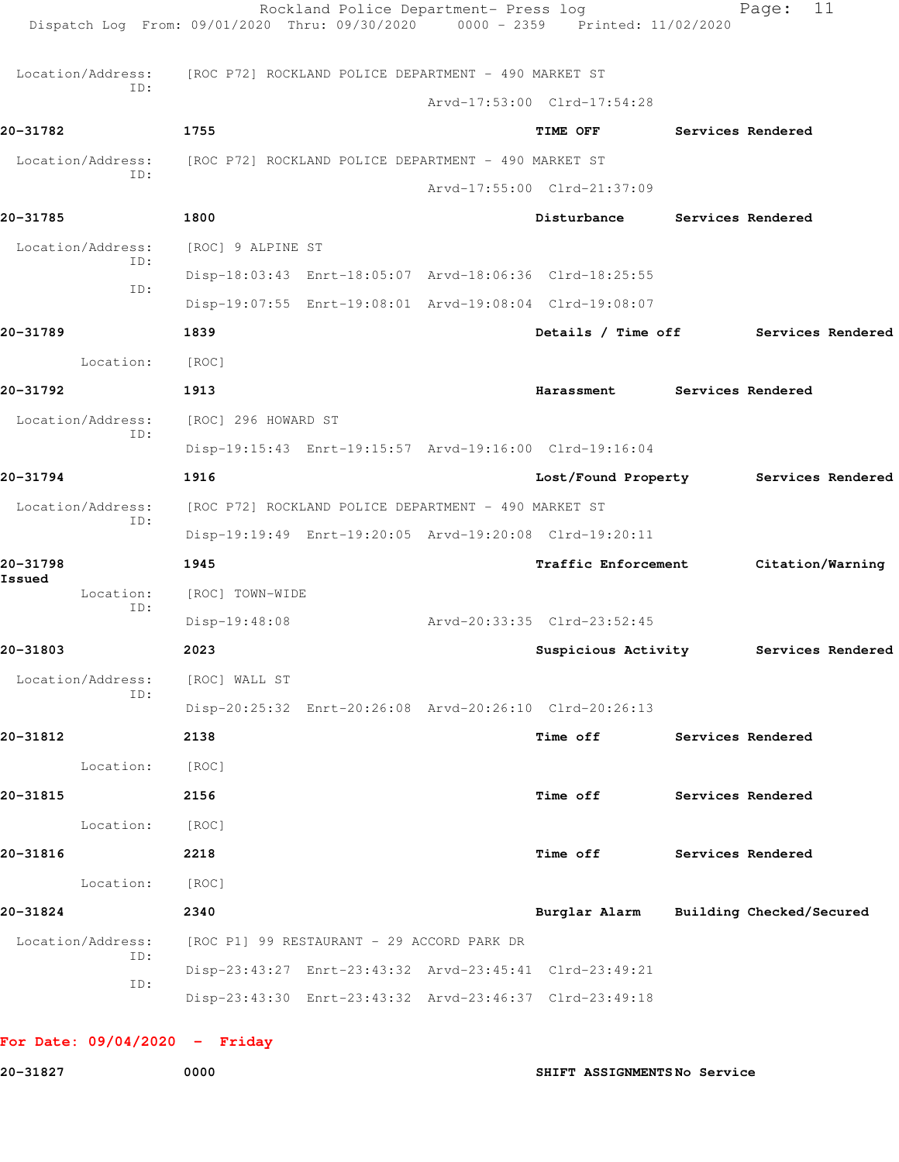|          |                          |                                                                        | Rockland Police Department- Press log | Dispatch Log From: 09/01/2020 Thru: 09/30/2020 0000 - 2359 Printed: 11/02/2020 |                          | 11<br>Page:       |  |
|----------|--------------------------|------------------------------------------------------------------------|---------------------------------------|--------------------------------------------------------------------------------|--------------------------|-------------------|--|
|          |                          | Location/Address: [ROC P72] ROCKLAND POLICE DEPARTMENT - 490 MARKET ST |                                       |                                                                                |                          |                   |  |
|          | ID:                      |                                                                        |                                       | Arvd-17:53:00 Clrd-17:54:28                                                    |                          |                   |  |
| 20-31782 |                          | 1755                                                                   |                                       | TIME OFF                                                                       | <b>Services Rendered</b> |                   |  |
|          | Location/Address:        | [ROC P72] ROCKLAND POLICE DEPARTMENT - 490 MARKET ST                   |                                       |                                                                                |                          |                   |  |
|          | ID:                      |                                                                        |                                       | Arvd-17:55:00 Clrd-21:37:09                                                    |                          |                   |  |
| 20-31785 |                          | 1800                                                                   |                                       | Disturbance Services Rendered                                                  |                          |                   |  |
|          | Location/Address:        | [ROC] 9 ALPINE ST                                                      |                                       |                                                                                |                          |                   |  |
|          | ID:                      |                                                                        |                                       | Disp-18:03:43 Enrt-18:05:07 Arvd-18:06:36 Clrd-18:25:55                        |                          |                   |  |
|          | ID:                      |                                                                        |                                       | Disp-19:07:55 Enrt-19:08:01 Arvd-19:08:04 Clrd-19:08:07                        |                          |                   |  |
| 20-31789 |                          | 1839                                                                   |                                       | Details / Time off Services Rendered                                           |                          |                   |  |
|          | Location:                | [ROC]                                                                  |                                       |                                                                                |                          |                   |  |
| 20-31792 |                          | 1913                                                                   |                                       | Harassment                                                                     | Services Rendered        |                   |  |
|          | Location/Address:        | [ROC] 296 HOWARD ST                                                    |                                       |                                                                                |                          |                   |  |
|          | ID:                      |                                                                        |                                       | Disp-19:15:43 Enrt-19:15:57 Arvd-19:16:00 Clrd-19:16:04                        |                          |                   |  |
| 20-31794 |                          | 1916                                                                   |                                       | Lost/Found Property Services Rendered                                          |                          |                   |  |
|          | Location/Address:        | [ROC P72] ROCKLAND POLICE DEPARTMENT - 490 MARKET ST                   |                                       |                                                                                |                          |                   |  |
|          | ID:                      |                                                                        |                                       | Disp-19:19:49 Enrt-19:20:05 Arvd-19:20:08 Clrd-19:20:11                        |                          |                   |  |
| 20-31798 |                          | 1945                                                                   |                                       | <b>Traffic Enforcement</b>                                                     |                          | Citation/Warning  |  |
| Issued   | Location:<br>ID:         | [ROC] TOWN-WIDE                                                        |                                       |                                                                                |                          |                   |  |
|          |                          | Disp-19:48:08                                                          |                                       | Arvd-20:33:35 Clrd-23:52:45                                                    |                          |                   |  |
| 20-31803 |                          | 2023                                                                   |                                       | Suspicious Activity                                                            |                          | Services Rendered |  |
|          | Location/Address:<br>ID: | [ROC] WALL ST                                                          |                                       |                                                                                |                          |                   |  |
|          |                          |                                                                        |                                       | Disp-20:25:32 Enrt-20:26:08 Arvd-20:26:10 Clrd-20:26:13                        |                          |                   |  |
| 20-31812 |                          | 2138                                                                   |                                       | Time off                                                                       | Services Rendered        |                   |  |
|          | Location:                | [ROC]                                                                  |                                       |                                                                                |                          |                   |  |
| 20-31815 |                          | 2156                                                                   |                                       | Time off                                                                       |                          | Services Rendered |  |
|          | Location:                | [ROC]                                                                  |                                       |                                                                                |                          |                   |  |
| 20-31816 |                          | 2218                                                                   |                                       | Time off                                                                       |                          | Services Rendered |  |
|          | Location:                | [ROC]                                                                  |                                       |                                                                                |                          |                   |  |
| 20-31824 |                          | 2340                                                                   |                                       | Burglar Alarm Building Checked/Secured                                         |                          |                   |  |
|          | Location/Address:<br>ID: | [ROC P1] 99 RESTAURANT - 29 ACCORD PARK DR                             |                                       |                                                                                |                          |                   |  |
|          | ID:                      |                                                                        |                                       | Disp-23:43:27 Enrt-23:43:32 Arvd-23:45:41 Clrd-23:49:21                        |                          |                   |  |
|          |                          |                                                                        |                                       | Disp-23:43:30 Enrt-23:43:32 Arvd-23:46:37 Clrd-23:49:18                        |                          |                   |  |
|          |                          |                                                                        |                                       |                                                                                |                          |                   |  |

**For Date: 09/04/2020 - Friday**

**20-31827 0000 SHIFT ASSIGNMENTS No Service**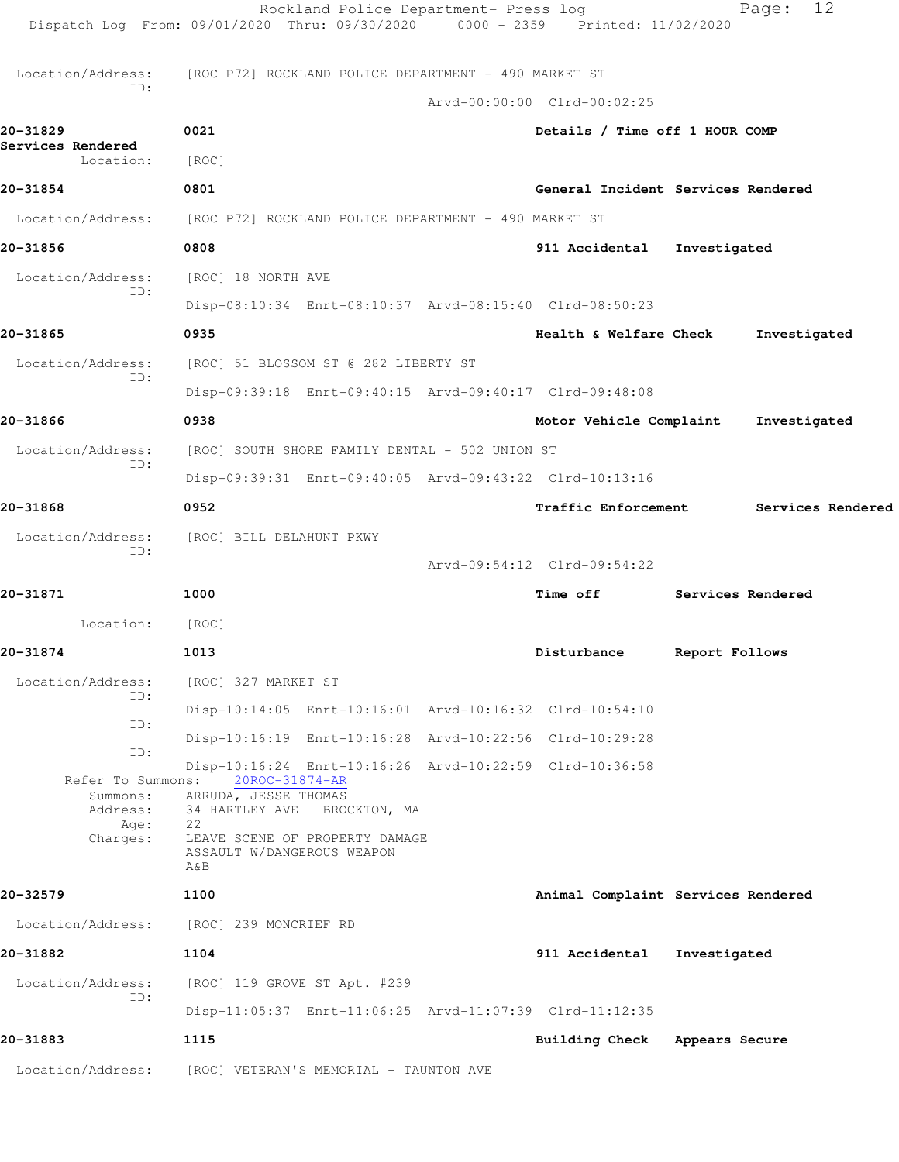|                                                               | Rockland Police Department- Press log<br>Dispatch Log From: 09/01/2020 Thru: 09/30/2020 0000 - 2359 Printed: 11/02/2020                                                                                          |                                    |                   | 12<br>Page:       |
|---------------------------------------------------------------|------------------------------------------------------------------------------------------------------------------------------------------------------------------------------------------------------------------|------------------------------------|-------------------|-------------------|
| Location/Address:                                             | [ROC P72] ROCKLAND POLICE DEPARTMENT - 490 MARKET ST                                                                                                                                                             |                                    |                   |                   |
| ID:                                                           |                                                                                                                                                                                                                  | Arvd-00:00:00 Clrd-00:02:25        |                   |                   |
| 20-31829                                                      | 0021                                                                                                                                                                                                             | Details / Time off 1 HOUR COMP     |                   |                   |
| Services Rendered<br>Location:                                | [ROC]                                                                                                                                                                                                            |                                    |                   |                   |
| 20-31854                                                      | 0801                                                                                                                                                                                                             | General Incident Services Rendered |                   |                   |
|                                                               | Location/Address: [ROC P72] ROCKLAND POLICE DEPARTMENT - 490 MARKET ST                                                                                                                                           |                                    |                   |                   |
| 20-31856                                                      | 0808                                                                                                                                                                                                             | 911 Accidental                     | Investigated      |                   |
| Location/Address:                                             | [ROC] 18 NORTH AVE                                                                                                                                                                                               |                                    |                   |                   |
| ID:                                                           | Disp-08:10:34 Enrt-08:10:37 Arvd-08:15:40 Clrd-08:50:23                                                                                                                                                          |                                    |                   |                   |
| 20-31865                                                      | 0935                                                                                                                                                                                                             | Health & Welfare Check             |                   | Investigated      |
| Location/Address:                                             | [ROC] 51 BLOSSOM ST @ 282 LIBERTY ST                                                                                                                                                                             |                                    |                   |                   |
| ID:                                                           | Disp-09:39:18 Enrt-09:40:15 Arvd-09:40:17 Clrd-09:48:08                                                                                                                                                          |                                    |                   |                   |
| 20-31866                                                      | 0938                                                                                                                                                                                                             | Motor Vehicle Complaint            |                   | Investigated      |
| Location/Address:                                             | [ROC] SOUTH SHORE FAMILY DENTAL - 502 UNION ST                                                                                                                                                                   |                                    |                   |                   |
| ID:                                                           | Disp-09:39:31 Enrt-09:40:05 Arvd-09:43:22 Clrd-10:13:16                                                                                                                                                          |                                    |                   |                   |
| 20-31868                                                      | 0952                                                                                                                                                                                                             | <b>Traffic Enforcement</b>         |                   | Services Rendered |
| Location/Address:                                             | [ROC] BILL DELAHUNT PKWY                                                                                                                                                                                         |                                    |                   |                   |
| ID:                                                           |                                                                                                                                                                                                                  | Arvd-09:54:12 Clrd-09:54:22        |                   |                   |
| 20-31871                                                      | 1000                                                                                                                                                                                                             | <b>Time off</b>                    | Services Rendered |                   |
| Location:                                                     | [ROC]                                                                                                                                                                                                            |                                    |                   |                   |
| 20-31874                                                      | 1013                                                                                                                                                                                                             | Disturbance                        | Report Follows    |                   |
| Location/Address:                                             | [ROC] 327 MARKET ST                                                                                                                                                                                              |                                    |                   |                   |
| ID:                                                           | Disp-10:14:05 Enrt-10:16:01 Arvd-10:16:32 Clrd-10:54:10                                                                                                                                                          |                                    |                   |                   |
| ID:<br>ID:                                                    | Disp-10:16:19 Enrt-10:16:28 Arvd-10:22:56 Clrd-10:29:28                                                                                                                                                          |                                    |                   |                   |
| Refer To Summons:<br>Summons:<br>Address:<br>Age:<br>Charges: | Disp-10:16:24 Enrt-10:16:26 Arvd-10:22:59 Clrd-10:36:58<br>20ROC-31874-AR<br>ARRUDA, JESSE THOMAS<br>34 HARTLEY AVE<br>BROCKTON, MA<br>22<br>LEAVE SCENE OF PROPERTY DAMAGE<br>ASSAULT W/DANGEROUS WEAPON<br>A&B |                                    |                   |                   |
| 20-32579                                                      | 1100                                                                                                                                                                                                             | Animal Complaint Services Rendered |                   |                   |
| Location/Address:                                             | [ROC] 239 MONCRIEF RD                                                                                                                                                                                            |                                    |                   |                   |
| 20-31882                                                      | 1104                                                                                                                                                                                                             | 911 Accidental                     | Investigated      |                   |
| Location/Address:<br>ID:                                      | [ROC] 119 GROVE ST Apt. #239                                                                                                                                                                                     |                                    |                   |                   |
|                                                               | Disp-11:05:37 Enrt-11:06:25 Arvd-11:07:39 Clrd-11:12:35                                                                                                                                                          |                                    |                   |                   |
| 20-31883                                                      | 1115                                                                                                                                                                                                             | Building Check Appears Secure      |                   |                   |
| Location/Address:                                             | [ROC] VETERAN'S MEMORIAL - TAUNTON AVE                                                                                                                                                                           |                                    |                   |                   |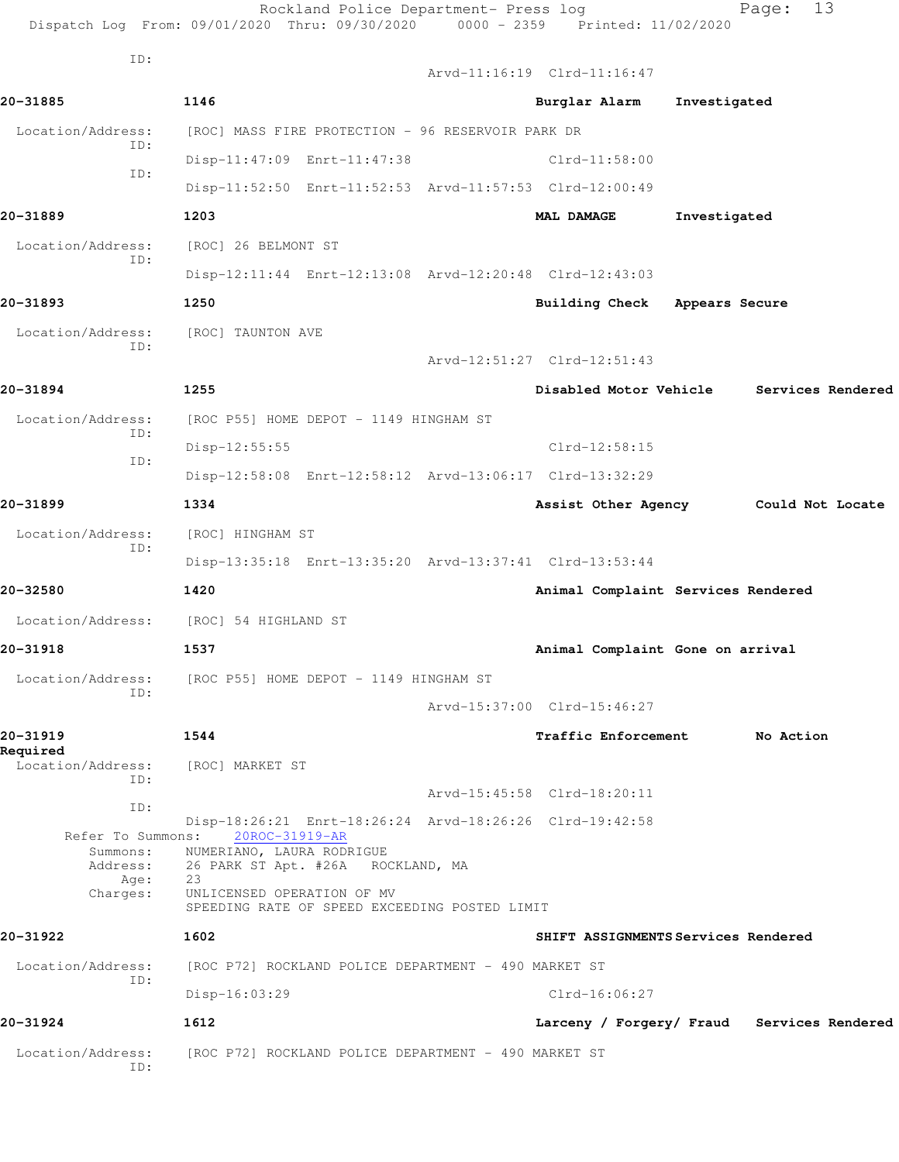|                          | Rockland Police Department- Press log<br>Dispatch Log From: 09/01/2020 Thru: 09/30/2020 0000 - 2359 Printed: 11/02/2020 |                                     |              | 13<br>Page:                                |  |
|--------------------------|-------------------------------------------------------------------------------------------------------------------------|-------------------------------------|--------------|--------------------------------------------|--|
| ID:                      |                                                                                                                         | Arvd-11:16:19 Clrd-11:16:47         |              |                                            |  |
| 20-31885                 | 1146                                                                                                                    | Burglar Alarm                       | Investigated |                                            |  |
| Location/Address:        | [ROC] MASS FIRE PROTECTION - 96 RESERVOIR PARK DR                                                                       |                                     |              |                                            |  |
| ID:                      | Disp-11:47:09 Enrt-11:47:38                                                                                             | $Clrd-11:58:00$                     |              |                                            |  |
| ID:                      | Disp-11:52:50 Enrt-11:52:53 Arvd-11:57:53 Clrd-12:00:49                                                                 |                                     |              |                                            |  |
| 20-31889                 | 1203                                                                                                                    | <b>MAL DAMAGE</b>                   | Investigated |                                            |  |
| Location/Address:        | [ROC] 26 BELMONT ST                                                                                                     |                                     |              |                                            |  |
| ID:                      | Disp-12:11:44 Enrt-12:13:08 Arvd-12:20:48 Clrd-12:43:03                                                                 |                                     |              |                                            |  |
| 20-31893                 | 1250                                                                                                                    | Building Check Appears Secure       |              |                                            |  |
| Location/Address:        | [ROC] TAUNTON AVE                                                                                                       |                                     |              |                                            |  |
| ID:                      |                                                                                                                         | Arvd-12:51:27 Clrd-12:51:43         |              |                                            |  |
| 20-31894                 | 1255                                                                                                                    | Disabled Motor Vehicle              |              | Services Rendered                          |  |
| Location/Address:        | [ROC P55] HOME DEPOT - 1149 HINGHAM ST                                                                                  |                                     |              |                                            |  |
| ID:                      | $Disp-12:55:55$                                                                                                         | $Clrd-12:58:15$                     |              |                                            |  |
| ID:                      | Disp-12:58:08 Enrt-12:58:12 Arvd-13:06:17 Clrd-13:32:29                                                                 |                                     |              |                                            |  |
| 20-31899                 | 1334                                                                                                                    |                                     |              | Assist Other Agency Could Not Locate       |  |
| Location/Address:        | [ROC] HINGHAM ST                                                                                                        |                                     |              |                                            |  |
| ID:                      | Disp-13:35:18 Enrt-13:35:20 Arvd-13:37:41 Clrd-13:53:44                                                                 |                                     |              |                                            |  |
| 20-32580                 | 1420                                                                                                                    | Animal Complaint Services Rendered  |              |                                            |  |
| Location/Address:        | [ROC] 54 HIGHLAND ST                                                                                                    |                                     |              |                                            |  |
| 20-31918                 | 1537                                                                                                                    | Animal Complaint Gone on arrival    |              |                                            |  |
| Location/Address:        | [ROC P55] HOME DEPOT - 1149 HINGHAM ST                                                                                  |                                     |              |                                            |  |
| ID:                      |                                                                                                                         | Arvd-15:37:00 Clrd-15:46:27         |              |                                            |  |
| 20-31919<br>Required     | 1544                                                                                                                    | <b>Traffic Enforcement</b>          |              | No Action                                  |  |
| Location/Address:<br>ID: | [ROC] MARKET ST                                                                                                         |                                     |              |                                            |  |
| ID:                      |                                                                                                                         | Arvd-15:45:58 Clrd-18:20:11         |              |                                            |  |
| Refer To Summons:        | Disp-18:26:21 Enrt-18:26:24 Arvd-18:26:26 Clrd-19:42:58<br>20ROC-31919-AR                                               |                                     |              |                                            |  |
| Summons:<br>Address:     | NUMERIANO, LAURA RODRIGUE<br>26 PARK ST Apt. #26A ROCKLAND, MA<br>23                                                    |                                     |              |                                            |  |
| Age:<br>Charges:         | UNLICENSED OPERATION OF MV<br>SPEEDING RATE OF SPEED EXCEEDING POSTED LIMIT                                             |                                     |              |                                            |  |
| 20-31922                 | 1602                                                                                                                    | SHIFT ASSIGNMENTS Services Rendered |              |                                            |  |
| Location/Address:        | [ROC P72] ROCKLAND POLICE DEPARTMENT - 490 MARKET ST                                                                    |                                     |              |                                            |  |
| ID:                      | Disp-16:03:29                                                                                                           | $Clrd-16:06:27$                     |              |                                            |  |
| 20-31924                 | 1612                                                                                                                    |                                     |              | Larceny / Forgery/ Fraud Services Rendered |  |
| Location/Address:<br>ID: | [ROC P72] ROCKLAND POLICE DEPARTMENT - 490 MARKET ST                                                                    |                                     |              |                                            |  |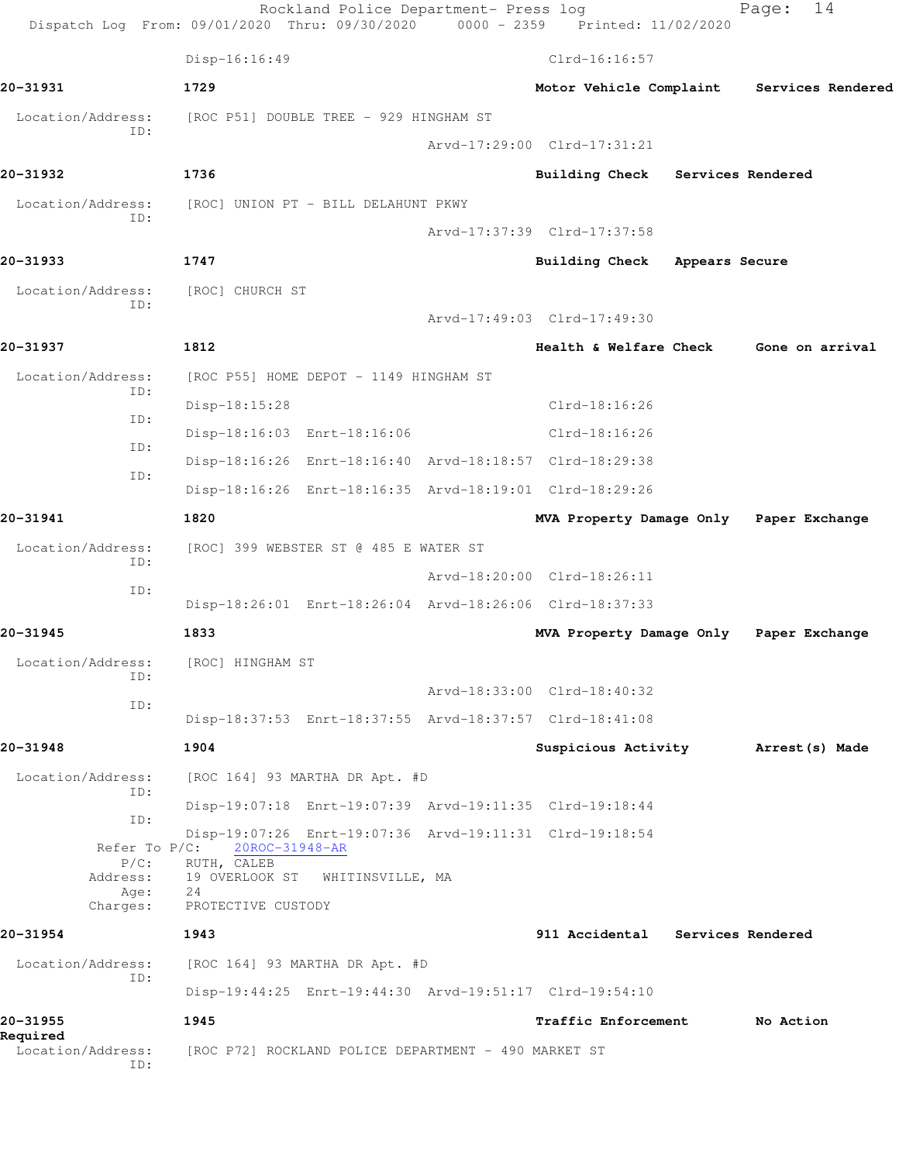|                                      | Rockland Police Department- Press log<br>Dispatch Log From: 09/01/2020 Thru: 09/30/2020 0000 - 2359 Printed: 11/02/2020 |                                         |                | 14<br>Page:                          |
|--------------------------------------|-------------------------------------------------------------------------------------------------------------------------|-----------------------------------------|----------------|--------------------------------------|
|                                      | Disp-16:16:49                                                                                                           | $Clrd-16:16:57$                         |                |                                      |
| 20-31931                             | 1729                                                                                                                    | Motor Vehicle Complaint                 |                | Services Rendered                    |
| Location/Address:                    | [ROC P51] DOUBLE TREE - 929 HINGHAM ST                                                                                  |                                         |                |                                      |
| ID:                                  |                                                                                                                         | Arvd-17:29:00 Clrd-17:31:21             |                |                                      |
| 20-31932                             | 1736                                                                                                                    | Building Check Services Rendered        |                |                                      |
| Location/Address:<br>TD:             | [ROC] UNION PT - BILL DELAHUNT PKWY                                                                                     |                                         |                |                                      |
|                                      |                                                                                                                         | Arvd-17:37:39 Clrd-17:37:58             |                |                                      |
| 20-31933                             | 1747                                                                                                                    | <b>Building Check</b>                   | Appears Secure |                                      |
| Location/Address:<br>ID:             | [ROC] CHURCH ST                                                                                                         |                                         |                |                                      |
|                                      |                                                                                                                         | Arvd-17:49:03 Clrd-17:49:30             |                |                                      |
| 20-31937                             | 1812                                                                                                                    | Health & Welfare Check                  |                | Gone on arrival                      |
| Location/Address:<br>ID:             | [ROC P55] HOME DEPOT - 1149 HINGHAM ST                                                                                  |                                         |                |                                      |
| ID:                                  | Disp-18:15:28                                                                                                           | $Clrd-18:16:26$                         |                |                                      |
| ID:                                  | Disp-18:16:03 Enrt-18:16:06                                                                                             | $Clrd-18:16:26$                         |                |                                      |
| ID:                                  | Disp-18:16:26 Enrt-18:16:40 Arvd-18:18:57 Clrd-18:29:38                                                                 |                                         |                |                                      |
|                                      | Disp-18:16:26 Enrt-18:16:35 Arvd-18:19:01 Clrd-18:29:26                                                                 |                                         |                |                                      |
| 20-31941                             | 1820                                                                                                                    | MVA Property Damage Only Paper Exchange |                |                                      |
| Location/Address:<br>ID:             | [ROC] 399 WEBSTER ST @ 485 E WATER ST                                                                                   |                                         |                |                                      |
| ID:                                  |                                                                                                                         | Arvd-18:20:00 Clrd-18:26:11             |                |                                      |
|                                      | Disp-18:26:01 Enrt-18:26:04 Arvd-18:26:06 Clrd-18:37:33                                                                 |                                         |                |                                      |
| 20-31945                             | 1833                                                                                                                    | MVA Property Damage Only Paper Exchange |                |                                      |
| Location/Address:<br>ID:             | [ROC] HINGHAM ST                                                                                                        |                                         |                |                                      |
| ID:                                  |                                                                                                                         | Arvd-18:33:00 Clrd-18:40:32             |                |                                      |
|                                      | Disp-18:37:53 Enrt-18:37:55 Arvd-18:37:57 Clrd-18:41:08                                                                 |                                         |                |                                      |
| 20-31948                             | 1904                                                                                                                    |                                         |                | Suspicious Activity Marrest (s) Made |
| Location/Address:<br>ID:             | [ROC 164] 93 MARTHA DR Apt. #D                                                                                          |                                         |                |                                      |
| ID:                                  | Disp-19:07:18 Enrt-19:07:39 Arvd-19:11:35 Clrd-19:18:44                                                                 |                                         |                |                                      |
| Refer To $P/C$ :                     | Disp-19:07:26 Enrt-19:07:36 Arvd-19:11:31 Clrd-19:18:54<br>20ROC-31948-AR                                               |                                         |                |                                      |
| $P/C$ :<br>Address:                  | RUTH, CALEB<br>19 OVERLOOK ST WHITINSVILLE, MA                                                                          |                                         |                |                                      |
| Age:<br>Charges:                     | 24<br>PROTECTIVE CUSTODY                                                                                                |                                         |                |                                      |
| 20-31954                             | 1943                                                                                                                    | 911 Accidental Services Rendered        |                |                                      |
| Location/Address:                    | [ROC 164] 93 MARTHA DR Apt. #D                                                                                          |                                         |                |                                      |
| ID:                                  | Disp-19:44:25 Enrt-19:44:30 Arvd-19:51:17 Clrd-19:54:10                                                                 |                                         |                |                                      |
| 20-31955                             | 1945                                                                                                                    | Traffic Enforcement                     |                | No Action                            |
| Required<br>Location/Address:<br>ID: | [ROC P72] ROCKLAND POLICE DEPARTMENT - 490 MARKET ST                                                                    |                                         |                |                                      |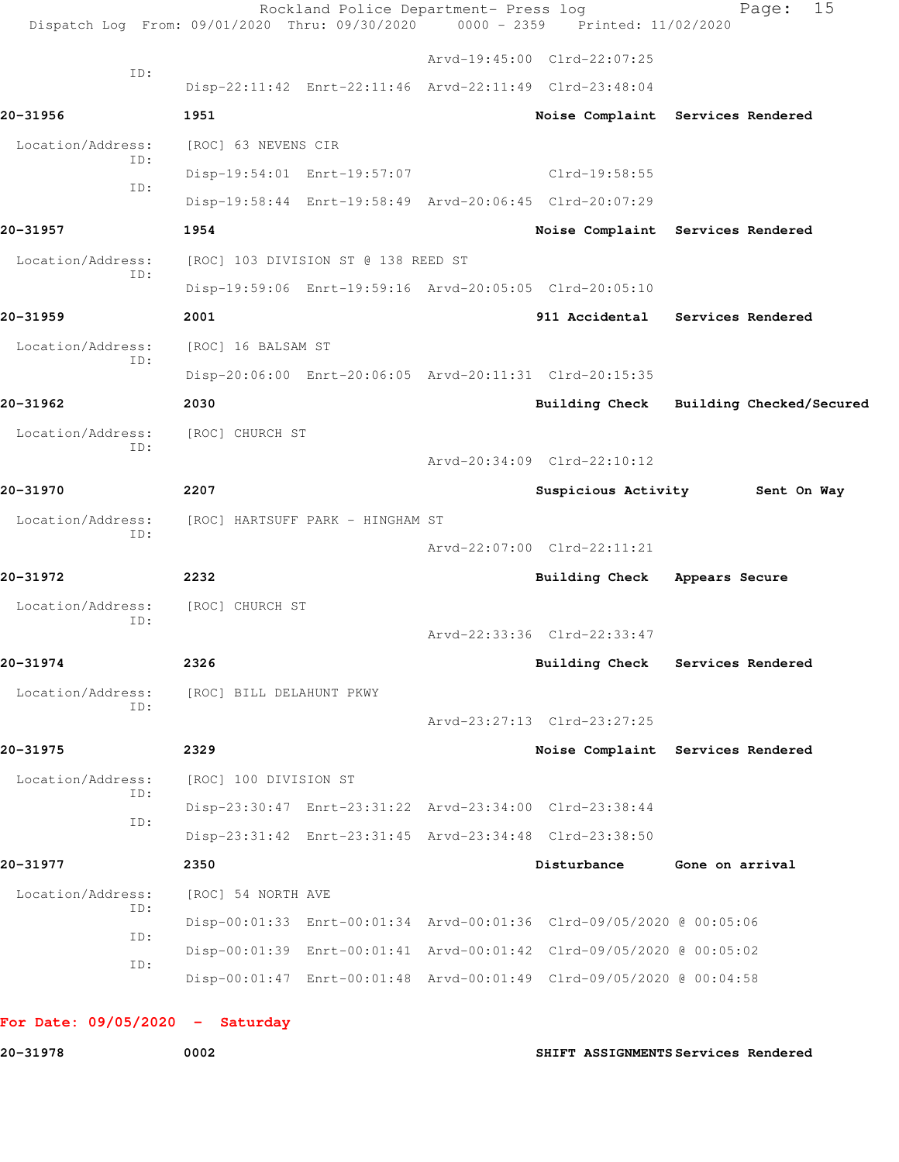| Dispatch Log From: 09/01/2020 Thru: 09/30/2020 0000 - 2359 Printed: 11/02/2020 |                          | Rockland Police Department- Press log |                                                                      | 15<br>Page:                             |
|--------------------------------------------------------------------------------|--------------------------|---------------------------------------|----------------------------------------------------------------------|-----------------------------------------|
|                                                                                |                          |                                       | Arvd-19:45:00 Clrd-22:07:25                                          |                                         |
| ID:                                                                            |                          |                                       | Disp-22:11:42 Enrt-22:11:46 Arvd-22:11:49 Clrd-23:48:04              |                                         |
| 20-31956                                                                       | 1951                     |                                       |                                                                      | Noise Complaint Services Rendered       |
| Location/Address:                                                              | [ROC] 63 NEVENS CIR      |                                       |                                                                      |                                         |
| ID:                                                                            |                          | Disp-19:54:01 Enrt-19:57:07           | Clrd-19:58:55                                                        |                                         |
| ID:                                                                            |                          |                                       | Disp-19:58:44 Enrt-19:58:49 Arvd-20:06:45 Clrd-20:07:29              |                                         |
| 20-31957                                                                       | 1954                     |                                       |                                                                      | Noise Complaint Services Rendered       |
| Location/Address:                                                              |                          | [ROC] 103 DIVISION ST @ 138 REED ST   |                                                                      |                                         |
| ID:                                                                            |                          |                                       | Disp-19:59:06 Enrt-19:59:16 Arvd-20:05:05 Clrd-20:05:10              |                                         |
| 20-31959                                                                       | 2001                     |                                       |                                                                      | 911 Accidental Services Rendered        |
| Location/Address:                                                              | [ROC] 16 BALSAM ST       |                                       |                                                                      |                                         |
| ID:                                                                            |                          |                                       | Disp-20:06:00 Enrt-20:06:05 Arvd-20:11:31 Clrd-20:15:35              |                                         |
| 20-31962                                                                       | 2030                     |                                       |                                                                      | Building Check Building Checked/Secured |
| Location/Address:                                                              | [ROC] CHURCH ST          |                                       |                                                                      |                                         |
| ID:                                                                            |                          |                                       | Arvd-20:34:09 Clrd-22:10:12                                          |                                         |
| 20-31970                                                                       | 2207                     |                                       |                                                                      | Suspicious Activity 5ent On Way         |
| Location/Address:                                                              |                          | [ROC] HARTSUFF PARK - HINGHAM ST      |                                                                      |                                         |
| ID:                                                                            |                          |                                       | Arvd-22:07:00 Clrd-22:11:21                                          |                                         |
| 20-31972                                                                       | 2232                     |                                       | Building Check Appears Secure                                        |                                         |
| Location/Address:                                                              | [ROC] CHURCH ST          |                                       |                                                                      |                                         |
| ID:                                                                            |                          |                                       | Arvd-22:33:36 Clrd-22:33:47                                          |                                         |
| 20-31974                                                                       | 2326                     |                                       | <b>Building Check</b>                                                | Services Rendered                       |
| Location/Address:                                                              | [ROC] BILL DELAHUNT PKWY |                                       |                                                                      |                                         |
| ID:                                                                            |                          |                                       | Arvd-23:27:13 Clrd-23:27:25                                          |                                         |
| 20-31975                                                                       | 2329                     |                                       |                                                                      | Noise Complaint Services Rendered       |
| Location/Address:                                                              | [ROC] 100 DIVISION ST    |                                       |                                                                      |                                         |
| ID:                                                                            |                          |                                       | Disp-23:30:47 Enrt-23:31:22 Arvd-23:34:00 Clrd-23:38:44              |                                         |
| ID:                                                                            |                          |                                       | Disp-23:31:42 Enrt-23:31:45 Arvd-23:34:48 Clrd-23:38:50              |                                         |
| 20-31977                                                                       | 2350                     |                                       | Disturbance                                                          | Gone on arrival                         |
| Location/Address:                                                              | [ROC] 54 NORTH AVE       |                                       |                                                                      |                                         |
| ID:                                                                            |                          |                                       | Disp-00:01:33 Enrt-00:01:34 Arvd-00:01:36 Clrd-09/05/2020 @ 00:05:06 |                                         |
| ID:                                                                            |                          |                                       | Disp-00:01:39 Enrt-00:01:41 Arvd-00:01:42 Clrd-09/05/2020 @ 00:05:02 |                                         |
| ID:                                                                            |                          |                                       | Disp-00:01:47 Enrt-00:01:48 Arvd-00:01:49 Clrd-09/05/2020 @ 00:04:58 |                                         |

**20-31978 0002 SHIFT ASSIGNMENTS Services Rendered**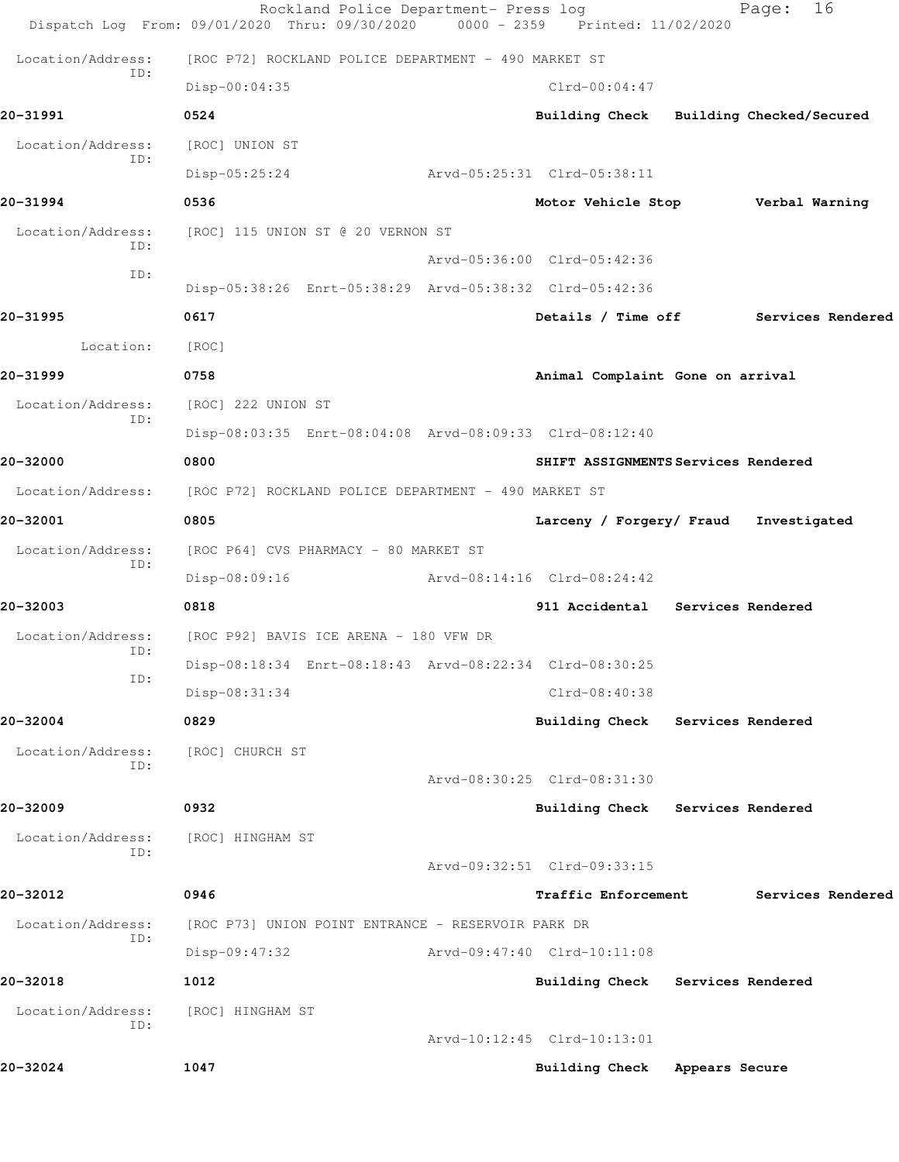|                          | Rockland Police Department- Press log<br>Dispatch Log From: 09/01/2020 Thru: 09/30/2020 | $0000 - 2359$ | Printed: 11/02/2020                     |                          | Page:          | 16                |
|--------------------------|-----------------------------------------------------------------------------------------|---------------|-----------------------------------------|--------------------------|----------------|-------------------|
| Location/Address:        | [ROC P72] ROCKLAND POLICE DEPARTMENT - 490 MARKET ST                                    |               |                                         |                          |                |                   |
| ID:                      | Disp-00:04:35                                                                           |               | $Clrd-00:04:47$                         |                          |                |                   |
| 20-31991                 | 0524                                                                                    |               | Building Check Building Checked/Secured |                          |                |                   |
| Location/Address:        | [ROC] UNION ST                                                                          |               |                                         |                          |                |                   |
| ID:                      | $Disp-05:25:24$                                                                         |               | Arvd-05:25:31 Clrd-05:38:11             |                          |                |                   |
| 20-31994                 | 0536                                                                                    |               | Motor Vehicle Stop                      |                          | Verbal Warning |                   |
| Location/Address:        | [ROC] 115 UNION ST @ 20 VERNON ST                                                       |               |                                         |                          |                |                   |
| ID:                      |                                                                                         |               | Arvd-05:36:00 Clrd-05:42:36             |                          |                |                   |
| ID:                      | Disp-05:38:26 Enrt-05:38:29 Arvd-05:38:32 Clrd-05:42:36                                 |               |                                         |                          |                |                   |
| 20-31995                 | 0617                                                                                    |               | Details / Time off Services Rendered    |                          |                |                   |
| Location:                | [ROC]                                                                                   |               |                                         |                          |                |                   |
| 20-31999                 | 0758                                                                                    |               | Animal Complaint Gone on arrival        |                          |                |                   |
| Location/Address:        | [ROC] 222 UNION ST                                                                      |               |                                         |                          |                |                   |
| ID:                      | Disp-08:03:35 Enrt-08:04:08 Arvd-08:09:33 Clrd-08:12:40                                 |               |                                         |                          |                |                   |
| 20-32000                 | 0800                                                                                    |               | SHIFT ASSIGNMENTS Services Rendered     |                          |                |                   |
| Location/Address:        | [ROC P72] ROCKLAND POLICE DEPARTMENT - 490 MARKET ST                                    |               |                                         |                          |                |                   |
| 20-32001                 | 0805                                                                                    |               | Larceny / Forgery/ Fraud                |                          | Investigated   |                   |
| Location/Address:        | [ROC P64] CVS PHARMACY - 80 MARKET ST                                                   |               |                                         |                          |                |                   |
| ID:                      | Disp-08:09:16                                                                           |               | Arvd-08:14:16 Clrd-08:24:42             |                          |                |                   |
| 20-32003                 | 0818                                                                                    |               | 911 Accidental                          | <b>Services Rendered</b> |                |                   |
| Location/Address:        | [ROC P92] BAVIS ICE ARENA - 180 VFW DR                                                  |               |                                         |                          |                |                   |
| ID:<br>ID:               | Disp-08:18:34 Enrt-08:18:43 Arvd-08:22:34 Clrd-08:30:25                                 |               |                                         |                          |                |                   |
|                          | Disp-08:31:34                                                                           |               | Clrd-08:40:38                           |                          |                |                   |
| 20-32004                 | 0829                                                                                    |               | Building Check                          | Services Rendered        |                |                   |
| Location/Address:<br>ID: | [ROC] CHURCH ST                                                                         |               |                                         |                          |                |                   |
|                          |                                                                                         |               | Arvd-08:30:25 Clrd-08:31:30             |                          |                |                   |
| 20-32009                 | 0932                                                                                    |               | <b>Building Check</b>                   | Services Rendered        |                |                   |
| Location/Address:<br>ID: | [ROC] HINGHAM ST                                                                        |               |                                         |                          |                |                   |
|                          |                                                                                         |               | Arvd-09:32:51 Clrd-09:33:15             |                          |                |                   |
| 20-32012                 | 0946                                                                                    |               | Traffic Enforcement                     |                          |                | Services Rendered |
| Location/Address:<br>ID: | [ROC P73] UNION POINT ENTRANCE - RESERVOIR PARK DR                                      |               |                                         |                          |                |                   |
|                          | Disp-09:47:32                                                                           |               | Arvd-09:47:40 Clrd-10:11:08             |                          |                |                   |
| 20-32018                 | 1012                                                                                    |               | <b>Building Check</b>                   | Services Rendered        |                |                   |
| Location/Address:<br>ID: | [ROC] HINGHAM ST                                                                        |               |                                         |                          |                |                   |
|                          |                                                                                         |               | Arvd-10:12:45 Clrd-10:13:01             |                          |                |                   |
| 20-32024                 | 1047                                                                                    |               | <b>Building Check</b>                   | Appears Secure           |                |                   |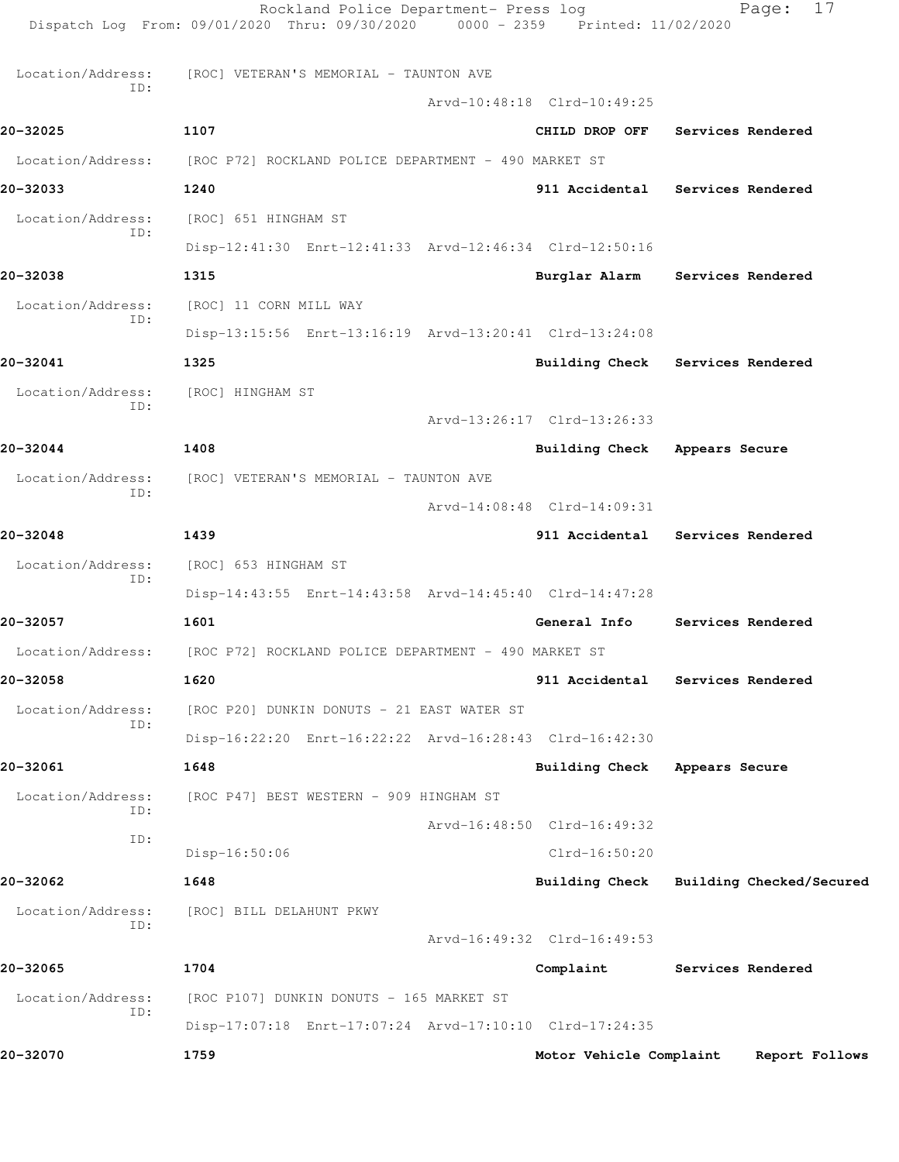|                          | Rockland Police Department- Press log<br>Dispatch Log From: 09/01/2020 Thru: 09/30/2020 0000 - 2359 Printed: 11/02/2020 |                             | 17<br>Page:              |
|--------------------------|-------------------------------------------------------------------------------------------------------------------------|-----------------------------|--------------------------|
| Location/Address:        | [ROC] VETERAN'S MEMORIAL - TAUNTON AVE                                                                                  |                             |                          |
| ID:                      |                                                                                                                         | Arvd-10:48:18 Clrd-10:49:25 |                          |
| 20-32025                 | 1107                                                                                                                    | CHILD DROP OFF              | Services Rendered        |
| Location/Address:        | [ROC P72] ROCKLAND POLICE DEPARTMENT - 490 MARKET ST                                                                    |                             |                          |
| 20-32033                 | 1240                                                                                                                    | 911 Accidental              | Services Rendered        |
| Location/Address:        | [ROC] 651 HINGHAM ST                                                                                                    |                             |                          |
| ID:                      | Disp-12:41:30 Enrt-12:41:33 Arvd-12:46:34 Clrd-12:50:16                                                                 |                             |                          |
| 20-32038                 | 1315                                                                                                                    | Burglar Alarm               | Services Rendered        |
| Location/Address:        | [ROC] 11 CORN MILL WAY                                                                                                  |                             |                          |
| ID:                      | Disp-13:15:56 Enrt-13:16:19 Arvd-13:20:41 Clrd-13:24:08                                                                 |                             |                          |
| 20-32041                 | 1325                                                                                                                    | <b>Building Check</b>       | Services Rendered        |
| Location/Address:        | [ROC] HINGHAM ST                                                                                                        |                             |                          |
| ID:                      |                                                                                                                         | Arvd-13:26:17 Clrd-13:26:33 |                          |
| 20-32044                 | 1408                                                                                                                    | Building Check              | Appears Secure           |
| Location/Address:<br>ID: | [ROC] VETERAN'S MEMORIAL - TAUNTON AVE                                                                                  |                             |                          |
|                          |                                                                                                                         | Arvd-14:08:48 Clrd-14:09:31 |                          |
| 20-32048                 | 1439                                                                                                                    | 911 Accidental              | Services Rendered        |
| Location/Address:<br>ID: | [ROC] 653 HINGHAM ST                                                                                                    |                             |                          |
|                          | Disp-14:43:55 Enrt-14:43:58 Arvd-14:45:40 Clrd-14:47:28                                                                 |                             |                          |
| 20-32057                 | 1601                                                                                                                    | General Info                | Services Rendered        |
| Location/Address:        | [ROC P72] ROCKLAND POLICE DEPARTMENT - 490 MARKET ST                                                                    |                             |                          |
| 20-32058                 | 1620                                                                                                                    | 911 Accidental              | Services Rendered        |
| Location/Address:<br>ID: | [ROC P20] DUNKIN DONUTS - 21 EAST WATER ST                                                                              |                             |                          |
|                          | Disp-16:22:20 Enrt-16:22:22 Arvd-16:28:43 Clrd-16:42:30                                                                 |                             |                          |
| 20-32061                 | 1648                                                                                                                    | <b>Building Check</b>       | Appears Secure           |
| Location/Address:<br>ID: | [ROC P47] BEST WESTERN - 909 HINGHAM ST                                                                                 |                             |                          |
| ID:                      |                                                                                                                         | Arvd-16:48:50 Clrd-16:49:32 |                          |
|                          | Disp-16:50:06                                                                                                           | $Clrd-16:50:20$             |                          |
| 20-32062                 | 1648                                                                                                                    | <b>Building Check</b>       | Building Checked/Secured |
| Location/Address:<br>ID: | [ROC] BILL DELAHUNT PKWY                                                                                                |                             |                          |
|                          |                                                                                                                         | Arvd-16:49:32 Clrd-16:49:53 |                          |
| 20-32065                 | 1704                                                                                                                    | Complaint                   | Services Rendered        |
| Location/Address:<br>ID: | [ROC P107] DUNKIN DONUTS - 165 MARKET ST                                                                                |                             |                          |
|                          | Disp-17:07:18 Enrt-17:07:24 Arvd-17:10:10 Clrd-17:24:35                                                                 |                             |                          |
| 20-32070                 | 1759                                                                                                                    | Motor Vehicle Complaint     | Report Follows           |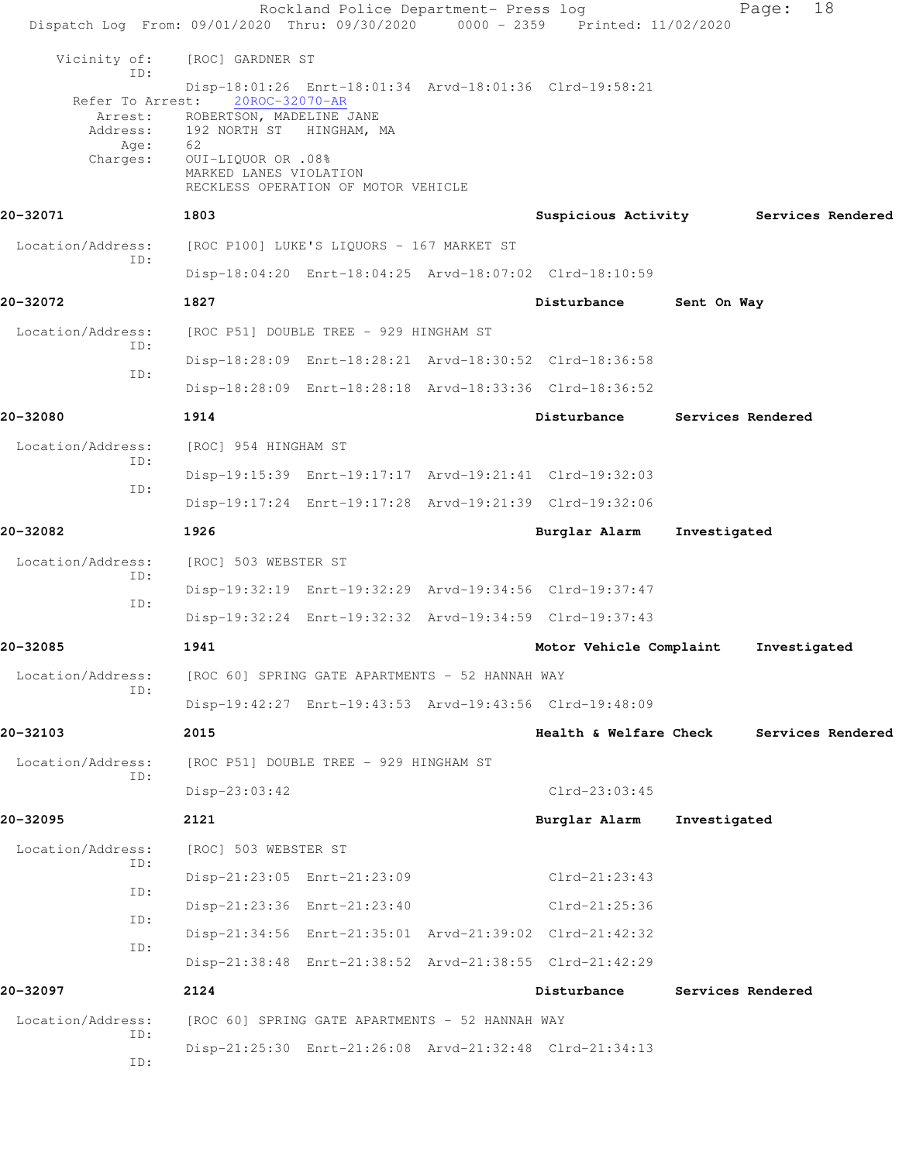| Dispatch Log From: 09/01/2020 Thru: 09/30/2020 0000 - 2359 Printed: 11/02/2020 |                                                                                                                                       | Rockland Police Department- Press log           |                                                         |              | 18<br>Page:       |  |
|--------------------------------------------------------------------------------|---------------------------------------------------------------------------------------------------------------------------------------|-------------------------------------------------|---------------------------------------------------------|--------------|-------------------|--|
| Vicinity of:                                                                   | [ROC] GARDNER ST                                                                                                                      |                                                 |                                                         |              |                   |  |
| ID:<br>Refer To Arrest:<br>Arrest:<br>Age:<br>Charges:                         | 20ROC-32070-AR<br>ROBERTSON, MADELINE JANE<br>Address: 192 NORTH ST HINGHAM, MA<br>62<br>0UI-LIQUOR OR .08%<br>MARKED LANES VIOLATION | RECKLESS OPERATION OF MOTOR VEHICLE             | Disp-18:01:26 Enrt-18:01:34 Arvd-18:01:36 Clrd-19:58:21 |              |                   |  |
| 20-32071                                                                       | 1803                                                                                                                                  |                                                 | Suspicious Activity Services Rendered                   |              |                   |  |
| Location/Address:<br>ID:                                                       | [ROC P100] LUKE'S LIQUORS - 167 MARKET ST                                                                                             |                                                 |                                                         |              |                   |  |
|                                                                                |                                                                                                                                       |                                                 | Disp-18:04:20 Enrt-18:04:25 Arvd-18:07:02 Clrd-18:10:59 |              |                   |  |
| 20-32072                                                                       | 1827                                                                                                                                  |                                                 | Disturbance                                             | Sent On Way  |                   |  |
| Location/Address:<br>ID:                                                       |                                                                                                                                       | [ROC P51] DOUBLE TREE - 929 HINGHAM ST          |                                                         |              |                   |  |
| ID:                                                                            |                                                                                                                                       |                                                 | Disp-18:28:09 Enrt-18:28:21 Arvd-18:30:52 Clrd-18:36:58 |              |                   |  |
|                                                                                |                                                                                                                                       |                                                 | Disp-18:28:09 Enrt-18:28:18 Arvd-18:33:36 Clrd-18:36:52 |              |                   |  |
| 20-32080                                                                       | 1914                                                                                                                                  |                                                 | Disturbance                                             |              | Services Rendered |  |
| Location/Address:<br>ID:                                                       | [ROC] 954 HINGHAM ST                                                                                                                  |                                                 |                                                         |              |                   |  |
| ID:                                                                            |                                                                                                                                       |                                                 | Disp-19:15:39 Enrt-19:17:17 Arvd-19:21:41 Clrd-19:32:03 |              |                   |  |
|                                                                                |                                                                                                                                       |                                                 | Disp-19:17:24 Enrt-19:17:28 Arvd-19:21:39 Clrd-19:32:06 |              |                   |  |
| 20-32082                                                                       | 1926                                                                                                                                  |                                                 | Burglar Alarm                                           | Investigated |                   |  |
| Location/Address:<br>ID:                                                       | [ROC] 503 WEBSTER ST                                                                                                                  |                                                 |                                                         |              |                   |  |
| ID:                                                                            |                                                                                                                                       |                                                 | Disp-19:32:19 Enrt-19:32:29 Arvd-19:34:56 Clrd-19:37:47 |              |                   |  |
|                                                                                |                                                                                                                                       |                                                 | Disp-19:32:24 Enrt-19:32:32 Arvd-19:34:59 Clrd-19:37:43 |              |                   |  |
| 20-32085                                                                       | 1941                                                                                                                                  |                                                 | Motor Vehicle Complaint                                 |              | Investigated      |  |
| Location/Address:<br>ID:                                                       |                                                                                                                                       | [ROC 60] SPRING GATE APARTMENTS - 52 HANNAH WAY |                                                         |              |                   |  |
|                                                                                |                                                                                                                                       |                                                 | Disp-19:42:27 Enrt-19:43:53 Arvd-19:43:56 Clrd-19:48:09 |              |                   |  |
| 20-32103                                                                       | 2015                                                                                                                                  |                                                 | Health & Welfare Check                                  |              | Services Rendered |  |
| Location/Address:                                                              |                                                                                                                                       | [ROC P51] DOUBLE TREE - 929 HINGHAM ST          |                                                         |              |                   |  |
| ID:                                                                            | Disp-23:03:42                                                                                                                         |                                                 | $Clrd-23:03:45$                                         |              |                   |  |
| 20-32095                                                                       | 2121                                                                                                                                  |                                                 | Burglar Alarm                                           | Investigated |                   |  |
| Location/Address:                                                              | [ROC] 503 WEBSTER ST                                                                                                                  |                                                 |                                                         |              |                   |  |
| ID:                                                                            |                                                                                                                                       | Disp-21:23:05 Enrt-21:23:09                     | $Clrd-21:23:43$                                         |              |                   |  |
| ID:                                                                            |                                                                                                                                       | Disp-21:23:36 Enrt-21:23:40                     | $Clrd-21:25:36$                                         |              |                   |  |
| ID:                                                                            |                                                                                                                                       |                                                 | Disp-21:34:56 Enrt-21:35:01 Arvd-21:39:02 Clrd-21:42:32 |              |                   |  |
| ID:                                                                            |                                                                                                                                       |                                                 | Disp-21:38:48 Enrt-21:38:52 Arvd-21:38:55 Clrd-21:42:29 |              |                   |  |
| 20-32097                                                                       | 2124                                                                                                                                  |                                                 | Disturbance                                             |              | Services Rendered |  |
| Location/Address:                                                              |                                                                                                                                       | [ROC 60] SPRING GATE APARTMENTS - 52 HANNAH WAY |                                                         |              |                   |  |
| ID:                                                                            |                                                                                                                                       |                                                 | Disp-21:25:30 Enrt-21:26:08 Arvd-21:32:48 Clrd-21:34:13 |              |                   |  |
| ID:                                                                            |                                                                                                                                       |                                                 |                                                         |              |                   |  |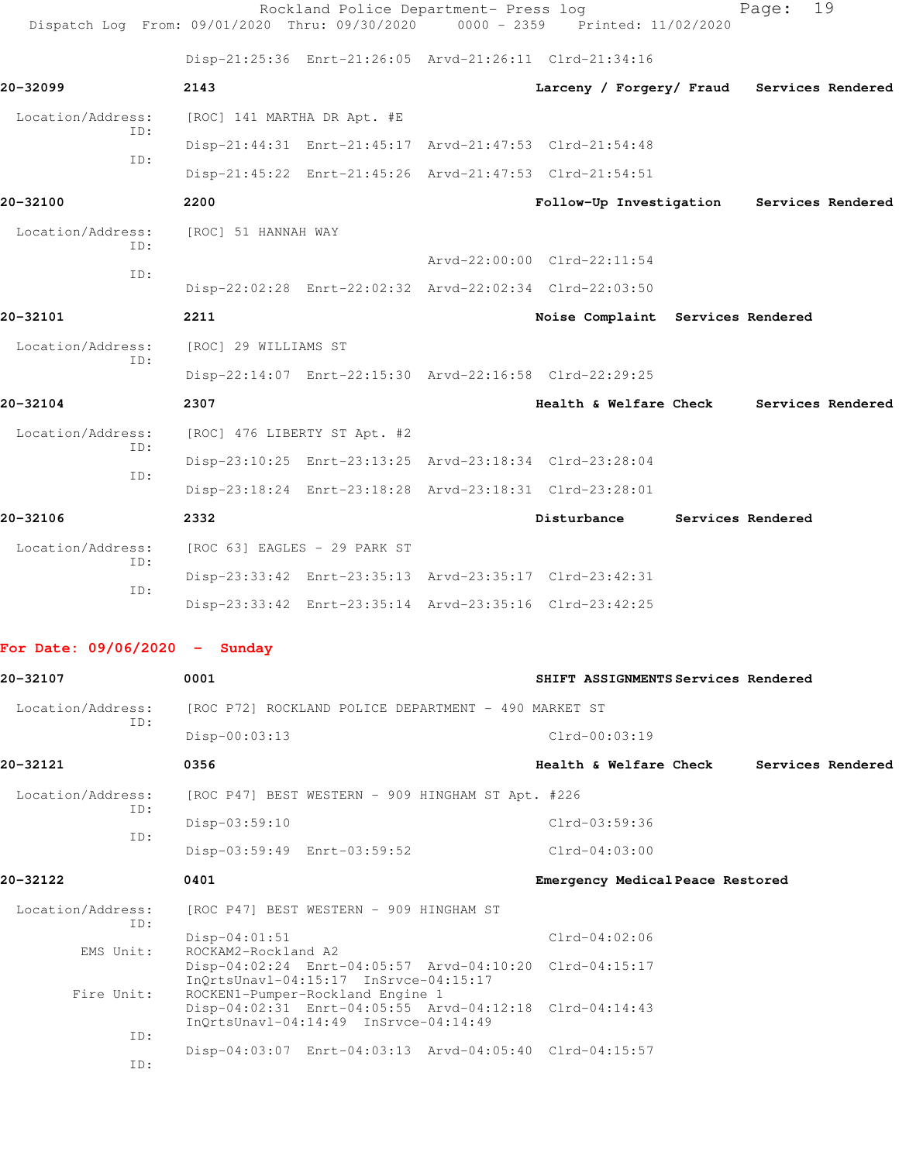| Dispatch Log From: 09/01/2020 Thru: 09/30/2020 |                                        | Rockland Police Department- Press log                                                                                                | $0000 - 2359$ | Printed: 11/02/2020                                     | Page:             | 19                |
|------------------------------------------------|----------------------------------------|--------------------------------------------------------------------------------------------------------------------------------------|---------------|---------------------------------------------------------|-------------------|-------------------|
|                                                |                                        | Disp-21:25:36 Enrt-21:26:05 Arvd-21:26:11 Clrd-21:34:16                                                                              |               |                                                         |                   |                   |
| 20-32099                                       | 2143                                   |                                                                                                                                      |               | Larceny / Forgery/ Fraud                                |                   | Services Rendered |
| Location/Address:                              | [ROC] 141 MARTHA DR Apt. #E            |                                                                                                                                      |               |                                                         |                   |                   |
| ID:                                            |                                        | Disp-21:44:31 Enrt-21:45:17 Arvd-21:47:53 Clrd-21:54:48                                                                              |               |                                                         |                   |                   |
| ID:                                            |                                        |                                                                                                                                      |               | Disp-21:45:22 Enrt-21:45:26 Arvd-21:47:53 Clrd-21:54:51 |                   |                   |
| 20-32100                                       | 2200                                   |                                                                                                                                      |               | Follow-Up Investigation                                 |                   | Services Rendered |
| Location/Address:                              | [ROC] 51 HANNAH WAY                    |                                                                                                                                      |               |                                                         |                   |                   |
| ID:                                            |                                        |                                                                                                                                      |               | Arvd-22:00:00 Clrd-22:11:54                             |                   |                   |
| ID:                                            |                                        | Disp-22:02:28 Enrt-22:02:32 Arvd-22:02:34 Clrd-22:03:50                                                                              |               |                                                         |                   |                   |
| 20-32101                                       | 2211                                   |                                                                                                                                      |               | Noise Complaint Services Rendered                       |                   |                   |
| Location/Address:                              | [ROC] 29 WILLIAMS ST                   |                                                                                                                                      |               |                                                         |                   |                   |
| ID:                                            |                                        | Disp-22:14:07 Enrt-22:15:30 Arvd-22:16:58 Clrd-22:29:25                                                                              |               |                                                         |                   |                   |
| 20-32104                                       | 2307                                   |                                                                                                                                      |               | Health & Welfare Check                                  |                   | Services Rendered |
| Location/Address:                              | [ROC] 476 LIBERTY ST Apt. #2           |                                                                                                                                      |               |                                                         |                   |                   |
| ID:                                            |                                        | Disp-23:10:25 Enrt-23:13:25 Arvd-23:18:34 Clrd-23:28:04                                                                              |               |                                                         |                   |                   |
| ID:                                            |                                        | Disp-23:18:24 Enrt-23:18:28 Arvd-23:18:31 Clrd-23:28:01                                                                              |               |                                                         |                   |                   |
| 20-32106                                       | 2332                                   |                                                                                                                                      |               | Disturbance                                             | Services Rendered |                   |
| Location/Address:                              | [ROC 63] EAGLES - 29 PARK ST           |                                                                                                                                      |               |                                                         |                   |                   |
| ID:<br>ID:                                     |                                        | Disp-23:33:42 Enrt-23:35:13 Arvd-23:35:17 Clrd-23:42:31                                                                              |               |                                                         |                   |                   |
|                                                |                                        | Disp-23:33:42 Enrt-23:35:14 Arvd-23:35:16 Clrd-23:42:25                                                                              |               |                                                         |                   |                   |
| For Date: $09/06/2020 -$ Sunday                |                                        |                                                                                                                                      |               |                                                         |                   |                   |
| 20-32107                                       | 0001                                   |                                                                                                                                      |               | SHIFT ASSIGNMENTS Services Rendered                     |                   |                   |
| Location/Address:                              |                                        | [ROC P72] ROCKLAND POLICE DEPARTMENT - 490 MARKET ST                                                                                 |               |                                                         |                   |                   |
| ID:                                            | $Disp-00:03:13$                        |                                                                                                                                      |               | $Clrd-00:03:19$                                         |                   |                   |
| 20-32121                                       | 0356                                   |                                                                                                                                      |               | Health & Welfare Check                                  |                   | Services Rendered |
| Location/Address:                              |                                        | [ROC P47] BEST WESTERN - 909 HINGHAM ST Apt. #226                                                                                    |               |                                                         |                   |                   |
| ID:                                            | Disp-03:59:10                          |                                                                                                                                      |               | $Clrd-03:59:36$                                         |                   |                   |
| ID:                                            |                                        | Disp-03:59:49 Enrt-03:59:52                                                                                                          |               | $Clrd-04:03:00$                                         |                   |                   |
| 20-32122                                       | 0401                                   |                                                                                                                                      |               | Emergency Medical Peace Restored                        |                   |                   |
| Location/Address:<br>ID:                       |                                        | [ROC P47] BEST WESTERN - 909 HINGHAM ST                                                                                              |               |                                                         |                   |                   |
| EMS Unit:                                      | $Disp-04:01:51$<br>ROCKAM2-Rockland A2 |                                                                                                                                      |               | $Clrd-04:02:06$                                         |                   |                   |
|                                                |                                        | InQrtsUnavl-04:15:17 InSrvce-04:15:17                                                                                                |               | Disp-04:02:24 Enrt-04:05:57 Arvd-04:10:20 Clrd-04:15:17 |                   |                   |
| Fire Unit:                                     |                                        | ROCKEN1-Pumper-Rockland Engine 1<br>Disp-04:02:31 Enrt-04:05:55 Arvd-04:12:18 Clrd-04:14:43<br>InQrtsUnavl-04:14:49 InSrvce-04:14:49 |               |                                                         |                   |                   |
| ID:                                            |                                        |                                                                                                                                      |               | Disp-04:03:07 Enrt-04:03:13 Arvd-04:05:40 Clrd-04:15:57 |                   |                   |
| ID:                                            |                                        |                                                                                                                                      |               |                                                         |                   |                   |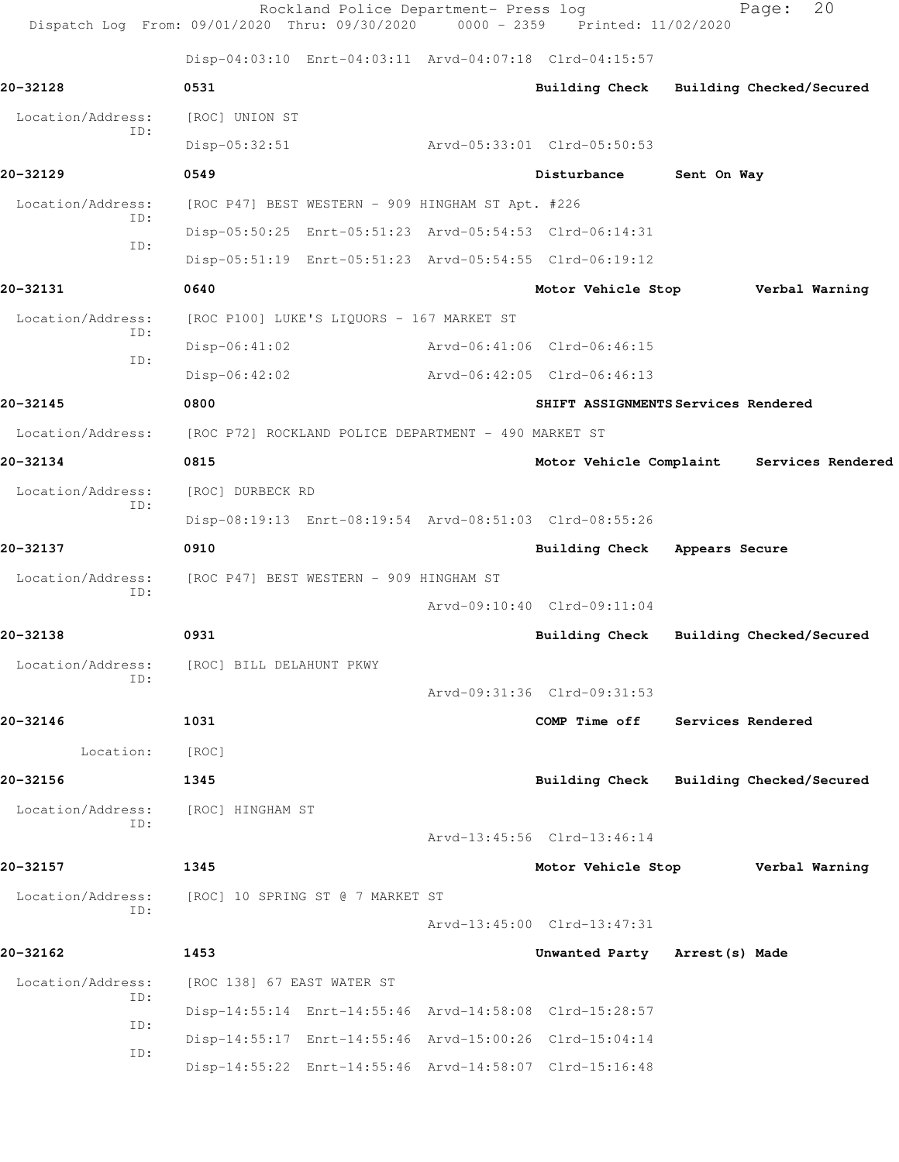|                   | Rockland Police Department- Press log<br>Dispatch Log From: 09/01/2020 Thru: 09/30/2020 0000 - 2359 Printed: 11/02/2020 |                             | 20<br>Page:                               |
|-------------------|-------------------------------------------------------------------------------------------------------------------------|-----------------------------|-------------------------------------------|
|                   | Disp-04:03:10 Enrt-04:03:11 Arvd-04:07:18 Clrd-04:15:57                                                                 |                             |                                           |
| 20-32128          | 0531                                                                                                                    |                             | Building Check Building Checked/Secured   |
| Location/Address: | [ROC] UNION ST                                                                                                          |                             |                                           |
| ID:               | $Disp-05:32:51$                                                                                                         | Arvd-05:33:01 Clrd-05:50:53 |                                           |
| 20-32129          | 0549                                                                                                                    | Disturbance                 | Sent On Way                               |
| Location/Address: | [ROC P47] BEST WESTERN - 909 HINGHAM ST Apt. #226                                                                       |                             |                                           |
| ID:<br>ID:        | Disp-05:50:25 Enrt-05:51:23 Arvd-05:54:53 Clrd-06:14:31                                                                 |                             |                                           |
|                   | Disp-05:51:19 Enrt-05:51:23 Arvd-05:54:55 Clrd-06:19:12                                                                 |                             |                                           |
| 20-32131          | 0640                                                                                                                    |                             | Motor Vehicle Stop Verbal Warning         |
| Location/Address: | [ROC P100] LUKE'S LIQUORS - 167 MARKET ST                                                                               |                             |                                           |
| ID:<br>ID:        | Disp-06:41:02                                                                                                           | Arvd-06:41:06 Clrd-06:46:15 |                                           |
|                   | Disp-06:42:02                                                                                                           | Arvd-06:42:05 Clrd-06:46:13 |                                           |
| 20-32145          | 0800                                                                                                                    |                             | SHIFT ASSIGNMENTS Services Rendered       |
| Location/Address: | [ROC P72] ROCKLAND POLICE DEPARTMENT - 490 MARKET ST                                                                    |                             |                                           |
| 20-32134          | 0815                                                                                                                    |                             | Motor Vehicle Complaint Services Rendered |
| Location/Address: | [ROC] DURBECK RD                                                                                                        |                             |                                           |
| ID:               | Disp-08:19:13 Enrt-08:19:54 Arvd-08:51:03 Clrd-08:55:26                                                                 |                             |                                           |
| 20-32137          | 0910                                                                                                                    |                             | Building Check Appears Secure             |
| Location/Address: | [ROC P47] BEST WESTERN - 909 HINGHAM ST                                                                                 |                             |                                           |
| ID:               |                                                                                                                         | Arvd-09:10:40 Clrd-09:11:04 |                                           |
| 20-32138          | 0931                                                                                                                    |                             | Building Check Building Checked/Secured   |
| Location/Address: | [ROC] BILL DELAHUNT PKWY                                                                                                |                             |                                           |
| ID:               |                                                                                                                         | Arvd-09:31:36 Clrd-09:31:53 |                                           |
| 20-32146          | 1031                                                                                                                    | COMP Time off               | <b>Services Rendered</b>                  |
| Location:         | [ROC]                                                                                                                   |                             |                                           |
| 20-32156          | 1345                                                                                                                    |                             | Building Check Building Checked/Secured   |
| Location/Address: | [ROC] HINGHAM ST                                                                                                        |                             |                                           |
| ID:               |                                                                                                                         | Arvd-13:45:56 Clrd-13:46:14 |                                           |
| 20-32157          | 1345                                                                                                                    | Motor Vehicle Stop          | Verbal Warning                            |
| Location/Address: | [ROC] 10 SPRING ST @ 7 MARKET ST                                                                                        |                             |                                           |
| ID:               |                                                                                                                         | Arvd-13:45:00 Clrd-13:47:31 |                                           |
| 20-32162          | 1453                                                                                                                    |                             | Unwanted Party Arrest (s) Made            |
| Location/Address: | [ROC 138] 67 EAST WATER ST                                                                                              |                             |                                           |
| ID:               | Disp-14:55:14 Enrt-14:55:46 Arvd-14:58:08 Clrd-15:28:57                                                                 |                             |                                           |
| ID:               | Disp-14:55:17 Enrt-14:55:46 Arvd-15:00:26 Clrd-15:04:14                                                                 |                             |                                           |
| ID:               | Disp-14:55:22 Enrt-14:55:46 Arvd-14:58:07 Clrd-15:16:48                                                                 |                             |                                           |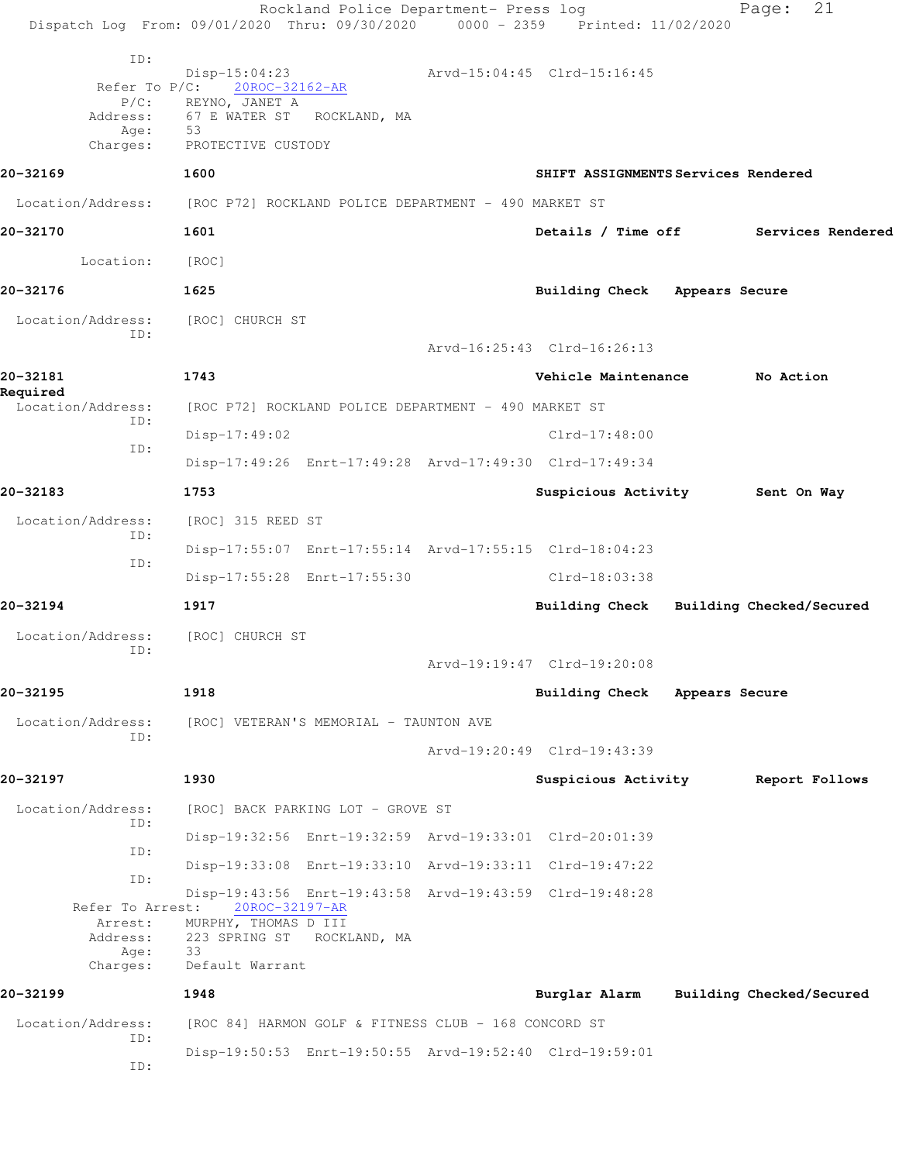|                                                                    | Rockland Police Department- Press log<br>Dispatch Log From: 09/01/2020 Thru: 09/30/2020 0000 - 2359 Printed: 11/02/2020                                  |                                     | 21<br>Page:              |
|--------------------------------------------------------------------|----------------------------------------------------------------------------------------------------------------------------------------------------------|-------------------------------------|--------------------------|
| ID:<br>Refer To $P/C$ :<br>$P/C$ :<br>Address:<br>Age:<br>Charges: | Disp-15:04:23<br>20ROC-32162-AR<br>REYNO, JANET A<br>67 E WATER ST<br>ROCKLAND, MA<br>53<br>PROTECTIVE CUSTODY                                           | Arvd-15:04:45 Clrd-15:16:45         |                          |
| 20-32169                                                           | 1600                                                                                                                                                     | SHIFT ASSIGNMENTS Services Rendered |                          |
| Location/Address:                                                  | [ROC P72] ROCKLAND POLICE DEPARTMENT - 490 MARKET ST                                                                                                     |                                     |                          |
| 20-32170                                                           | 1601                                                                                                                                                     | Details / Time off                  | Services Rendered        |
| Location:                                                          | [ROC]                                                                                                                                                    |                                     |                          |
| 20-32176                                                           | 1625                                                                                                                                                     | Building Check Appears Secure       |                          |
| Location/Address:<br>ID:                                           | [ROC] CHURCH ST                                                                                                                                          |                                     |                          |
|                                                                    |                                                                                                                                                          | Arvd-16:25:43 Clrd-16:26:13         |                          |
| 20-32181<br>Required                                               | 1743                                                                                                                                                     | Vehicle Maintenance                 | No Action                |
| Location/Address:<br>ID:                                           | [ROC P72] ROCKLAND POLICE DEPARTMENT - 490 MARKET ST                                                                                                     |                                     |                          |
| ID:                                                                | $Disp-17:49:02$                                                                                                                                          | $Clrd-17:48:00$                     |                          |
|                                                                    | Disp-17:49:26 Enrt-17:49:28 Arvd-17:49:30 Clrd-17:49:34                                                                                                  |                                     |                          |
| 20-32183                                                           | 1753                                                                                                                                                     | Suspicious Activity                 | Sent On Way              |
| Location/Address:<br>ID:                                           | [ROC] 315 REED ST                                                                                                                                        |                                     |                          |
| ID:                                                                | Disp-17:55:07 Enrt-17:55:14 Arvd-17:55:15 Clrd-18:04:23                                                                                                  |                                     |                          |
|                                                                    | Disp-17:55:28 Enrt-17:55:30                                                                                                                              | $Clrd-18:03:38$                     |                          |
| 20-32194                                                           | 1917                                                                                                                                                     | <b>Building Check</b>               | Building Checked/Secured |
| Location/Address:<br>ID:                                           | [ROC] CHURCH ST                                                                                                                                          |                                     |                          |
|                                                                    |                                                                                                                                                          | Arvd-19:19:47 Clrd-19:20:08         |                          |
| 20-32195                                                           | 1918                                                                                                                                                     | Building Check Appears Secure       |                          |
| Location/Address:<br>ID:                                           | [ROC] VETERAN'S MEMORIAL - TAUNTON AVE                                                                                                                   |                                     |                          |
|                                                                    |                                                                                                                                                          | Arvd-19:20:49 Clrd-19:43:39         |                          |
| 20-32197                                                           | 1930                                                                                                                                                     | Suspicious Activity                 | Report Follows           |
| Location/Address:<br>ID:                                           | [ROC] BACK PARKING LOT - GROVE ST                                                                                                                        |                                     |                          |
| ID:                                                                | Disp-19:32:56 Enrt-19:32:59 Arvd-19:33:01 Clrd-20:01:39                                                                                                  |                                     |                          |
| ID:                                                                | Disp-19:33:08 Enrt-19:33:10 Arvd-19:33:11 Clrd-19:47:22                                                                                                  |                                     |                          |
| Refer To Arrest:<br>Arrest:<br>Address:<br>Age:<br>Charges:        | Disp-19:43:56 Enrt-19:43:58 Arvd-19:43:59 Clrd-19:48:28<br>20ROC-32197-AR<br>MURPHY, THOMAS D III<br>223 SPRING ST ROCKLAND, MA<br>33<br>Default Warrant |                                     |                          |
| 20-32199                                                           | 1948                                                                                                                                                     | Burglar Alarm                       | Building Checked/Secured |
| Location/Address:<br>ID:                                           | [ROC 84] HARMON GOLF & FITNESS CLUB - 168 CONCORD ST                                                                                                     |                                     |                          |
| ID:                                                                | Disp-19:50:53 Enrt-19:50:55 Arvd-19:52:40 Clrd-19:59:01                                                                                                  |                                     |                          |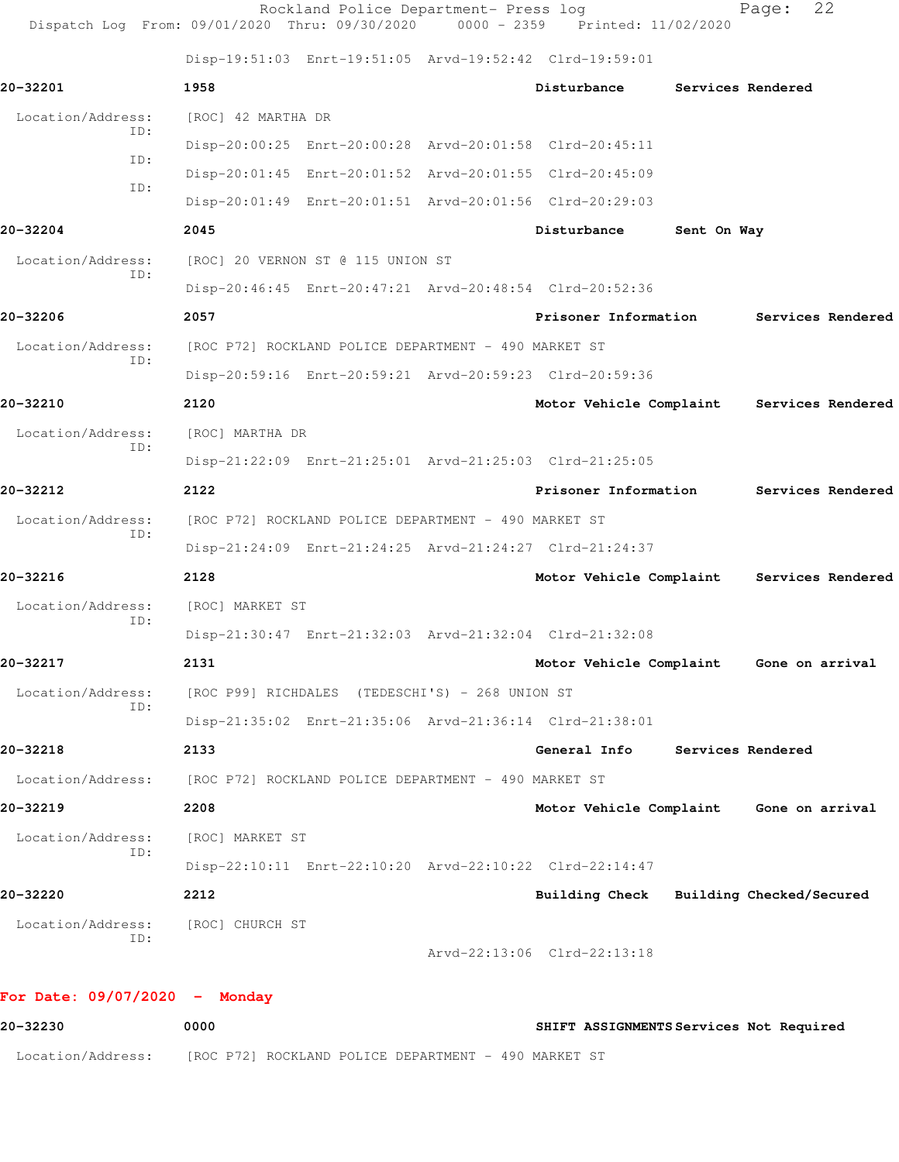| Dispatch Log From: 09/01/2020 Thru: 09/30/2020 0000 - 2359 Printed: 11/02/2020 |                                                      | Rockland Police Department- Press log                |                                                         |             | 22<br>Page:       |  |
|--------------------------------------------------------------------------------|------------------------------------------------------|------------------------------------------------------|---------------------------------------------------------|-------------|-------------------|--|
|                                                                                |                                                      |                                                      | Disp-19:51:03 Enrt-19:51:05 Arvd-19:52:42 Clrd-19:59:01 |             |                   |  |
| 20-32201                                                                       | 1958                                                 |                                                      | Disturbance                                             |             | Services Rendered |  |
| Location/Address:                                                              | [ROC] 42 MARTHA DR                                   |                                                      |                                                         |             |                   |  |
| ID:                                                                            |                                                      |                                                      | Disp-20:00:25 Enrt-20:00:28 Arvd-20:01:58 Clrd-20:45:11 |             |                   |  |
| ID:                                                                            |                                                      |                                                      | Disp-20:01:45 Enrt-20:01:52 Arvd-20:01:55 Clrd-20:45:09 |             |                   |  |
| ID:                                                                            |                                                      |                                                      | Disp-20:01:49 Enrt-20:01:51 Arvd-20:01:56 Clrd-20:29:03 |             |                   |  |
| 20-32204                                                                       | 2045                                                 |                                                      | Disturbance                                             | Sent On Way |                   |  |
| Location/Address:                                                              |                                                      | [ROC] 20 VERNON ST @ 115 UNION ST                    |                                                         |             |                   |  |
| ID:                                                                            |                                                      |                                                      | Disp-20:46:45 Enrt-20:47:21 Arvd-20:48:54 Clrd-20:52:36 |             |                   |  |
| 20-32206                                                                       | 2057                                                 |                                                      | Prisoner Information                                    |             | Services Rendered |  |
| Location/Address:                                                              |                                                      | [ROC P72] ROCKLAND POLICE DEPARTMENT - 490 MARKET ST |                                                         |             |                   |  |
| ID:                                                                            |                                                      |                                                      | Disp-20:59:16 Enrt-20:59:21 Arvd-20:59:23 Clrd-20:59:36 |             |                   |  |
| 20-32210                                                                       | 2120                                                 |                                                      | Motor Vehicle Complaint Services Rendered               |             |                   |  |
| Location/Address:                                                              | [ROC] MARTHA DR                                      |                                                      |                                                         |             |                   |  |
| ID:                                                                            |                                                      |                                                      | Disp-21:22:09 Enrt-21:25:01 Arvd-21:25:03 Clrd-21:25:05 |             |                   |  |
| 20-32212                                                                       | 2122                                                 |                                                      | Prisoner Information                                    |             | Services Rendered |  |
| Location/Address:                                                              |                                                      | [ROC P72] ROCKLAND POLICE DEPARTMENT - 490 MARKET ST |                                                         |             |                   |  |
| ID:                                                                            |                                                      |                                                      | Disp-21:24:09 Enrt-21:24:25 Arvd-21:24:27 Clrd-21:24:37 |             |                   |  |
| 20-32216                                                                       | 2128                                                 |                                                      | Motor Vehicle Complaint Services Rendered               |             |                   |  |
| Location/Address:                                                              | [ROC] MARKET ST                                      |                                                      |                                                         |             |                   |  |
| ID:                                                                            |                                                      |                                                      | Disp-21:30:47 Enrt-21:32:03 Arvd-21:32:04 Clrd-21:32:08 |             |                   |  |
| 20-32217                                                                       | 2131                                                 |                                                      | Motor Vehicle Complaint                                 |             | Gone on arrival   |  |
| Location/Address:                                                              | [ROC P99] RICHDALES (TEDESCHI'S) - 268 UNION ST      |                                                      |                                                         |             |                   |  |
| ID:                                                                            |                                                      |                                                      | Disp-21:35:02 Enrt-21:35:06 Arvd-21:36:14 Clrd-21:38:01 |             |                   |  |
| 20-32218                                                                       | 2133                                                 |                                                      | General Info                                            |             | Services Rendered |  |
| Location/Address:                                                              | [ROC P72] ROCKLAND POLICE DEPARTMENT - 490 MARKET ST |                                                      |                                                         |             |                   |  |
| 20-32219                                                                       | 2208                                                 |                                                      | Motor Vehicle Complaint Gone on arrival                 |             |                   |  |
| Location/Address:                                                              | [ROC] MARKET ST                                      |                                                      |                                                         |             |                   |  |
| ID:                                                                            |                                                      |                                                      | Disp-22:10:11 Enrt-22:10:20 Arvd-22:10:22 Clrd-22:14:47 |             |                   |  |
| 20-32220                                                                       | 2212                                                 |                                                      | Building Check Building Checked/Secured                 |             |                   |  |
| Location/Address:                                                              | [ROC] CHURCH ST                                      |                                                      |                                                         |             |                   |  |
| ID:                                                                            |                                                      |                                                      |                                                         |             |                   |  |

**20-32230 0000 SHIFT ASSIGNMENTS Services Not Required** 20-32230 0000 Location/Address: [ROC P72] ROCKLAND POLICE DEPARTMENT - 490 MARKET ST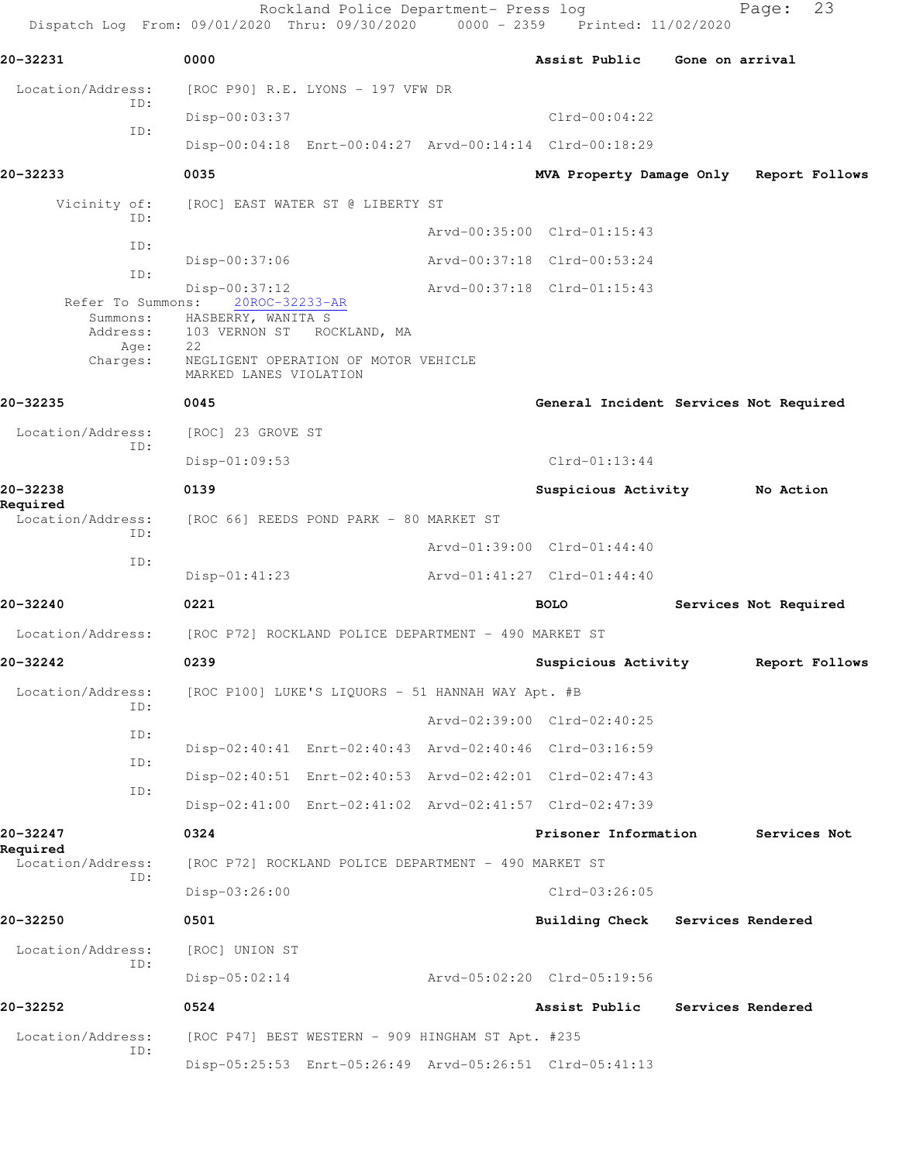|                               | Rockland Police Department- Press log<br>Dispatch Log From: 09/01/2020 Thru: 09/30/2020 0000 - 2359 Printed: 11/02/2020              |                                         |                 | 23<br>Page:           |
|-------------------------------|--------------------------------------------------------------------------------------------------------------------------------------|-----------------------------------------|-----------------|-----------------------|
| 20-32231                      | 0000                                                                                                                                 | Assist Public                           | Gone on arrival |                       |
| Location/Address:             | $[ROC P90] R.E. LYONS - 197 VFW DR$                                                                                                  |                                         |                 |                       |
| ID:                           | Disp-00:03:37                                                                                                                        | $Clrd-00:04:22$                         |                 |                       |
| ID:                           | Disp-00:04:18 Enrt-00:04:27 Arvd-00:14:14 Clrd-00:18:29                                                                              |                                         |                 |                       |
| 20-32233                      | 0035                                                                                                                                 | MVA Property Damage Only Report Follows |                 |                       |
| Vicinity of:                  | [ROC] EAST WATER ST @ LIBERTY ST                                                                                                     |                                         |                 |                       |
| ID:                           |                                                                                                                                      | Arvd-00:35:00 Clrd-01:15:43             |                 |                       |
| ID:<br>ID:                    | $Disp-00:37:06$                                                                                                                      | Arvd-00:37:18 Clrd-00:53:24             |                 |                       |
| Refer To Summons:             | $Disp-00:37:12$<br>20ROC-32233-AR                                                                                                    | Arvd-00:37:18 Clrd-01:15:43             |                 |                       |
| Address:<br>Age:<br>Charges:  | Summons: HASBERRY, WANITA S<br>103 VERNON ST<br>ROCKLAND, MA<br>22<br>NEGLIGENT OPERATION OF MOTOR VEHICLE<br>MARKED LANES VIOLATION |                                         |                 |                       |
| 20-32235                      | 0045                                                                                                                                 | General Incident Services Not Required  |                 |                       |
| Location/Address:             | [ROC] 23 GROVE ST                                                                                                                    |                                         |                 |                       |
| ID:                           | $Disp-01:09:53$                                                                                                                      | $Clrd-01:13:44$                         |                 |                       |
| 20-32238                      | 0139                                                                                                                                 | Suspicious Activity                     |                 | No Action             |
| Required<br>Location/Address: | [ROC 66] REEDS POND PARK - 80 MARKET ST                                                                                              |                                         |                 |                       |
| ID:<br>ID:                    |                                                                                                                                      | Arvd-01:39:00 Clrd-01:44:40             |                 |                       |
|                               | $Disp-01:41:23$                                                                                                                      | Arvd-01:41:27 Clrd-01:44:40             |                 |                       |
| 20-32240                      | 0221                                                                                                                                 | <b>BOLO</b>                             |                 | Services Not Required |
| Location/Address:             | [ROC P72] ROCKLAND POLICE DEPARTMENT - 490 MARKET ST                                                                                 |                                         |                 |                       |
| 20-32242                      | 0239                                                                                                                                 | Suspicious Activity                     |                 | Report Follows        |
| Location/Address:<br>ID:      | [ROC P100] LUKE'S LIQUORS - 51 HANNAH WAY Apt. #B                                                                                    |                                         |                 |                       |
| ID:                           |                                                                                                                                      | Arvd-02:39:00 Clrd-02:40:25             |                 |                       |
| ID:                           | Disp-02:40:41 Enrt-02:40:43 Arvd-02:40:46 Clrd-03:16:59                                                                              |                                         |                 |                       |
| ID:                           | Disp-02:40:51 Enrt-02:40:53 Arvd-02:42:01 Clrd-02:47:43                                                                              |                                         |                 |                       |
|                               | Disp-02:41:00 Enrt-02:41:02 Arvd-02:41:57 Clrd-02:47:39                                                                              |                                         |                 |                       |
| 20-32247<br>Required          | 0324                                                                                                                                 | Prisoner Information                    |                 | Services Not          |
| Location/Address:<br>ID:      | [ROC P72] ROCKLAND POLICE DEPARTMENT - 490 MARKET ST                                                                                 |                                         |                 |                       |
|                               | Disp-03:26:00                                                                                                                        | $Clrd-03:26:05$                         |                 |                       |
| 20-32250                      | 0501                                                                                                                                 | Building Check                          |                 | Services Rendered     |
| Location/Address:<br>ID:      | [ROC] UNION ST                                                                                                                       |                                         |                 |                       |
|                               | $Disp-05:02:14$                                                                                                                      | Arvd-05:02:20 Clrd-05:19:56             |                 |                       |
| 20-32252                      | 0524                                                                                                                                 | Assist Public                           |                 | Services Rendered     |
| Location/Address:<br>ID:      | [ROC P47] BEST WESTERN - 909 HINGHAM ST Apt. #235                                                                                    |                                         |                 |                       |
|                               | Disp-05:25:53 Enrt-05:26:49 Arvd-05:26:51 Clrd-05:41:13                                                                              |                                         |                 |                       |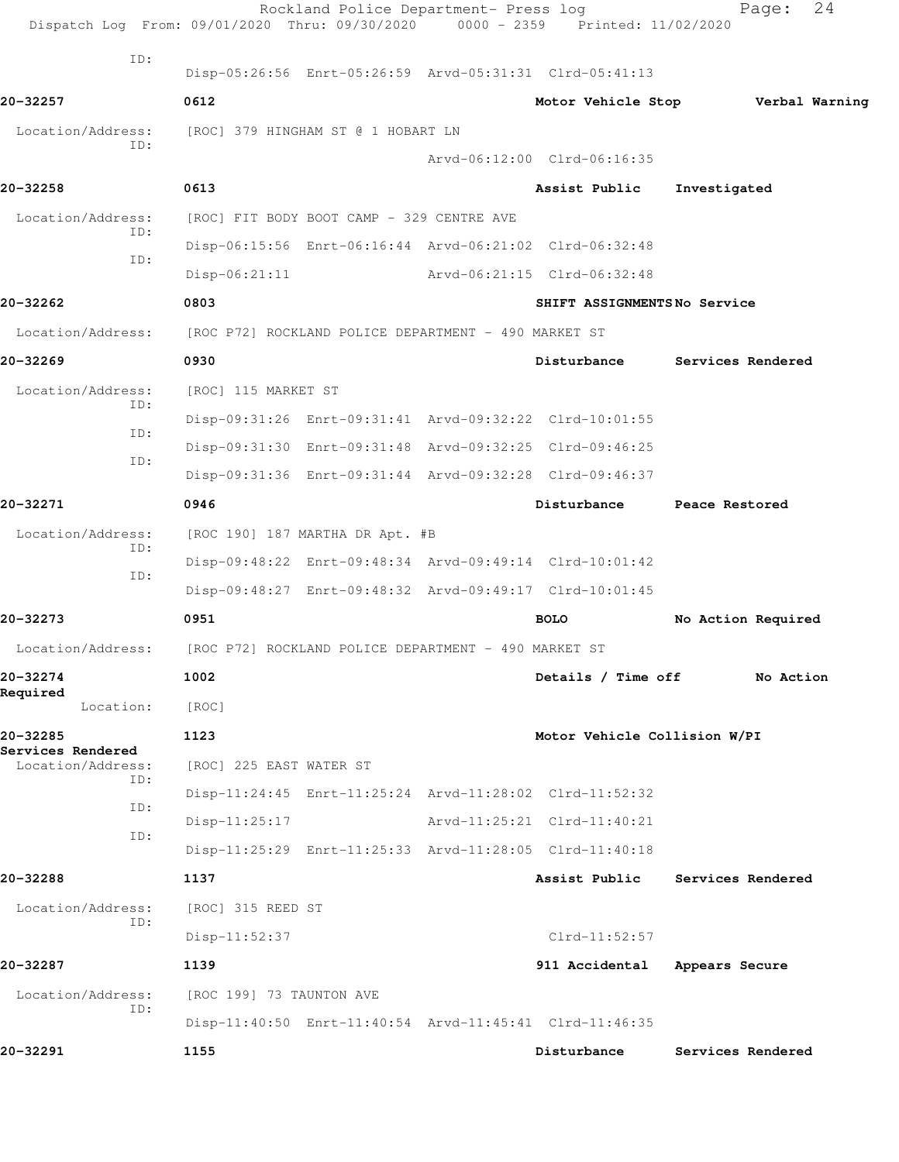| Dispatch Log From: 09/01/2020 Thru: 09/30/2020 0000 - 2359 Printed: 11/02/2020 |                                                         | Rockland Police Department- Press log |                              | 24<br>Page:        |  |
|--------------------------------------------------------------------------------|---------------------------------------------------------|---------------------------------------|------------------------------|--------------------|--|
| ID:                                                                            | Disp-05:26:56 Enrt-05:26:59 Arvd-05:31:31 Clrd-05:41:13 |                                       |                              |                    |  |
| 20-32257                                                                       | 0612                                                    |                                       | Motor Vehicle Stop           | Verbal Warning     |  |
| Location/Address:                                                              | [ROC] 379 HINGHAM ST @ 1 HOBART LN                      |                                       |                              |                    |  |
| TD:                                                                            |                                                         |                                       | Arvd-06:12:00 Clrd-06:16:35  |                    |  |
| 20-32258                                                                       | 0613                                                    |                                       | Assist Public                | Investigated       |  |
| Location/Address:                                                              | [ROC] FIT BODY BOOT CAMP - 329 CENTRE AVE               |                                       |                              |                    |  |
| ID:                                                                            | Disp-06:15:56 Enrt-06:16:44 Arvd-06:21:02 Clrd-06:32:48 |                                       |                              |                    |  |
| ID:                                                                            | $Disp-06:21:11$                                         |                                       | Arvd-06:21:15 Clrd-06:32:48  |                    |  |
| 20-32262                                                                       | 0803                                                    |                                       | SHIFT ASSIGNMENTSNo Service  |                    |  |
| Location/Address:                                                              | [ROC P72] ROCKLAND POLICE DEPARTMENT - 490 MARKET ST    |                                       |                              |                    |  |
| 20-32269                                                                       | 0930                                                    |                                       | Disturbance                  | Services Rendered  |  |
| Location/Address:                                                              | [ROC] 115 MARKET ST                                     |                                       |                              |                    |  |
| ID:                                                                            | Disp-09:31:26 Enrt-09:31:41 Arvd-09:32:22 Clrd-10:01:55 |                                       |                              |                    |  |
| ID:                                                                            | Disp-09:31:30 Enrt-09:31:48 Arvd-09:32:25 Clrd-09:46:25 |                                       |                              |                    |  |
| ID:                                                                            | Disp-09:31:36 Enrt-09:31:44 Arvd-09:32:28 Clrd-09:46:37 |                                       |                              |                    |  |
| 20-32271                                                                       | 0946                                                    |                                       | Disturbance                  | Peace Restored     |  |
| Location/Address:                                                              | [ROC 190] 187 MARTHA DR Apt. #B                         |                                       |                              |                    |  |
| ID:<br>ID:                                                                     | Disp-09:48:22 Enrt-09:48:34 Arvd-09:49:14 Clrd-10:01:42 |                                       |                              |                    |  |
|                                                                                | Disp-09:48:27 Enrt-09:48:32 Arvd-09:49:17 Clrd-10:01:45 |                                       |                              |                    |  |
| 20-32273                                                                       | 0951                                                    |                                       | <b>BOLO</b>                  | No Action Required |  |
| Location/Address:                                                              | [ROC P72] ROCKLAND POLICE DEPARTMENT - 490 MARKET ST    |                                       |                              |                    |  |
| 20-32274<br>Required                                                           | 1002                                                    |                                       | Details / Time off           | No Action          |  |
| Location:                                                                      | [ROC]                                                   |                                       |                              |                    |  |
| 20-32285<br>Services Rendered                                                  | 1123                                                    |                                       | Motor Vehicle Collision W/PI |                    |  |
| Location/Address:<br>ID:                                                       | [ROC] 225 EAST WATER ST                                 |                                       |                              |                    |  |
| ID:                                                                            | Disp-11:24:45 Enrt-11:25:24 Arvd-11:28:02 Clrd-11:52:32 |                                       |                              |                    |  |
| ID:                                                                            | Disp-11:25:17                                           |                                       | Arvd-11:25:21 Clrd-11:40:21  |                    |  |
|                                                                                | Disp-11:25:29 Enrt-11:25:33 Arvd-11:28:05 Clrd-11:40:18 |                                       |                              |                    |  |
| 20-32288                                                                       | 1137                                                    |                                       | Assist Public                | Services Rendered  |  |
| Location/Address:<br>ID:                                                       | [ROC] 315 REED ST                                       |                                       |                              |                    |  |
|                                                                                | $Disp-11:52:37$                                         |                                       | $Clrd-11:52:57$              |                    |  |
| 20-32287                                                                       | 1139                                                    |                                       | 911 Accidental               | Appears Secure     |  |
| Location/Address:<br>ID:                                                       | [ROC 199] 73 TAUNTON AVE                                |                                       |                              |                    |  |
|                                                                                | Disp-11:40:50 Enrt-11:40:54 Arvd-11:45:41 Clrd-11:46:35 |                                       |                              |                    |  |
| 20-32291                                                                       | 1155                                                    |                                       | Disturbance                  | Services Rendered  |  |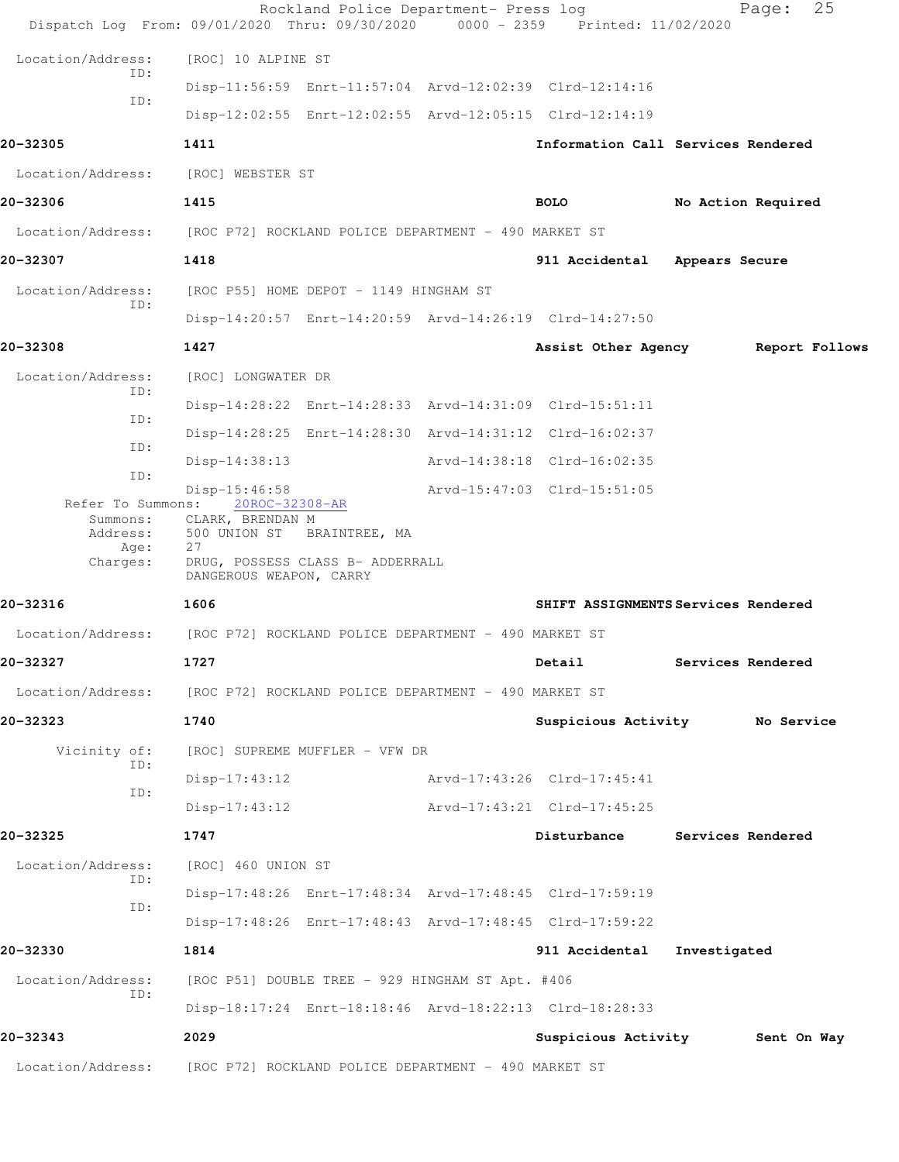|                          | Dispatch Log From: 09/01/2020 Thru: 09/30/2020 0000 - 2359 Printed: 11/02/2020 | Rockland Police Department- Press log                   | 25<br>Page:                         |
|--------------------------|--------------------------------------------------------------------------------|---------------------------------------------------------|-------------------------------------|
| Location/Address:        | [ROC] 10 ALPINE ST                                                             |                                                         |                                     |
| ID:                      |                                                                                | Disp-11:56:59 Enrt-11:57:04 Arvd-12:02:39 Clrd-12:14:16 |                                     |
| ID:                      |                                                                                | Disp-12:02:55 Enrt-12:02:55 Arvd-12:05:15 Clrd-12:14:19 |                                     |
| 20-32305                 | 1411                                                                           |                                                         | Information Call Services Rendered  |
| Location/Address:        | [ROC] WEBSTER ST                                                               |                                                         |                                     |
| 20-32306                 | 1415                                                                           | <b>BOLO</b>                                             | No Action Required                  |
| Location/Address:        | [ROC P72] ROCKLAND POLICE DEPARTMENT - 490 MARKET ST                           |                                                         |                                     |
| 20-32307                 | 1418                                                                           | 911 Accidental                                          | Appears Secure                      |
| Location/Address:        | [ROC P55] HOME DEPOT - 1149 HINGHAM ST                                         |                                                         |                                     |
| ID:                      |                                                                                | Disp-14:20:57 Enrt-14:20:59 Arvd-14:26:19 Clrd-14:27:50 |                                     |
| 20-32308                 | 1427                                                                           | Assist Other Agency                                     | Report Follows                      |
| Location/Address:<br>ID: | [ROC] LONGWATER DR                                                             |                                                         |                                     |
| ID:                      |                                                                                | Disp-14:28:22 Enrt-14:28:33 Arvd-14:31:09 Clrd-15:51:11 |                                     |
| ID:                      |                                                                                | Disp-14:28:25 Enrt-14:28:30 Arvd-14:31:12 Clrd-16:02:37 |                                     |
| ID:                      | $Disp-14:38:13$                                                                | Arvd-14:38:18 Clrd-16:02:35                             |                                     |
| Refer To Summons:        | $Disp-15:46:58$<br>20ROC-32308-AR                                              | Arvd-15:47:03 Clrd-15:51:05                             |                                     |
| Summons:<br>Address:     | CLARK, BRENDAN M<br>500 UNION ST BRAINTREE, MA                                 |                                                         |                                     |
| Age:<br>Charges:         | 27<br>DRUG, POSSESS CLASS B- ADDERRALL<br>DANGEROUS WEAPON, CARRY              |                                                         |                                     |
| 20-32316                 | 1606                                                                           |                                                         | SHIFT ASSIGNMENTS Services Rendered |
|                          | Location/Address: [ROC P72] ROCKLAND POLICE DEPARTMENT - 490 MARKET ST         |                                                         |                                     |
| 20–32327                 | 1727                                                                           | Detail                                                  | Services Rendered                   |
| Location/Address:        | [ROC P72] ROCKLAND POLICE DEPARTMENT - 490 MARKET ST                           |                                                         |                                     |
| 20-32323                 | 1740                                                                           |                                                         | Suspicious Activity Mo Service      |
| Vicinity of:<br>ID:      | [ROC] SUPREME MUFFLER - VFW DR                                                 |                                                         |                                     |
| ID:                      | $Disp-17:43:12$                                                                | Arvd-17:43:26 Clrd-17:45:41                             |                                     |
|                          | $Disp-17:43:12$                                                                | Arvd-17:43:21 Clrd-17:45:25                             |                                     |
| 20-32325                 | 1747                                                                           | Disturbance                                             | Services Rendered                   |
| Location/Address:<br>ID: | [ROC] 460 UNION ST                                                             |                                                         |                                     |
| ID:                      |                                                                                | Disp-17:48:26 Enrt-17:48:34 Arvd-17:48:45 Clrd-17:59:19 |                                     |
|                          |                                                                                | Disp-17:48:26 Enrt-17:48:43 Arvd-17:48:45 Clrd-17:59:22 |                                     |
| 20-32330                 | 1814                                                                           | 911 Accidental                                          | Investigated                        |
| Location/Address:<br>ID: | [ROC P51] DOUBLE TREE - 929 HINGHAM ST Apt. #406                               |                                                         |                                     |
|                          |                                                                                | Disp-18:17:24 Enrt-18:18:46 Arvd-18:22:13 Clrd-18:28:33 |                                     |
| 20-32343                 | 2029                                                                           | Suspicious Activity                                     | Sent On Way                         |
| Location/Address:        | [ROC P72] ROCKLAND POLICE DEPARTMENT - 490 MARKET ST                           |                                                         |                                     |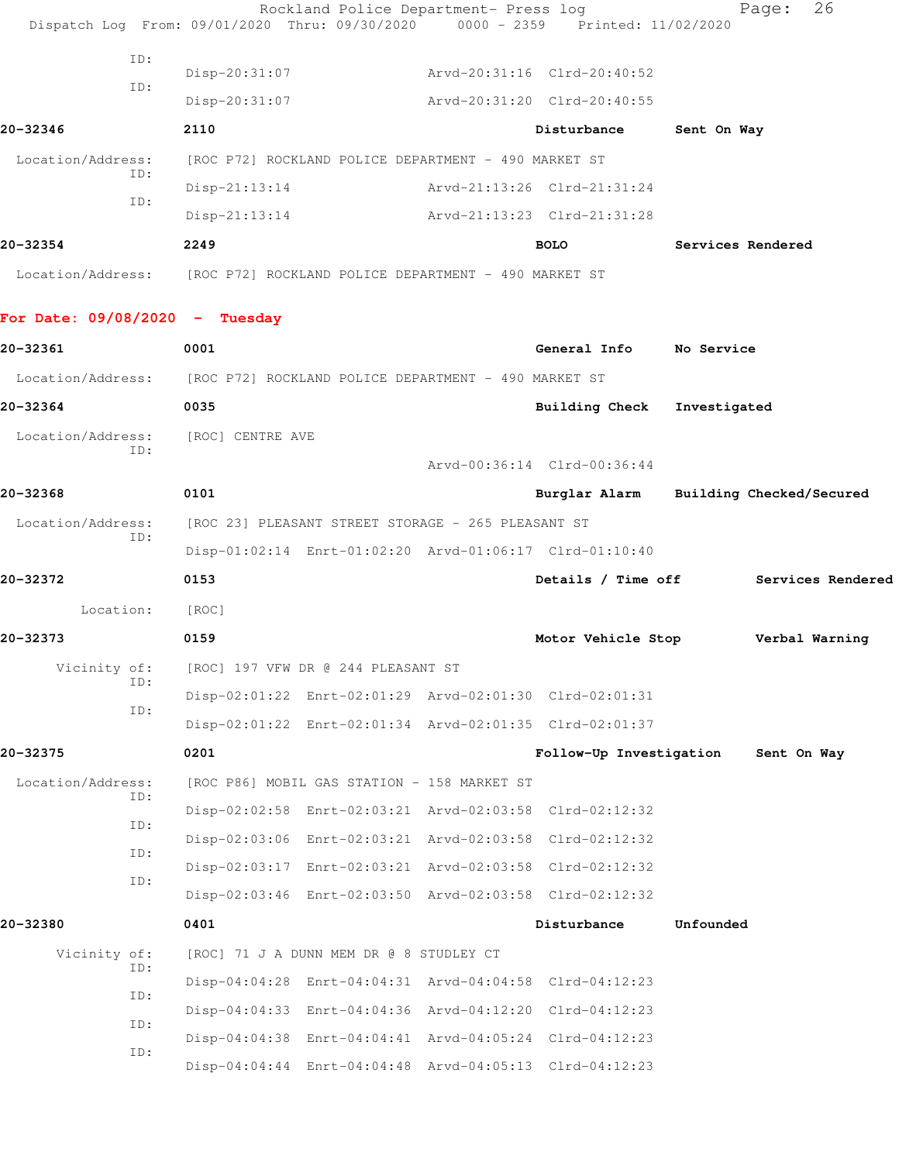|                                                                        |     | Dispatch Log From: 09/01/2020 Thru: 09/30/2020 | Rockland Police Department- Press log                   | 0000 - 2359 Printed: 11/02/2020                         |                   | Page:<br>26       |
|------------------------------------------------------------------------|-----|------------------------------------------------|---------------------------------------------------------|---------------------------------------------------------|-------------------|-------------------|
|                                                                        | ID: |                                                |                                                         |                                                         |                   |                   |
|                                                                        | ID: | Disp-20:31:07                                  |                                                         | Arvd-20:31:16 Clrd-20:40:52                             |                   |                   |
|                                                                        |     | $Disp-20:31:07$                                |                                                         | Arvd-20:31:20 Clrd-20:40:55                             |                   |                   |
| 20-32346                                                               |     | 2110                                           |                                                         | Disturbance                                             | Sent On Way       |                   |
| Location/Address:                                                      | ID: |                                                | [ROC P72] ROCKLAND POLICE DEPARTMENT - 490 MARKET ST    |                                                         |                   |                   |
|                                                                        | ID: | $Disp-21:13:14$                                |                                                         | Arvd-21:13:26 Clrd-21:31:24                             |                   |                   |
|                                                                        |     | $Disp-21:13:14$                                |                                                         | Arvd-21:13:23 Clrd-21:31:28                             |                   |                   |
| 20-32354                                                               |     | 2249                                           |                                                         | <b>BOLO</b>                                             | Services Rendered |                   |
| Location/Address: [ROC P72] ROCKLAND POLICE DEPARTMENT - 490 MARKET ST |     |                                                |                                                         |                                                         |                   |                   |
| For Date: $09/08/2020 -$ Tuesday                                       |     |                                                |                                                         |                                                         |                   |                   |
| 20-32361                                                               |     | 0001                                           |                                                         | General Info No Service                                 |                   |                   |
| Location/Address: [ROC P72] ROCKLAND POLICE DEPARTMENT - 490 MARKET ST |     |                                                |                                                         |                                                         |                   |                   |
| 20-32364                                                               |     | 0035                                           |                                                         | <b>Building Check</b>                                   | Investigated      |                   |
| Location/Address:                                                      |     | [ROC] CENTRE AVE                               |                                                         |                                                         |                   |                   |
|                                                                        | ID: |                                                |                                                         | Arvd-00:36:14 Clrd-00:36:44                             |                   |                   |
| 20-32368                                                               |     | 0101                                           |                                                         | Burglar Alarm Building Checked/Secured                  |                   |                   |
| Location/Address:                                                      |     |                                                | [ROC 23] PLEASANT STREET STORAGE - 265 PLEASANT ST      |                                                         |                   |                   |
| ID:                                                                    |     |                                                | Disp-01:02:14 Enrt-01:02:20 Arvd-01:06:17 Clrd-01:10:40 |                                                         |                   |                   |
| 20-32372                                                               |     | 0153                                           |                                                         | Details / Time off                                      |                   | Services Rendered |
| Location:                                                              |     | [ROC]                                          |                                                         |                                                         |                   |                   |
| 20-32373                                                               |     | 0159                                           |                                                         | Motor Vehicle Stop                                      |                   | Verbal Warning    |
| Vicinity of:                                                           |     |                                                | [ROC] 197 VFW DR @ 244 PLEASANT ST                      |                                                         |                   |                   |
|                                                                        | ID: |                                                |                                                         | Disp-02:01:22 Enrt-02:01:29 Arvd-02:01:30 Clrd-02:01:31 |                   |                   |
|                                                                        | ID: |                                                |                                                         | Disp-02:01:22 Enrt-02:01:34 Arvd-02:01:35 Clrd-02:01:37 |                   |                   |
| 20-32375                                                               |     | 0201                                           |                                                         | Follow-Up Investigation                                 |                   | Sent On Way       |
| Location/Address:                                                      |     |                                                | [ROC P86] MOBIL GAS STATION - 158 MARKET ST             |                                                         |                   |                   |
|                                                                        | ID: |                                                |                                                         | Disp-02:02:58 Enrt-02:03:21 Arvd-02:03:58 Clrd-02:12:32 |                   |                   |
|                                                                        | ID: |                                                |                                                         | Disp-02:03:06 Enrt-02:03:21 Arvd-02:03:58 Clrd-02:12:32 |                   |                   |
|                                                                        | ID: |                                                |                                                         | Disp-02:03:17 Enrt-02:03:21 Arvd-02:03:58 Clrd-02:12:32 |                   |                   |
|                                                                        | ID: |                                                |                                                         | Disp-02:03:46 Enrt-02:03:50 Arvd-02:03:58 Clrd-02:12:32 |                   |                   |
| 20-32380                                                               |     | 0401                                           |                                                         | Disturbance                                             | Unfounded         |                   |
| Vicinity of:                                                           |     |                                                | [ROC] 71 J A DUNN MEM DR @ 8 STUDLEY CT                 |                                                         |                   |                   |
|                                                                        | ID: |                                                |                                                         | Disp-04:04:28 Enrt-04:04:31 Arvd-04:04:58 Clrd-04:12:23 |                   |                   |
|                                                                        | ID: |                                                |                                                         | Disp-04:04:33 Enrt-04:04:36 Arvd-04:12:20 Clrd-04:12:23 |                   |                   |
|                                                                        | ID: |                                                |                                                         | Disp-04:04:38 Enrt-04:04:41 Arvd-04:05:24 Clrd-04:12:23 |                   |                   |
|                                                                        | ID: |                                                |                                                         | Disp-04:04:44 Enrt-04:04:48 Arvd-04:05:13 Clrd-04:12:23 |                   |                   |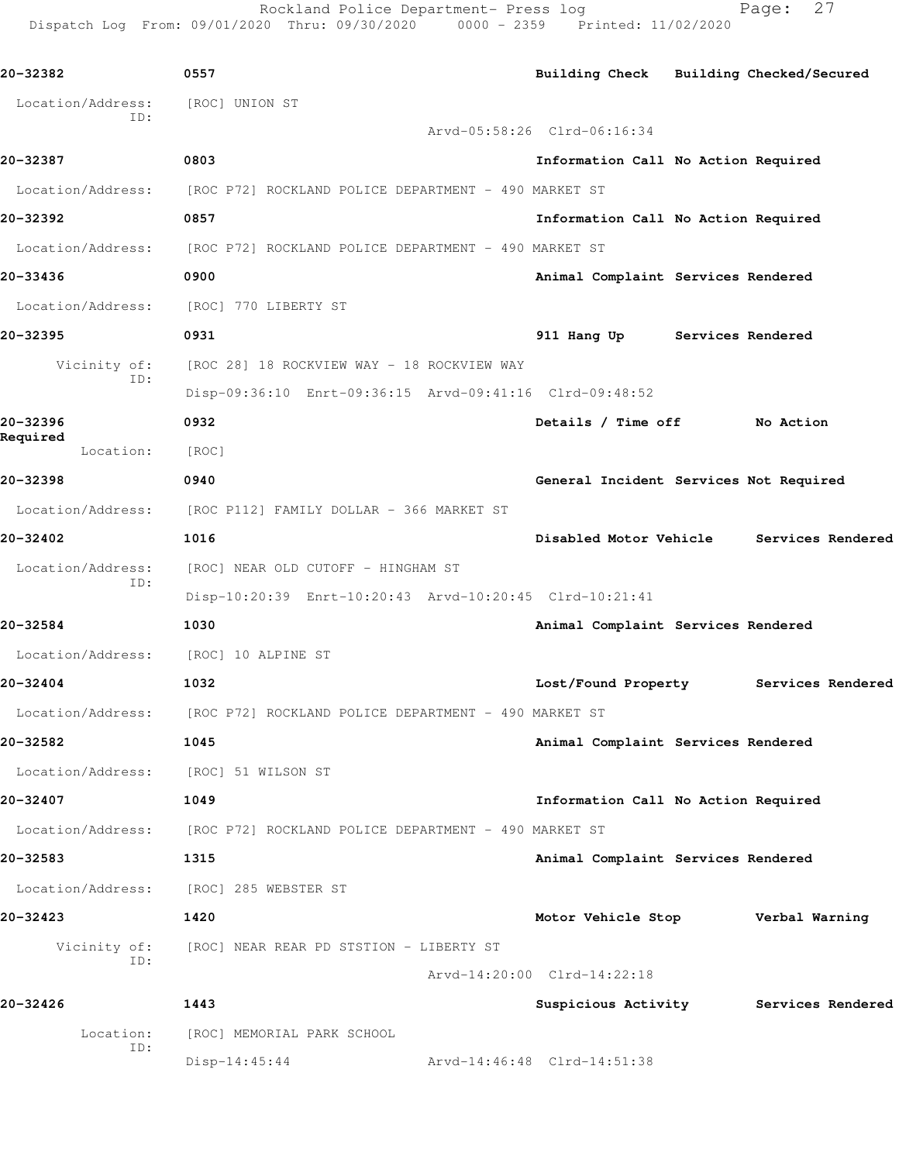Rockland Police Department- Press log Fage: 27 Dispatch Log From: 09/01/2020 Thru: 09/30/2020 0000 - 2359 Printed: 11/02/2020

**20-32382 0557 Building Check Building Checked/Secured** Location/Address: [ROC] UNION ST ID: Arvd-05:58:26 Clrd-06:16:34 **20-32387 0803 Information Call No Action Required** Location/Address: [ROC P72] ROCKLAND POLICE DEPARTMENT - 490 MARKET ST **20-32392 0857 Information Call No Action Required** Location/Address: [ROC P72] ROCKLAND POLICE DEPARTMENT - 490 MARKET ST **20-33436 0900 Animal Complaint Services Rendered** Location/Address: [ROC] 770 LIBERTY ST **20-32395 0931 911 Hang Up Services Rendered** Vicinity of: [ROC 28] 18 ROCKVIEW WAY - 18 ROCKVIEW WAY ID: Disp-09:36:10 Enrt-09:36:15 Arvd-09:41:16 Clrd-09:48:52 **20-32396 0932 Details / Time off No Action Required**  Location: [ROC] **20-32398 0940 General Incident Services Not Required** Location/Address: [ROC P112] FAMILY DOLLAR - 366 MARKET ST **20-32402 1016 Disabled Motor Vehicle Services Rendered** Location/Address: [ROC] NEAR OLD CUTOFF - HINGHAM ST ID: Disp-10:20:39 Enrt-10:20:43 Arvd-10:20:45 Clrd-10:21:41 **20-32584 1030 Animal Complaint Services Rendered** Location/Address: [ROC] 10 ALPINE ST **20-32404 1032 Lost/Found Property Services Rendered** Location/Address: [ROC P72] ROCKLAND POLICE DEPARTMENT - 490 MARKET ST **20-32582 1045 Animal Complaint Services Rendered** Location/Address: [ROC] 51 WILSON ST **20-32407 1049 Information Call No Action Required** Location/Address: [ROC P72] ROCKLAND POLICE DEPARTMENT - 490 MARKET ST **20-32583 1315 Animal Complaint Services Rendered** Location/Address: [ROC] 285 WEBSTER ST **20-32423 1420 Motor Vehicle Stop Verbal Warning** Vicinity of: [ROC] NEAR REAR PD STSTION - LIBERTY ST ID: Arvd-14:20:00 Clrd-14:22:18 **20-32426 1443 Suspicious Activity Services Rendered** Location: [ROC] MEMORIAL PARK SCHOOL ID: Disp-14:45:44 Arvd-14:46:48 Clrd-14:51:38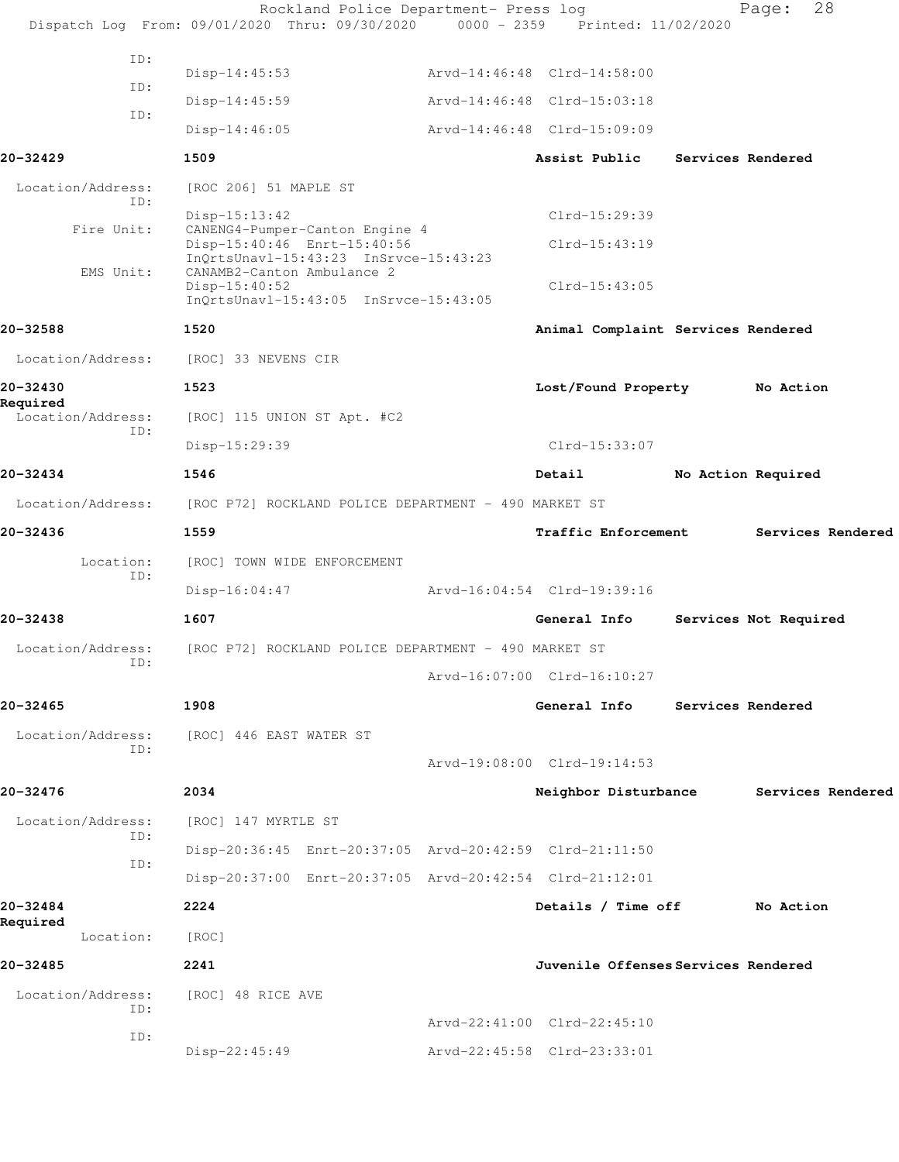|                          | Rockland Police Department- Press log<br>Dispatch Log From: 09/01/2020 Thru: 09/30/2020 0000 - 2359 Printed: 11/02/2020 |                                     |  | 28<br>Page:           |
|--------------------------|-------------------------------------------------------------------------------------------------------------------------|-------------------------------------|--|-----------------------|
| ID:                      |                                                                                                                         |                                     |  |                       |
| ID:                      | $Disp-14:45:53$                                                                                                         | Arvd-14:46:48 Clrd-14:58:00         |  |                       |
| ID:                      | $Disp-14:45:59$                                                                                                         | Arvd-14:46:48 Clrd-15:03:18         |  |                       |
|                          | $Disp-14:46:05$                                                                                                         | Arvd-14:46:48 Clrd-15:09:09         |  |                       |
| 20-32429                 | 1509                                                                                                                    | Assist Public                       |  | Services Rendered     |
| Location/Address:<br>ID: | [ROC 206] 51 MAPLE ST                                                                                                   |                                     |  |                       |
| Fire Unit:               | $Disp-15:13:42$<br>CANENG4-Pumper-Canton Engine 4                                                                       | Clrd-15:29:39                       |  |                       |
|                          | Disp-15:40:46 Enrt-15:40:56<br>InQrtsUnavl-15:43:23 InSrvce-15:43:23                                                    | $Clrd-15:43:19$                     |  |                       |
| EMS Unit:                | CANAMB2-Canton Ambulance 2<br>$Disp-15:40:52$                                                                           | $Clrd-15:43:05$                     |  |                       |
|                          | InOrtsUnavl-15:43:05 InSrvce-15:43:05                                                                                   |                                     |  |                       |
| 20-32588                 | 1520                                                                                                                    | Animal Complaint Services Rendered  |  |                       |
| Location/Address:        | [ROC] 33 NEVENS CIR                                                                                                     |                                     |  |                       |
| 20-32430<br>Required     | 1523                                                                                                                    | Lost/Found Property                 |  | No Action             |
| Location/Address:<br>ID: | [ROC] 115 UNION ST Apt. #C2                                                                                             |                                     |  |                       |
|                          | Disp-15:29:39                                                                                                           | Clrd-15:33:07                       |  |                       |
| 20-32434                 | 1546                                                                                                                    | Detail                              |  | No Action Required    |
| Location/Address:        | [ROC P72] ROCKLAND POLICE DEPARTMENT - 490 MARKET ST                                                                    |                                     |  |                       |
| 20-32436                 | 1559                                                                                                                    | Traffic Enforcement                 |  | Services Rendered     |
| Location:<br>ID:         | [ROC] TOWN WIDE ENFORCEMENT                                                                                             |                                     |  |                       |
|                          | $Disp-16:04:47$                                                                                                         | Arvd-16:04:54 Clrd-19:39:16         |  |                       |
| 20-32438                 | 1607                                                                                                                    | General Info                        |  | Services Not Required |
| Location/Address:        | [ROC P72] ROCKLAND POLICE DEPARTMENT - 490 MARKET ST                                                                    |                                     |  |                       |
| ID:                      |                                                                                                                         | Arvd-16:07:00 Clrd-16:10:27         |  |                       |
| 20-32465                 | 1908                                                                                                                    | General Info                        |  | Services Rendered     |
| Location/Address:        | [ROC] 446 EAST WATER ST                                                                                                 |                                     |  |                       |
| ID:                      |                                                                                                                         | Arvd-19:08:00 Clrd-19:14:53         |  |                       |
| 20-32476                 | 2034                                                                                                                    | Neighbor Disturbance                |  | Services Rendered     |
| Location/Address:        | [ROC] 147 MYRTLE ST                                                                                                     |                                     |  |                       |
| ID:                      | Disp-20:36:45 Enrt-20:37:05 Arvd-20:42:59 Clrd-21:11:50                                                                 |                                     |  |                       |
| ID:                      | Disp-20:37:00 Enrt-20:37:05 Arvd-20:42:54 Clrd-21:12:01                                                                 |                                     |  |                       |
| 20-32484                 | 2224                                                                                                                    | Details / Time off                  |  | No Action             |
| Required<br>Location:    | [ROC]                                                                                                                   |                                     |  |                       |
| 20-32485                 | 2241                                                                                                                    | Juvenile Offenses Services Rendered |  |                       |
| Location/Address:<br>ID: | [ROC] 48 RICE AVE                                                                                                       |                                     |  |                       |
| ID:                      |                                                                                                                         | Arvd-22:41:00 Clrd-22:45:10         |  |                       |
|                          | Disp-22:45:49                                                                                                           | Arvd-22:45:58 Clrd-23:33:01         |  |                       |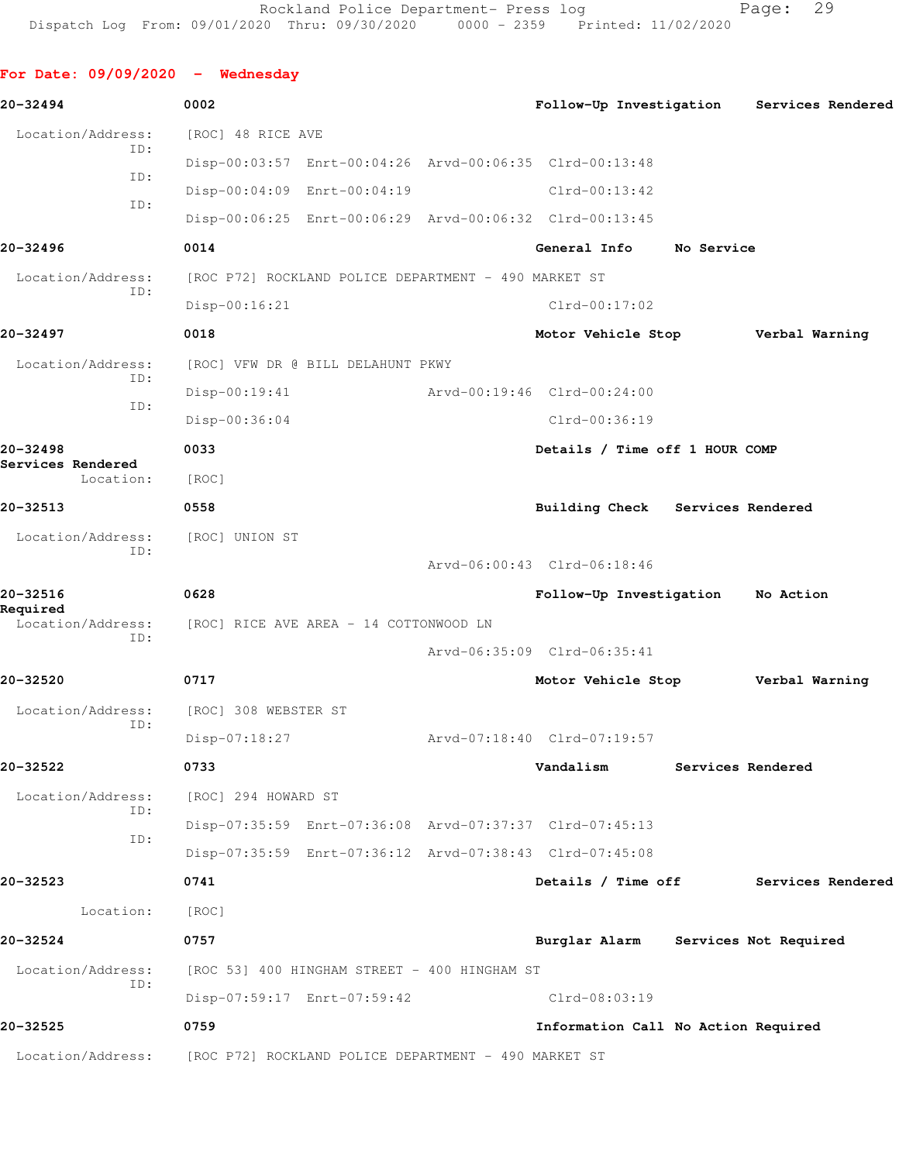**For Date: 09/09/2020 - Wednesday 20-32494 0002 Follow-Up Investigation Services Rendered** Location/Address: [ROC] 48 RICE AVE ID: Disp-00:03:57 Enrt-00:04:26 Arvd-00:06:35 Clrd-00:13:48 ID: Disp-00:04:09 Enrt-00:04:19 Clrd-00:13:42 ID: Disp-00:06:25 Enrt-00:06:29 Arvd-00:06:32 Clrd-00:13:45 **20-32496 0014 General Info No Service** Location/Address: [ROC P72] ROCKLAND POLICE DEPARTMENT - 490 MARKET ST ID: Disp-00:16:21 Clrd-00:17:02 **20-32497 0018 Motor Vehicle Stop Verbal Warning** Location/Address: [ROC] VFW DR @ BILL DELAHUNT PKWY ID: Disp-00:19:41 Arvd-00:19:46 Clrd-00:24:00 ID: Disp-00:36:04 Clrd-00:36:19 **20-32498 0033 Details / Time off 1 HOUR COMP Services Rendered**  Location: [ROC] **20-32513 0558 Building Check Services Rendered** Location/Address: [ROC] UNION ST ID: Arvd-06:00:43 Clrd-06:18:46 **20-32516 0628 Follow-Up Investigation No Action Required**  [ROC] RICE AVE AREA - 14 COTTONWOOD LN ID: Arvd-06:35:09 Clrd-06:35:41 **20-32520 0717 Motor Vehicle Stop Verbal Warning** Location/Address: [ROC] 308 WEBSTER ST ID: Disp-07:18:27 Arvd-07:18:40 Clrd-07:19:57 **20-32522 0733 Vandalism Services Rendered** Location/Address: [ROC] 294 HOWARD ST ID: Disp-07:35:59 Enrt-07:36:08 Arvd-07:37:37 Clrd-07:45:13 ID: Disp-07:35:59 Enrt-07:36:12 Arvd-07:38:43 Clrd-07:45:08 **20-32523 0741 Details / Time off Services Rendered** Location: [ROC] **20-32524 0757 Burglar Alarm Services Not Required** Location/Address: [ROC 53] 400 HINGHAM STREET - 400 HINGHAM ST ID: Disp-07:59:17 Enrt-07:59:42 Clrd-08:03:19 **20-32525 0759 Information Call No Action Required** Location/Address: [ROC P72] ROCKLAND POLICE DEPARTMENT - 490 MARKET ST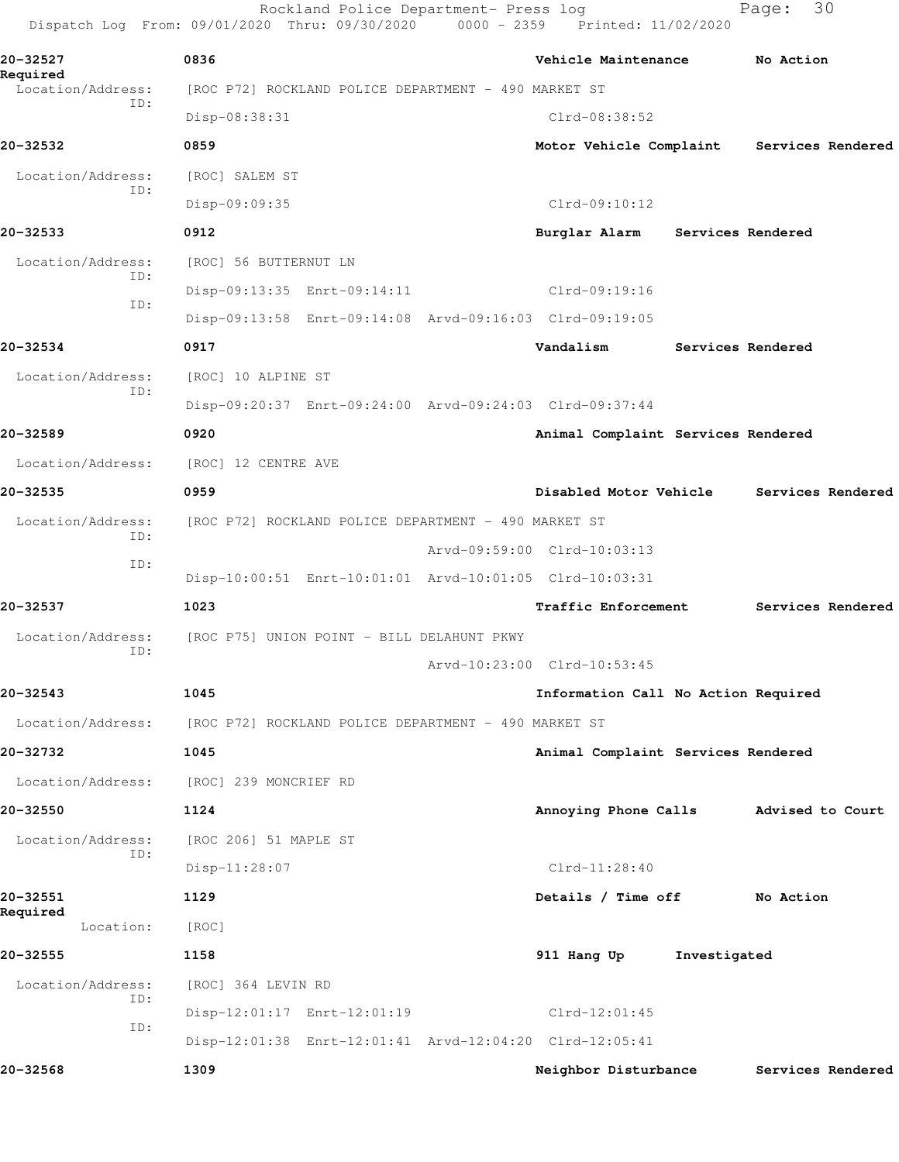|                               | Rockland Police Department- Press log<br>Dispatch Log From: 09/01/2020 Thru: 09/30/2020 0000 - 2359 Printed: 11/02/2020 |                                           | 30<br>Page:       |
|-------------------------------|-------------------------------------------------------------------------------------------------------------------------|-------------------------------------------|-------------------|
| 20-32527                      | 0836                                                                                                                    | Vehicle Maintenance                       | No Action         |
| Required<br>Location/Address: | [ROC P72] ROCKLAND POLICE DEPARTMENT - 490 MARKET ST                                                                    |                                           |                   |
| ID:                           | Disp-08:38:31                                                                                                           | $Clrd-08:38:52$                           |                   |
| 20-32532                      | 0859                                                                                                                    | Motor Vehicle Complaint Services Rendered |                   |
| Location/Address:             | [ROC] SALEM ST                                                                                                          |                                           |                   |
| ID:                           | Disp-09:09:35                                                                                                           | Clrd-09:10:12                             |                   |
| 20-32533                      | 0912                                                                                                                    | Burglar Alarm                             | Services Rendered |
| Location/Address:             | [ROC] 56 BUTTERNUT LN                                                                                                   |                                           |                   |
| ID:                           | Disp-09:13:35 Enrt-09:14:11                                                                                             | Clrd-09:19:16                             |                   |
| ID:                           | Disp-09:13:58 Enrt-09:14:08 Arvd-09:16:03 Clrd-09:19:05                                                                 |                                           |                   |
| 20-32534                      | 0917                                                                                                                    | Vandalism                                 | Services Rendered |
| Location/Address:             | [ROC] 10 ALPINE ST                                                                                                      |                                           |                   |
| ID:                           | Disp-09:20:37 Enrt-09:24:00 Arvd-09:24:03 Clrd-09:37:44                                                                 |                                           |                   |
| 20-32589                      | 0920                                                                                                                    | Animal Complaint Services Rendered        |                   |
| Location/Address:             | [ROC] 12 CENTRE AVE                                                                                                     |                                           |                   |
| 20-32535                      | 0959                                                                                                                    | Disabled Motor Vehicle                    | Services Rendered |
| Location/Address:             | [ROC P72] ROCKLAND POLICE DEPARTMENT - 490 MARKET ST                                                                    |                                           |                   |
| ID:<br>ID:                    |                                                                                                                         | Arvd-09:59:00 Clrd-10:03:13               |                   |
|                               | Disp-10:00:51 Enrt-10:01:01 Arvd-10:01:05 Clrd-10:03:31                                                                 |                                           |                   |
| 20-32537                      | 1023                                                                                                                    | Traffic Enforcement                       | Services Rendered |
| Location/Address:<br>ID:      | [ROC P75] UNION POINT - BILL DELAHUNT PKWY                                                                              |                                           |                   |
|                               |                                                                                                                         | Arvd-10:23:00 Clrd-10:53:45               |                   |
| 20-32543                      | 1045                                                                                                                    | Information Call No Action Required       |                   |
| Location/Address:             | [ROC P72] ROCKLAND POLICE DEPARTMENT - 490 MARKET ST                                                                    |                                           |                   |
| 20-32732                      | 1045                                                                                                                    | Animal Complaint Services Rendered        |                   |
| Location/Address:             | [ROC] 239 MONCRIEF RD                                                                                                   |                                           |                   |
| 20-32550                      | 1124                                                                                                                    | Annoying Phone Calls                      | Advised to Court  |
| Location/Address:             | [ROC 206] 51 MAPLE ST                                                                                                   |                                           |                   |
| ID:                           | Disp-11:28:07                                                                                                           | $Clrd-11:28:40$                           |                   |
| 20-32551                      | 1129                                                                                                                    | Details / Time off                        | No Action         |
| Required<br>Location:         | [ROC]                                                                                                                   |                                           |                   |
| 20-32555                      | 1158                                                                                                                    | 911 Hang Up<br>Investigated               |                   |
| Location/Address:             | [ROC] 364 LEVIN RD                                                                                                      |                                           |                   |
| ID:<br>ID:                    | Disp-12:01:17 Enrt-12:01:19                                                                                             | $Clrd-12:01:45$                           |                   |
|                               | Disp-12:01:38 Enrt-12:01:41 Arvd-12:04:20 Clrd-12:05:41                                                                 |                                           |                   |
| 20-32568                      | 1309                                                                                                                    | Neighbor Disturbance                      | Services Rendered |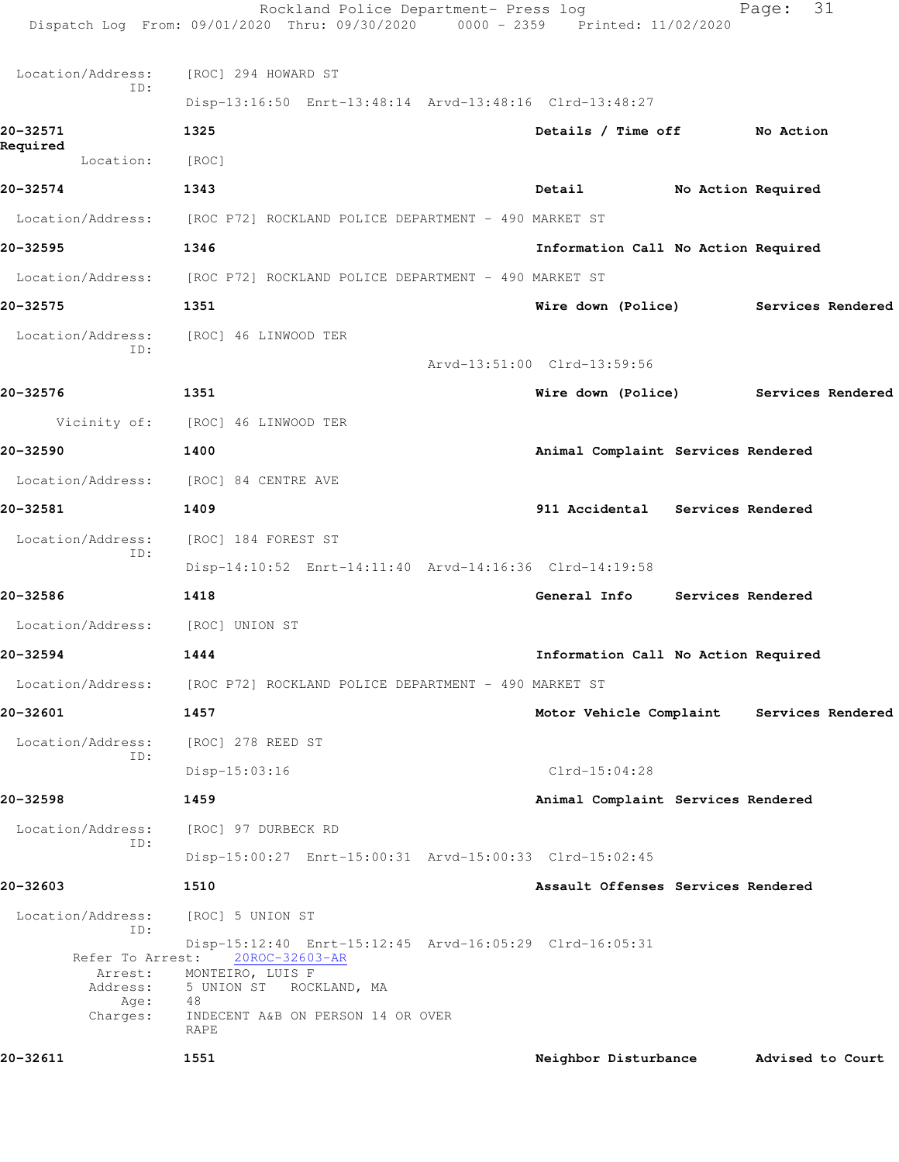| 20-32611                                        | 1551                                                                                                                    | Neighbor Disturbance                      | Advised to Court   |  |
|-------------------------------------------------|-------------------------------------------------------------------------------------------------------------------------|-------------------------------------------|--------------------|--|
| Charges:                                        | INDECENT A&B ON PERSON 14 OR OVER<br>RAPE                                                                               |                                           |                    |  |
| Refer To Arrest:<br>Arrest:<br>Address:<br>Age: | 20ROC-32603-AR<br>MONTEIRO, LUIS F<br>5 UNION ST ROCKLAND, MA<br>48                                                     |                                           |                    |  |
| Location/Address:<br>ID:                        | [ROC] 5 UNION ST<br>Disp-15:12:40 Enrt-15:12:45 Arvd-16:05:29 Clrd-16:05:31                                             |                                           |                    |  |
| 20-32603                                        | 1510                                                                                                                    | Assault Offenses Services Rendered        |                    |  |
|                                                 | Disp-15:00:27 Enrt-15:00:31 Arvd-15:00:33 Clrd-15:02:45                                                                 |                                           |                    |  |
| Location/Address:<br>ID:                        | [ROC] 97 DURBECK RD                                                                                                     |                                           |                    |  |
| 20-32598                                        | 1459                                                                                                                    | Animal Complaint Services Rendered        |                    |  |
|                                                 | $Disp-15:03:16$                                                                                                         | $Clrd-15:04:28$                           |                    |  |
| Location/Address:<br>ID:                        | [ROC] 278 REED ST                                                                                                       |                                           |                    |  |
| 20-32601                                        | 1457                                                                                                                    | Motor Vehicle Complaint Services Rendered |                    |  |
|                                                 | Location/Address: [ROC P72] ROCKLAND POLICE DEPARTMENT - 490 MARKET ST                                                  |                                           |                    |  |
|                                                 |                                                                                                                         |                                           |                    |  |
| Location/Address:<br>20-32594                   | [ROC] UNION ST<br>1444                                                                                                  | Information Call No Action Required       |                    |  |
|                                                 |                                                                                                                         |                                           |                    |  |
| 20-32586                                        | 1418                                                                                                                    | General Info Services Rendered            |                    |  |
| Location/Address:<br>ID:                        | [ROC] 184 FOREST ST<br>Disp-14:10:52 Enrt-14:11:40 Arvd-14:16:36 Clrd-14:19:58                                          |                                           |                    |  |
|                                                 |                                                                                                                         |                                           |                    |  |
| 20-32581                                        | 1409                                                                                                                    | 911 Accidental Services Rendered          |                    |  |
| Location/Address: [ROC] 84 CENTRE AVE           |                                                                                                                         |                                           |                    |  |
| 20-32590                                        | 1400                                                                                                                    | Animal Complaint Services Rendered        |                    |  |
|                                                 | Vicinity of: [ROC] 46 LINWOOD TER                                                                                       |                                           |                    |  |
| 20-32576                                        | 1351                                                                                                                    | Wire down (Police)                        | Services Rendered  |  |
| Location/Address:<br>ID:                        | [ROC] 46 LINWOOD TER                                                                                                    | Arvd-13:51:00 Clrd-13:59:56               |                    |  |
| 20-32575                                        | 1351                                                                                                                    | Wire down (Police) Services Rendered      |                    |  |
| Location/Address:                               | [ROC P72] ROCKLAND POLICE DEPARTMENT - 490 MARKET ST                                                                    |                                           |                    |  |
| 20-32595                                        | 1346                                                                                                                    | Information Call No Action Required       |                    |  |
|                                                 | Location/Address: [ROC P72] ROCKLAND POLICE DEPARTMENT - 490 MARKET ST                                                  |                                           |                    |  |
| 20-32574                                        | 1343                                                                                                                    | Detail                                    | No Action Required |  |
| Location:                                       | [ROC]                                                                                                                   |                                           |                    |  |
| 20-32571<br>Required                            | 1325                                                                                                                    | Details / Time off No Action              |                    |  |
|                                                 | Disp-13:16:50 Enrt-13:48:14 Arvd-13:48:16 Clrd-13:48:27                                                                 |                                           |                    |  |
| Location/Address:<br>ID:                        | [ROC] 294 HOWARD ST                                                                                                     |                                           |                    |  |
|                                                 |                                                                                                                         |                                           |                    |  |
|                                                 | Rockland Police Department- Press log<br>Dispatch Log From: 09/01/2020 Thru: 09/30/2020 0000 - 2359 Printed: 11/02/2020 |                                           | 31<br>Page:        |  |
|                                                 |                                                                                                                         |                                           |                    |  |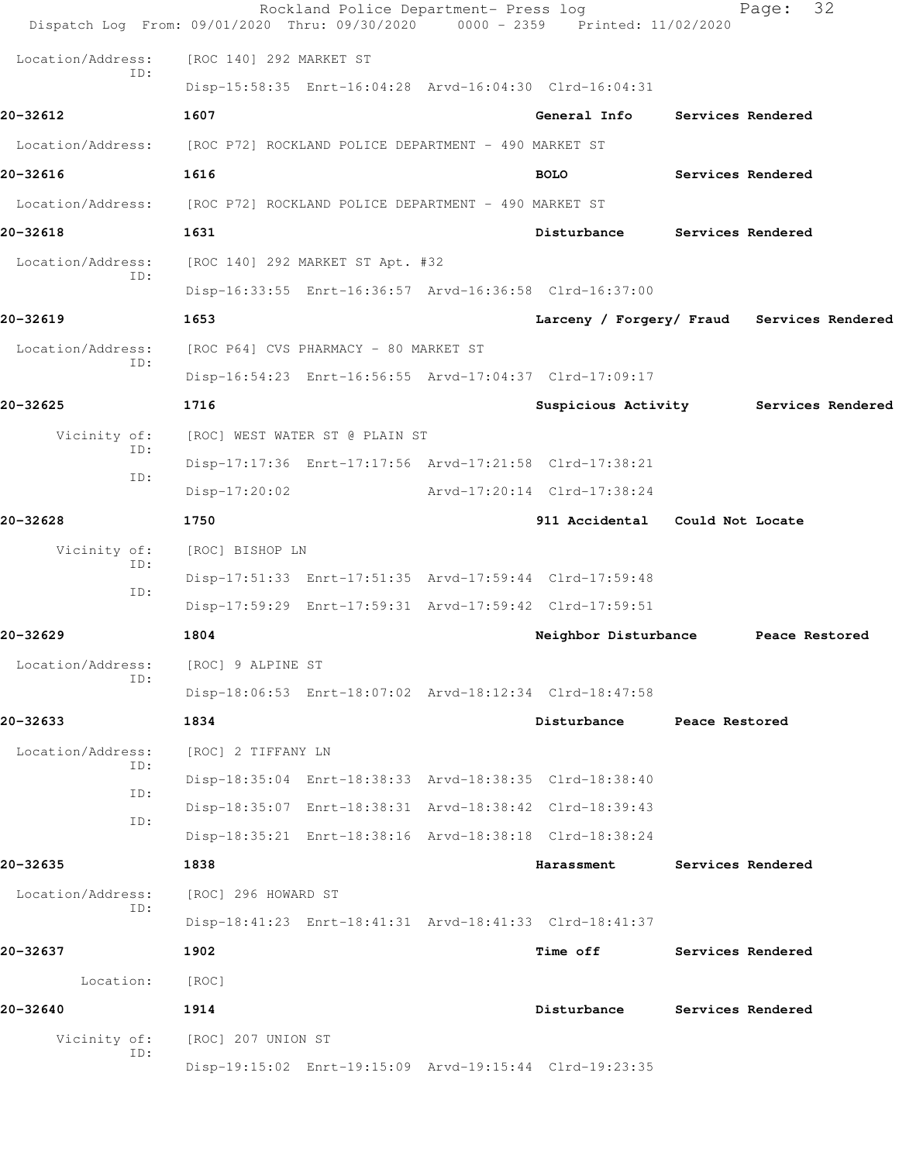| Dispatch Log From: 09/01/2020 Thru: 09/30/2020                         |                                                      | Rockland Police Department- Press log | 0000 - 2359 Printed: 11/02/2020                         |                          | 32<br>Page:       |  |
|------------------------------------------------------------------------|------------------------------------------------------|---------------------------------------|---------------------------------------------------------|--------------------------|-------------------|--|
| Location/Address:                                                      | [ROC 140] 292 MARKET ST                              |                                       |                                                         |                          |                   |  |
| TD:                                                                    |                                                      |                                       | Disp-15:58:35 Enrt-16:04:28 Arvd-16:04:30 Clrd-16:04:31 |                          |                   |  |
| 20-32612                                                               | 1607                                                 |                                       | General Info                                            | Services Rendered        |                   |  |
| Location/Address: [ROC P72] ROCKLAND POLICE DEPARTMENT - 490 MARKET ST |                                                      |                                       |                                                         |                          |                   |  |
| 20-32616                                                               | 1616                                                 |                                       | <b>BOLO</b>                                             | Services Rendered        |                   |  |
| Location/Address:                                                      | [ROC P72] ROCKLAND POLICE DEPARTMENT - 490 MARKET ST |                                       |                                                         |                          |                   |  |
| 20-32618                                                               | 1631                                                 |                                       | Disturbance                                             | <b>Services Rendered</b> |                   |  |
| Location/Address:                                                      |                                                      | [ROC 140] 292 MARKET ST Apt. #32      |                                                         |                          |                   |  |
| ID:                                                                    |                                                      |                                       | Disp-16:33:55 Enrt-16:36:57 Arvd-16:36:58 Clrd-16:37:00 |                          |                   |  |
| 20-32619                                                               | 1653                                                 |                                       | Larceny / Forgery/ Fraud Services Rendered              |                          |                   |  |
| Location/Address:                                                      |                                                      | [ROC P64] CVS PHARMACY - 80 MARKET ST |                                                         |                          |                   |  |
| ID:                                                                    |                                                      |                                       | Disp-16:54:23 Enrt-16:56:55 Arvd-17:04:37 Clrd-17:09:17 |                          |                   |  |
| 20-32625                                                               | 1716                                                 |                                       | Suspicious Activity                                     |                          | Services Rendered |  |
| Vicinity of:                                                           |                                                      | [ROC] WEST WATER ST @ PLAIN ST        |                                                         |                          |                   |  |
| ID:                                                                    |                                                      |                                       | Disp-17:17:36 Enrt-17:17:56 Arvd-17:21:58 Clrd-17:38:21 |                          |                   |  |
| ID:                                                                    | $Disp-17:20:02$                                      |                                       | Arvd-17:20:14 Clrd-17:38:24                             |                          |                   |  |
| 20-32628                                                               | 1750                                                 |                                       | 911 Accidental Could Not Locate                         |                          |                   |  |
| Vicinity of:<br>ID:                                                    | [ROC] BISHOP LN                                      |                                       |                                                         |                          |                   |  |
| ID:                                                                    |                                                      |                                       | Disp-17:51:33 Enrt-17:51:35 Arvd-17:59:44 Clrd-17:59:48 |                          |                   |  |
|                                                                        |                                                      |                                       | Disp-17:59:29 Enrt-17:59:31 Arvd-17:59:42 Clrd-17:59:51 |                          |                   |  |
| 20-32629                                                               | 1804                                                 |                                       | Neighbor Disturbance                                    |                          | Peace Restored    |  |
| Location/Address:<br>ID:                                               | [ROC] 9 ALPINE ST                                    |                                       |                                                         |                          |                   |  |
|                                                                        |                                                      |                                       | Disp-18:06:53 Enrt-18:07:02 Arvd-18:12:34 Clrd-18:47:58 |                          |                   |  |
| 20-32633                                                               | 1834                                                 |                                       | Disturbance                                             | Peace Restored           |                   |  |
| Location/Address:<br>ID:                                               | [ROC] 2 TIFFANY LN                                   |                                       |                                                         |                          |                   |  |
| ID:                                                                    |                                                      |                                       | Disp-18:35:04 Enrt-18:38:33 Arvd-18:38:35 Clrd-18:38:40 |                          |                   |  |
| ID:                                                                    |                                                      |                                       | Disp-18:35:07 Enrt-18:38:31 Arvd-18:38:42 Clrd-18:39:43 |                          |                   |  |
|                                                                        |                                                      |                                       | Disp-18:35:21 Enrt-18:38:16 Arvd-18:38:18 Clrd-18:38:24 |                          |                   |  |
| 20-32635                                                               | 1838                                                 |                                       | Harassment                                              | Services Rendered        |                   |  |
| Location/Address:<br>ID:                                               | [ROC] 296 HOWARD ST                                  |                                       |                                                         |                          |                   |  |
|                                                                        |                                                      |                                       | Disp-18:41:23 Enrt-18:41:31 Arvd-18:41:33 Clrd-18:41:37 |                          |                   |  |
| 20-32637                                                               | 1902                                                 |                                       | <b>Time off</b>                                         | Services Rendered        |                   |  |
| Location:                                                              | [ROC]                                                |                                       |                                                         |                          |                   |  |
| 20-32640                                                               | 1914                                                 |                                       | Disturbance                                             | Services Rendered        |                   |  |
| Vicinity of:<br>ID:                                                    | [ROC] 207 UNION ST                                   |                                       |                                                         |                          |                   |  |
|                                                                        |                                                      |                                       | Disp-19:15:02 Enrt-19:15:09 Arvd-19:15:44 Clrd-19:23:35 |                          |                   |  |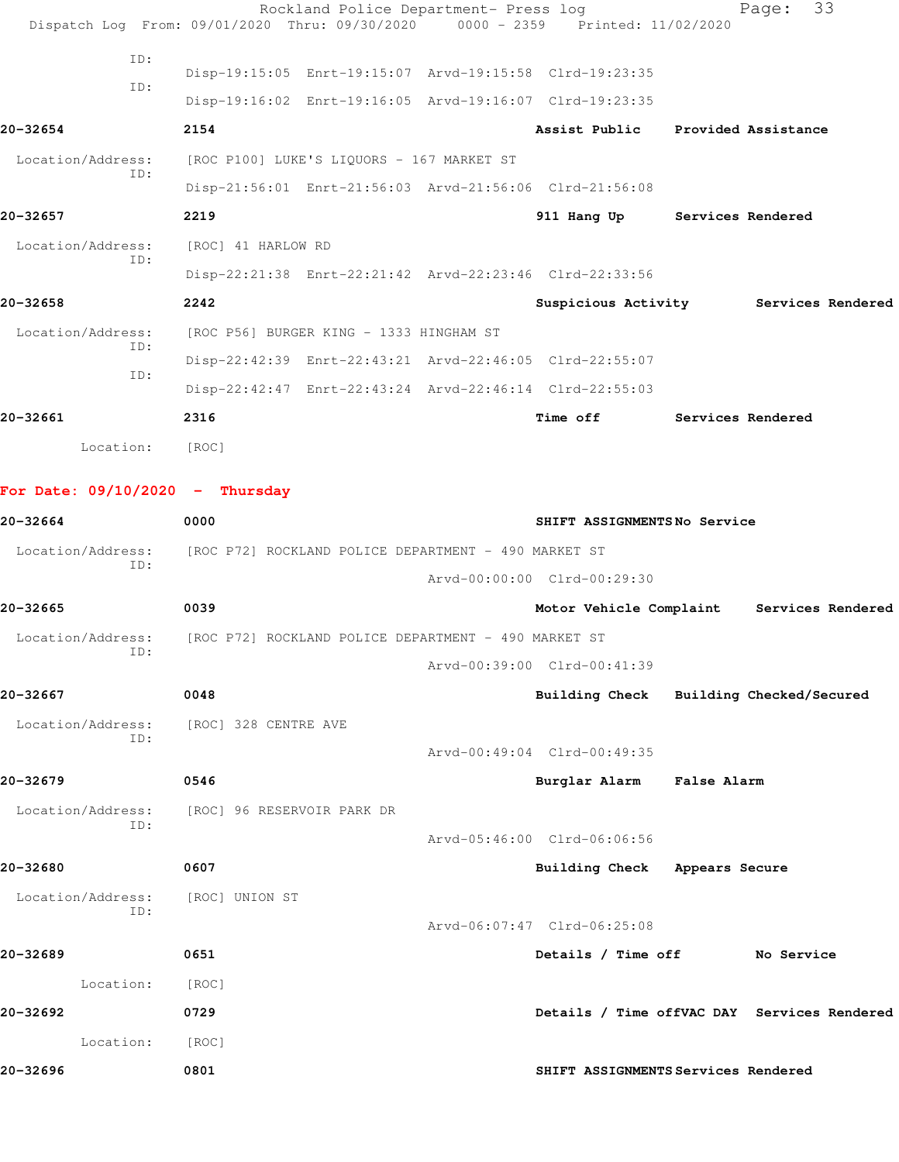|                                   |     |                    | Rockland Police Department- Press log                   |                                                                                |                   | Page: 33 |  |
|-----------------------------------|-----|--------------------|---------------------------------------------------------|--------------------------------------------------------------------------------|-------------------|----------|--|
|                                   |     |                    |                                                         | Dispatch Log From: 09/01/2020 Thru: 09/30/2020 0000 - 2359 Printed: 11/02/2020 |                   |          |  |
|                                   | ID: |                    | Disp-19:15:05 Enrt-19:15:07 Arvd-19:15:58 Clrd-19:23:35 |                                                                                |                   |          |  |
|                                   | ID: |                    | Disp-19:16:02 Enrt-19:16:05 Arvd-19:16:07 Clrd-19:23:35 |                                                                                |                   |          |  |
| 20-32654                          |     | 2154               |                                                         | Assist Public Provided Assistance                                              |                   |          |  |
| Location/Address:                 |     |                    | [ROC P100] LUKE'S LIQUORS - 167 MARKET ST               |                                                                                |                   |          |  |
| ID:                               |     |                    | Disp-21:56:01 Enrt-21:56:03 Arvd-21:56:06 Clrd-21:56:08 |                                                                                |                   |          |  |
| 20-32657                          |     | 2219               |                                                         | 911 Hang Up Services Rendered                                                  |                   |          |  |
| Location/Address:                 |     | [ROC] 41 HARLOW RD |                                                         |                                                                                |                   |          |  |
|                                   | ID: |                    | Disp-22:21:38 Enrt-22:21:42 Arvd-22:23:46 Clrd-22:33:56 |                                                                                |                   |          |  |
| 20-32658                          |     | 2242               |                                                         | Suspicious Activity Services Rendered                                          |                   |          |  |
| Location/Address:                 | ID: |                    | [ROC P56] BURGER KING - 1333 HINGHAM ST                 |                                                                                |                   |          |  |
|                                   | ID: |                    | Disp-22:42:39 Enrt-22:43:21 Arvd-22:46:05 Clrd-22:55:07 |                                                                                |                   |          |  |
|                                   |     |                    | Disp-22:42:47 Enrt-22:43:24 Arvd-22:46:14 Clrd-22:55:03 |                                                                                |                   |          |  |
| 20-32661                          |     | 2316               |                                                         | Time off                                                                       | Services Rendered |          |  |
| Location:                         |     | [ROC]              |                                                         |                                                                                |                   |          |  |
|                                   |     |                    |                                                         |                                                                                |                   |          |  |
| For Date: $09/10/2020 -$ Thursday |     |                    |                                                         |                                                                                |                   |          |  |

| 20-32664          | 0000                                                 | SHIFT ASSIGNMENTSNo Service             |                                             |
|-------------------|------------------------------------------------------|-----------------------------------------|---------------------------------------------|
| Location/Address: | [ROC P72] ROCKLAND POLICE DEPARTMENT - 490 MARKET ST |                                         |                                             |
| ID:               |                                                      | Arvd-00:00:00 Clrd-00:29:30             |                                             |
| 20-32665          | 0039                                                 |                                         | Motor Vehicle Complaint Services Rendered   |
| Location/Address: | [ROC P72] ROCKLAND POLICE DEPARTMENT - 490 MARKET ST |                                         |                                             |
| ID:               |                                                      | Arvd-00:39:00 Clrd-00:41:39             |                                             |
| 20-32667          | 0048                                                 | Building Check Building Checked/Secured |                                             |
| Location/Address: | [ROC] 328 CENTRE AVE                                 |                                         |                                             |
| ID:               |                                                      | Arvd-00:49:04 Clrd-00:49:35             |                                             |
| 20-32679          | 0546                                                 | Burglar Alarm False Alarm               |                                             |
|                   | Location/Address: [ROC] 96 RESERVOIR PARK DR         |                                         |                                             |
| ID:               |                                                      | Arvd-05:46:00 Clrd-06:06:56             |                                             |
| 20-32680          | 0607                                                 | Building Check Appears Secure           |                                             |
| Location/Address: | [ROC] UNION ST                                       |                                         |                                             |
| ID:               |                                                      | Arvd-06:07:47 Clrd-06:25:08             |                                             |
| 20-32689          | 0651                                                 | Details / Time off No Service           |                                             |
| Location:         | [ROC]                                                |                                         |                                             |
| 20-32692          | 0729                                                 |                                         | Details / Time offVAC DAY Services Rendered |
| Location:         | [ROC]                                                |                                         |                                             |
| 20-32696          | 0801                                                 | SHIFT ASSIGNMENTS Services Rendered     |                                             |
|                   |                                                      |                                         |                                             |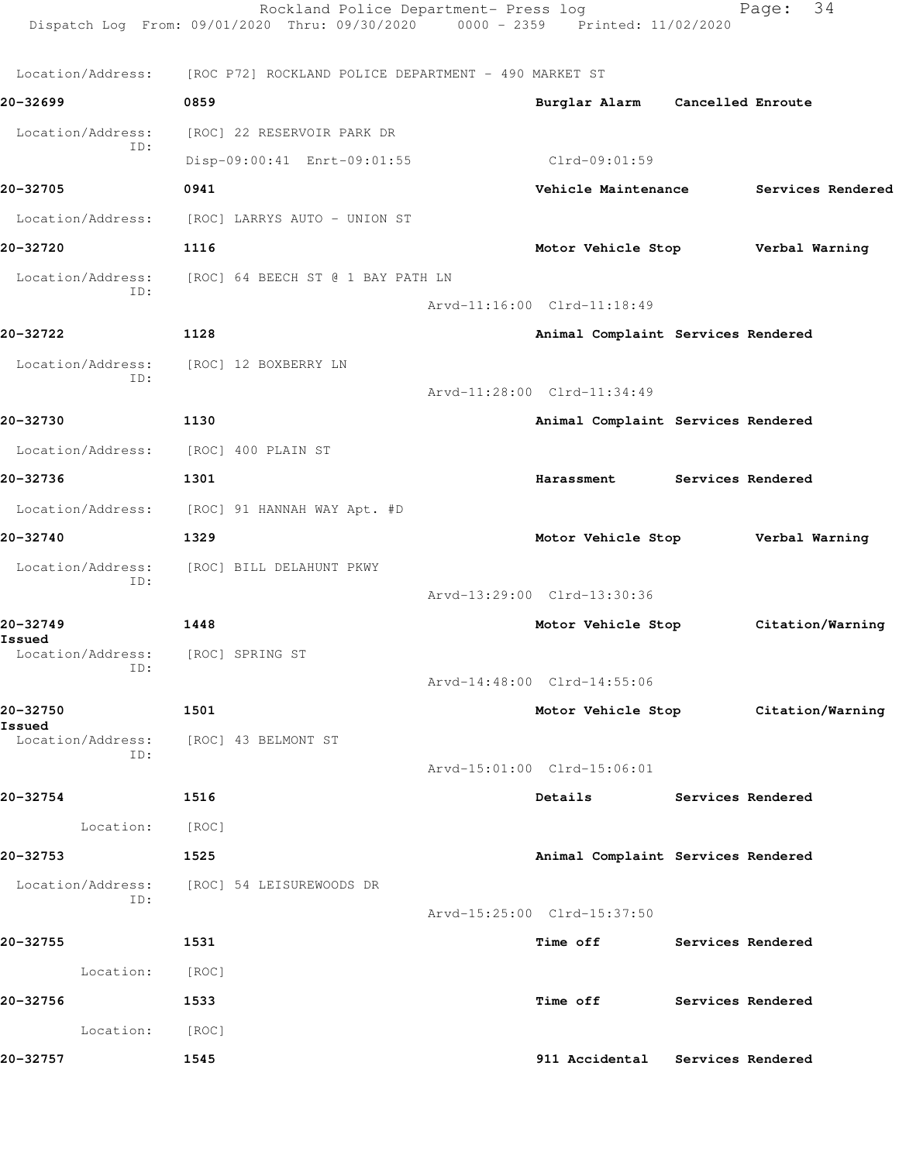|                             | Rockland Police Department- Press log<br>Dispatch Log From: 09/01/2020 Thru: 09/30/2020 0000 - 2359 Printed: 11/02/2020 |                                    |                          | 34<br>Page:                         |
|-----------------------------|-------------------------------------------------------------------------------------------------------------------------|------------------------------------|--------------------------|-------------------------------------|
| Location/Address:           | [ROC P72] ROCKLAND POLICE DEPARTMENT - 490 MARKET ST                                                                    |                                    |                          |                                     |
| 20-32699                    | 0859                                                                                                                    | Burglar Alarm Cancelled Enroute    |                          |                                     |
| Location/Address:           | [ROC] 22 RESERVOIR PARK DR                                                                                              |                                    |                          |                                     |
| ID:                         | Disp-09:00:41 Enrt-09:01:55                                                                                             | Clrd-09:01:59                      |                          |                                     |
| 20-32705                    | 0941                                                                                                                    | Vehicle Maintenance                |                          | Services Rendered                   |
| Location/Address:           | [ROC] LARRYS AUTO - UNION ST                                                                                            |                                    |                          |                                     |
| 20-32720                    | 1116                                                                                                                    | Motor Vehicle Stop Verbal Warning  |                          |                                     |
| Location/Address:           | [ROC] 64 BEECH ST @ 1 BAY PATH LN                                                                                       |                                    |                          |                                     |
| ID:                         |                                                                                                                         | Arvd-11:16:00 Clrd-11:18:49        |                          |                                     |
| 20-32722                    | 1128                                                                                                                    | Animal Complaint Services Rendered |                          |                                     |
| Location/Address:           | [ROC] 12 BOXBERRY LN                                                                                                    |                                    |                          |                                     |
| ID:                         |                                                                                                                         | Arvd-11:28:00 Clrd-11:34:49        |                          |                                     |
| 20-32730                    | 1130                                                                                                                    | Animal Complaint Services Rendered |                          |                                     |
| Location/Address:           | [ROC] 400 PLAIN ST                                                                                                      |                                    |                          |                                     |
| 20-32736                    | 1301                                                                                                                    | Harassment                         | Services Rendered        |                                     |
|                             | Location/Address: [ROC] 91 HANNAH WAY Apt. #D                                                                           |                                    |                          |                                     |
| 20-32740                    | 1329                                                                                                                    | Motor Vehicle Stop                 |                          | Verbal Warning                      |
| Location/Address:           | [ROC] BILL DELAHUNT PKWY                                                                                                |                                    |                          |                                     |
| ID:                         |                                                                                                                         | Arvd-13:29:00 Clrd-13:30:36        |                          |                                     |
| 20-32749                    | 1448                                                                                                                    | Motor Vehicle Stop                 |                          | Citation/Warning                    |
| Issued<br>Location/Address: | [ROC] SPRING ST                                                                                                         |                                    |                          |                                     |
| ID:                         |                                                                                                                         | Arvd-14:48:00 Clrd-14:55:06        |                          |                                     |
| 20-32750                    | 1501                                                                                                                    |                                    |                          | Motor Vehicle Stop Citation/Warning |
| Issued<br>ID:               | Location/Address: [ROC] 43 BELMONT ST                                                                                   |                                    |                          |                                     |
|                             |                                                                                                                         | Arvd-15:01:00 Clrd-15:06:01        |                          |                                     |
| 20-32754                    | 1516                                                                                                                    | Details                            | <b>Services Rendered</b> |                                     |
| Location:                   | [ROC]                                                                                                                   |                                    |                          |                                     |
| 20-32753                    | 1525                                                                                                                    | Animal Complaint Services Rendered |                          |                                     |
| Location/Address:<br>ID:    | [ROC] 54 LEISUREWOODS DR                                                                                                |                                    |                          |                                     |
|                             |                                                                                                                         | Arvd-15:25:00 Clrd-15:37:50        |                          |                                     |
| 20-32755                    | 1531                                                                                                                    | Time off                           |                          | Services Rendered                   |
| Location:                   | [ROC]                                                                                                                   |                                    |                          |                                     |
| 20-32756                    | 1533                                                                                                                    | Time off                           | Services Rendered        |                                     |
| Location:                   | [ROC]                                                                                                                   |                                    |                          |                                     |
| 20-32757                    | 1545                                                                                                                    | 911 Accidental                     | Services Rendered        |                                     |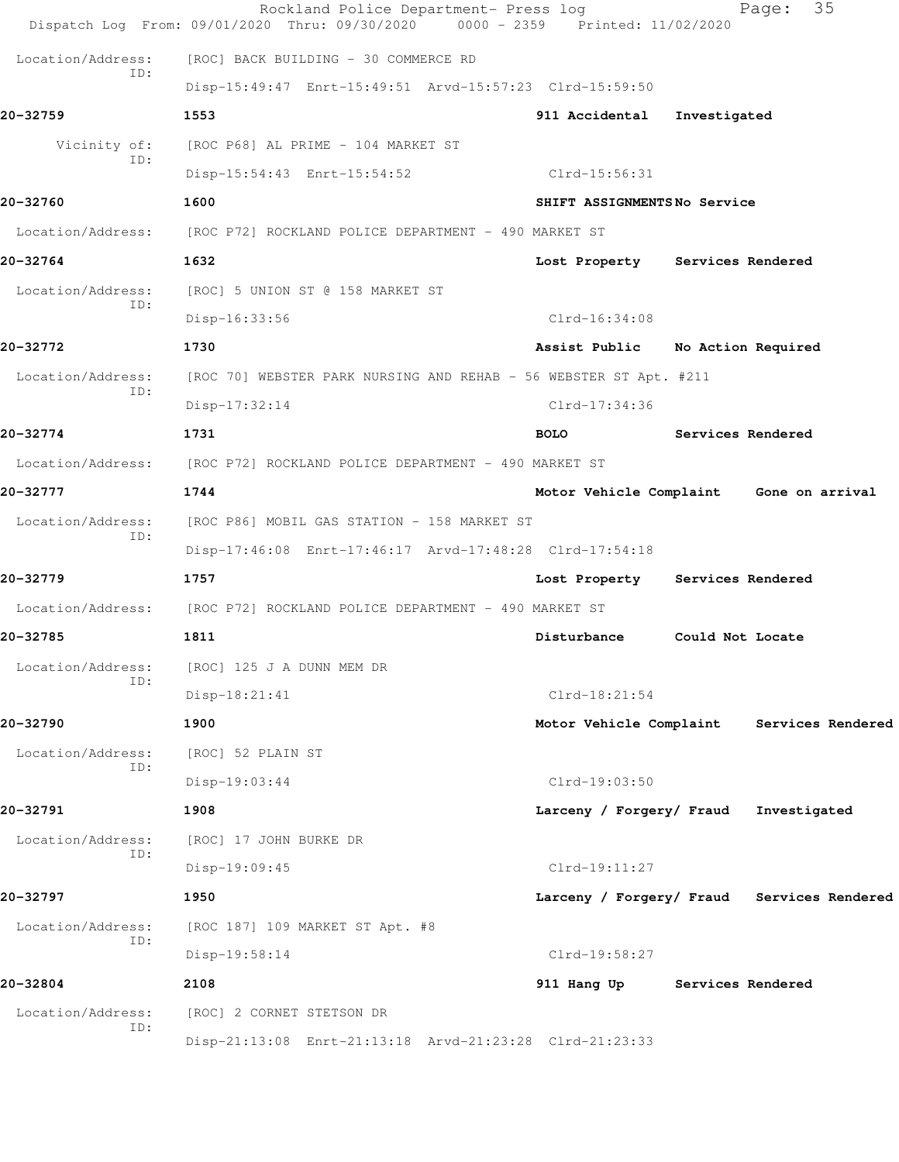|                          | Rockland Police Department- Press log<br>Dispatch Log From: 09/01/2020 Thru: 09/30/2020 | 0000 - 2359 Printed: 11/02/2020 | 35<br>Page:                                |
|--------------------------|-----------------------------------------------------------------------------------------|---------------------------------|--------------------------------------------|
| Location/Address:        | [ROC] BACK BUILDING - 30 COMMERCE RD                                                    |                                 |                                            |
| ID:                      | Disp-15:49:47 Enrt-15:49:51 Arvd-15:57:23 Clrd-15:59:50                                 |                                 |                                            |
| 20-32759                 | 1553                                                                                    | 911 Accidental                  | Investigated                               |
| Vicinity of:             | [ROC P68] AL PRIME - 104 MARKET ST                                                      |                                 |                                            |
| ID:                      | Disp-15:54:43 Enrt-15:54:52                                                             | Clrd-15:56:31                   |                                            |
| 20-32760                 | 1600                                                                                    | SHIFT ASSIGNMENTSNo Service     |                                            |
|                          | Location/Address: [ROC P72] ROCKLAND POLICE DEPARTMENT - 490 MARKET ST                  |                                 |                                            |
| 20-32764                 | 1632                                                                                    |                                 | Lost Property Services Rendered            |
| Location/Address:        | [ROC] 5 UNION ST @ 158 MARKET ST                                                        |                                 |                                            |
| ID:                      | Disp-16:33:56                                                                           | $Clrd-16:34:08$                 |                                            |
| 20-32772                 | 1730                                                                                    | Assist Public                   | No Action Required                         |
| Location/Address:        | [ROC 70] WEBSTER PARK NURSING AND REHAB - 56 WEBSTER ST Apt. #211                       |                                 |                                            |
| ID:                      | $Disp-17:32:14$                                                                         | Clrd-17:34:36                   |                                            |
| 20-32774                 | 1731                                                                                    | <b>BOLO</b>                     | Services Rendered                          |
| Location/Address:        | [ROC P72] ROCKLAND POLICE DEPARTMENT - 490 MARKET ST                                    |                                 |                                            |
| 20-32777                 | 1744                                                                                    |                                 | Motor Vehicle Complaint Gone on arrival    |
| Location/Address:        | [ROC P86] MOBIL GAS STATION - 158 MARKET ST                                             |                                 |                                            |
| ID:                      | Disp-17:46:08 Enrt-17:46:17 Arvd-17:48:28 Clrd-17:54:18                                 |                                 |                                            |
| 20-32779                 | 1757                                                                                    |                                 | Lost Property Services Rendered            |
| Location/Address:        | [ROC P72] ROCKLAND POLICE DEPARTMENT - 490 MARKET ST                                    |                                 |                                            |
| 20-32785                 | 1811                                                                                    | Disturbance                     | Could Not Locate                           |
| Location/Address:        | [ROC] 125 J A DUNN MEM DR                                                               |                                 |                                            |
| ID:                      | Disp-18:21:41                                                                           | $Clrd-18:21:54$                 |                                            |
| 20-32790                 | 1900                                                                                    | Motor Vehicle Complaint         | Services Rendered                          |
| Location/Address:        | [ROC] 52 PLAIN ST                                                                       |                                 |                                            |
| ID:                      | Disp-19:03:44                                                                           | $Clrd-19:03:50$                 |                                            |
| 20-32791                 | 1908                                                                                    | Larceny / Forgery/ Fraud        | Investigated                               |
| Location/Address:        | [ROC] 17 JOHN BURKE DR                                                                  |                                 |                                            |
| ID:                      | Disp-19:09:45                                                                           | $Clrd-19:11:27$                 |                                            |
| 20-32797                 | 1950                                                                                    |                                 | Larceny / Forgery/ Fraud Services Rendered |
| Location/Address:        | [ROC 187] 109 MARKET ST Apt. #8                                                         |                                 |                                            |
| ID:                      | Disp-19:58:14                                                                           | Clrd-19:58:27                   |                                            |
| 20-32804                 | 2108                                                                                    | 911 Hang Up                     | Services Rendered                          |
| Location/Address:<br>ID: | [ROC] 2 CORNET STETSON DR                                                               |                                 |                                            |
|                          | Disp-21:13:08 Enrt-21:13:18 Arvd-21:23:28 Clrd-21:23:33                                 |                                 |                                            |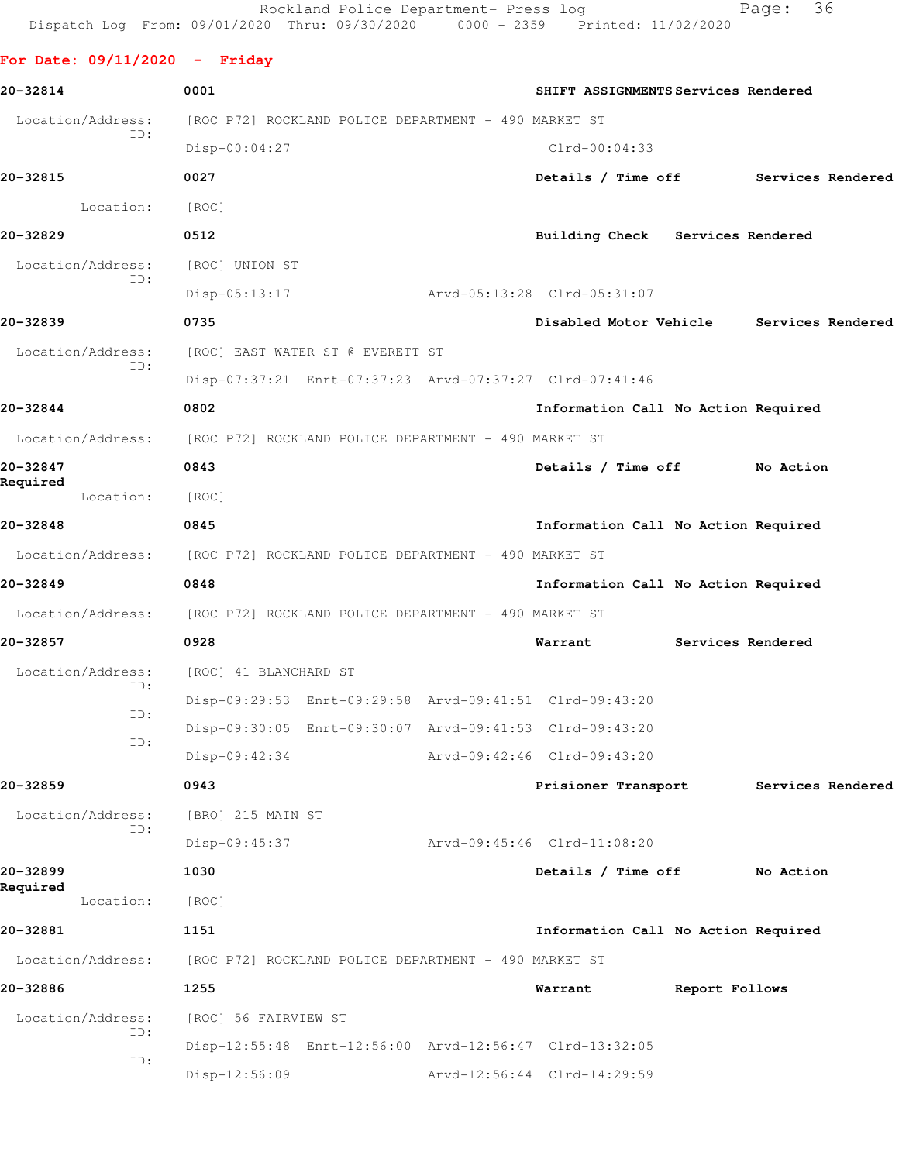Rockland Police Department- Press log entitled and Page: 36 Dispatch Log From: 09/01/2020 Thru: 09/30/2020 0000 - 2359 Printed: 11/02/2020

## **For Date: 09/11/2020 - Friday**

| 20-32814                 | 0001                                                    | SHIFT ASSIGNMENTS Services Rendered |                   |                   |
|--------------------------|---------------------------------------------------------|-------------------------------------|-------------------|-------------------|
| Location/Address:        | [ROC P72] ROCKLAND POLICE DEPARTMENT - 490 MARKET ST    |                                     |                   |                   |
| ID:                      | $Disp-00:04:27$                                         | $Clrd-00:04:33$                     |                   |                   |
| 20-32815                 | 0027                                                    | Details / Time off                  |                   | Services Rendered |
| Location:                | [ROC]                                                   |                                     |                   |                   |
| 20-32829                 | 0512                                                    | Building Check Services Rendered    |                   |                   |
| Location/Address:<br>ID: | [ROC] UNION ST                                          |                                     |                   |                   |
|                          | $Disp-05:13:17$                                         | Arvd-05:13:28 Clrd-05:31:07         |                   |                   |
| 20-32839                 | 0735                                                    | Disabled Motor Vehicle              |                   | Services Rendered |
| Location/Address:        | [ROC] EAST WATER ST @ EVERETT ST                        |                                     |                   |                   |
| ID:                      | Disp-07:37:21 Enrt-07:37:23 Arvd-07:37:27 Clrd-07:41:46 |                                     |                   |                   |
| 20-32844                 | 0802                                                    | Information Call No Action Required |                   |                   |
| Location/Address:        | [ROC P72] ROCKLAND POLICE DEPARTMENT - 490 MARKET ST    |                                     |                   |                   |
| 20-32847                 | 0843                                                    | Details / Time off                  |                   | No Action         |
| Required<br>Location:    | [ROC]                                                   |                                     |                   |                   |
| 20-32848                 | 0845                                                    | Information Call No Action Required |                   |                   |
| Location/Address:        | [ROC P72] ROCKLAND POLICE DEPARTMENT - 490 MARKET ST    |                                     |                   |                   |
| 20-32849                 | 0848                                                    | Information Call No Action Required |                   |                   |
| Location/Address:        | [ROC P72] ROCKLAND POLICE DEPARTMENT - 490 MARKET ST    |                                     |                   |                   |
| 20-32857                 | 0928                                                    | Warrant                             | Services Rendered |                   |
| Location/Address:        | [ROC] 41 BLANCHARD ST                                   |                                     |                   |                   |
| ID:                      | Disp-09:29:53 Enrt-09:29:58 Arvd-09:41:51 Clrd-09:43:20 |                                     |                   |                   |
| ID:                      | Disp-09:30:05 Enrt-09:30:07 Arvd-09:41:53 Clrd-09:43:20 |                                     |                   |                   |
| ID:                      | Disp-09:42:34                                           | Arvd-09:42:46 Clrd-09:43:20         |                   |                   |
| 20-32859                 | 0943                                                    | Prisioner Transport                 |                   | Services Rendered |
| Location/Address:        | [BRO] 215 MAIN ST                                       |                                     |                   |                   |
| ID:                      | $Disp-09:45:37$                                         | Arvd-09:45:46 Clrd-11:08:20         |                   |                   |
| 20-32899                 | 1030                                                    | Details / Time off                  |                   | No Action         |
| Required<br>Location:    | [ROC]                                                   |                                     |                   |                   |
| 20-32881                 | 1151                                                    | Information Call No Action Required |                   |                   |
| Location/Address:        | [ROC P72] ROCKLAND POLICE DEPARTMENT - 490 MARKET ST    |                                     |                   |                   |
| 20-32886                 | 1255                                                    | Warrant                             | Report Follows    |                   |
| Location/Address:        | [ROC] 56 FAIRVIEW ST                                    |                                     |                   |                   |
| ID:                      | Disp-12:55:48 Enrt-12:56:00 Arvd-12:56:47 Clrd-13:32:05 |                                     |                   |                   |
| ID:                      | $Disp-12:56:09$                                         | Arvd-12:56:44 Clrd-14:29:59         |                   |                   |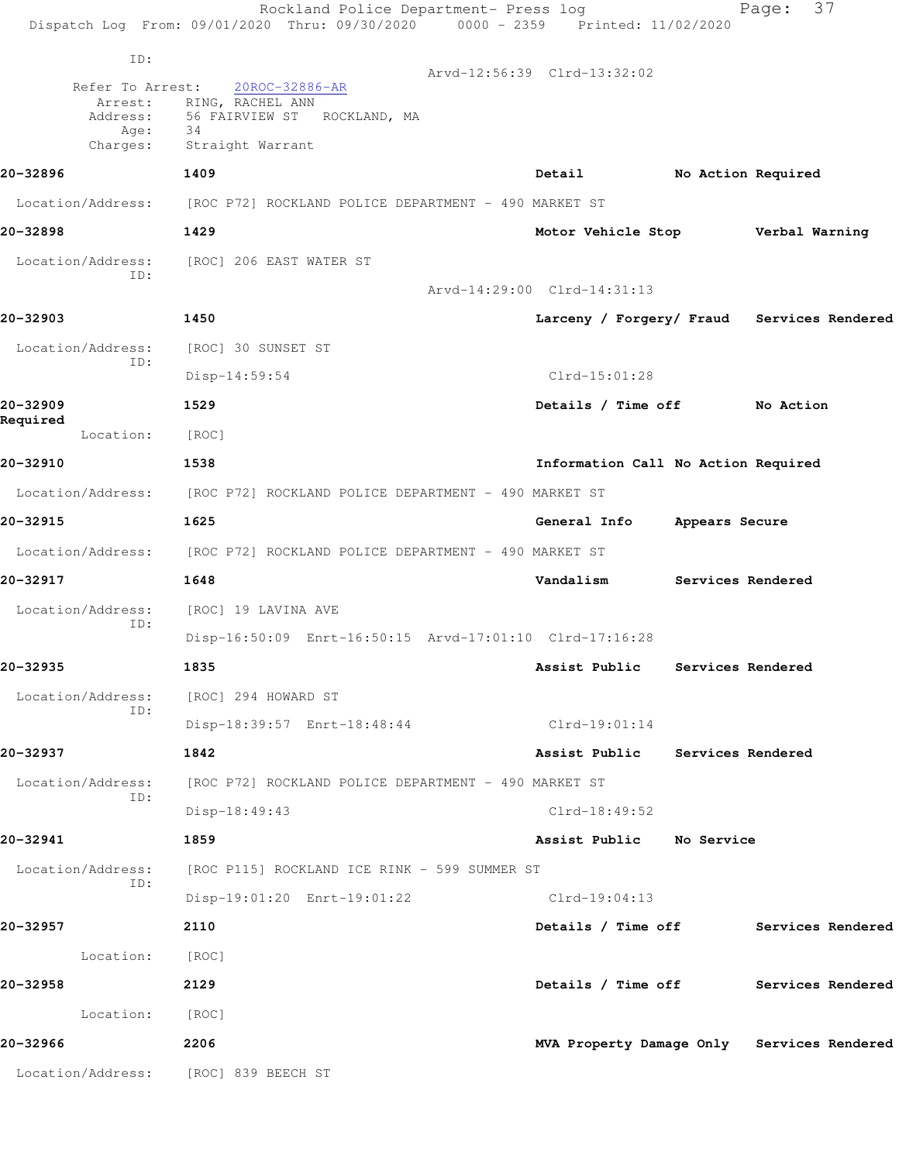|                          | Rockland Police Department- Press log<br>Dispatch Log From: 09/01/2020 Thru: 09/30/2020 0000 - 2359 Printed: 11/02/2020 |                                            | 37<br>Page:              |
|--------------------------|-------------------------------------------------------------------------------------------------------------------------|--------------------------------------------|--------------------------|
| ID:                      |                                                                                                                         |                                            |                          |
| Refer To Arrest:         | 20ROC-32886-AR                                                                                                          | Arvd-12:56:39 Clrd-13:32:02                |                          |
| Arrest:                  | RING, RACHEL ANN<br>Address: 56 FAIRVIEW ST ROCKLAND, MA                                                                |                                            |                          |
| Age:<br>Charges:         | 34<br>Straight Warrant                                                                                                  |                                            |                          |
| 20-32896                 | 1409                                                                                                                    | Detail                                     | No Action Required       |
|                          | Location/Address: [ROC P72] ROCKLAND POLICE DEPARTMENT - 490 MARKET ST                                                  |                                            |                          |
| 20-32898                 | 1429                                                                                                                    | Motor Vehicle Stop Verbal Warning          |                          |
| Location/Address:        | [ROC] 206 EAST WATER ST                                                                                                 |                                            |                          |
| ID:                      |                                                                                                                         | Arvd-14:29:00 Clrd-14:31:13                |                          |
| 20-32903                 | 1450                                                                                                                    | Larceny / Forgery/ Fraud Services Rendered |                          |
| Location/Address:        | [ROC] 30 SUNSET ST                                                                                                      |                                            |                          |
| ID:                      | $Disp-14:59:54$                                                                                                         | $Clrd-15:01:28$                            |                          |
| 20-32909                 | 1529                                                                                                                    | Details / Time off No Action               |                          |
| Required<br>Location:    | [ROC]                                                                                                                   |                                            |                          |
| 20-32910                 | 1538                                                                                                                    | Information Call No Action Required        |                          |
|                          | Location/Address: [ROC P72] ROCKLAND POLICE DEPARTMENT - 490 MARKET ST                                                  |                                            |                          |
| 20-32915                 | 1625                                                                                                                    | General Info                               | Appears Secure           |
|                          | Location/Address: [ROC P72] ROCKLAND POLICE DEPARTMENT - 490 MARKET ST                                                  |                                            |                          |
| 20-32917                 | 1648                                                                                                                    | Vandalism                                  | <b>Services Rendered</b> |
| Location/Address:        | [ROC] 19 LAVINA AVE                                                                                                     |                                            |                          |
| ID:                      | Disp-16:50:09 Enrt-16:50:15 Arvd-17:01:10 Clrd-17:16:28                                                                 |                                            |                          |
| 20-32935                 | 1835                                                                                                                    | Assist Public Services Rendered            |                          |
| Location/Address:<br>ID: | [ROC] 294 HOWARD ST                                                                                                     |                                            |                          |
|                          | Disp-18:39:57 Enrt-18:48:44                                                                                             | $Clrd-19:01:14$                            |                          |
| 20-32937                 | 1842                                                                                                                    | Assist Public Services Rendered            |                          |
| Location/Address:<br>ID: | [ROC P72] ROCKLAND POLICE DEPARTMENT - 490 MARKET ST                                                                    |                                            |                          |
|                          | Disp-18:49:43                                                                                                           | $Clrd-18:49:52$                            |                          |
| 20-32941                 | 1859                                                                                                                    | Assist Public No Service                   |                          |
| Location/Address:        | [ROC P115] ROCKLAND ICE RINK - 599 SUMMER ST                                                                            |                                            |                          |
| ID:                      | Disp-19:01:20 Enrt-19:01:22                                                                                             | Clrd-19:04:13                              |                          |
| 20-32957                 | 2110                                                                                                                    | Details / Time off Services Rendered       |                          |
| Location:                | [ROC]                                                                                                                   |                                            |                          |
| 20-32958                 | 2129                                                                                                                    | Details / Time off Services Rendered       |                          |
| Location:                | [ROC]                                                                                                                   |                                            |                          |
| 20-32966                 | 2206                                                                                                                    | MVA Property Damage Only Services Rendered |                          |
|                          | Location/Address: [ROC] 839 BEECH ST                                                                                    |                                            |                          |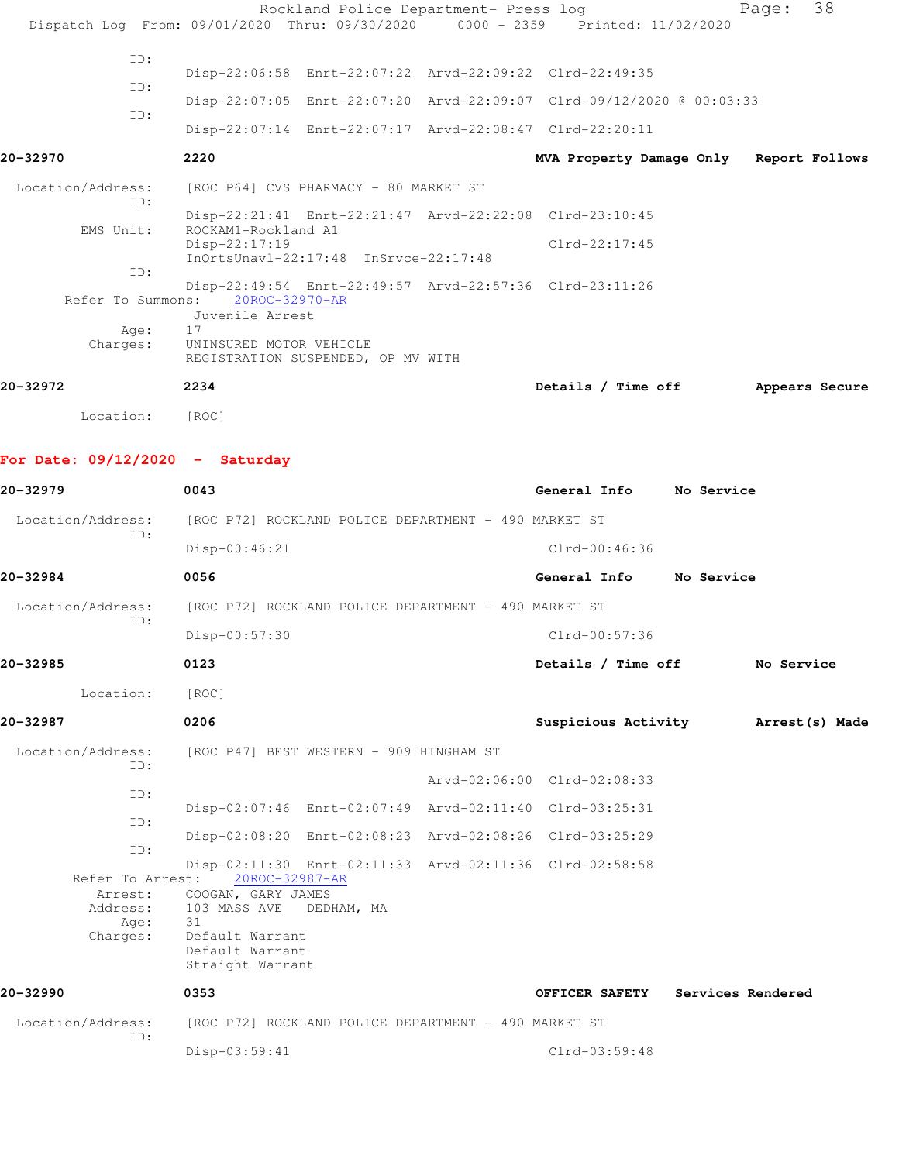|                                   | Rockland Police Department- Press log<br>Dispatch Log From: 09/01/2020 Thru: 09/30/2020 0000 - 2359 Printed: 11/02/2020 |                                         |            | Page:             | 38 |
|-----------------------------------|-------------------------------------------------------------------------------------------------------------------------|-----------------------------------------|------------|-------------------|----|
|                                   |                                                                                                                         |                                         |            |                   |    |
| ID:                               | Disp-22:06:58 Enrt-22:07:22 Arvd-22:09:22 Clrd-22:49:35                                                                 |                                         |            |                   |    |
| ID:                               | Disp-22:07:05 Enrt-22:07:20 Arvd-22:09:07 Clrd-09/12/2020 @ 00:03:33                                                    |                                         |            |                   |    |
| ID:                               | Disp-22:07:14 Enrt-22:07:17 Arvd-22:08:47 Clrd-22:20:11                                                                 |                                         |            |                   |    |
| 20-32970                          | 2220                                                                                                                    | MVA Property Damage Only Report Follows |            |                   |    |
| Location/Address:<br>ID:          | [ROC P64] CVS PHARMACY - 80 MARKET ST                                                                                   |                                         |            |                   |    |
| EMS Unit:                         | Disp-22:21:41 Enrt-22:21:47 Arvd-22:22:08 Clrd-23:10:45<br>ROCKAM1-Rockland A1                                          |                                         |            |                   |    |
|                                   | Disp-22:17:19<br>InQrtsUnavl-22:17:48 InSrvce-22:17:48                                                                  | $Clrd-22:17:45$                         |            |                   |    |
| ID:                               | Disp-22:49:54 Enrt-22:49:57 Arvd-22:57:36 Clrd-23:11:26                                                                 |                                         |            |                   |    |
| Refer To Summons:                 | 20ROC-32970-AR<br>Juvenile Arrest                                                                                       |                                         |            |                   |    |
| Age:<br>Charges:                  | 17<br>UNINSURED MOTOR VEHICLE<br>REGISTRATION SUSPENDED, OP MV WITH                                                     |                                         |            |                   |    |
| 20-32972                          | 2234                                                                                                                    | Details / Time off                      |            | Appears Secure    |    |
| Location:                         | [ROC]                                                                                                                   |                                         |            |                   |    |
| For Date: $09/12/2020 -$ Saturday |                                                                                                                         |                                         |            |                   |    |
|                                   | 0043                                                                                                                    | General Info No Service                 |            |                   |    |
| 20-32979                          |                                                                                                                         |                                         |            |                   |    |
| Location/Address:<br>ID:          | [ROC P72] ROCKLAND POLICE DEPARTMENT - 490 MARKET ST                                                                    |                                         |            |                   |    |
|                                   | $Disp-00:46:21$                                                                                                         | Clrd-00:46:36                           |            |                   |    |
| 20-32984                          | 0056                                                                                                                    | General Info                            | No Service |                   |    |
| Location/Address:<br>ID:          | [ROC P72] ROCKLAND POLICE DEPARTMENT - 490 MARKET ST                                                                    |                                         |            |                   |    |
|                                   | $Disp-00:57:30$                                                                                                         | Clrd-00:57:36                           |            |                   |    |
| 20-32985                          | 0123                                                                                                                    | Details / Time off                      |            | No Service        |    |
| Location:                         | [ROC]                                                                                                                   |                                         |            |                   |    |
| 20-32987                          | 0206                                                                                                                    | Suspicious Activity Marrest (s) Made    |            |                   |    |
| Location/Address:<br>ID:          | [ROC P47] BEST WESTERN - 909 HINGHAM ST                                                                                 |                                         |            |                   |    |
| ID:                               |                                                                                                                         | Arvd-02:06:00 Clrd-02:08:33             |            |                   |    |
| ID:                               | Disp-02:07:46 Enrt-02:07:49 Arvd-02:11:40 Clrd-03:25:31                                                                 |                                         |            |                   |    |
| ID:                               | Disp-02:08:20 Enrt-02:08:23 Arvd-02:08:26 Clrd-03:25:29                                                                 |                                         |            |                   |    |
|                                   | Disp-02:11:30 Enrt-02:11:33 Arvd-02:11:36 Clrd-02:58:58<br>Refer To Arrest: 20ROC-32987-AR                              |                                         |            |                   |    |
|                                   | Arrest: COOGAN, GARY JAMES<br>Address: 103 MASS AVE DEDHAM, MA                                                          |                                         |            |                   |    |
| Age:<br>Charges:                  | 31<br>Default Warrant<br>Default Warrant<br>Straight Warrant                                                            |                                         |            |                   |    |
| 20-32990                          | 0353                                                                                                                    | OFFICER SAFETY                          |            | Services Rendered |    |
| Location/Address:                 | [ROC P72] ROCKLAND POLICE DEPARTMENT - 490 MARKET ST                                                                    |                                         |            |                   |    |
| ID:                               | Disp-03:59:41                                                                                                           | Clrd-03:59:48                           |            |                   |    |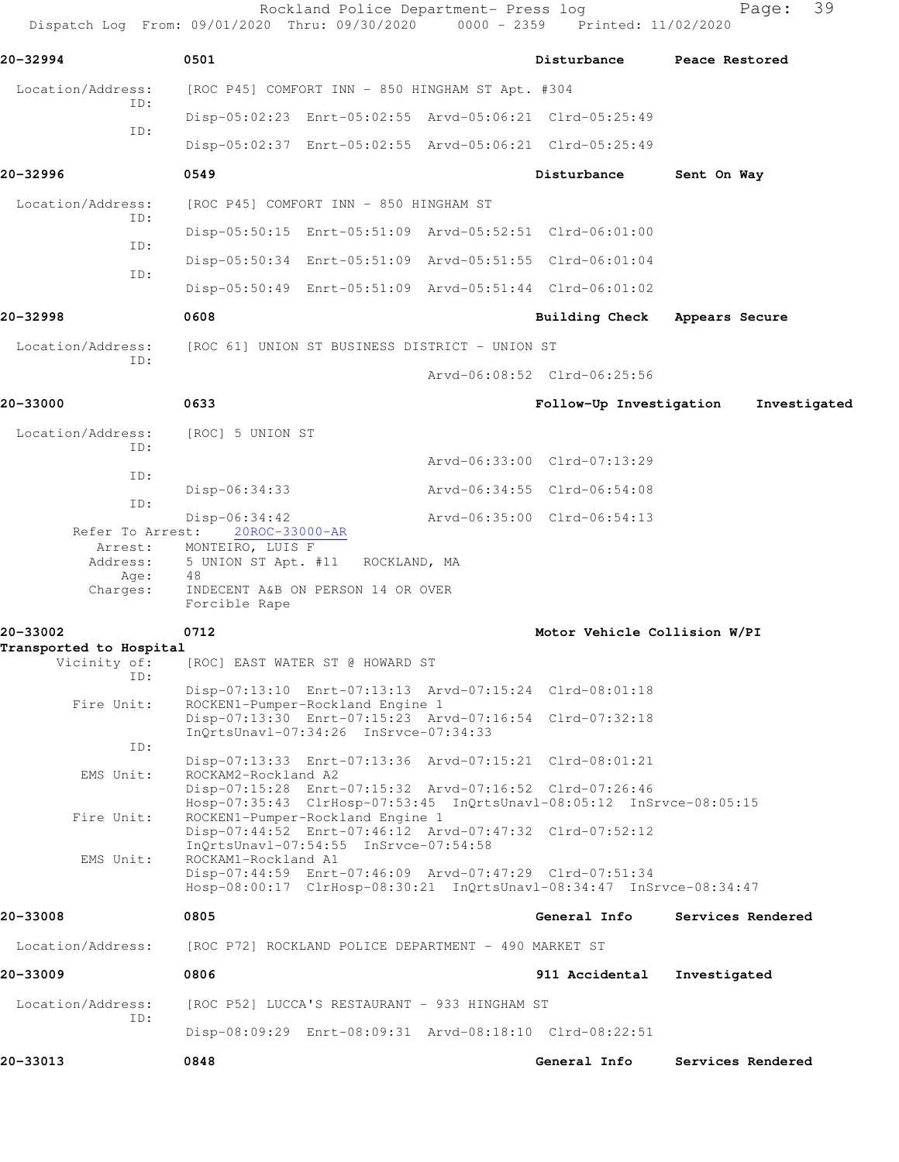Rockland Police Department- Press log entitled and Page: 39 Dispatch Log From: 09/01/2020 Thru: 09/30/2020 0000 - 2359 Printed: 11/02/2020

| 20-32994                                | 0501                               |                                                      | Disturbance Peace Restored                                                                                                      |                   |
|-----------------------------------------|------------------------------------|------------------------------------------------------|---------------------------------------------------------------------------------------------------------------------------------|-------------------|
| Location/Address:                       |                                    | [ROC P45] COMFORT INN - 850 HINGHAM ST Apt. #304     |                                                                                                                                 |                   |
| ID:                                     |                                    |                                                      | Disp-05:02:23 Enrt-05:02:55 Arvd-05:06:21 Clrd-05:25:49                                                                         |                   |
| ID:                                     |                                    |                                                      | Disp-05:02:37 Enrt-05:02:55 Arvd-05:06:21 Clrd-05:25:49                                                                         |                   |
| 20-32996                                | 0549                               |                                                      | Disturbance                                                                                                                     | Sent On Way       |
| Location/Address:                       |                                    | [ROC P45] COMFORT INN - 850 HINGHAM ST               |                                                                                                                                 |                   |
| ID:                                     |                                    |                                                      | Disp-05:50:15 Enrt-05:51:09 Arvd-05:52:51 Clrd-06:01:00                                                                         |                   |
| ID:                                     |                                    |                                                      | Disp-05:50:34 Enrt-05:51:09 Arvd-05:51:55 Clrd-06:01:04                                                                         |                   |
| ID:                                     |                                    |                                                      | Disp-05:50:49 Enrt-05:51:09 Arvd-05:51:44 Clrd-06:01:02                                                                         |                   |
| 20-32998                                | 0608                               |                                                      | <b>Building Check</b>                                                                                                           | Appears Secure    |
| Location/Address:                       |                                    | [ROC 61] UNION ST BUSINESS DISTRICT - UNION ST       |                                                                                                                                 |                   |
| ID:                                     |                                    |                                                      | Arvd-06:08:52 Clrd-06:25:56                                                                                                     |                   |
| 20-33000                                | 0633                               |                                                      | Follow-Up Investigation                                                                                                         | Investigated      |
| Location/Address:                       | [ROC] 5 UNION ST                   |                                                      |                                                                                                                                 |                   |
| ID:                                     |                                    |                                                      | Arvd-06:33:00 Clrd-07:13:29                                                                                                     |                   |
| ID:                                     | $Disp-06:34:33$                    |                                                      | Arvd-06:34:55 Clrd-06:54:08                                                                                                     |                   |
| ID:                                     | $Disp-06:34:42$                    |                                                      | Arvd-06:35:00 Clrd-06:54:13                                                                                                     |                   |
| Refer To Arrest:<br>Arrest:             | 20ROC-33000-AR<br>MONTEIRO, LUIS F |                                                      |                                                                                                                                 |                   |
| Address:<br>Age:                        | 48                                 | 5 UNION ST Apt. #11 ROCKLAND, MA                     |                                                                                                                                 |                   |
| Charges:                                | Forcible Rape                      | INDECENT A&B ON PERSON 14 OR OVER                    |                                                                                                                                 |                   |
| 20-33002                                | 0712                               |                                                      | Motor Vehicle Collision W/PI                                                                                                    |                   |
| Transported to Hospital<br>Vicinity of: |                                    | [ROC] EAST WATER ST @ HOWARD ST                      |                                                                                                                                 |                   |
| ID:                                     |                                    |                                                      | Disp-07:13:10 Enrt-07:13:13 Arvd-07:15:24 Clrd-08:01:18                                                                         |                   |
| Fire Unit:                              |                                    | ROCKEN1-Pumper-Rockland Engine 1                     | Disp-07:13:30 Enrt-07:15:23 Arvd-07:16:54 Clrd-07:32:18                                                                         |                   |
| ID:                                     |                                    | InQrtsUnavl-07:34:26 InSrvce-07:34:33                |                                                                                                                                 |                   |
|                                         | ROCKAM2-Rockland A2                |                                                      | Disp-07:13:33 Enrt-07:13:36 Arvd-07:15:21 Clrd-08:01:21                                                                         |                   |
| EMS Unit:                               |                                    |                                                      | Disp-07:15:28 Enrt-07:15:32 Arvd-07:16:52 Clrd-07:26:46                                                                         |                   |
| Fire Unit:                              |                                    | ROCKEN1-Pumper-Rockland Engine 1                     | Hosp-07:35:43 ClrHosp-07:53:45 InQrtsUnavl-08:05:12 InSrvce-08:05:15<br>Disp-07:44:52 Enrt-07:46:12 Arvd-07:47:32 Clrd-07:52:12 |                   |
| EMS Unit:                               | ROCKAM1-Rockland A1                | InQrtsUnavl-07:54:55 InSrvce-07:54:58                |                                                                                                                                 |                   |
|                                         |                                    |                                                      | Disp-07:44:59 Enrt-07:46:09 Arvd-07:47:29 Clrd-07:51:34<br>Hosp-08:00:17 ClrHosp-08:30:21 InQrtsUnavl-08:34:47 InSrvce-08:34:47 |                   |
| 20-33008                                |                                    |                                                      | General Info                                                                                                                    | Services Rendered |
|                                         | 0805                               |                                                      |                                                                                                                                 |                   |
| Location/Address:                       |                                    | [ROC P72] ROCKLAND POLICE DEPARTMENT - 490 MARKET ST |                                                                                                                                 |                   |
| 20-33009                                | 0806                               |                                                      | 911 Accidental                                                                                                                  | Investigated      |
| Location/Address:<br>ID:                |                                    | [ROC P52] LUCCA'S RESTAURANT - 933 HINGHAM ST        |                                                                                                                                 |                   |
|                                         |                                    |                                                      | Disp-08:09:29 Enrt-08:09:31 Arvd-08:18:10 Clrd-08:22:51                                                                         |                   |
| 20-33013                                | 0848                               |                                                      | General Info                                                                                                                    | Services Rendered |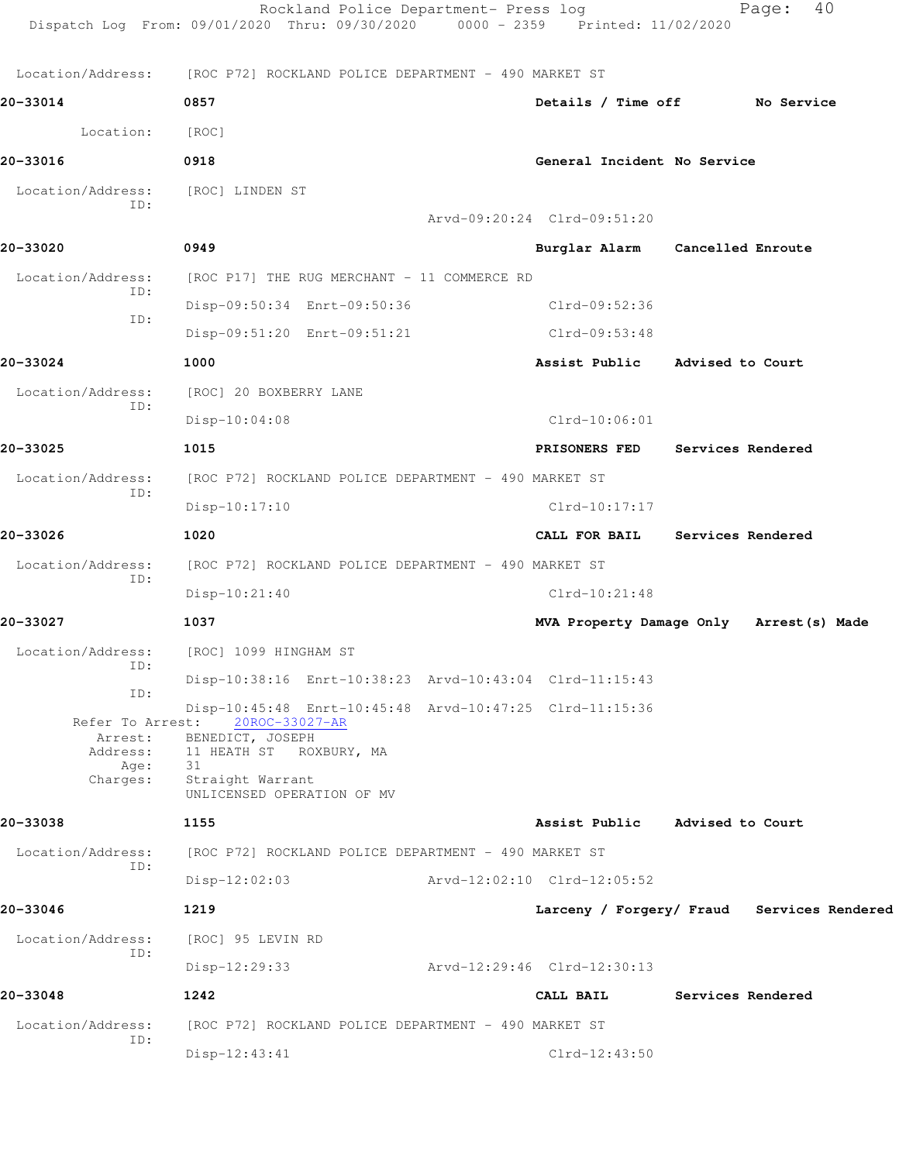|                          | Rockland Police Department- Press log<br>Dispatch Log From: 09/01/2020 Thru: 09/30/2020 0000 - 2359 Printed: 11/02/2020 |                             | 40<br>Page:                                |
|--------------------------|-------------------------------------------------------------------------------------------------------------------------|-----------------------------|--------------------------------------------|
|                          | Location/Address: [ROC P72] ROCKLAND POLICE DEPARTMENT - 490 MARKET ST                                                  |                             |                                            |
| 20-33014                 | 0857                                                                                                                    |                             | Details / Time off No Service              |
| Location:                | [ROC]                                                                                                                   |                             |                                            |
| 20-33016                 | 0918                                                                                                                    | General Incident No Service |                                            |
| Location/Address:<br>ID: | [ROC] LINDEN ST                                                                                                         | Arvd-09:20:24 Clrd-09:51:20 |                                            |
| 20-33020                 | 0949                                                                                                                    |                             | Burglar Alarm Cancelled Enroute            |
| Location/Address:        | [ROC P17] THE RUG MERCHANT - 11 COMMERCE RD                                                                             |                             |                                            |
| ID:                      | Disp-09:50:34 Enrt-09:50:36                                                                                             | Clrd-09:52:36               |                                            |
| ID:                      | Disp-09:51:20 Enrt-09:51:21                                                                                             | Clrd-09:53:48               |                                            |
| 20-33024                 | 1000                                                                                                                    |                             | Assist Public Advised to Court             |
| Location/Address:        | [ROC] 20 BOXBERRY LANE                                                                                                  |                             |                                            |
| ID:                      | $Disp-10:04:08$                                                                                                         | $Clrd-10:06:01$             |                                            |
| 20-33025                 | 1015                                                                                                                    |                             | PRISONERS FED Services Rendered            |
| Location/Address:        | [ROC P72] ROCKLAND POLICE DEPARTMENT - 490 MARKET ST                                                                    |                             |                                            |
| ID:                      | $Disp-10:17:10$                                                                                                         | $Clrd-10:17:17$             |                                            |
| 20-33026                 | 1020                                                                                                                    |                             | CALL FOR BAIL Services Rendered            |
| Location/Address:        | [ROC P72] ROCKLAND POLICE DEPARTMENT - 490 MARKET ST                                                                    |                             |                                            |
| ID:                      | $Disp-10:21:40$                                                                                                         | $Clrd-10:21:48$             |                                            |
| 20-33027                 | 1037                                                                                                                    |                             | MVA Property Damage Only Arrest (s) Made   |
| Location/Address:        | [ROC] 1099 HINGHAM ST                                                                                                   |                             |                                            |
| ID:<br>ID:               | Disp-10:38:16 Enrt-10:38:23 Arvd-10:43:04 Clrd-11:15:43                                                                 |                             |                                            |
|                          | Disp-10:45:48 Enrt-10:45:48 Arvd-10:47:25 Clrd-11:15:36<br>Refer To Arrest: 20ROC-33027-AR                              |                             |                                            |
| Address:                 | Arrest: BENEDICT, JOSEPH<br>11 HEATH ST ROXBURY, MA                                                                     |                             |                                            |
| Age:<br>Charges:         | 31<br>Straight Warrant                                                                                                  |                             |                                            |
|                          | UNLICENSED OPERATION OF MV                                                                                              |                             |                                            |
| 20-33038                 | 1155                                                                                                                    | Assist Public               | Advised to Court                           |
| Location/Address:<br>ID: | [ROC P72] ROCKLAND POLICE DEPARTMENT - 490 MARKET ST                                                                    |                             |                                            |
|                          | $Disp-12:02:03$                                                                                                         | Arvd-12:02:10 Clrd-12:05:52 |                                            |
| 20-33046                 | 1219                                                                                                                    |                             | Larceny / Forgery/ Fraud Services Rendered |
| Location/Address:<br>ID: | [ROC] 95 LEVIN RD                                                                                                       |                             |                                            |
|                          | Disp-12:29:33                                                                                                           | Arvd-12:29:46 Clrd-12:30:13 |                                            |
| 20-33048                 | 1242                                                                                                                    | CALL BAIL                   | Services Rendered                          |
| Location/Address:<br>ID: | [ROC P72] ROCKLAND POLICE DEPARTMENT - 490 MARKET ST                                                                    |                             |                                            |
|                          | $Disp-12:43:41$                                                                                                         | $Clrd-12:43:50$             |                                            |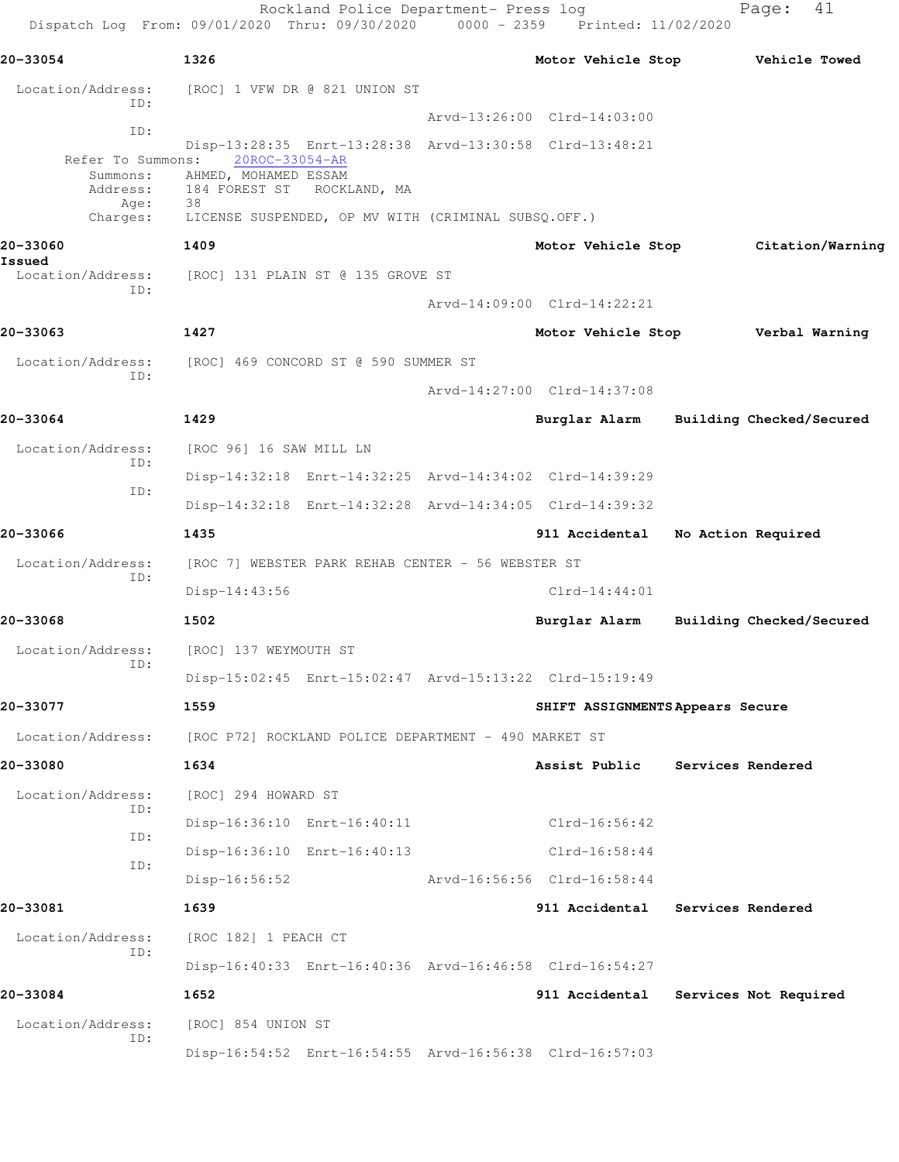Rockland Police Department- Press log Fage: 41 Dispatch Log From: 09/01/2020 Thru: 09/30/2020 0000 - 2359 Printed: 11/02/2020 **20-33054 1326 Motor Vehicle Stop Vehicle Towed** Location/Address: [ROC] 1 VFW DR @ 821 UNION ST ID: Arvd-13:26:00 Clrd-14:03:00 ID: Disp-13:28:35 Enrt-13:28:38 Arvd-13:30:58 Clrd-13:48:21 Refer To Summons: Summons: AHMED, MOHAMED ESSAM Address: 184 FOREST ST ROCKLAND, MA Age: 38 Charges: LICENSE SUSPENDED, OP MV WITH (CRIMINAL SUBSQ.OFF.) **20-33060 1409 Motor Vehicle Stop Citation/Warning Issued**  Location/Address: [ROC] 131 PLAIN ST @ 135 GROVE ST ID: Arvd-14:09:00 Clrd-14:22:21 **20-33063 1427 Motor Vehicle Stop Verbal Warning** Location/Address: [ROC] 469 CONCORD ST @ 590 SUMMER ST ID: Arvd-14:27:00 Clrd-14:37:08 **20-33064 1429 Burglar Alarm Building Checked/Secured** Location/Address: [ROC 96] 16 SAW MILL LN ID: Disp-14:32:18 Enrt-14:32:25 Arvd-14:34:02 Clrd-14:39:29 ID: Disp-14:32:18 Enrt-14:32:28 Arvd-14:34:05 Clrd-14:39:32 **20-33066 1435 911 Accidental No Action Required** Location/Address: [ROC 7] WEBSTER PARK REHAB CENTER - 56 WEBSTER ST ID: Disp-14:43:56 Clrd-14:44:01 **20-33068 1502 Burglar Alarm Building Checked/Secured** Location/Address: [ROC] 137 WEYMOUTH ST ID: Disp-15:02:45 Enrt-15:02:47 Arvd-15:13:22 Clrd-15:19:49 **20-33077 1559 SHIFT ASSIGNMENTS Appears Secure** Location/Address: [ROC P72] ROCKLAND POLICE DEPARTMENT - 490 MARKET ST **20-33080 1634 Assist Public Services Rendered** Location/Address: [ROC] 294 HOWARD ST ID: Disp-16:36:10 Enrt-16:40:11 Clrd-16:56:42 ID: Disp-16:36:10 Enrt-16:40:13 Clrd-16:58:44 ID: Disp-16:56:52 Arvd-16:56:56 Clrd-16:58:44 **20-33081 1639 911 Accidental Services Rendered** Location/Address: [ROC 182] 1 PEACH CT ID: Disp-16:40:33 Enrt-16:40:36 Arvd-16:46:58 Clrd-16:54:27 **20-33084 1652 911 Accidental Services Not Required** Location/Address: [ROC] 854 UNION ST ID: Disp-16:54:52 Enrt-16:54:55 Arvd-16:56:38 Clrd-16:57:03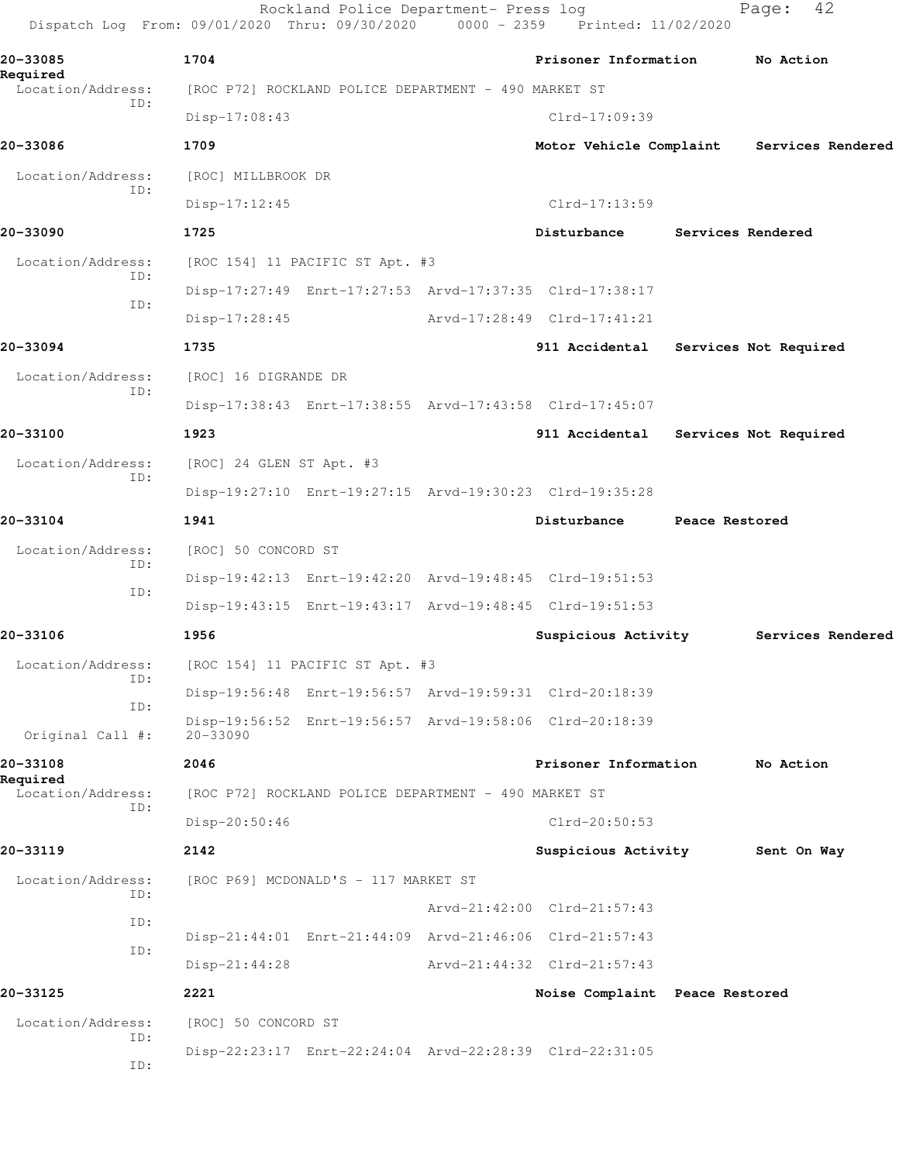Rockland Police Department- Press log Fage: 42 Dispatch Log From: 09/01/2020 Thru: 09/30/2020 0000 - 2359 Printed: 11/02/2020 **20-33085 1704 Prisoner Information No Action Required**  Location/Address: [ROC P72] ROCKLAND POLICE DEPARTMENT - 490 MARKET ST ID: Disp-17:08:43 Clrd-17:09:39 **20-33086 1709 Motor Vehicle Complaint Services Rendered** Location/Address: [ROC] MILLBROOK DR ID: Disp-17:12:45 Clrd-17:13:59 **20-33090 1725 Disturbance Services Rendered** Location/Address: [ROC 154] 11 PACIFIC ST Apt. #3 ID: Disp-17:27:49 Enrt-17:27:53 Arvd-17:37:35 Clrd-17:38:17 ID: Disp-17:28:45 Arvd-17:28:49 Clrd-17:41:21 **20-33094 1735 911 Accidental Services Not Required** Location/Address: [ROC] 16 DIGRANDE DR ID: Disp-17:38:43 Enrt-17:38:55 Arvd-17:43:58 Clrd-17:45:07 **20-33100 1923 911 Accidental Services Not Required** Location/Address: [ROC] 24 GLEN ST Apt. #3 ID: Disp-19:27:10 Enrt-19:27:15 Arvd-19:30:23 Clrd-19:35:28 **20-33104 1941 Disturbance Peace Restored** Location/Address: [ROC] 50 CONCORD ST ID: Disp-19:42:13 Enrt-19:42:20 Arvd-19:48:45 Clrd-19:51:53 ID: Disp-19:43:15 Enrt-19:43:17 Arvd-19:48:45 Clrd-19:51:53 **20-33106 1956 Suspicious Activity Services Rendered** Location/Address: [ROC 154] 11 PACIFIC ST Apt. #3 ID: Disp-19:56:48 Enrt-19:56:57 Arvd-19:59:31 Clrd-20:18:39 ID: Disp-19:56:52 Enrt-19:56:57 Arvd-19:58:06 Clrd-20:18:39 Original Call #: 20-33090 **20-33108 2046 Prisoner Information No Action Required**  Location/Address: [ROC P72] ROCKLAND POLICE DEPARTMENT - 490 MARKET ST ID: Disp-20:50:46 Clrd-20:50:53 **20-33119 2142 Suspicious Activity Sent On Way** Location/Address: [ROC P69] MCDONALD'S - 117 MARKET ST ID: Arvd-21:42:00 Clrd-21:57:43 ID: Disp-21:44:01 Enrt-21:44:09 Arvd-21:46:06 Clrd-21:57:43 ID: Disp-21:44:28 Arvd-21:44:32 Clrd-21:57:43 **20-33125 2221 Noise Complaint Peace Restored** Location/Address: [ROC] 50 CONCORD ST ID: Disp-22:23:17 Enrt-22:24:04 Arvd-22:28:39 Clrd-22:31:05 ID: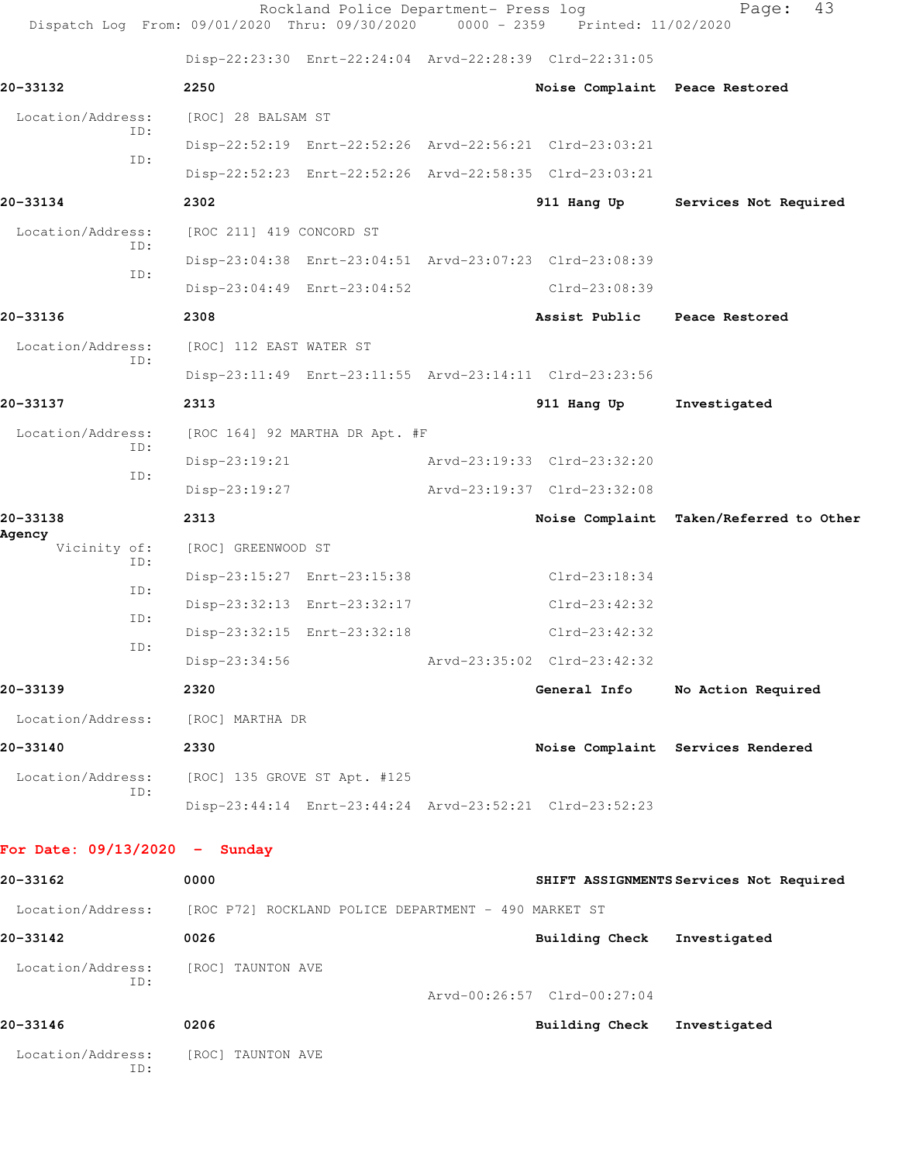| Dispatch Log From: 09/01/2020 Thru: 09/30/2020                         |                              | Rockland Police Department- Press log | 0000 - 2359 Printed: 11/02/2020                         | 43<br>Page:                             |
|------------------------------------------------------------------------|------------------------------|---------------------------------------|---------------------------------------------------------|-----------------------------------------|
|                                                                        |                              |                                       | Disp-22:23:30 Enrt-22:24:04 Arvd-22:28:39 Clrd-22:31:05 |                                         |
| 20-33132                                                               | 2250                         |                                       | Noise Complaint Peace Restored                          |                                         |
| Location/Address:                                                      | [ROC] 28 BALSAM ST           |                                       |                                                         |                                         |
| ID:                                                                    |                              |                                       | Disp-22:52:19 Enrt-22:52:26 Arvd-22:56:21 Clrd-23:03:21 |                                         |
| ID:                                                                    |                              |                                       | Disp-22:52:23 Enrt-22:52:26 Arvd-22:58:35 Clrd-23:03:21 |                                         |
| 20-33134                                                               | 2302                         |                                       |                                                         | 911 Hang Up Services Not Required       |
| Location/Address:                                                      | [ROC 211] 419 CONCORD ST     |                                       |                                                         |                                         |
| ID:<br>ID:                                                             |                              |                                       | Disp-23:04:38 Enrt-23:04:51 Arvd-23:07:23 Clrd-23:08:39 |                                         |
|                                                                        |                              | Disp-23:04:49 Enrt-23:04:52           | Clrd-23:08:39                                           |                                         |
| 20-33136                                                               | 2308                         |                                       | Assist Public Peace Restored                            |                                         |
| Location/Address:<br>ID:                                               | [ROC] 112 EAST WATER ST      |                                       |                                                         |                                         |
|                                                                        |                              |                                       | Disp-23:11:49 Enrt-23:11:55 Arvd-23:14:11 Clrd-23:23:56 |                                         |
| 20-33137                                                               | 2313                         |                                       | 911 Hang Up                                             | Investigated                            |
| Location/Address:<br>ID:                                               |                              | [ROC 164] 92 MARTHA DR Apt. #F        |                                                         |                                         |
| ID:                                                                    | $Disp-23:19:21$              |                                       | Arvd-23:19:33 Clrd-23:32:20                             |                                         |
|                                                                        | Disp-23:19:27                |                                       | Arvd-23:19:37 Clrd-23:32:08                             |                                         |
| 20-33138<br>Agency                                                     | 2313                         |                                       |                                                         | Noise Complaint Taken/Referred to Other |
| Vicinity of:<br>ID:                                                    | [ROC] GREENWOOD ST           |                                       |                                                         |                                         |
| ID:                                                                    |                              | Disp-23:15:27 Enrt-23:15:38           | $Clrd-23:18:34$                                         |                                         |
| ID:                                                                    |                              | Disp-23:32:13 Enrt-23:32:17           | $Clrd-23:42:32$                                         |                                         |
| ID:                                                                    |                              | Disp-23:32:15 Enrt-23:32:18           | $Clrd-23:42:32$                                         |                                         |
|                                                                        | Disp-23:34:56                |                                       | Arvd-23:35:02 Clrd-23:42:32                             |                                         |
| 20-33139                                                               | 2320                         |                                       |                                                         | General Info No Action Required         |
| Location/Address:                                                      | [ROC] MARTHA DR              |                                       |                                                         |                                         |
| 20-33140                                                               | 2330                         |                                       |                                                         | Noise Complaint Services Rendered       |
| Location/Address:<br>ID:                                               | [ROC] 135 GROVE ST Apt. #125 |                                       |                                                         |                                         |
|                                                                        |                              |                                       | Disp-23:44:14 Enrt-23:44:24 Arvd-23:52:21 Clrd-23:52:23 |                                         |
| For Date: $09/13/2020 -$ Sunday                                        |                              |                                       |                                                         |                                         |
| 20-33162                                                               | 0000                         |                                       |                                                         | SHIFT ASSIGNMENTS Services Not Required |
| Location/Address: [ROC P72] ROCKLAND POLICE DEPARTMENT - 490 MARKET ST |                              |                                       |                                                         |                                         |
| 20-33142                                                               | 0026                         |                                       | Building Check                                          | Investigated                            |
| Location/Address:                                                      | [ROC] TAUNTON AVE            |                                       |                                                         |                                         |
| ID:                                                                    |                              |                                       | Arvd-00:26:57 Clrd-00:27:04                             |                                         |
| 20-33146                                                               | 0206                         |                                       | Building Check Investigated                             |                                         |
| Location/Address:<br>ID:                                               | [ROC] TAUNTON AVE            |                                       |                                                         |                                         |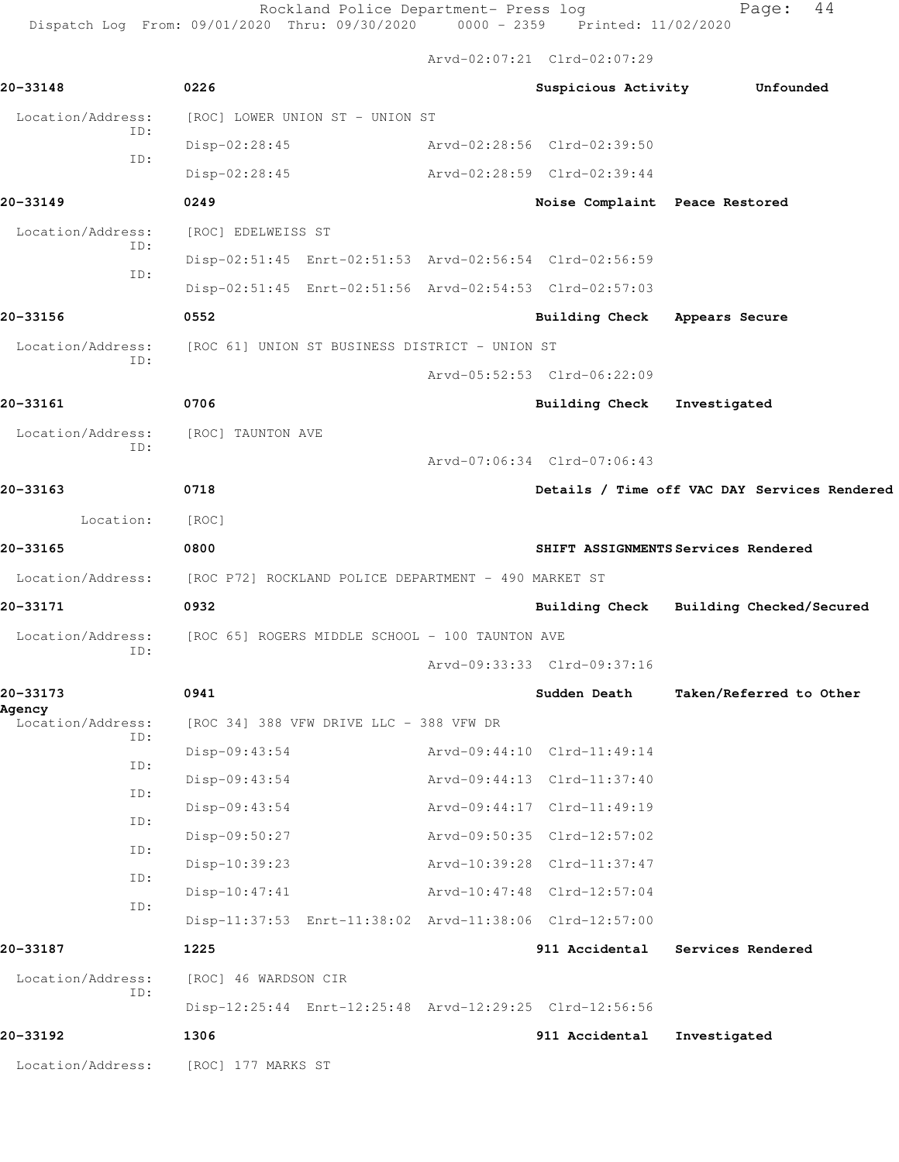Rockland Police Department- Press log entitled and Page: 44

Dispatch Log From: 09/01/2020 Thru: 09/30/2020 0000 - 2359 Printed: 11/02/2020

Arvd-02:07:21 Clrd-02:07:29

|                             |                                                                        | $ALVQ=UL:U/I:ZL$ $CLLQ=UL:U/I:ZJ$ |                                              |
|-----------------------------|------------------------------------------------------------------------|-----------------------------------|----------------------------------------------|
| 20-33148                    | 0226                                                                   |                                   | Suspicious Activity Unfounded                |
| Location/Address:           | [ROC] LOWER UNION ST - UNION ST                                        |                                   |                                              |
| ID:                         | $Disp-02:28:45$                                                        | Arvd-02:28:56 Clrd-02:39:50       |                                              |
| ID:                         | Disp-02:28:45                                                          | Arvd-02:28:59 Clrd-02:39:44       |                                              |
| 20-33149                    | 0249                                                                   | Noise Complaint Peace Restored    |                                              |
| Location/Address:           | [ROC] EDELWEISS ST                                                     |                                   |                                              |
| ID:                         | Disp-02:51:45 Enrt-02:51:53 Arvd-02:56:54 Clrd-02:56:59                |                                   |                                              |
| ID:                         | Disp-02:51:45 Enrt-02:51:56 Arvd-02:54:53 Clrd-02:57:03                |                                   |                                              |
| 20-33156                    | 0552                                                                   | Building Check Appears Secure     |                                              |
|                             | Location/Address: [ROC 61] UNION ST BUSINESS DISTRICT - UNION ST       |                                   |                                              |
| ID:                         |                                                                        | Arvd-05:52:53 Clrd-06:22:09       |                                              |
| 20-33161                    | 0706                                                                   | Building Check Investigated       |                                              |
| Location/Address:           | [ROC] TAUNTON AVE                                                      |                                   |                                              |
| ID:                         |                                                                        | Arvd-07:06:34 Clrd-07:06:43       |                                              |
| 20-33163                    | 0718                                                                   |                                   | Details / Time off VAC DAY Services Rendered |
| Location:                   | [ROC]                                                                  |                                   |                                              |
| 20-33165                    | 0800                                                                   |                                   | SHIFT ASSIGNMENTS Services Rendered          |
|                             | Location/Address: [ROC P72] ROCKLAND POLICE DEPARTMENT - 490 MARKET ST |                                   |                                              |
| 20-33171                    | 0932                                                                   |                                   | Building Check Building Checked/Secured      |
| Location/Address:           | [ROC 65] ROGERS MIDDLE SCHOOL - 100 TAUNTON AVE                        |                                   |                                              |
| ID:                         |                                                                        | Arvd-09:33:33 Clrd-09:37:16       |                                              |
| 20-33173                    | 0941                                                                   | Sudden Death                      | Taken/Referred to Other                      |
| Agency<br>Location/Address: | [ROC 34] 388 VFW DRIVE LLC - 388 VFW DR                                |                                   |                                              |
| ID:<br>ID:                  | $Disp-09:43:54$                                                        | Arvd-09:44:10 Clrd-11:49:14       |                                              |
| ID:                         | $Disp-09:43:54$                                                        | Arvd-09:44:13 Clrd-11:37:40       |                                              |
| ID:                         | $Disp-09:43:54$                                                        | Arvd-09:44:17 Clrd-11:49:19       |                                              |
| ID:                         | Disp-09:50:27                                                          | Arvd-09:50:35 Clrd-12:57:02       |                                              |
| ID:                         | $Disp-10:39:23$                                                        | Arvd-10:39:28 Clrd-11:37:47       |                                              |
| ID:                         | $Disp-10:47:41$                                                        | Arvd-10:47:48 Clrd-12:57:04       |                                              |
|                             | Disp-11:37:53 Enrt-11:38:02 Arvd-11:38:06 Clrd-12:57:00                |                                   |                                              |
| 20-33187                    | 1225                                                                   | 911 Accidental                    | Services Rendered                            |
| Location/Address:<br>ID:    | [ROC] 46 WARDSON CIR                                                   |                                   |                                              |
|                             | Disp-12:25:44 Enrt-12:25:48 Arvd-12:29:25 Clrd-12:56:56                |                                   |                                              |
| 20-33192                    | 1306                                                                   | 911 Accidental                    | Investigated                                 |
| Location/Address:           | [ROC] 177 MARKS ST                                                     |                                   |                                              |
|                             |                                                                        |                                   |                                              |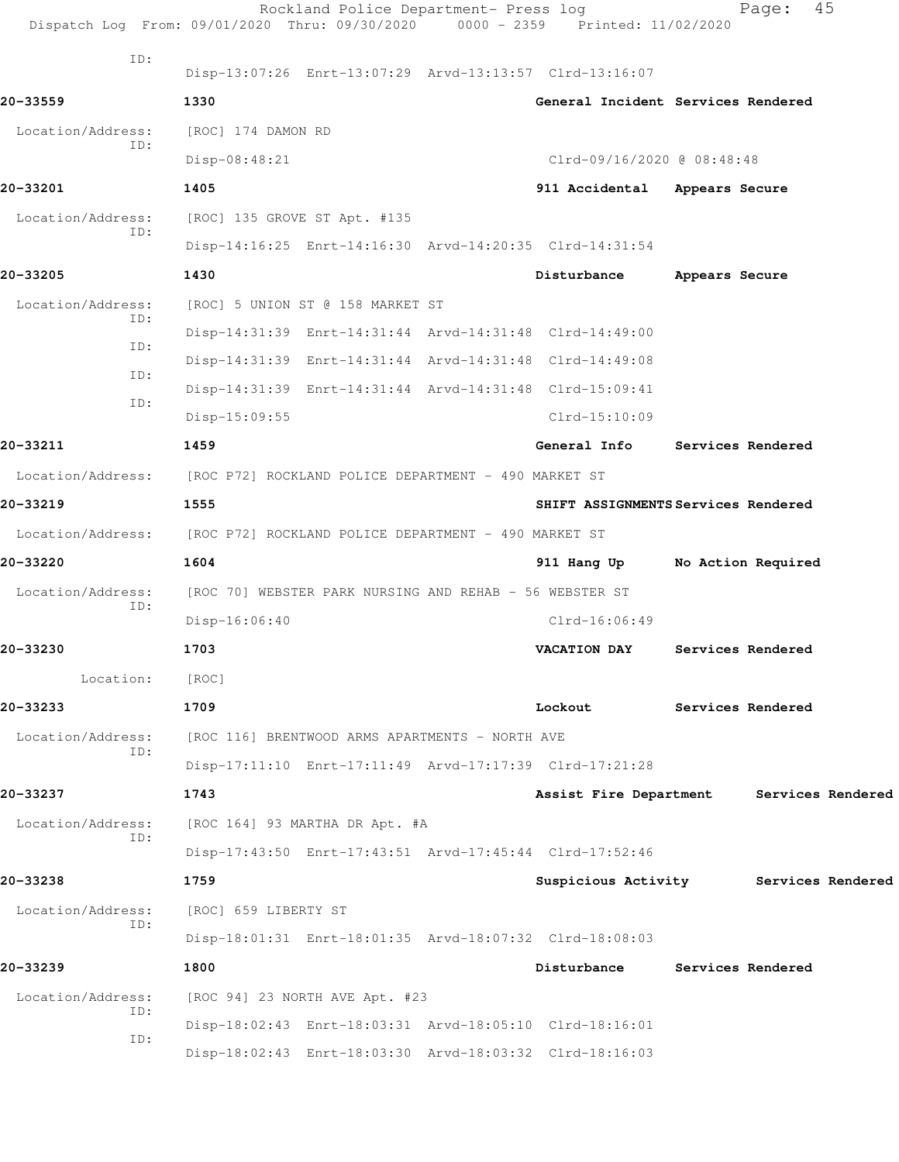|                          | Rockland Police Department- Press log<br>Dispatch Log From: 09/01/2020 Thru: 09/30/2020 0000 - 2359 Printed: 11/02/2020 |                               | 45<br>Page:                         |
|--------------------------|-------------------------------------------------------------------------------------------------------------------------|-------------------------------|-------------------------------------|
| ID:                      | Disp-13:07:26 Enrt-13:07:29 Arvd-13:13:57 Clrd-13:16:07                                                                 |                               |                                     |
| 20-33559                 | 1330                                                                                                                    |                               | General Incident Services Rendered  |
| Location/Address:        | [ROC] 174 DAMON RD                                                                                                      |                               |                                     |
| ID:                      | Disp-08:48:21                                                                                                           | Clrd-09/16/2020 @ 08:48:48    |                                     |
| 20-33201                 | 1405                                                                                                                    | 911 Accidental Appears Secure |                                     |
| Location/Address:        | [ROC] 135 GROVE ST Apt. #135                                                                                            |                               |                                     |
| ID:                      | Disp-14:16:25 Enrt-14:16:30 Arvd-14:20:35 Clrd-14:31:54                                                                 |                               |                                     |
| 20-33205                 | 1430                                                                                                                    | Disturbance                   | Appears Secure                      |
| Location/Address:        | [ROC] 5 UNION ST @ 158 MARKET ST                                                                                        |                               |                                     |
| ID:                      | Disp-14:31:39 Enrt-14:31:44 Arvd-14:31:48 Clrd-14:49:00                                                                 |                               |                                     |
| ID:                      | Disp-14:31:39 Enrt-14:31:44 Arvd-14:31:48 Clrd-14:49:08                                                                 |                               |                                     |
| ID:                      | Disp-14:31:39 Enrt-14:31:44 Arvd-14:31:48 Clrd-15:09:41                                                                 |                               |                                     |
| ID:                      | Disp-15:09:55                                                                                                           | $Clrd-15:10:09$               |                                     |
| 20-33211                 | 1459                                                                                                                    | General Info                  | <b>Services Rendered</b>            |
|                          | Location/Address: [ROC P72] ROCKLAND POLICE DEPARTMENT - 490 MARKET ST                                                  |                               |                                     |
| 20-33219                 | 1555                                                                                                                    |                               | SHIFT ASSIGNMENTS Services Rendered |
| Location/Address:        | [ROC P72] ROCKLAND POLICE DEPARTMENT - 490 MARKET ST                                                                    |                               |                                     |
| 20-33220                 | 1604                                                                                                                    | 911 Hang Up                   | No Action Required                  |
| Location/Address:        | [ROC 70] WEBSTER PARK NURSING AND REHAB - 56 WEBSTER ST                                                                 |                               |                                     |
| ID:                      | $Disp-16:06:40$                                                                                                         | $Clrd-16:06:49$               |                                     |
| 20-33230                 | 1703                                                                                                                    | VACATION DAY                  | Services Rendered                   |
| Location:                | [ROC]                                                                                                                   |                               |                                     |
| 20-33233                 | 1709                                                                                                                    | Lockout                       | Services Rendered                   |
| Location/Address:        | [ROC 116] BRENTWOOD ARMS APARTMENTS - NORTH AVE                                                                         |                               |                                     |
| ID:                      | Disp-17:11:10 Enrt-17:11:49 Arvd-17:17:39 Clrd-17:21:28                                                                 |                               |                                     |
| 20-33237                 | 1743                                                                                                                    | Assist Fire Department        | Services Rendered                   |
| Location/Address:        | [ROC 164] 93 MARTHA DR Apt. #A                                                                                          |                               |                                     |
| ID:                      | Disp-17:43:50 Enrt-17:43:51 Arvd-17:45:44 Clrd-17:52:46                                                                 |                               |                                     |
| 20-33238                 | 1759                                                                                                                    | Suspicious Activity           | Services Rendered                   |
| Location/Address:<br>ID: | [ROC] 659 LIBERTY ST                                                                                                    |                               |                                     |
|                          | Disp-18:01:31 Enrt-18:01:35 Arvd-18:07:32 Clrd-18:08:03                                                                 |                               |                                     |
| 20-33239                 | 1800                                                                                                                    | Disturbance                   | <b>Services Rendered</b>            |
| Location/Address:<br>ID: | [ROC 94] 23 NORTH AVE Apt. #23                                                                                          |                               |                                     |
| ID:                      | Disp-18:02:43 Enrt-18:03:31 Arvd-18:05:10 Clrd-18:16:01                                                                 |                               |                                     |
|                          | Disp-18:02:43 Enrt-18:03:30 Arvd-18:03:32 Clrd-18:16:03                                                                 |                               |                                     |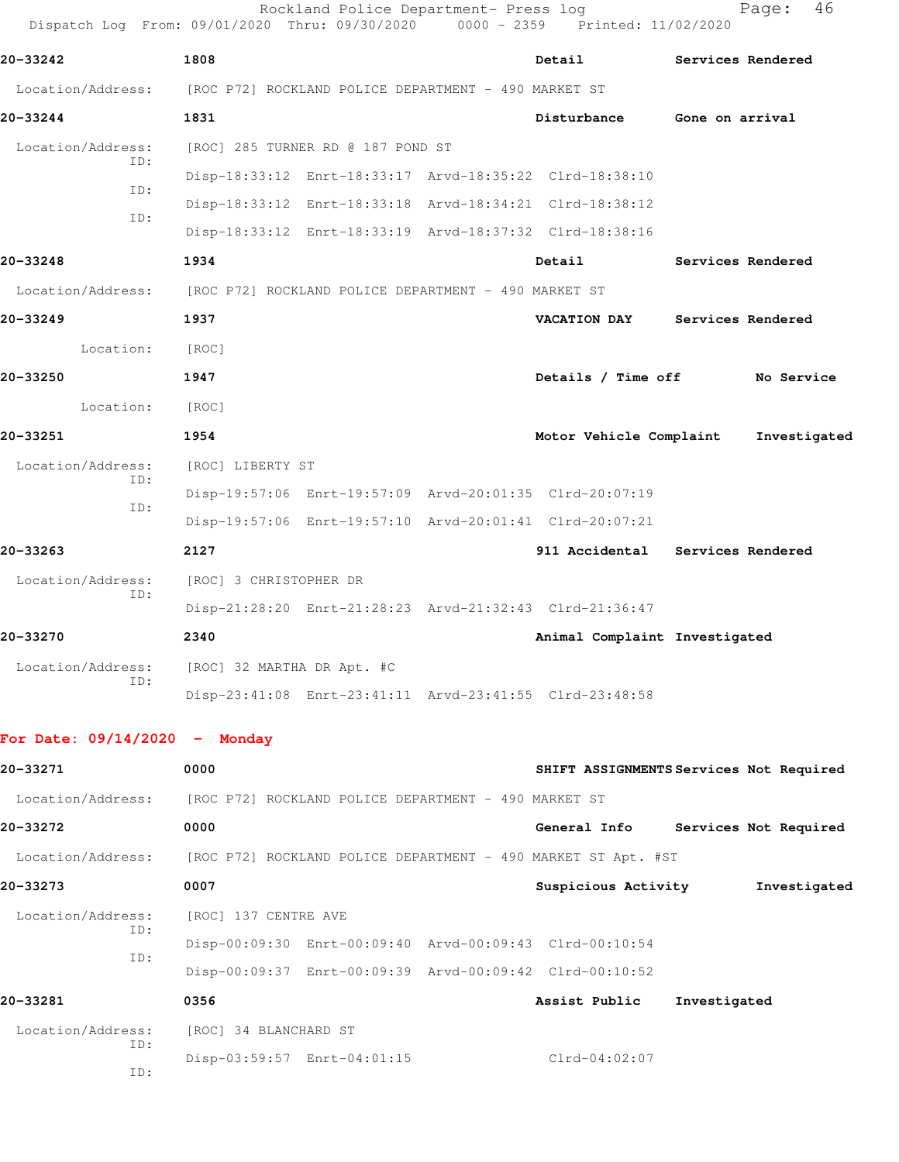| Dispatch Log From: 09/01/2020 Thru: 09/30/2020 |                            | Rockland Police Department- Press log                | 0000 - 2359 Printed: 11/02/2020                               | 46<br>Page:                             |
|------------------------------------------------|----------------------------|------------------------------------------------------|---------------------------------------------------------------|-----------------------------------------|
| 20-33242                                       | 1808                       |                                                      | Detail                                                        | Services Rendered                       |
| Location/Address:                              |                            | [ROC P72] ROCKLAND POLICE DEPARTMENT - 490 MARKET ST |                                                               |                                         |
| 20-33244                                       | 1831                       |                                                      | Disturbance                                                   | Gone on arrival                         |
| Location/Address:                              |                            | [ROC] 285 TURNER RD @ 187 POND ST                    |                                                               |                                         |
| ID:                                            |                            |                                                      | Disp-18:33:12 Enrt-18:33:17 Arvd-18:35:22 Clrd-18:38:10       |                                         |
| ID:                                            |                            |                                                      | Disp-18:33:12 Enrt-18:33:18 Arvd-18:34:21 Clrd-18:38:12       |                                         |
| ID:                                            |                            |                                                      | Disp-18:33:12 Enrt-18:33:19 Arvd-18:37:32 Clrd-18:38:16       |                                         |
| 20-33248                                       | 1934                       |                                                      | Detail                                                        | Services Rendered                       |
| Location/Address:                              |                            | [ROC P72] ROCKLAND POLICE DEPARTMENT - 490 MARKET ST |                                                               |                                         |
| 20-33249                                       | 1937                       |                                                      | <b>VACATION DAY</b>                                           | Services Rendered                       |
| Location:                                      | [ROC]                      |                                                      |                                                               |                                         |
| 20-33250                                       | 1947                       |                                                      | Details / Time off                                            | No Service                              |
| Location:                                      | [ROC]                      |                                                      |                                                               |                                         |
| 20-33251                                       | 1954                       |                                                      | Motor Vehicle Complaint                                       | Investigated                            |
| Location/Address:                              | [ROC] LIBERTY ST           |                                                      |                                                               |                                         |
| ID:                                            |                            |                                                      | Disp-19:57:06 Enrt-19:57:09 Arvd-20:01:35 Clrd-20:07:19       |                                         |
| ID:                                            |                            |                                                      | Disp-19:57:06 Enrt-19:57:10 Arvd-20:01:41 Clrd-20:07:21       |                                         |
| 20-33263                                       | 2127                       |                                                      | 911 Accidental                                                | Services Rendered                       |
| Location/Address:                              | [ROC] 3 CHRISTOPHER DR     |                                                      |                                                               |                                         |
| ID:                                            |                            |                                                      | Disp-21:28:20 Enrt-21:28:23 Arvd-21:32:43 Clrd-21:36:47       |                                         |
| 20-33270                                       | 2340                       |                                                      | Animal Complaint Investigated                                 |                                         |
| Location/Address:                              | [ROC] 32 MARTHA DR Apt. #C |                                                      |                                                               |                                         |
| TD:                                            |                            |                                                      | Disp-23:41:08 Enrt-23:41:11 Arvd-23:41:55 Clrd-23:48:58       |                                         |
| For Date: $09/14/2020 -$ Monday                |                            |                                                      |                                                               |                                         |
| 20-33271                                       | 0000                       |                                                      |                                                               | SHIFT ASSIGNMENTS Services Not Required |
| Location/Address:                              |                            | [ROC P72] ROCKLAND POLICE DEPARTMENT - 490 MARKET ST |                                                               |                                         |
| 20-33272                                       | 0000                       |                                                      | General Info                                                  | Services Not Required                   |
| Location/Address:                              |                            |                                                      | [ROC P72] ROCKLAND POLICE DEPARTMENT - 490 MARKET ST Apt. #ST |                                         |
| 20-33273                                       | 0007                       |                                                      | Suspicious Activity                                           | Investigated                            |
| Location/Address:                              | [ROC] 137 CENTRE AVE       |                                                      |                                                               |                                         |
| ID:                                            |                            |                                                      | Disp-00:09:30 Enrt-00:09:40 Arvd-00:09:43 Clrd-00:10:54       |                                         |
| ID:                                            |                            |                                                      | Disp-00:09:37 Enrt-00:09:39 Arvd-00:09:42 Clrd-00:10:52       |                                         |
| 20-33281                                       | 0356                       |                                                      | Assist Public                                                 | Investigated                            |
| Location/Address:                              | [ROC] 34 BLANCHARD ST      |                                                      |                                                               |                                         |
| ID:                                            |                            | Disp-03:59:57 Enrt-04:01:15                          | $Clrd-04:02:07$                                               |                                         |

ID: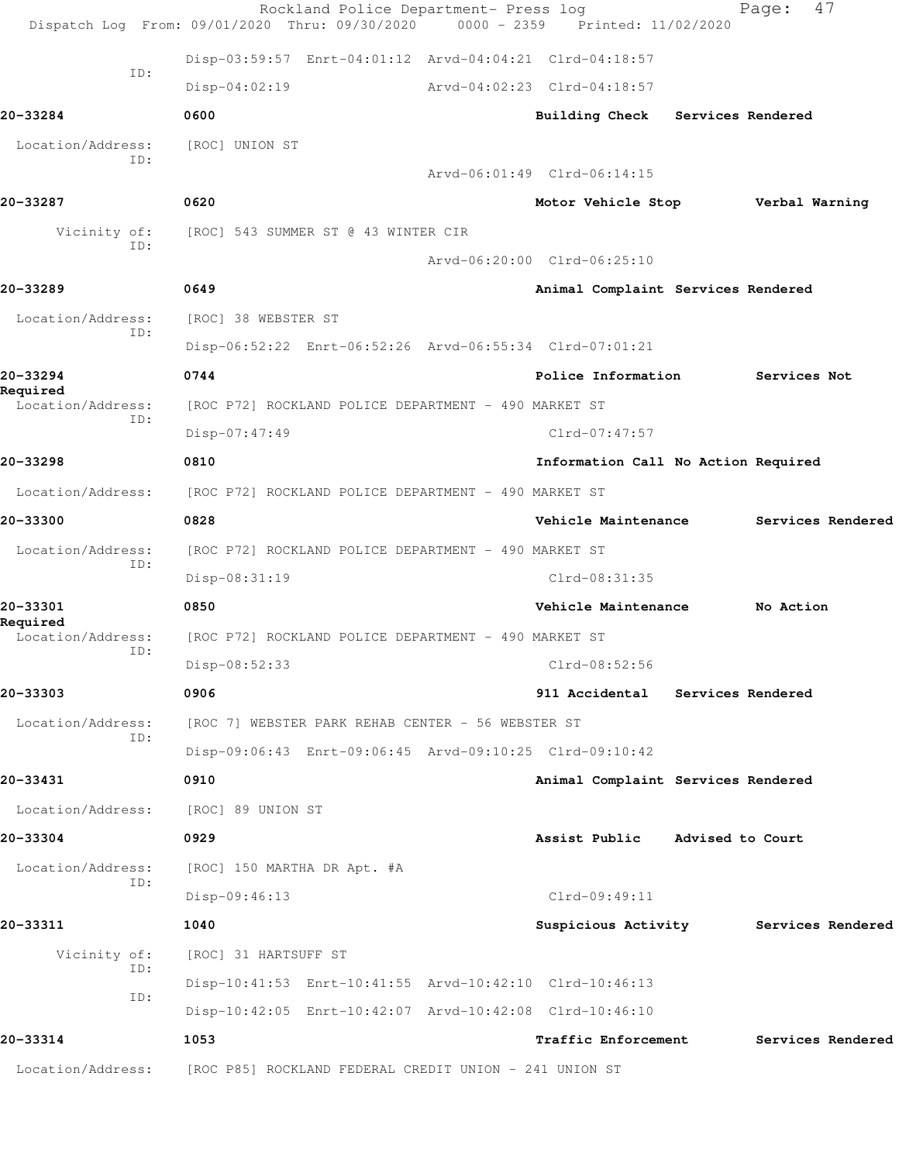| 20-33300                      | 0828                                                            | Vehicle Maintenance                   |                  | Services Rendered |  |
|-------------------------------|-----------------------------------------------------------------|---------------------------------------|------------------|-------------------|--|
| Location/Address:             | [ROC P72] ROCKLAND POLICE DEPARTMENT - 490 MARKET ST            |                                       |                  |                   |  |
| ID:                           | Disp-08:31:19                                                   | $Clrd-08:31:35$                       |                  |                   |  |
| 20-33301                      | 0850                                                            | Vehicle Maintenance                   |                  | No Action         |  |
| Required<br>Location/Address: | [ROC P72] ROCKLAND POLICE DEPARTMENT - 490 MARKET ST            |                                       |                  |                   |  |
| ID:                           | Disp-08:52:33                                                   | Clrd-08:52:56                         |                  |                   |  |
| 20-33303                      | 0906                                                            | 911 Accidental Services Rendered      |                  |                   |  |
| Location/Address:             | [ROC 7] WEBSTER PARK REHAB CENTER - 56 WEBSTER ST               |                                       |                  |                   |  |
| ID:                           | Disp-09:06:43 Enrt-09:06:45 Arvd-09:10:25 Clrd-09:10:42         |                                       |                  |                   |  |
| 20-33431                      | 0910                                                            | Animal Complaint Services Rendered    |                  |                   |  |
| Location/Address:             | [ROC] 89 UNION ST                                               |                                       |                  |                   |  |
| 20-33304                      | 0929                                                            | Assist Public                         | Advised to Court |                   |  |
| Location/Address:             | [ROC] 150 MARTHA DR Apt. #A                                     |                                       |                  |                   |  |
| ID:                           | Disp-09:46:13                                                   | Clrd-09:49:11                         |                  |                   |  |
| 20-33311                      | 1040                                                            | Suspicious Activity Services Rendered |                  |                   |  |
| Vicinity of:                  | [ROC] 31 HARTSUFF ST                                            |                                       |                  |                   |  |
| ID:                           | Disp-10:41:53 Enrt-10:41:55 Arvd-10:42:10 Clrd-10:46:13         |                                       |                  |                   |  |
| ID:                           |                                                                 |                                       |                  |                   |  |
|                               |                                                                 |                                       |                  |                   |  |
| 20-33314                      | Disp-10:42:05 Enrt-10:42:07 Arvd-10:42:08 Clrd-10:46:10<br>1053 | <b>Traffic Enforcement</b>            |                  | Services Rendered |  |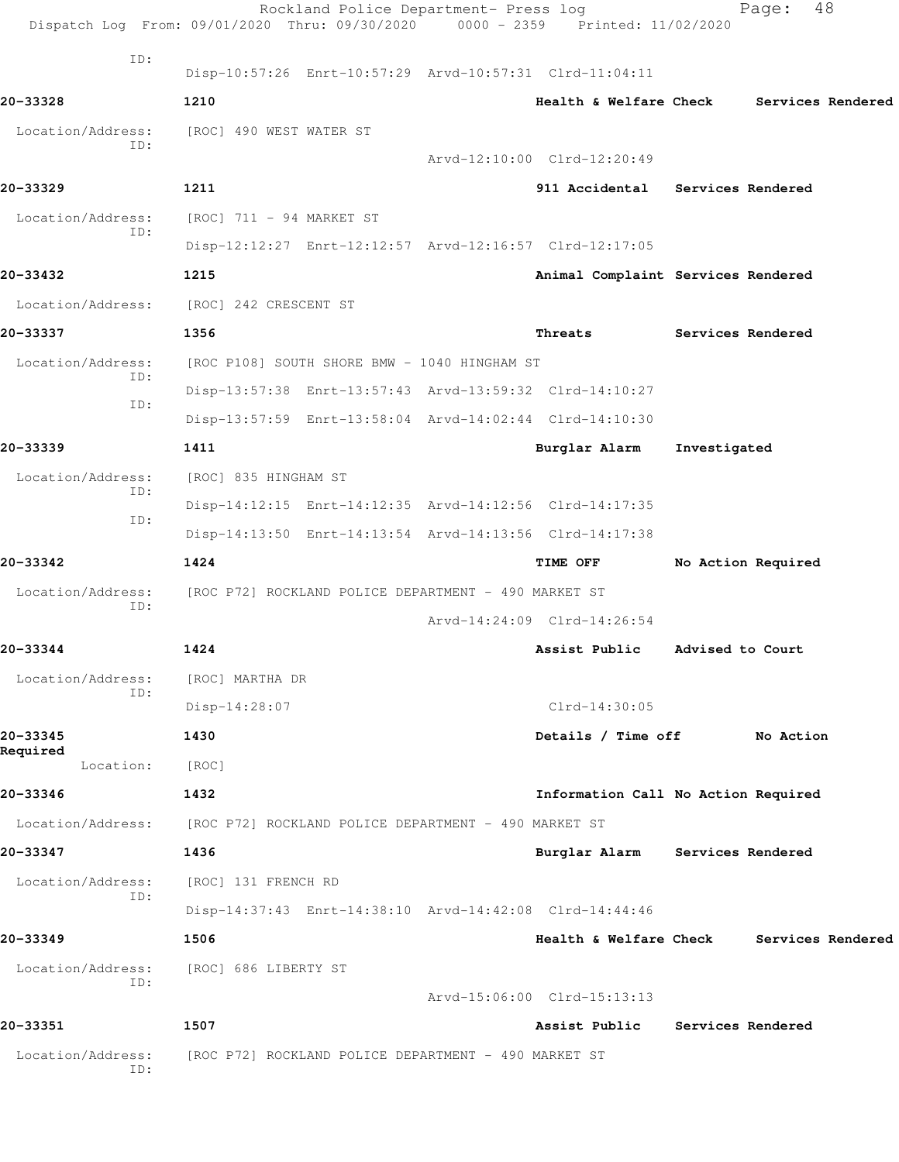|                          | Rockland Police Department- Press log<br>Dispatch Log From: 09/01/2020 Thru: 09/30/2020 0000 - 2359 Printed: 11/02/2020 |                                     |                   | 48<br>Page:        |  |
|--------------------------|-------------------------------------------------------------------------------------------------------------------------|-------------------------------------|-------------------|--------------------|--|
| ID:                      | Disp-10:57:26 Enrt-10:57:29 Arvd-10:57:31 Clrd-11:04:11                                                                 |                                     |                   |                    |  |
| 20-33328                 | 1210                                                                                                                    | Health & Welfare Check              |                   | Services Rendered  |  |
| Location/Address:<br>ID: | [ROC] 490 WEST WATER ST                                                                                                 | Arvd-12:10:00 Clrd-12:20:49         |                   |                    |  |
| 20-33329                 | 1211                                                                                                                    | 911 Accidental Services Rendered    |                   |                    |  |
| Location/Address:        | [ROC] 711 - 94 MARKET ST                                                                                                |                                     |                   |                    |  |
| ID:                      | Disp-12:12:27 Enrt-12:12:57 Arvd-12:16:57 Clrd-12:17:05                                                                 |                                     |                   |                    |  |
| 20-33432                 | 1215                                                                                                                    | Animal Complaint Services Rendered  |                   |                    |  |
| Location/Address:        | [ROC] 242 CRESCENT ST                                                                                                   |                                     |                   |                    |  |
| 20-33337                 | 1356                                                                                                                    | Threats                             | Services Rendered |                    |  |
| Location/Address:        | [ROC P108] SOUTH SHORE BMW - 1040 HINGHAM ST                                                                            |                                     |                   |                    |  |
| ID:                      | Disp-13:57:38 Enrt-13:57:43 Arvd-13:59:32 Clrd-14:10:27                                                                 |                                     |                   |                    |  |
| ID:                      | Disp-13:57:59 Enrt-13:58:04 Arvd-14:02:44 Clrd-14:10:30                                                                 |                                     |                   |                    |  |
| 20-33339                 | 1411                                                                                                                    | Burglar Alarm                       | Investigated      |                    |  |
| Location/Address:        | [ROC] 835 HINGHAM ST                                                                                                    |                                     |                   |                    |  |
| ID:                      | Disp-14:12:15 Enrt-14:12:35 Arvd-14:12:56 Clrd-14:17:35                                                                 |                                     |                   |                    |  |
| ID:                      | Disp-14:13:50 Enrt-14:13:54 Arvd-14:13:56 Clrd-14:17:38                                                                 |                                     |                   |                    |  |
| 20-33342                 | 1424                                                                                                                    | TIME OFF                            |                   | No Action Required |  |
| Location/Address:        | [ROC P72] ROCKLAND POLICE DEPARTMENT - 490 MARKET ST                                                                    |                                     |                   |                    |  |
| ID:                      |                                                                                                                         | Arvd-14:24:09 Clrd-14:26:54         |                   |                    |  |
| 20-33344                 | 1424                                                                                                                    | Assist Public                       | Advised to Court  |                    |  |
| Location/Address:        | [ROC] MARTHA DR                                                                                                         |                                     |                   |                    |  |
| ID:                      | Disp-14:28:07                                                                                                           | $Clrd-14:30:05$                     |                   |                    |  |
| 20-33345                 | 1430                                                                                                                    | Details / Time off                  |                   | No Action          |  |
| Required<br>Location:    | [ROC]                                                                                                                   |                                     |                   |                    |  |
| 20-33346                 | 1432                                                                                                                    | Information Call No Action Required |                   |                    |  |
| Location/Address:        | [ROC P72] ROCKLAND POLICE DEPARTMENT - 490 MARKET ST                                                                    |                                     |                   |                    |  |
| 20-33347                 | 1436                                                                                                                    | Burglar Alarm Services Rendered     |                   |                    |  |
| Location/Address:<br>ID: | [ROC] 131 FRENCH RD                                                                                                     |                                     |                   |                    |  |
|                          | Disp-14:37:43 Enrt-14:38:10 Arvd-14:42:08 Clrd-14:44:46                                                                 |                                     |                   |                    |  |
| 20-33349                 | 1506                                                                                                                    | Health & Welfare Check              |                   | Services Rendered  |  |
| Location/Address:<br>ID: | [ROC] 686 LIBERTY ST                                                                                                    | Arvd-15:06:00 Clrd-15:13:13         |                   |                    |  |
| 20-33351                 | 1507                                                                                                                    | Assist Public                       | Services Rendered |                    |  |
| Location/Address:<br>ID: | [ROC P72] ROCKLAND POLICE DEPARTMENT - 490 MARKET ST                                                                    |                                     |                   |                    |  |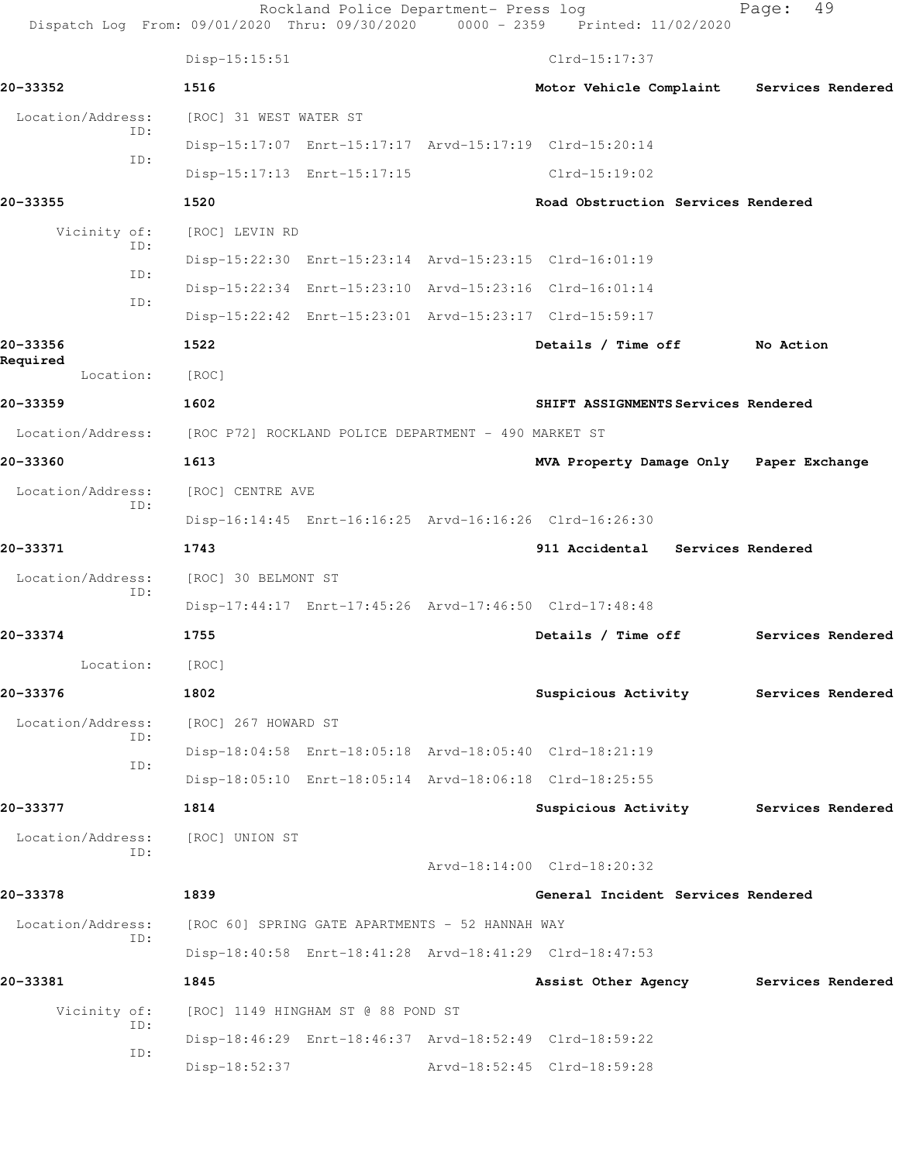| Dispatch Log From: 09/01/2020 Thru: 09/30/2020 0000 - 2359 Printed: 11/02/2020 |                                                      | Rockland Police Department- Press log                   |                                                         | Page:             | 49 |
|--------------------------------------------------------------------------------|------------------------------------------------------|---------------------------------------------------------|---------------------------------------------------------|-------------------|----|
|                                                                                | $Disp-15:15:51$                                      |                                                         | $Clrd-15:17:37$                                         |                   |    |
| 20-33352                                                                       | 1516                                                 |                                                         | Motor Vehicle Complaint                                 | Services Rendered |    |
| Location/Address:                                                              | [ROC] 31 WEST WATER ST                               |                                                         |                                                         |                   |    |
| ID:                                                                            |                                                      | Disp-15:17:07 Enrt-15:17:17 Arvd-15:17:19 Clrd-15:20:14 |                                                         |                   |    |
| ID:                                                                            |                                                      | Disp-15:17:13 Enrt-15:17:15                             | $Clrd-15:19:02$                                         |                   |    |
| 20-33355                                                                       | 1520                                                 |                                                         | Road Obstruction Services Rendered                      |                   |    |
| Vicinity of:                                                                   | [ROC] LEVIN RD                                       |                                                         |                                                         |                   |    |
| ID:                                                                            |                                                      |                                                         | Disp-15:22:30 Enrt-15:23:14 Arvd-15:23:15 Clrd-16:01:19 |                   |    |
| ID:                                                                            |                                                      |                                                         | Disp-15:22:34 Enrt-15:23:10 Arvd-15:23:16 Clrd-16:01:14 |                   |    |
| ID:                                                                            |                                                      |                                                         | Disp-15:22:42 Enrt-15:23:01 Arvd-15:23:17 Clrd-15:59:17 |                   |    |
| 20-33356                                                                       | 1522                                                 |                                                         | Details / Time off                                      | No Action         |    |
| Required<br>Location:                                                          | [ROC]                                                |                                                         |                                                         |                   |    |
| 20-33359                                                                       | 1602                                                 |                                                         | SHIFT ASSIGNMENTS Services Rendered                     |                   |    |
| Location/Address:                                                              | [ROC P72] ROCKLAND POLICE DEPARTMENT - 490 MARKET ST |                                                         |                                                         |                   |    |
| 20-33360                                                                       | 1613                                                 |                                                         | MVA Property Damage Only Paper Exchange                 |                   |    |
| Location/Address:                                                              | [ROC] CENTRE AVE                                     |                                                         |                                                         |                   |    |
| ID:                                                                            |                                                      |                                                         | Disp-16:14:45 Enrt-16:16:25 Arvd-16:16:26 Clrd-16:26:30 |                   |    |
| 20-33371                                                                       | 1743                                                 |                                                         | 911 Accidental Services Rendered                        |                   |    |
| Location/Address:                                                              | [ROC] 30 BELMONT ST                                  |                                                         |                                                         |                   |    |
| ID:                                                                            |                                                      |                                                         | Disp-17:44:17 Enrt-17:45:26 Arvd-17:46:50 Clrd-17:48:48 |                   |    |
| 20-33374                                                                       | 1755                                                 |                                                         | Details / Time off                                      | Services Rendered |    |
| Location:                                                                      | [ROC]                                                |                                                         |                                                         |                   |    |
| 20-33376                                                                       | 1802                                                 |                                                         | Suspicious Activity Services Rendered                   |                   |    |
| Location/Address:                                                              | [ROC] 267 HOWARD ST                                  |                                                         |                                                         |                   |    |
| ID:                                                                            |                                                      |                                                         | Disp-18:04:58 Enrt-18:05:18 Arvd-18:05:40 Clrd-18:21:19 |                   |    |
| ID:                                                                            |                                                      |                                                         | Disp-18:05:10 Enrt-18:05:14 Arvd-18:06:18 Clrd-18:25:55 |                   |    |
| 20-33377                                                                       | 1814                                                 |                                                         | Suspicious Activity Services Rendered                   |                   |    |
| Location/Address:                                                              | [ROC] UNION ST                                       |                                                         |                                                         |                   |    |
| ID:                                                                            |                                                      |                                                         | Arvd-18:14:00 Clrd-18:20:32                             |                   |    |
| 20-33378                                                                       | 1839                                                 |                                                         | General Incident Services Rendered                      |                   |    |
| Location/Address:                                                              |                                                      | [ROC 60] SPRING GATE APARTMENTS - 52 HANNAH WAY         |                                                         |                   |    |
| ID:                                                                            |                                                      |                                                         | Disp-18:40:58 Enrt-18:41:28 Arvd-18:41:29 Clrd-18:47:53 |                   |    |
| 20-33381                                                                       | 1845                                                 |                                                         | Assist Other Agency Services Rendered                   |                   |    |
| Vicinity of:                                                                   |                                                      | [ROC] 1149 HINGHAM ST @ 88 POND ST                      |                                                         |                   |    |
| ID:                                                                            |                                                      |                                                         | Disp-18:46:29 Enrt-18:46:37 Arvd-18:52:49 Clrd-18:59:22 |                   |    |
| ID:                                                                            | Disp-18:52:37                                        |                                                         | Arvd-18:52:45 Clrd-18:59:28                             |                   |    |
|                                                                                |                                                      |                                                         |                                                         |                   |    |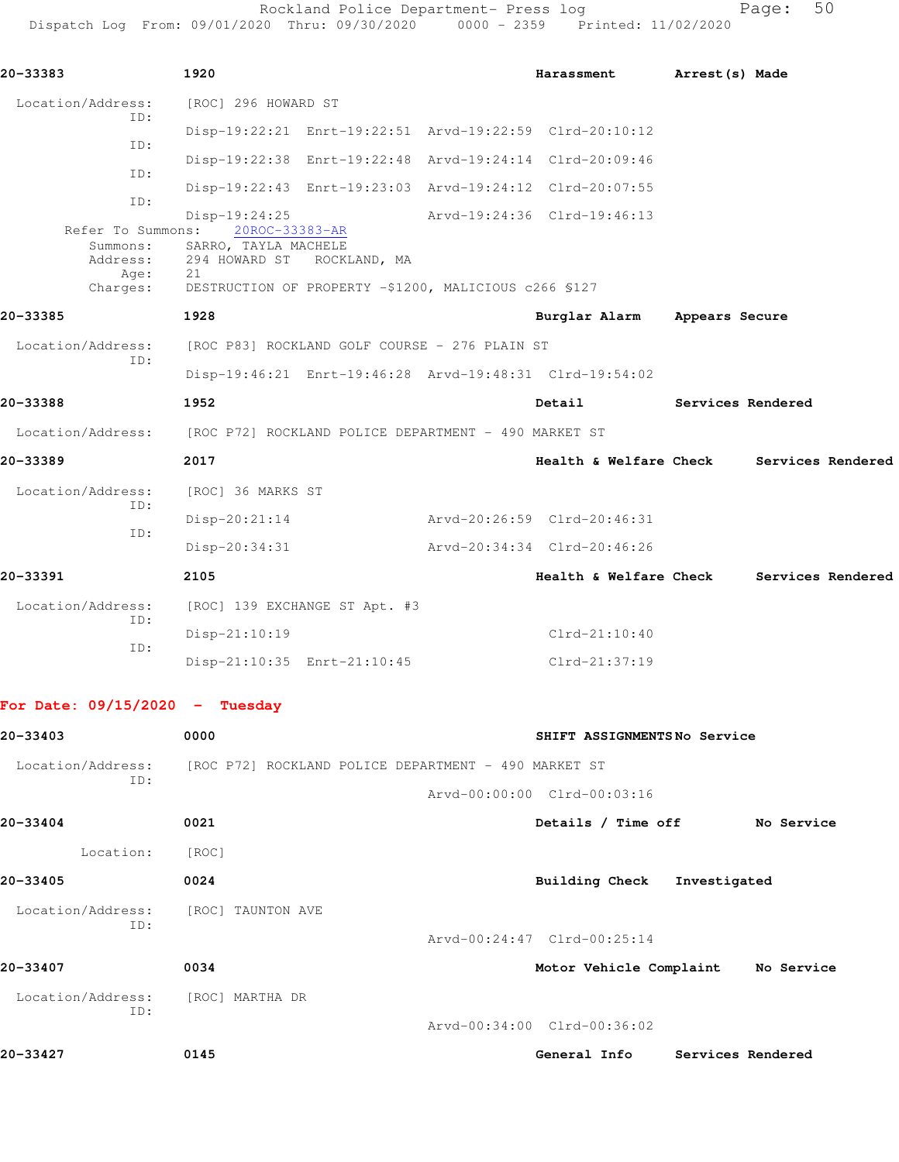Rockland Police Department- Press log entitled Page: 50 Dispatch Log From: 09/01/2020 Thru: 09/30/2020 0000 - 2359 Printed: 11/02/2020

| 20-33383                     | 1920                                                                   |                             | Harassment Arrest (s) Made   |
|------------------------------|------------------------------------------------------------------------|-----------------------------|------------------------------|
| Location/Address:<br>TD:     | [ROC] 296 HOWARD ST                                                    |                             |                              |
| TD:                          | Disp-19:22:21 Enrt-19:22:51 Arvd-19:22:59 Clrd-20:10:12                |                             |                              |
| ID:                          | Disp-19:22:38 Enrt-19:22:48 Arvd-19:24:14 Clrd-20:09:46                |                             |                              |
|                              | Disp-19:22:43 Enrt-19:23:03 Arvd-19:24:12 Clrd-20:07:55                |                             |                              |
| ID:                          | $Disp-19:24:25$<br>Refer To Summons: 20ROC-33383-AR                    | Arvd-19:24:36 Clrd-19:46:13 |                              |
| Summons:<br>Address:<br>Age: | SARRO, TAYLA MACHELE<br>294 HOWARD ST ROCKLAND, MA<br>21               |                             |                              |
| Charges:                     | DESTRUCTION OF PROPERTY -\$1200, MALICIOUS c266 \$127                  |                             |                              |
| 20-33385                     | 1928                                                                   |                             | Burglar Alarm Appears Secure |
| Location/Address:<br>ID:     | [ROC P83] ROCKLAND GOLF COURSE - 276 PLAIN ST                          |                             |                              |
|                              | Disp-19:46:21 Enrt-19:46:28 Arvd-19:48:31 Clrd-19:54:02                |                             |                              |
| 20-33388                     | 1952                                                                   | Detail                      | Services Rendered            |
|                              | Location/Address: [ROC P72] ROCKLAND POLICE DEPARTMENT - 490 MARKET ST |                             |                              |
| 20-33389                     | 2017                                                                   | Health & Welfare Check      | Services Rendered            |
| Location/Address:<br>ID:     | [ROC] 36 MARKS ST                                                      |                             |                              |
|                              | $Disp-20:21:14$                                                        | Arvd-20:26:59 Clrd-20:46:31 |                              |
| ID:                          | Disp-20:34:31                                                          | Arvd-20:34:34 Clrd-20:46:26 |                              |
| 20-33391                     | 2105                                                                   | Health & Welfare Check      | Services Rendered            |
| Location/Address:            | [ROC] 139 EXCHANGE ST Apt. #3                                          |                             |                              |
| ID:                          | Disp-21:10:19                                                          | $Clrd-21:10:40$             |                              |
| TD:                          | Disp-21:10:35 Enrt-21:10:45                                            | $Clrd-21:37:19$             |                              |
|                              |                                                                        |                             |                              |

## **For Date: 09/15/2020 - Tuesday**

| 20-33403                 | 0000                                                 | SHIFT ASSIGNMENTSNo Service           |
|--------------------------|------------------------------------------------------|---------------------------------------|
| Location/Address:<br>ID: | [ROC P72] ROCKLAND POLICE DEPARTMENT - 490 MARKET ST |                                       |
|                          |                                                      | Arvd-00:00:00 Clrd-00:03:16           |
| 20-33404                 | 0021                                                 | Details / Time off<br>No Service      |
| Location:                | [ROC]                                                |                                       |
| 20-33405                 | 0024                                                 | Building Check<br>Investigated        |
| Location/Address:<br>ID: | [ROC] TAUNTON AVE                                    |                                       |
|                          |                                                      | Arvd-00:24:47 Clrd-00:25:14           |
| 20-33407                 | 0034                                                 | Motor Vehicle Complaint<br>No Service |
| Location/Address:        | [ROC] MARTHA DR                                      |                                       |
| ID:                      |                                                      | Arvd-00:34:00 Clrd-00:36:02           |
| 20-33427                 | 0145                                                 | General Info<br>Services Rendered     |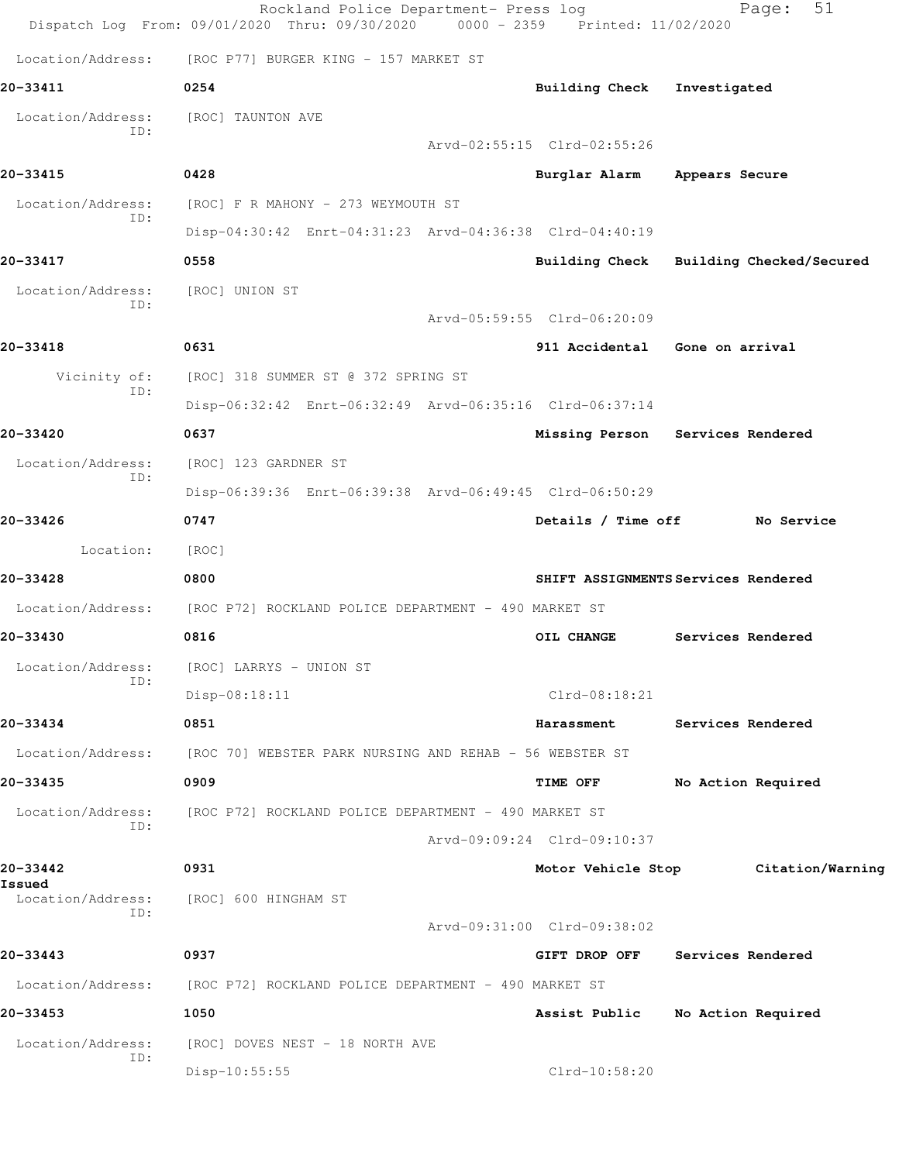|                          | Rockland Police Department- Press log<br>Dispatch Log From: 09/01/2020 Thru: 09/30/2020 0000 - 2359 Printed: 11/02/2020 |                             | 51<br>Page:                             |
|--------------------------|-------------------------------------------------------------------------------------------------------------------------|-----------------------------|-----------------------------------------|
| Location/Address:        | [ROC P77] BURGER KING - 157 MARKET ST                                                                                   |                             |                                         |
| 20-33411                 | 0254                                                                                                                    | <b>Building Check</b>       | Investigated                            |
| Location/Address:        | [ROC] TAUNTON AVE                                                                                                       |                             |                                         |
| ID:                      |                                                                                                                         | Arvd-02:55:15 Clrd-02:55:26 |                                         |
| 20-33415                 | 0428                                                                                                                    | Burglar Alarm               | Appears Secure                          |
| Location/Address:        | [ROC] F R MAHONY - 273 WEYMOUTH ST                                                                                      |                             |                                         |
| TD:                      | Disp-04:30:42 Enrt-04:31:23 Arvd-04:36:38 Clrd-04:40:19                                                                 |                             |                                         |
| 20-33417                 | 0558                                                                                                                    |                             | Building Check Building Checked/Secured |
| Location/Address:<br>TD: | [ROC] UNION ST                                                                                                          |                             |                                         |
|                          |                                                                                                                         | Arvd-05:59:55 Clrd-06:20:09 |                                         |
| 20-33418                 | 0631                                                                                                                    |                             | 911 Accidental Gone on arrival          |
| Vicinity of:<br>ID:      | [ROC] 318 SUMMER ST @ 372 SPRING ST                                                                                     |                             |                                         |
|                          | Disp-06:32:42 Enrt-06:32:49 Arvd-06:35:16 Clrd-06:37:14                                                                 |                             |                                         |
| 20-33420                 | 0637                                                                                                                    |                             | Missing Person Services Rendered        |
| Location/Address:<br>ID: | [ROC] 123 GARDNER ST                                                                                                    |                             |                                         |
|                          | Disp-06:39:36 Enrt-06:39:38 Arvd-06:49:45 Clrd-06:50:29                                                                 |                             |                                         |
| 20-33426                 | 0747                                                                                                                    | Details / Time off          | No Service                              |
| Location:                | [ROC]                                                                                                                   |                             |                                         |
| 20-33428                 | 0800                                                                                                                    |                             | SHIFT ASSIGNMENTS Services Rendered     |
| Location/Address:        | [ROC P72] ROCKLAND POLICE DEPARTMENT - 490 MARKET ST                                                                    |                             |                                         |
| 20-33430                 | 0816                                                                                                                    | OIL CHANGE                  | Services Rendered                       |
| Location/Address:<br>ID: | [ROC] LARRYS - UNION ST                                                                                                 |                             |                                         |
|                          | Disp-08:18:11                                                                                                           | $Clrd-08:18:21$             |                                         |
| 20-33434                 | 0851                                                                                                                    | Harassment                  | Services Rendered                       |
| Location/Address:        | [ROC 70] WEBSTER PARK NURSING AND REHAB - 56 WEBSTER ST                                                                 |                             |                                         |
| 20-33435                 | 0909                                                                                                                    | TIME OFF                    | No Action Required                      |
| Location/Address:<br>TD: | [ROC P72] ROCKLAND POLICE DEPARTMENT - 490 MARKET ST                                                                    |                             |                                         |
|                          |                                                                                                                         | Arvd-09:09:24 Clrd-09:10:37 |                                         |
| 20-33442<br>Issued       | 0931                                                                                                                    |                             | Motor Vehicle Stop Citation/Warning     |
| Location/Address:<br>ID: | [ROC] 600 HINGHAM ST                                                                                                    |                             |                                         |
|                          |                                                                                                                         | Arvd-09:31:00 Clrd-09:38:02 |                                         |
| 20-33443                 | 0937                                                                                                                    | GIFT DROP OFF               | Services Rendered                       |
| Location/Address:        | [ROC P72] ROCKLAND POLICE DEPARTMENT - 490 MARKET ST                                                                    |                             |                                         |
| 20-33453                 | 1050                                                                                                                    | Assist Public               | No Action Required                      |
| Location/Address:<br>ID: | [ROC] DOVES NEST - 18 NORTH AVE                                                                                         |                             |                                         |
|                          | Disp-10:55:55                                                                                                           | $Clrd-10:58:20$             |                                         |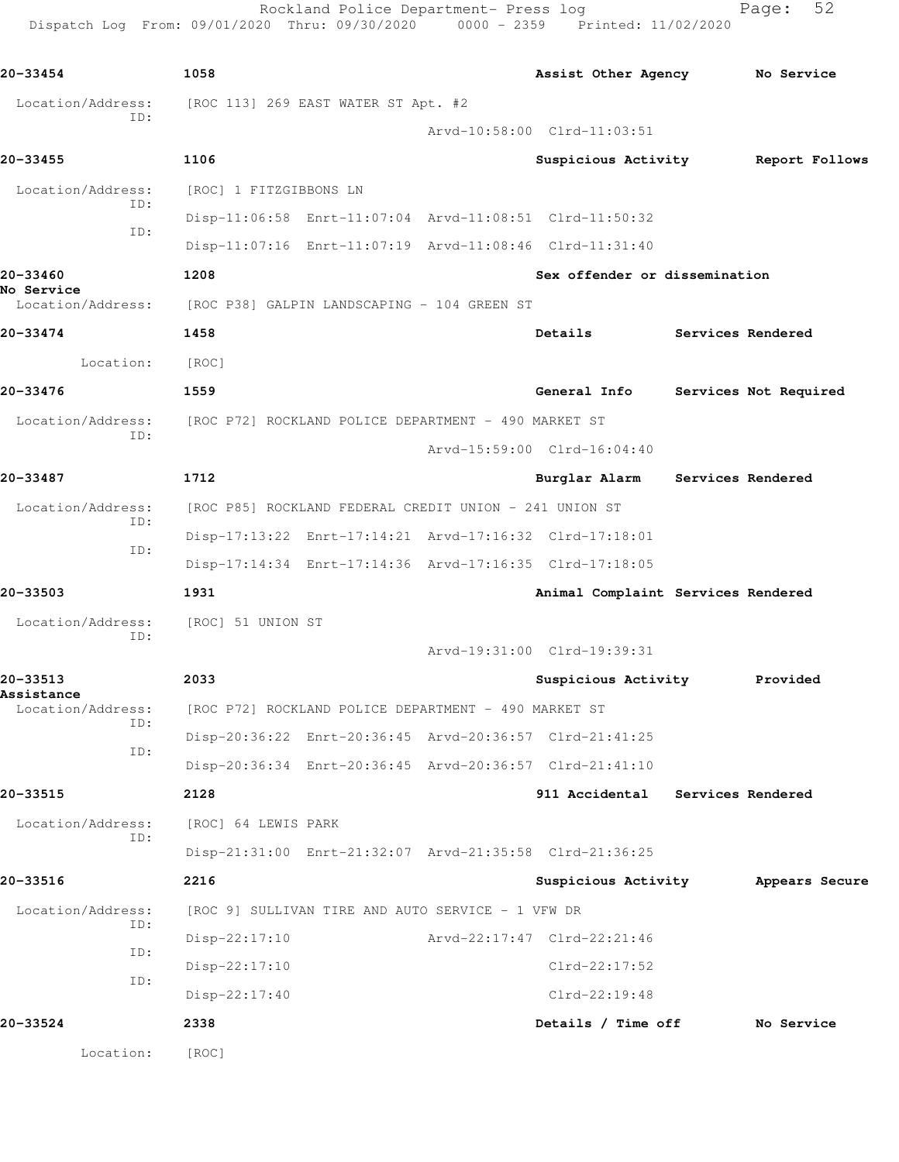Rockland Police Department- Press log Fage: 52 Dispatch Log From: 09/01/2020 Thru: 09/30/2020 0000 - 2359 Printed: 11/02/2020

**20-33454 1058 Assist Other Agency No Service** Location/Address: [ROC 113] 269 EAST WATER ST Apt. #2 ID: Arvd-10:58:00 Clrd-11:03:51 **20-33455 1106 Suspicious Activity Report Follows** Location/Address: [ROC] 1 FITZGIBBONS LN ID: Disp-11:06:58 Enrt-11:07:04 Arvd-11:08:51 Clrd-11:50:32 ID: Disp-11:07:16 Enrt-11:07:19 Arvd-11:08:46 Clrd-11:31:40 **20-33460 1208 Sex offender or dissemination No Service**  Location/Address: [ROC P38] GALPIN LANDSCAPING - 104 GREEN ST **20-33474 1458 Details Services Rendered** Location: [ROC] **20-33476 1559 General Info Services Not Required** Location/Address: [ROC P72] ROCKLAND POLICE DEPARTMENT - 490 MARKET ST ID: Arvd-15:59:00 Clrd-16:04:40 **20-33487 1712 Burglar Alarm Services Rendered** Location/Address: [ROC P85] ROCKLAND FEDERAL CREDIT UNION - 241 UNION ST ID: Disp-17:13:22 Enrt-17:14:21 Arvd-17:16:32 Clrd-17:18:01 ID: Disp-17:14:34 Enrt-17:14:36 Arvd-17:16:35 Clrd-17:18:05 **20-33503 1931 Animal Complaint Services Rendered** Location/Address: [ROC] 51 UNION ST ID: Arvd-19:31:00 Clrd-19:39:31 **20-33513 2033 Suspicious Activity Provided Assistance**  Location/Address: [ROC P72] ROCKLAND POLICE DEPARTMENT - 490 MARKET ST ID: Disp-20:36:22 Enrt-20:36:45 Arvd-20:36:57 Clrd-21:41:25 ID: Disp-20:36:34 Enrt-20:36:45 Arvd-20:36:57 Clrd-21:41:10 **20-33515 2128 911 Accidental Services Rendered** Location/Address: [ROC] 64 LEWIS PARK ID: Disp-21:31:00 Enrt-21:32:07 Arvd-21:35:58 Clrd-21:36:25 **20-33516 2216 Suspicious Activity Appears Secure** Location/Address: [ROC 9] SULLIVAN TIRE AND AUTO SERVICE - 1 VFW DR ID: Disp-22:17:10 Arvd-22:17:47 Clrd-22:21:46 ID: Disp-22:17:10 Clrd-22:17:52 ID: Disp-22:17:40 Clrd-22:19:48 **20-33524 2338 Details / Time off No Service** Location: [ROC]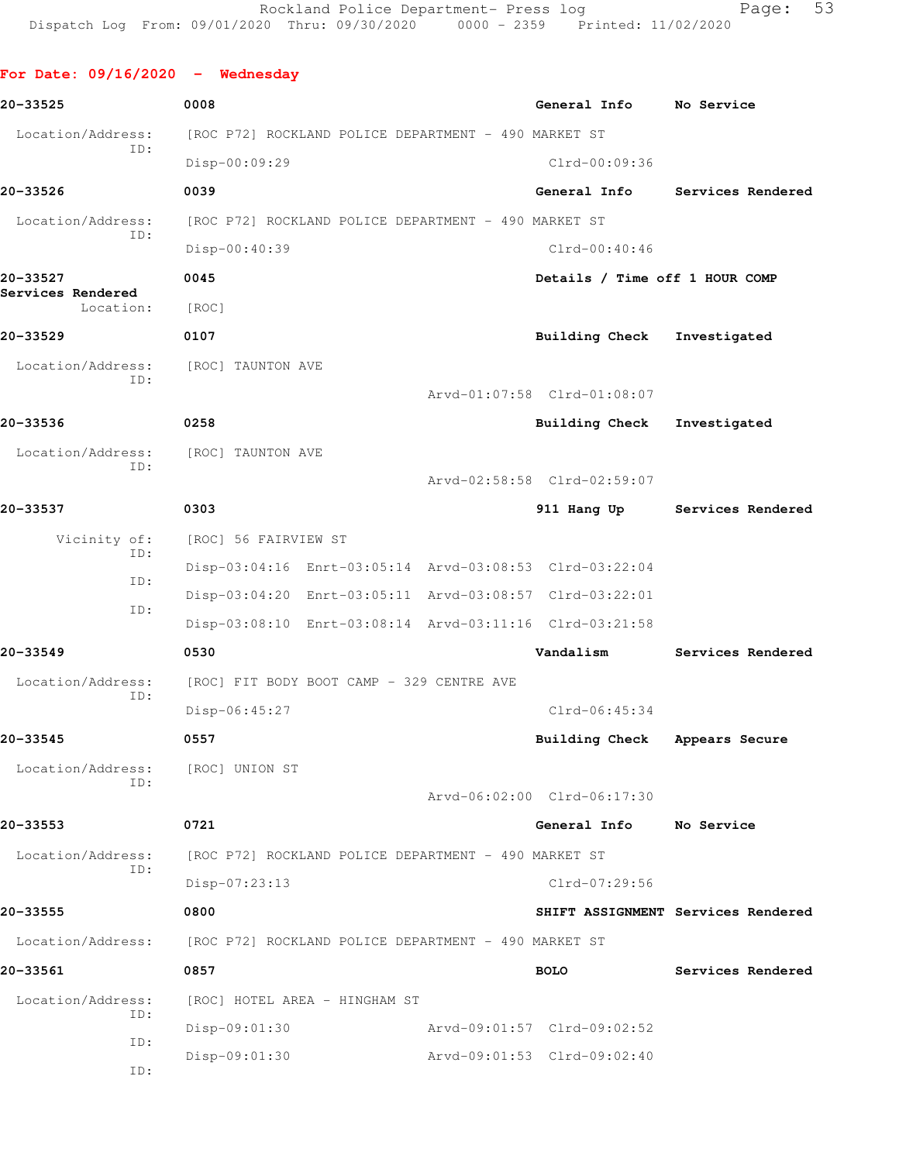**For Date: 09/16/2020 - Wednesday 20-33525 0008 General Info No Service** Location/Address: [ROC P72] ROCKLAND POLICE DEPARTMENT - 490 MARKET ST ID: Disp-00:09:29 Clrd-00:09:36 **20-33526 0039 General Info Services Rendered** Location/Address: [ROC P72] ROCKLAND POLICE DEPARTMENT - 490 MARKET ST ID: Disp-00:40:39 Clrd-00:40:46 **20-33527 0045 Details / Time off 1 HOUR COMP Services Rendered**  Location: [ROC] **20-33529 0107 Building Check Investigated** Location/Address: [ROC] TAUNTON AVE ID: Arvd-01:07:58 Clrd-01:08:07 **20-33536 0258 Building Check Investigated** Location/Address: [ROC] TAUNTON AVE ID: Arvd-02:58:58 Clrd-02:59:07 **20-33537 0303 911 Hang Up Services Rendered** Vicinity of: [ROC] 56 FAIRVIEW ST ID: Disp-03:04:16 Enrt-03:05:14 Arvd-03:08:53 Clrd-03:22:04 ID: Disp-03:04:20 Enrt-03:05:11 Arvd-03:08:57 Clrd-03:22:01 ID: Disp-03:08:10 Enrt-03:08:14 Arvd-03:11:16 Clrd-03:21:58 **20-33549 0530 Vandalism Services Rendered** Location/Address: [ROC] FIT BODY BOOT CAMP - 329 CENTRE AVE ID: Disp-06:45:27 Clrd-06:45:34 **20-33545 0557 Building Check Appears Secure** Location/Address: [ROC] UNION ST ID: Arvd-06:02:00 Clrd-06:17:30 **20-33553 0721 General Info No Service** Location/Address: [ROC P72] ROCKLAND POLICE DEPARTMENT - 490 MARKET ST ID: Disp-07:23:13 Clrd-07:29:56 **20-33555 0800 SHIFT ASSIGNMENT Services Rendered** Location/Address: [ROC P72] ROCKLAND POLICE DEPARTMENT - 490 MARKET ST **20-33561 0857 BOLO Services Rendered** Location/Address: [ROC] HOTEL AREA - HINGHAM ST ID: Disp-09:01:30 Arvd-09:01:57 Clrd-09:02:52 ID: Disp-09:01:30 Arvd-09:01:53 Clrd-09:02:40 ID: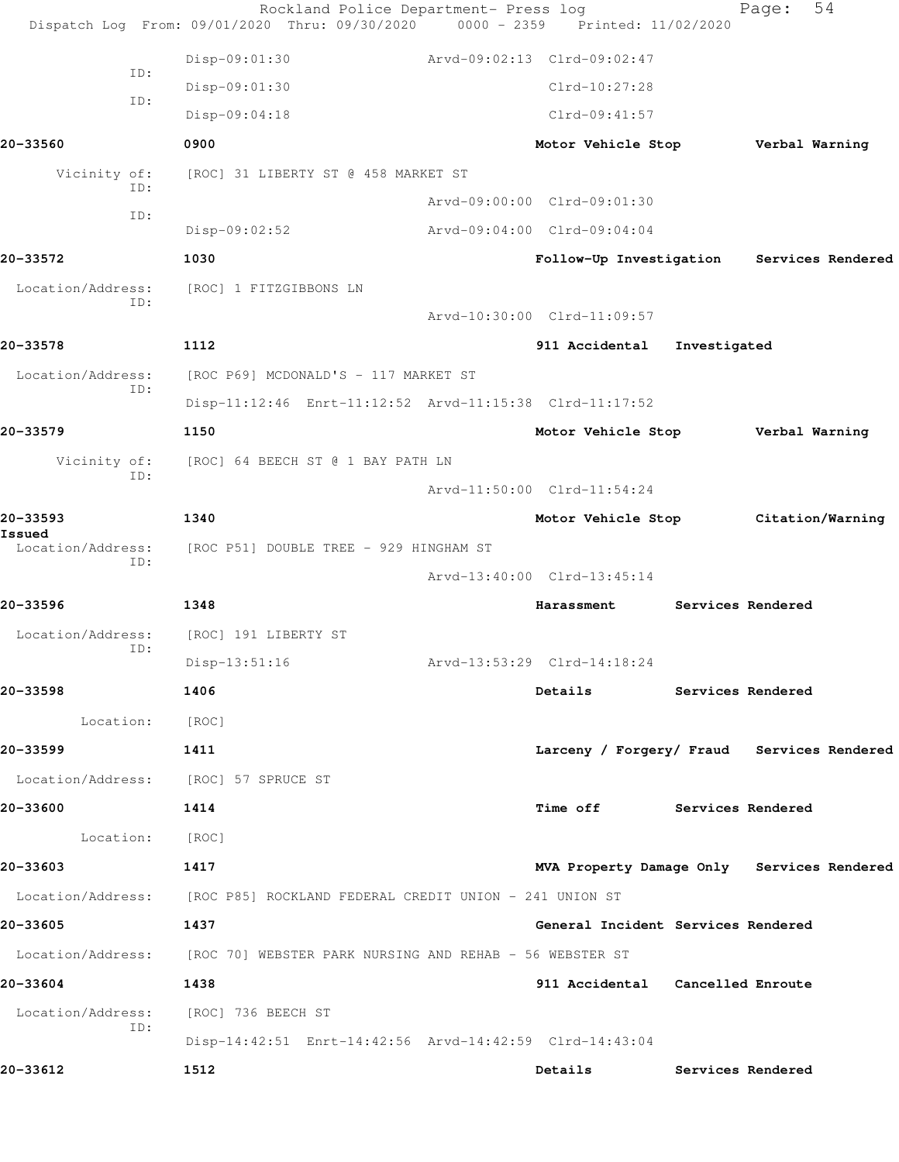|                                                                           |                        | Rockland Police Department- Press log<br>Dispatch Log From: 09/01/2020 Thru: 09/30/2020 0000 - 2359 Printed: 11/02/2020 |                             |                                            |                   | Page:             | 54                |
|---------------------------------------------------------------------------|------------------------|-------------------------------------------------------------------------------------------------------------------------|-----------------------------|--------------------------------------------|-------------------|-------------------|-------------------|
|                                                                           | Disp-09:01:30          |                                                                                                                         | Arvd-09:02:13 Clrd-09:02:47 |                                            |                   |                   |                   |
| ID:                                                                       | Disp-09:01:30          |                                                                                                                         |                             | Clrd-10:27:28                              |                   |                   |                   |
| ID:                                                                       | Disp-09:04:18          |                                                                                                                         |                             | $Clrd-09:41:57$                            |                   |                   |                   |
| 20-33560                                                                  | 0900                   |                                                                                                                         |                             | Motor Vehicle Stop Verbal Warning          |                   |                   |                   |
| Vicinity of:                                                              |                        | [ROC] 31 LIBERTY ST @ 458 MARKET ST                                                                                     |                             |                                            |                   |                   |                   |
| ID:                                                                       |                        |                                                                                                                         |                             | Arvd-09:00:00 Clrd-09:01:30                |                   |                   |                   |
| ID:                                                                       | Disp-09:02:52          |                                                                                                                         |                             | Arvd-09:04:00 Clrd-09:04:04                |                   |                   |                   |
| 20-33572                                                                  | 1030                   |                                                                                                                         |                             | Follow-Up Investigation                    |                   |                   | Services Rendered |
| Location/Address:<br>ID:                                                  | [ROC] 1 FITZGIBBONS LN |                                                                                                                         |                             |                                            |                   |                   |                   |
|                                                                           |                        |                                                                                                                         |                             | Arvd-10:30:00 Clrd-11:09:57                |                   |                   |                   |
| 20-33578                                                                  | 1112                   |                                                                                                                         |                             | 911 Accidental                             | Investigated      |                   |                   |
| Location/Address:<br>ID:                                                  |                        | [ROC P69] MCDONALD'S - 117 MARKET ST                                                                                    |                             |                                            |                   |                   |                   |
|                                                                           |                        | Disp-11:12:46 Enrt-11:12:52 Arvd-11:15:38 Clrd-11:17:52                                                                 |                             |                                            |                   |                   |                   |
| 20-33579                                                                  | 1150                   |                                                                                                                         |                             | Motor Vehicle Stop                         |                   | Verbal Warning    |                   |
| Vicinity of:<br>ID:                                                       |                        | [ROC] 64 BEECH ST @ 1 BAY PATH LN                                                                                       |                             |                                            |                   |                   |                   |
|                                                                           |                        |                                                                                                                         |                             | Arvd-11:50:00 Clrd-11:54:24                |                   |                   |                   |
| 20-33593<br>Issued                                                        | 1340                   |                                                                                                                         |                             | Motor Vehicle Stop                         |                   | Citation/Warning  |                   |
| Location/Address:<br>ID:                                                  |                        | [ROC P51] DOUBLE TREE - 929 HINGHAM ST                                                                                  |                             |                                            |                   |                   |                   |
|                                                                           |                        |                                                                                                                         |                             | Arvd-13:40:00 Clrd-13:45:14                |                   |                   |                   |
| 20-33596                                                                  | 1348                   |                                                                                                                         |                             | Harassment                                 |                   | Services Rendered |                   |
| Location/Address:<br>ID:                                                  | [ROC] 191 LIBERTY ST   |                                                                                                                         |                             |                                            |                   |                   |                   |
|                                                                           | Disp-13:51:16          |                                                                                                                         |                             | Arvd-13:53:29 Clrd-14:18:24                |                   |                   |                   |
| 20-33598                                                                  | 1406                   |                                                                                                                         |                             | Details Services Rendered                  |                   |                   |                   |
| Location: [ROC]                                                           |                        |                                                                                                                         |                             |                                            |                   |                   |                   |
| 20-33599                                                                  | 1411                   |                                                                                                                         |                             | Larceny / Forgery/ Fraud Services Rendered |                   |                   |                   |
| Location/Address: [ROC] 57 SPRUCE ST                                      |                        |                                                                                                                         |                             |                                            |                   |                   |                   |
| 20-33600                                                                  | 1414                   |                                                                                                                         |                             | Time off Services Rendered                 |                   |                   |                   |
| Location: [ROC]                                                           |                        |                                                                                                                         |                             |                                            |                   |                   |                   |
| 20-33603                                                                  | 1417                   |                                                                                                                         |                             | MVA Property Damage Only Services Rendered |                   |                   |                   |
| Location/Address: [ROC P85] ROCKLAND FEDERAL CREDIT UNION - 241 UNION ST  |                        |                                                                                                                         |                             |                                            |                   |                   |                   |
| 20-33605                                                                  | 1437                   |                                                                                                                         |                             | General Incident Services Rendered         |                   |                   |                   |
| Location/Address: [ROC 70] WEBSTER PARK NURSING AND REHAB - 56 WEBSTER ST |                        |                                                                                                                         |                             |                                            |                   |                   |                   |
| 20-33604                                                                  | 1438                   |                                                                                                                         |                             | 911 Accidental Cancelled Enroute           |                   |                   |                   |
| Location/Address:<br>ID:                                                  | [ROC] 736 BEECH ST     |                                                                                                                         |                             |                                            |                   |                   |                   |
|                                                                           |                        | Disp-14:42:51 Enrt-14:42:56 Arvd-14:42:59 Clrd-14:43:04                                                                 |                             |                                            |                   |                   |                   |
| 20-33612                                                                  | 1512                   |                                                                                                                         |                             | Details                                    | Services Rendered |                   |                   |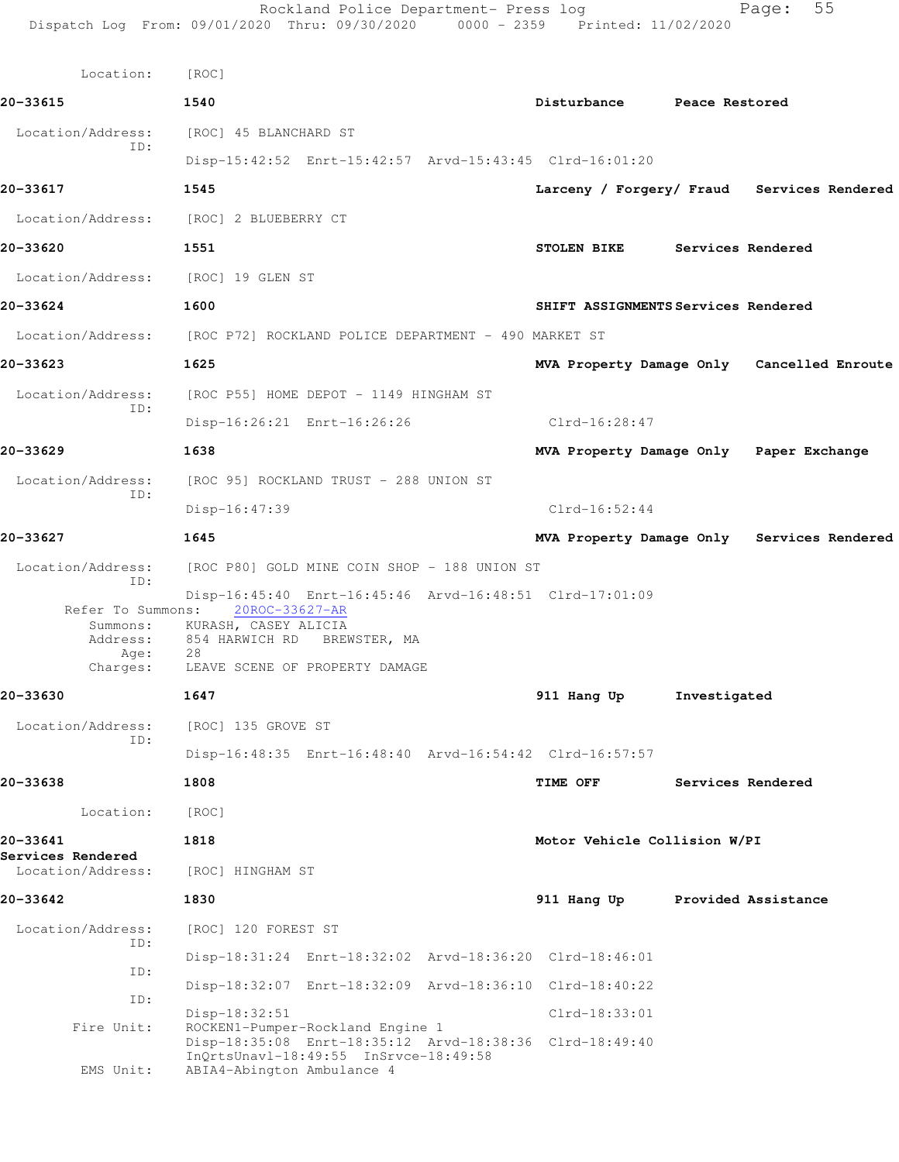| Location:                                                     | [ROC]                                                                                                                                                                    |                              |                                            |  |
|---------------------------------------------------------------|--------------------------------------------------------------------------------------------------------------------------------------------------------------------------|------------------------------|--------------------------------------------|--|
| 20-33615                                                      | 1540                                                                                                                                                                     | Disturbance                  | Peace Restored                             |  |
| Location/Address:                                             | [ROC] 45 BLANCHARD ST                                                                                                                                                    |                              |                                            |  |
| ID:                                                           | Disp-15:42:52 Enrt-15:42:57 Arvd-15:43:45 Clrd-16:01:20                                                                                                                  |                              |                                            |  |
| 20-33617                                                      | 1545                                                                                                                                                                     |                              | Larceny / Forgery/ Fraud Services Rendered |  |
| Location/Address:                                             | [ROC] 2 BLUEBERRY CT                                                                                                                                                     |                              |                                            |  |
| 20-33620                                                      | 1551                                                                                                                                                                     | <b>STOLEN BIKE</b>           | Services Rendered                          |  |
| Location/Address: [ROC] 19 GLEN ST                            |                                                                                                                                                                          |                              |                                            |  |
| 20-33624                                                      | 1600                                                                                                                                                                     |                              | SHIFT ASSIGNMENTS Services Rendered        |  |
|                                                               | Location/Address: [ROC P72] ROCKLAND POLICE DEPARTMENT - 490 MARKET ST                                                                                                   |                              |                                            |  |
| 20-33623                                                      | 1625                                                                                                                                                                     |                              | MVA Property Damage Only Cancelled Enroute |  |
| Location/Address:                                             | [ROC P55] HOME DEPOT - 1149 HINGHAM ST                                                                                                                                   |                              |                                            |  |
| ID:                                                           | Disp-16:26:21 Enrt-16:26:26                                                                                                                                              | Clrd-16:28:47                |                                            |  |
| 20-33629                                                      | 1638                                                                                                                                                                     |                              | MVA Property Damage Only Paper Exchange    |  |
| Location/Address:                                             | [ROC 95] ROCKLAND TRUST - 288 UNION ST                                                                                                                                   |                              |                                            |  |
| ID:                                                           | $Disp-16:47:39$                                                                                                                                                          | $Clrd-16:52:44$              |                                            |  |
| 20-33627                                                      | 1645                                                                                                                                                                     |                              | MVA Property Damage Only Services Rendered |  |
| Location/Address:<br>ID:                                      | [ROC P80] GOLD MINE COIN SHOP - 188 UNION ST                                                                                                                             |                              |                                            |  |
| Refer To Summons:<br>Summons:<br>Address:<br>Age:<br>Charges: | Disp-16:45:40 Enrt-16:45:46 Arvd-16:48:51 Clrd-17:01:09<br>20ROC-33627-AR<br>KURASH, CASEY ALICIA<br>854 HARWICH RD BREWSTER, MA<br>28<br>LEAVE SCENE OF PROPERTY DAMAGE |                              |                                            |  |
| 20-33630                                                      | 1647                                                                                                                                                                     | 911 Hang Up                  | Investigated                               |  |
| Location/Address: [ROC] 135 GROVE ST<br>ID:                   |                                                                                                                                                                          |                              |                                            |  |
|                                                               | Disp-16:48:35 Enrt-16:48:40 Arvd-16:54:42 Clrd-16:57:57                                                                                                                  |                              |                                            |  |
| 20-33638                                                      | 1808                                                                                                                                                                     | TIME OFF                     | Services Rendered                          |  |
| Location:                                                     | [ROC]                                                                                                                                                                    |                              |                                            |  |
| 20-33641<br>Services Rendered                                 | 1818                                                                                                                                                                     | Motor Vehicle Collision W/PI |                                            |  |
| Location/Address:                                             | [ROC] HINGHAM ST                                                                                                                                                         |                              |                                            |  |
| 20-33642                                                      | 1830                                                                                                                                                                     | 911 Hang Up                  | Provided Assistance                        |  |
| Location/Address:<br>ID:                                      | [ROC] 120 FOREST ST                                                                                                                                                      |                              |                                            |  |
| ID:                                                           | Disp-18:31:24 Enrt-18:32:02 Arvd-18:36:20 Clrd-18:46:01                                                                                                                  |                              |                                            |  |
| ID:                                                           | Disp-18:32:07 Enrt-18:32:09 Arvd-18:36:10 Clrd-18:40:22                                                                                                                  |                              |                                            |  |
| Fire Unit:                                                    | Disp-18:32:51<br>ROCKEN1-Pumper-Rockland Engine 1                                                                                                                        | Clrd-18:33:01                |                                            |  |
| EMS Unit:                                                     | Disp-18:35:08 Enrt-18:35:12 Arvd-18:38:36 Clrd-18:49:40<br>InQrtsUnavl-18:49:55 InSrvce-18:49:58<br>ABIA4-Abington Ambulance 4                                           |                              |                                            |  |
|                                                               |                                                                                                                                                                          |                              |                                            |  |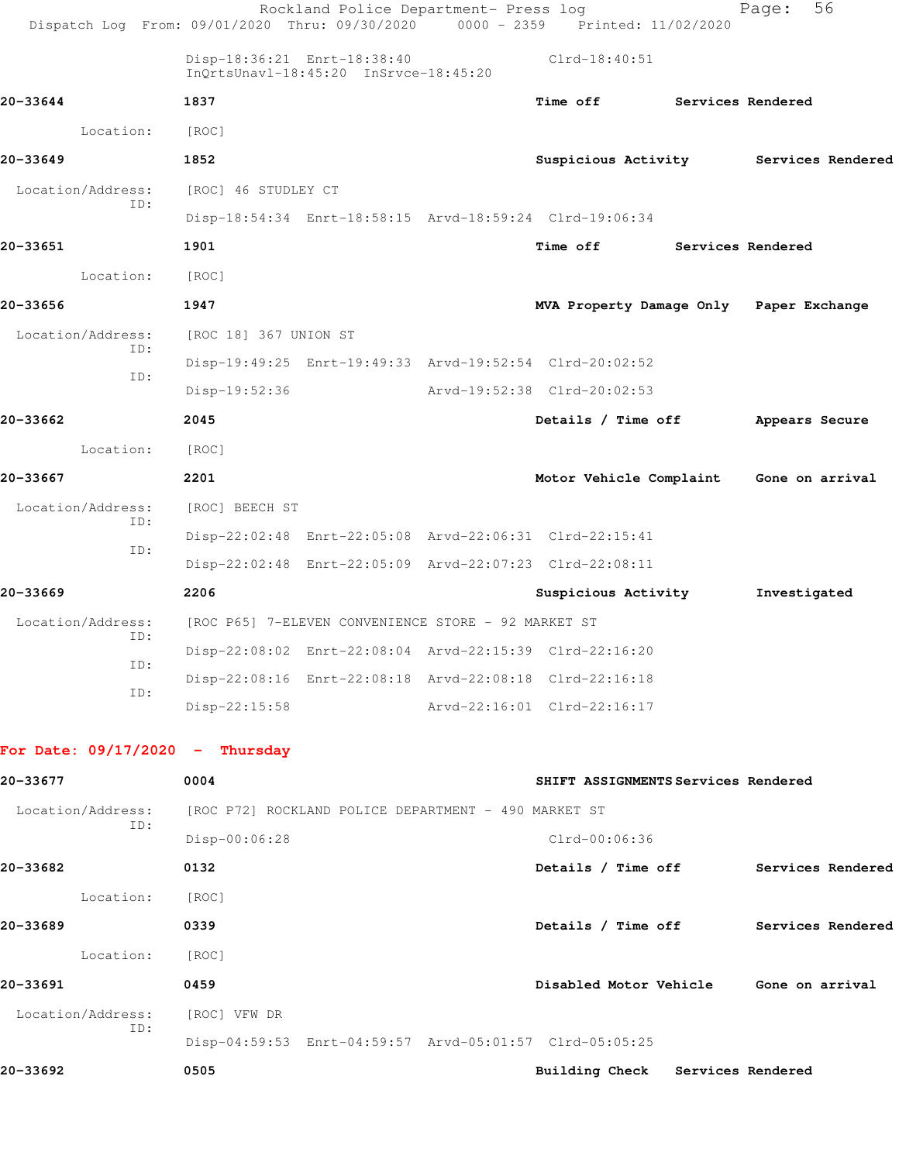|                                   | Rockland Police Department- Press log<br>Dispatch Log From: 09/01/2020 Thru: 09/30/2020 | $0000 - 2359$ | Printed: 11/02/2020                     |                   | 56<br>Page:                             |
|-----------------------------------|-----------------------------------------------------------------------------------------|---------------|-----------------------------------------|-------------------|-----------------------------------------|
|                                   | Disp-18:36:21 Enrt-18:38:40<br>InQrtsUnavl-18:45:20 InSrvce-18:45:20                    |               | $Clrd-18:40:51$                         |                   |                                         |
| 20-33644                          | 1837                                                                                    |               | <b>Time off</b>                         | Services Rendered |                                         |
| Location:                         | [ROC]                                                                                   |               |                                         |                   |                                         |
| 20-33649                          | 1852                                                                                    |               | Suspicious Activity                     |                   | Services Rendered                       |
| Location/Address:                 | [ROC] 46 STUDLEY CT                                                                     |               |                                         |                   |                                         |
| ID:                               | Disp-18:54:34 Enrt-18:58:15 Arvd-18:59:24 Clrd-19:06:34                                 |               |                                         |                   |                                         |
| 20-33651                          | 1901                                                                                    |               | <b>Time off</b>                         | Services Rendered |                                         |
| Location:                         | [ROC]                                                                                   |               |                                         |                   |                                         |
| 20-33656                          | 1947                                                                                    |               | MVA Property Damage Only Paper Exchange |                   |                                         |
| Location/Address:                 | [ROC 18] 367 UNION ST                                                                   |               |                                         |                   |                                         |
| ID:                               | Disp-19:49:25 Enrt-19:49:33 Arvd-19:52:54 Clrd-20:02:52                                 |               |                                         |                   |                                         |
| ID:                               | Disp-19:52:36                                                                           |               | Arvd-19:52:38 Clrd-20:02:53             |                   |                                         |
| 20-33662                          | 2045                                                                                    |               | Details / Time off                      |                   | Appears Secure                          |
| Location:                         | [ROC]                                                                                   |               |                                         |                   |                                         |
| 20-33667                          | 2201                                                                                    |               |                                         |                   | Motor Vehicle Complaint Gone on arrival |
| Location/Address:                 | [ROC] BEECH ST                                                                          |               |                                         |                   |                                         |
| ID:                               | Disp-22:02:48 Enrt-22:05:08 Arvd-22:06:31 Clrd-22:15:41                                 |               |                                         |                   |                                         |
| ID:                               | Disp-22:02:48 Enrt-22:05:09 Arvd-22:07:23 Clrd-22:08:11                                 |               |                                         |                   |                                         |
| 20-33669                          | 2206                                                                                    |               | Suspicious Activity                     |                   | Investigated                            |
| Location/Address:                 | [ROC P65] 7-ELEVEN CONVENIENCE STORE - 92 MARKET ST                                     |               |                                         |                   |                                         |
| ID:                               | Disp-22:08:02 Enrt-22:08:04 Arvd-22:15:39 Clrd-22:16:20                                 |               |                                         |                   |                                         |
| ID:                               | Disp-22:08:16 Enrt-22:08:18 Arvd-22:08:18 Clrd-22:16:18                                 |               |                                         |                   |                                         |
| ID:                               | $Disp-22:15:58$                                                                         |               | Arvd-22:16:01 Clrd-22:16:17             |                   |                                         |
| For Date: $09/17/2020 -$ Thursday |                                                                                         |               |                                         |                   |                                         |
| 20-33677                          |                                                                                         |               | SHIFT ASSIGNMENTS Services Rendered     |                   |                                         |
|                                   | 0004                                                                                    |               |                                         |                   |                                         |
| Location/Address:<br>ID:          | [ROC P72] ROCKLAND POLICE DEPARTMENT - 490 MARKET ST                                    |               |                                         |                   |                                         |
|                                   | Disp-00:06:28                                                                           |               | Clrd-00:06:36                           |                   |                                         |
| 20-33682                          | 0132                                                                                    |               | Details / Time off                      |                   | Services Rendered                       |
| Location:                         | [ROC]                                                                                   |               |                                         |                   |                                         |
| 20-33689                          | 0339                                                                                    |               |                                         |                   | Details / Time off Services Rendered    |
| Location:                         | [ROC]                                                                                   |               |                                         |                   |                                         |
| 20-33691                          | 0459                                                                                    |               |                                         |                   | Disabled Motor Vehicle Gone on arrival  |
| Location/Address:<br>ID:          | [ROC] VFW DR                                                                            |               |                                         |                   |                                         |
|                                   | Disp-04:59:53 Enrt-04:59:57 Arvd-05:01:57 Clrd-05:05:25                                 |               |                                         |                   |                                         |

**20-33692 0505 Building Check Services Rendered**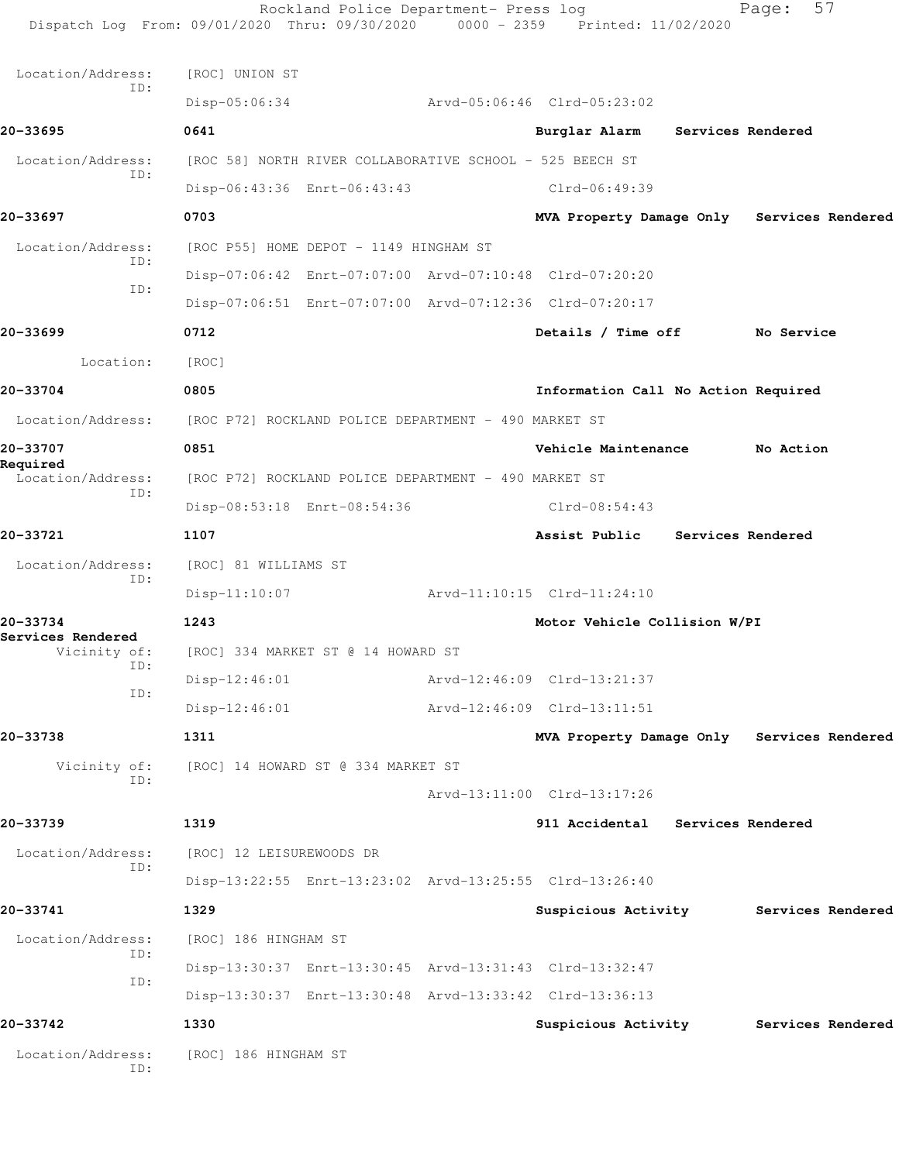Rockland Police Department- Press log Fage: 57 Dispatch Log From: 09/01/2020 Thru: 09/30/2020 0000 - 2359 Printed: 11/02/2020 Location/Address: [ROC] UNION ST ID: Disp-05:06:34 Arvd-05:06:46 Clrd-05:23:02 **20-33695 0641 Burglar Alarm Services Rendered** Location/Address: [ROC 58] NORTH RIVER COLLABORATIVE SCHOOL - 525 BEECH ST ID: Disp-06:43:36 Enrt-06:43:43 Clrd-06:49:39 **20-33697 0703 MVA Property Damage Only Services Rendered** Location/Address: [ROC P55] HOME DEPOT - 1149 HINGHAM ST ID: Disp-07:06:42 Enrt-07:07:00 Arvd-07:10:48 Clrd-07:20:20 ID: Disp-07:06:51 Enrt-07:07:00 Arvd-07:12:36 Clrd-07:20:17 **20-33699 0712 Details / Time off No Service** Location: [ROC] **20-33704 0805 Information Call No Action Required** Location/Address: [ROC P72] ROCKLAND POLICE DEPARTMENT - 490 MARKET ST **20-33707 0851 Vehicle Maintenance No Action Required**  Location/Address: [ROC P72] ROCKLAND POLICE DEPARTMENT - 490 MARKET ST ID: Disp-08:53:18 Enrt-08:54:36 Clrd-08:54:43 **20-33721 1107 Assist Public Services Rendered** Location/Address: [ROC] 81 WILLIAMS ST ID: Disp-11:10:07 Arvd-11:10:15 Clrd-11:24:10 **20-33734 1243 Motor Vehicle Collision W/PI Services Rendered**  Vicinity of: [ROC] 334 MARKET ST @ 14 HOWARD ST ID: Disp-12:46:01 Arvd-12:46:09 Clrd-13:21:37 ID: Disp-12:46:01 Arvd-12:46:09 Clrd-13:11:51 **20-33738 1311 MVA Property Damage Only Services Rendered** Vicinity of: [ROC] 14 HOWARD ST @ 334 MARKET ST ID: Arvd-13:11:00 Clrd-13:17:26 **20-33739 1319 911 Accidental Services Rendered** Location/Address: [ROC] 12 LEISUREWOODS DR ID: Disp-13:22:55 Enrt-13:23:02 Arvd-13:25:55 Clrd-13:26:40 **20-33741 1329 Suspicious Activity Services Rendered** Location/Address: [ROC] 186 HINGHAM ST ID: Disp-13:30:37 Enrt-13:30:45 Arvd-13:31:43 Clrd-13:32:47 ID: Disp-13:30:37 Enrt-13:30:48 Arvd-13:33:42 Clrd-13:36:13 **20-33742 1330 Suspicious Activity Services Rendered** Location/Address: [ROC] 186 HINGHAM ST ID: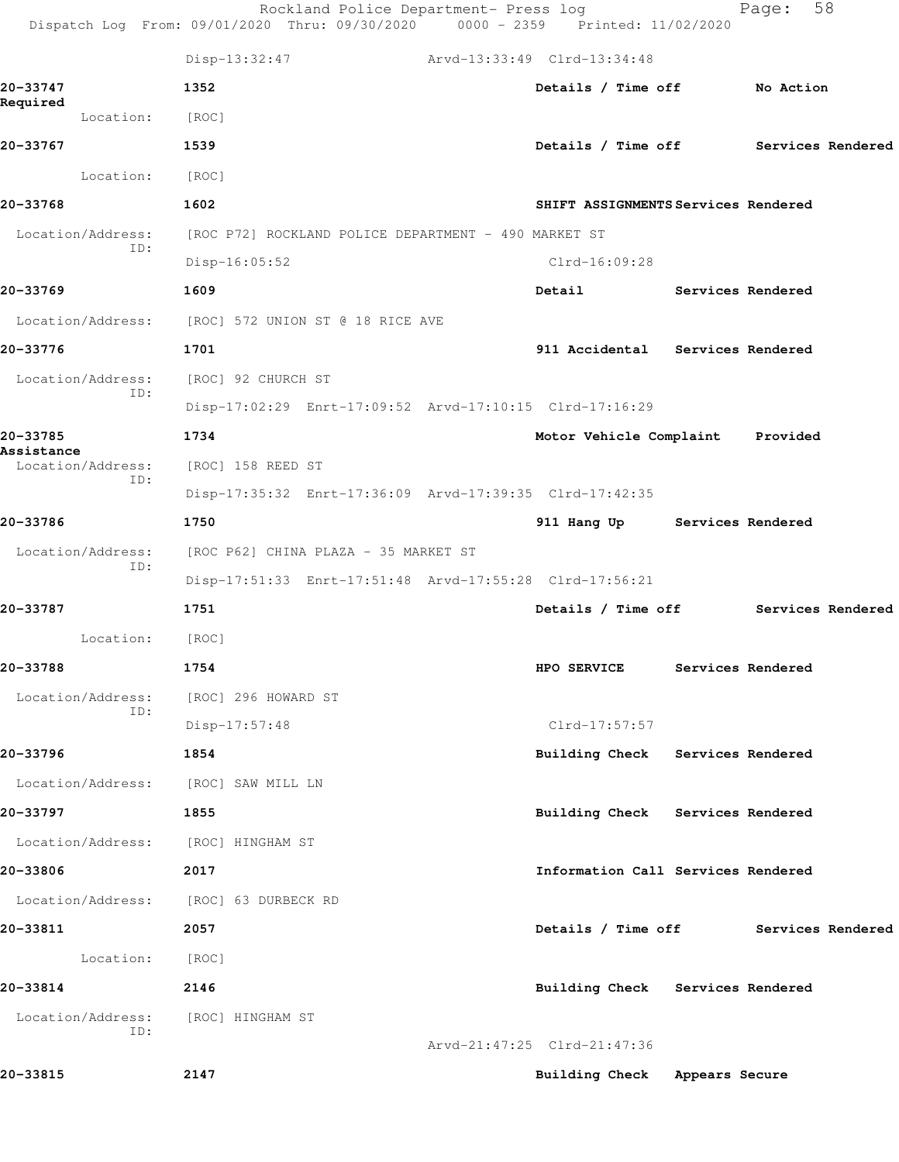|                        |                          | Rockland Police Department- Press log<br>Dispatch Log From: 09/01/2020 Thru: 09/30/2020 0000 - 2359 Printed: 11/02/2020 |                                      | Page:             | 58                |
|------------------------|--------------------------|-------------------------------------------------------------------------------------------------------------------------|--------------------------------------|-------------------|-------------------|
|                        |                          | $Disp-13:32:47$                                                                                                         | Arvd-13:33:49 Clrd-13:34:48          |                   |                   |
| 20-33747               |                          | 1352                                                                                                                    | Details / Time off                   | No Action         |                   |
| Required               | Location:                | [ROC]                                                                                                                   |                                      |                   |                   |
| 20-33767               |                          | 1539                                                                                                                    | Details / Time off Services Rendered |                   |                   |
|                        | Location:                | [ROC]                                                                                                                   |                                      |                   |                   |
| 20-33768               |                          | 1602                                                                                                                    | SHIFT ASSIGNMENTS Services Rendered  |                   |                   |
|                        | Location/Address:        | [ROC P72] ROCKLAND POLICE DEPARTMENT - 490 MARKET ST                                                                    |                                      |                   |                   |
|                        | ID:                      | $Disp-16:05:52$                                                                                                         | Clrd-16:09:28                        |                   |                   |
| 20-33769               |                          | 1609                                                                                                                    | Detail                               | Services Rendered |                   |
|                        |                          | Location/Address: [ROC] 572 UNION ST @ 18 RICE AVE                                                                      |                                      |                   |                   |
| 20-33776               |                          | 1701                                                                                                                    | 911 Accidental Services Rendered     |                   |                   |
|                        | Location/Address:        | [ROC] 92 CHURCH ST                                                                                                      |                                      |                   |                   |
|                        | ID:                      | Disp-17:02:29 Enrt-17:09:52 Arvd-17:10:15 Clrd-17:16:29                                                                 |                                      |                   |                   |
| 20-33785<br>Assistance |                          | 1734                                                                                                                    | Motor Vehicle Complaint              | Provided          |                   |
|                        | Location/Address:<br>ID: | [ROC] 158 REED ST                                                                                                       |                                      |                   |                   |
|                        |                          | Disp-17:35:32 Enrt-17:36:09 Arvd-17:39:35 Clrd-17:42:35                                                                 |                                      |                   |                   |
| 20-33786               |                          | 1750                                                                                                                    | 911 Hang Up Services Rendered        |                   |                   |
|                        | Location/Address:<br>ID: | [ROC P62] CHINA PLAZA - 35 MARKET ST                                                                                    |                                      |                   |                   |
|                        |                          | Disp-17:51:33 Enrt-17:51:48 Arvd-17:55:28 Clrd-17:56:21                                                                 |                                      |                   |                   |
| 20-33787               |                          | 1751                                                                                                                    | Details / Time off                   |                   | Services Rendered |
|                        | Location:                | [ROC]                                                                                                                   |                                      |                   |                   |
| 20-33788               |                          | 1754                                                                                                                    | HPO SERVICE                          | Services Rendered |                   |
|                        | Location/Address:<br>ID: | [ROC] 296 HOWARD ST                                                                                                     |                                      |                   |                   |
|                        |                          | $Disp-17:57:48$                                                                                                         | Clrd-17:57:57                        |                   |                   |
| 20-33796               |                          | 1854                                                                                                                    | Building Check Services Rendered     |                   |                   |
|                        | Location/Address:        | [ROC] SAW MILL LN                                                                                                       |                                      |                   |                   |
| 20-33797               |                          | 1855                                                                                                                    | Building Check Services Rendered     |                   |                   |
|                        | Location/Address:        | [ROC] HINGHAM ST                                                                                                        |                                      |                   |                   |
| 20-33806               |                          | 2017                                                                                                                    | Information Call Services Rendered   |                   |                   |
|                        | Location/Address:        | [ROC] 63 DURBECK RD                                                                                                     |                                      |                   |                   |
| 20-33811               |                          | 2057                                                                                                                    | Details / Time off                   |                   | Services Rendered |
|                        | Location:                | [ROC]                                                                                                                   |                                      |                   |                   |
| 20-33814               |                          | 2146                                                                                                                    | Building Check Services Rendered     |                   |                   |
|                        | Location/Address:<br>ID: | [ROC] HINGHAM ST                                                                                                        |                                      |                   |                   |
|                        |                          |                                                                                                                         | Arvd-21:47:25 Clrd-21:47:36          |                   |                   |
| 20-33815               |                          | 2147                                                                                                                    | Building Check Appears Secure        |                   |                   |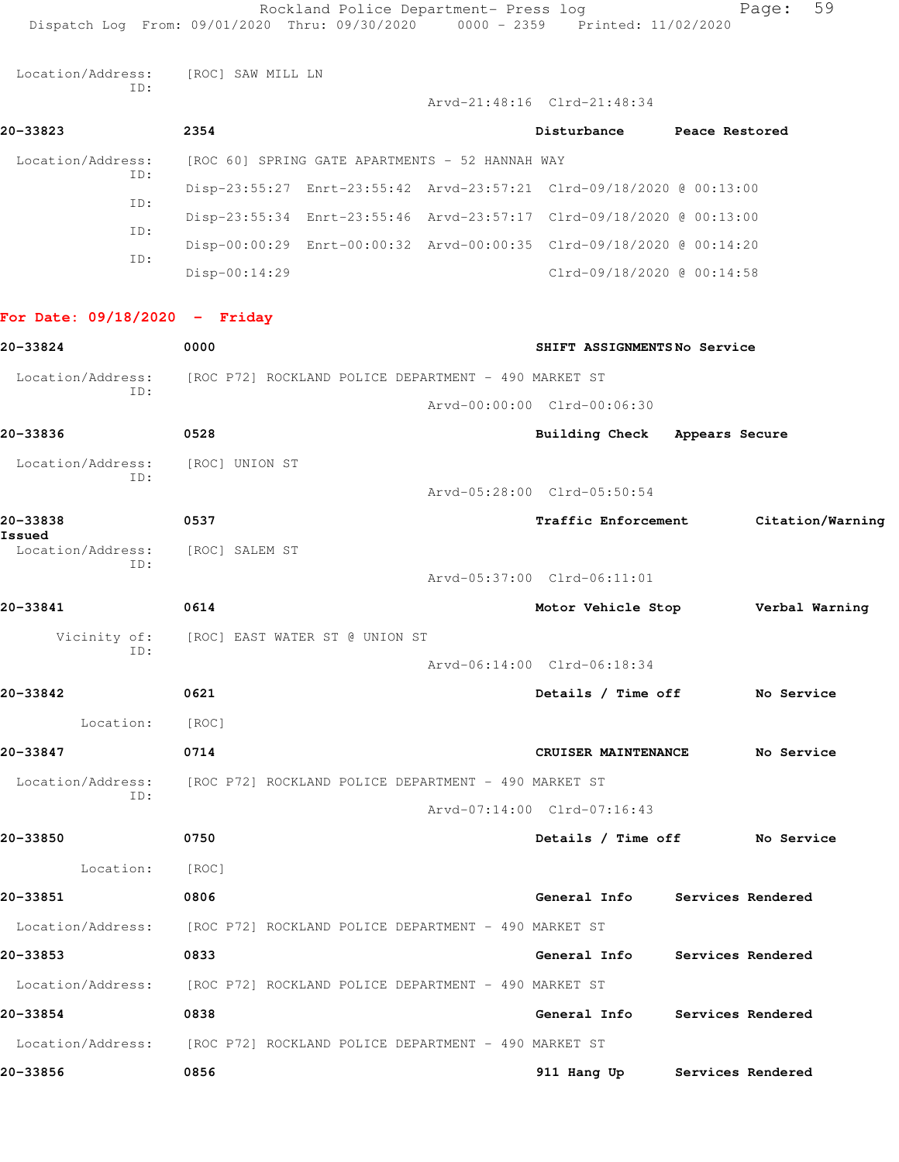Location/Address: [ROC] SAW MILL LN ID:

|                          |                 |                                                 | Arvd-21:48:16 Clrd-21:48:34                                          |                |
|--------------------------|-----------------|-------------------------------------------------|----------------------------------------------------------------------|----------------|
| 20-33823                 | 2354            |                                                 | Disturbance                                                          | Peace Restored |
| Location/Address:<br>ID: |                 | [ROC 60] SPRING GATE APARTMENTS - 52 HANNAH WAY |                                                                      |                |
| ID:                      |                 |                                                 | Disp-23:55:27 Enrt-23:55:42 Arvd-23:57:21 Clrd-09/18/2020 @ 00:13:00 |                |
| ID:                      |                 |                                                 | Disp-23:55:34 Enrt-23:55:46 Arvd-23:57:17 Clrd-09/18/2020 @ 00:13:00 |                |
| ID:                      |                 |                                                 | Disp-00:00:29 Enrt-00:00:32 Arvd-00:00:35 Clrd-09/18/2020 @ 00:14:20 |                |
|                          | $Disp-00:14:29$ |                                                 | Clrd-09/18/2020 @ 00:14:58                                           |                |

## **For Date: 09/18/2020 - Friday**

| 20-33824                                | 0000                                                                   | SHIFT ASSIGNMENTSNo Service          |
|-----------------------------------------|------------------------------------------------------------------------|--------------------------------------|
| Location/Address:<br>TD:                | [ROC P72] ROCKLAND POLICE DEPARTMENT - 490 MARKET ST                   |                                      |
|                                         |                                                                        | Arvd-00:00:00 Clrd-00:06:30          |
| 20-33836                                | 0528                                                                   | Building Check Appears Secure        |
| Location/Address:                       | [ROC] UNION ST                                                         |                                      |
| ID:                                     |                                                                        | Arvd-05:28:00 Clrd-05:50:54          |
| 20-33838<br>Issued                      | 0537                                                                   | Traffic Enforcement Citation/Warning |
| Location/Address: [ROC] SALEM ST<br>TD: |                                                                        |                                      |
|                                         |                                                                        | Arvd-05:37:00 Clrd-06:11:01          |
| 20-33841                                | 0614                                                                   | Motor Vehicle Stop Verbal Warning    |
|                                         | Vicinity of: [ROC] EAST WATER ST @ UNION ST                            |                                      |
| ID:                                     |                                                                        | Arvd-06:14:00 Clrd-06:18:34          |
| 20-33842                                | 0621                                                                   | Details / Time off No Service        |
| Location: [ROC]                         |                                                                        |                                      |
| 20-33847                                | 0714                                                                   | No Service<br>CRUISER MAINTENANCE    |
| Location/Address:                       | [ROC P72] ROCKLAND POLICE DEPARTMENT - 490 MARKET ST                   |                                      |
| TD:                                     |                                                                        | Arvd-07:14:00 Clrd-07:16:43          |
| 20-33850                                | 0750                                                                   | Details / Time off No Service        |
| Location:                               | [ROC]                                                                  |                                      |
| 20-33851                                | 0806                                                                   | General Info Services Rendered       |
|                                         | Location/Address: [ROC P72] ROCKLAND POLICE DEPARTMENT - 490 MARKET ST |                                      |
| 20-33853                                | 0833                                                                   | General Info Services Rendered       |
|                                         | Location/Address: [ROC P72] ROCKLAND POLICE DEPARTMENT - 490 MARKET ST |                                      |
| 20-33854                                | 0838                                                                   | General Info Services Rendered       |
|                                         | Location/Address: [ROC P72] ROCKLAND POLICE DEPARTMENT - 490 MARKET ST |                                      |
| 20-33856                                | 0856                                                                   | 911 Hang Up Services Rendered        |
|                                         |                                                                        |                                      |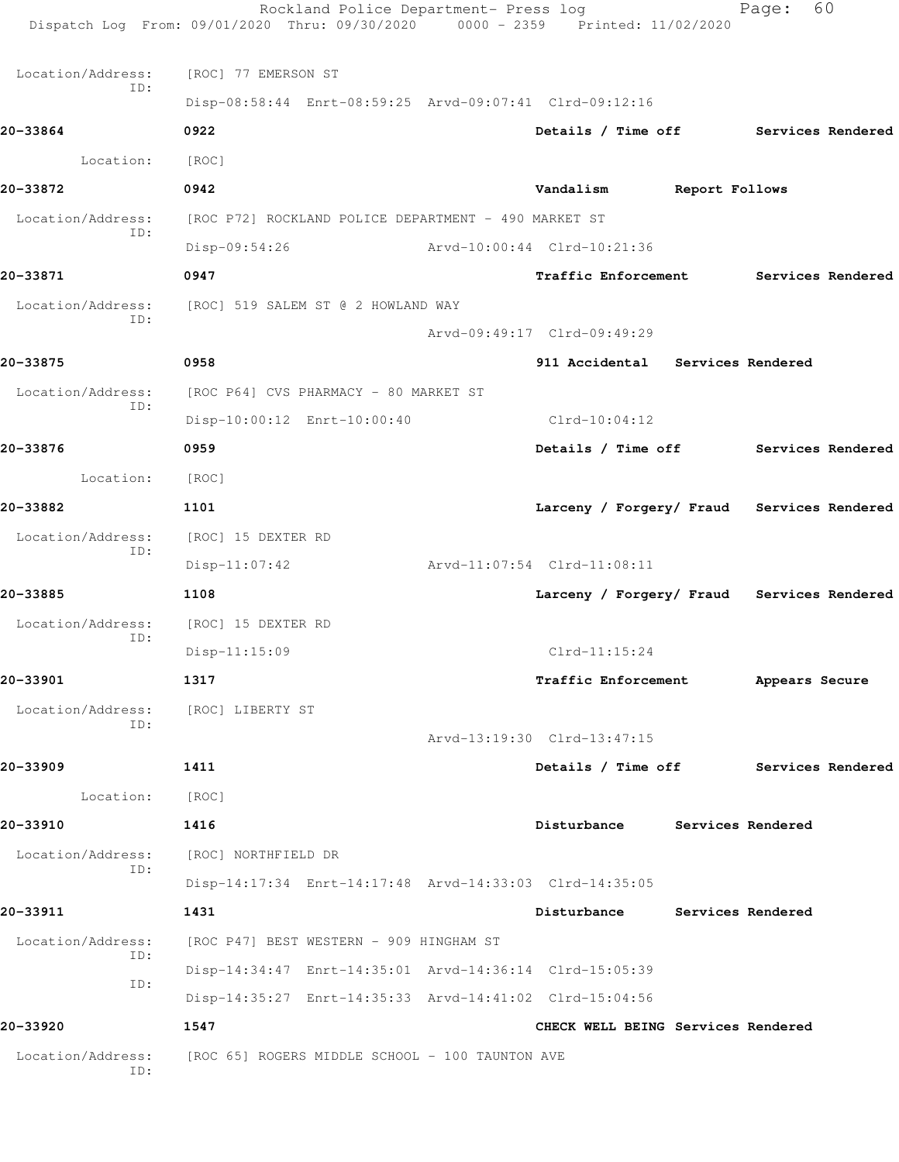|                          | Rockland Police Department- Press log<br>Dispatch Log From: 09/01/2020 Thru: 09/30/2020 0000 - 2359 Printed: 11/02/2020 |                                            |                   | 60<br>Page:       |  |
|--------------------------|-------------------------------------------------------------------------------------------------------------------------|--------------------------------------------|-------------------|-------------------|--|
| Location/Address:        | [ROC] 77 EMERSON ST                                                                                                     |                                            |                   |                   |  |
| ID:                      | Disp-08:58:44 Enrt-08:59:25 Arvd-09:07:41 Clrd-09:12:16                                                                 |                                            |                   |                   |  |
| 20-33864                 | 0922                                                                                                                    | Details / Time off Services Rendered       |                   |                   |  |
| Location:                | [ROC]                                                                                                                   |                                            |                   |                   |  |
| 20-33872                 | 0942                                                                                                                    | Vandalism                                  | Report Follows    |                   |  |
| Location/Address:        | [ROC P72] ROCKLAND POLICE DEPARTMENT - 490 MARKET ST                                                                    |                                            |                   |                   |  |
| ID:                      | $Disp-09:54:26$                                                                                                         | Arvd-10:00:44 Clrd-10:21:36                |                   |                   |  |
| 20-33871                 | 0947                                                                                                                    | <b>Traffic Enforcement</b>                 |                   | Services Rendered |  |
| Location/Address:        | [ROC] 519 SALEM ST @ 2 HOWLAND WAY                                                                                      |                                            |                   |                   |  |
| ID:                      |                                                                                                                         | Arvd-09:49:17 Clrd-09:49:29                |                   |                   |  |
| 20-33875                 | 0958                                                                                                                    | 911 Accidental Services Rendered           |                   |                   |  |
| Location/Address:        | [ROC P64] CVS PHARMACY - 80 MARKET ST                                                                                   |                                            |                   |                   |  |
| ID:                      | Disp-10:00:12 Enrt-10:00:40                                                                                             | Clrd-10:04:12                              |                   |                   |  |
| 20-33876                 | 0959                                                                                                                    | Details / Time off                         |                   | Services Rendered |  |
| Location:                | [ROC]                                                                                                                   |                                            |                   |                   |  |
| 20-33882                 | 1101                                                                                                                    | Larceny / Forgery/ Fraud Services Rendered |                   |                   |  |
| Location/Address:        | [ROC] 15 DEXTER RD                                                                                                      |                                            |                   |                   |  |
| ID:                      | $Disp-11:07:42$                                                                                                         | Arvd-11:07:54 Clrd-11:08:11                |                   |                   |  |
| 20-33885                 | 1108                                                                                                                    | Larceny / Forgery/ Fraud Services Rendered |                   |                   |  |
| Location/Address:        | [ROC] 15 DEXTER RD                                                                                                      |                                            |                   |                   |  |
| ID:                      | $Disp-11:15:09$                                                                                                         | $Clrd-11:15:24$                            |                   |                   |  |
| 20-33901                 | 1317                                                                                                                    | <b>Traffic Enforcement</b>                 |                   | Appears Secure    |  |
| Location/Address:        | [ROC] LIBERTY ST                                                                                                        |                                            |                   |                   |  |
| ID:                      |                                                                                                                         | Arvd-13:19:30 Clrd-13:47:15                |                   |                   |  |
| 20-33909                 | 1411                                                                                                                    | Details / Time off Services Rendered       |                   |                   |  |
| Location:                | [ROC]                                                                                                                   |                                            |                   |                   |  |
| 20-33910                 | 1416                                                                                                                    | Disturbance Services Rendered              |                   |                   |  |
| Location/Address:        | [ROC] NORTHFIELD DR                                                                                                     |                                            |                   |                   |  |
| ID:                      | Disp-14:17:34 Enrt-14:17:48 Arvd-14:33:03 Clrd-14:35:05                                                                 |                                            |                   |                   |  |
| 20-33911                 | 1431                                                                                                                    | Disturbance                                | Services Rendered |                   |  |
| Location/Address:        | [ROC P47] BEST WESTERN - 909 HINGHAM ST                                                                                 |                                            |                   |                   |  |
| ID:                      | Disp-14:34:47 Enrt-14:35:01 Arvd-14:36:14 Clrd-15:05:39                                                                 |                                            |                   |                   |  |
| ID:                      | Disp-14:35:27 Enrt-14:35:33 Arvd-14:41:02 Clrd-15:04:56                                                                 |                                            |                   |                   |  |
| 20-33920                 | 1547                                                                                                                    | CHECK WELL BEING Services Rendered         |                   |                   |  |
| Location/Address:<br>ID: | [ROC 65] ROGERS MIDDLE SCHOOL - 100 TAUNTON AVE                                                                         |                                            |                   |                   |  |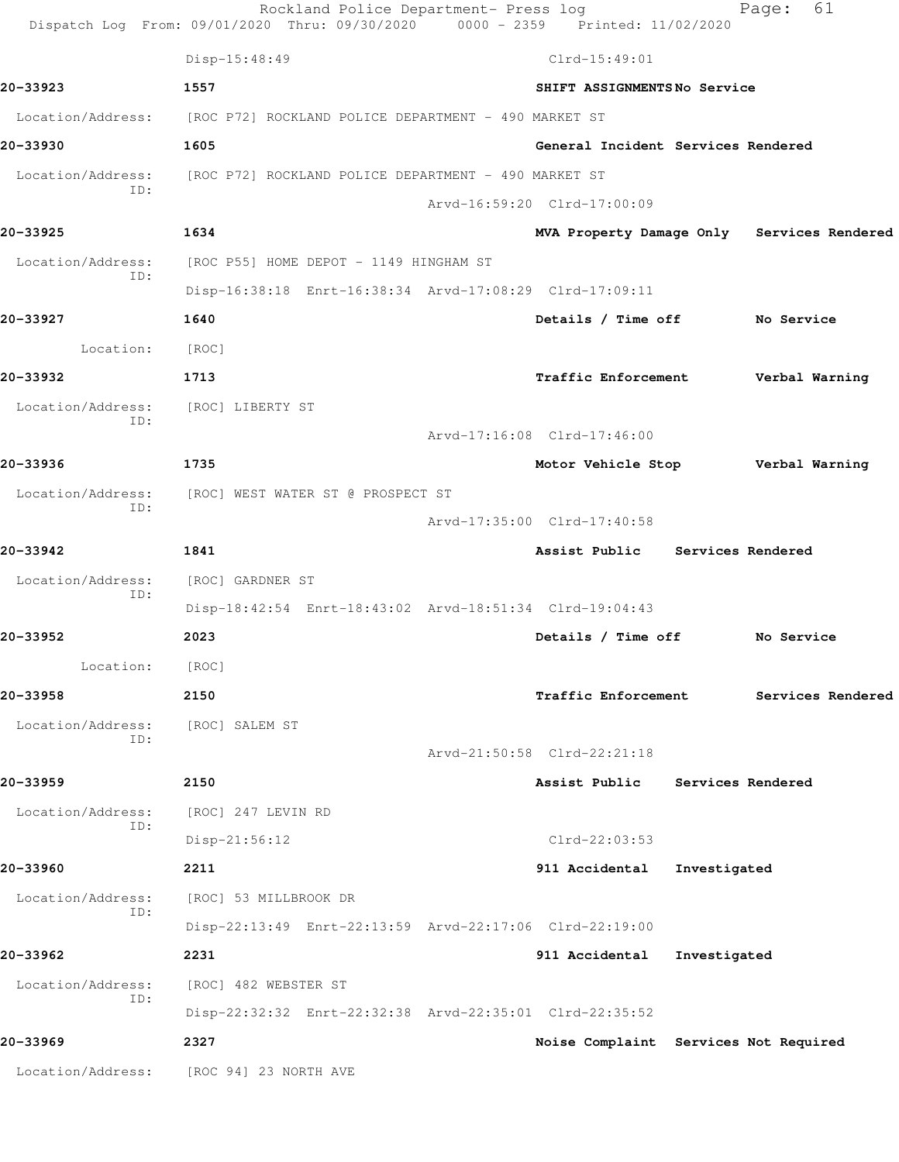|                          | Rockland Police Department- Press log<br>Dispatch Log From: 09/01/2020 Thru: 09/30/2020 0000 - 2359 Printed: 11/02/2020 |                                            |                   | 61<br>Page:       |  |
|--------------------------|-------------------------------------------------------------------------------------------------------------------------|--------------------------------------------|-------------------|-------------------|--|
|                          | Disp-15:48:49                                                                                                           | $Clrd-15:49:01$                            |                   |                   |  |
| 20-33923                 | 1557                                                                                                                    | SHIFT ASSIGNMENTSNo Service                |                   |                   |  |
| Location/Address:        | [ROC P72] ROCKLAND POLICE DEPARTMENT - 490 MARKET ST                                                                    |                                            |                   |                   |  |
| 20-33930                 | 1605                                                                                                                    | General Incident Services Rendered         |                   |                   |  |
| Location/Address:        | [ROC P72] ROCKLAND POLICE DEPARTMENT - 490 MARKET ST                                                                    |                                            |                   |                   |  |
| ID:                      |                                                                                                                         | Arvd-16:59:20 Clrd-17:00:09                |                   |                   |  |
| 20-33925                 | 1634                                                                                                                    | MVA Property Damage Only Services Rendered |                   |                   |  |
| Location/Address:<br>ID: | [ROC P55] HOME DEPOT - 1149 HINGHAM ST                                                                                  |                                            |                   |                   |  |
|                          | Disp-16:38:18 Enrt-16:38:34 Arvd-17:08:29 Clrd-17:09:11                                                                 |                                            |                   |                   |  |
| 20-33927                 | 1640                                                                                                                    | Details / Time off No Service              |                   |                   |  |
| Location:                | [ROC]                                                                                                                   |                                            |                   |                   |  |
| 20-33932                 | 1713                                                                                                                    | Traffic Enforcement                        |                   | Verbal Warning    |  |
| Location/Address:<br>ID: | [ROC] LIBERTY ST                                                                                                        |                                            |                   |                   |  |
|                          |                                                                                                                         | Arvd-17:16:08 Clrd-17:46:00                |                   |                   |  |
| 20-33936                 | 1735                                                                                                                    | Motor Vehicle Stop                         |                   | Verbal Warning    |  |
| Location/Address:<br>ID: | [ROC] WEST WATER ST @ PROSPECT ST                                                                                       |                                            |                   |                   |  |
|                          |                                                                                                                         | Arvd-17:35:00 Clrd-17:40:58                |                   |                   |  |
| 20-33942                 | 1841                                                                                                                    | Assist Public Services Rendered            |                   |                   |  |
| Location/Address:<br>ID: | [ROC] GARDNER ST                                                                                                        |                                            |                   |                   |  |
|                          | Disp-18:42:54 Enrt-18:43:02 Arvd-18:51:34 Clrd-19:04:43                                                                 |                                            |                   |                   |  |
| 20-33952                 | 2023                                                                                                                    | Details / Time off                         |                   | No Service        |  |
| Location:                | [ROC]                                                                                                                   |                                            |                   |                   |  |
| 20-33958                 | 2150                                                                                                                    | <b>Traffic Enforcement</b>                 |                   | Services Rendered |  |
| Location/Address:<br>ID: | [ROC] SALEM ST                                                                                                          |                                            |                   |                   |  |
|                          |                                                                                                                         | Arvd-21:50:58 Clrd-22:21:18                |                   |                   |  |
| 20-33959                 | 2150                                                                                                                    | Assist Public                              | Services Rendered |                   |  |
| Location/Address:<br>ID: | [ROC] 247 LEVIN RD                                                                                                      |                                            |                   |                   |  |
|                          | $Disp-21:56:12$                                                                                                         | $Clrd-22:03:53$                            |                   |                   |  |
| 20-33960                 | 2211                                                                                                                    | 911 Accidental                             | Investigated      |                   |  |
| Location/Address:<br>ID: | [ROC] 53 MILLBROOK DR                                                                                                   |                                            |                   |                   |  |
|                          | Disp-22:13:49 Enrt-22:13:59 Arvd-22:17:06 Clrd-22:19:00                                                                 |                                            |                   |                   |  |
| 20-33962                 | 2231                                                                                                                    | 911 Accidental                             | Investigated      |                   |  |
| Location/Address:<br>ID: | [ROC] 482 WEBSTER ST                                                                                                    |                                            |                   |                   |  |
|                          | Disp-22:32:32 Enrt-22:32:38 Arvd-22:35:01 Clrd-22:35:52                                                                 |                                            |                   |                   |  |
| 20-33969                 | 2327                                                                                                                    | Noise Complaint Services Not Required      |                   |                   |  |
|                          | Location/Address: [ROC 94] 23 NORTH AVE                                                                                 |                                            |                   |                   |  |
|                          |                                                                                                                         |                                            |                   |                   |  |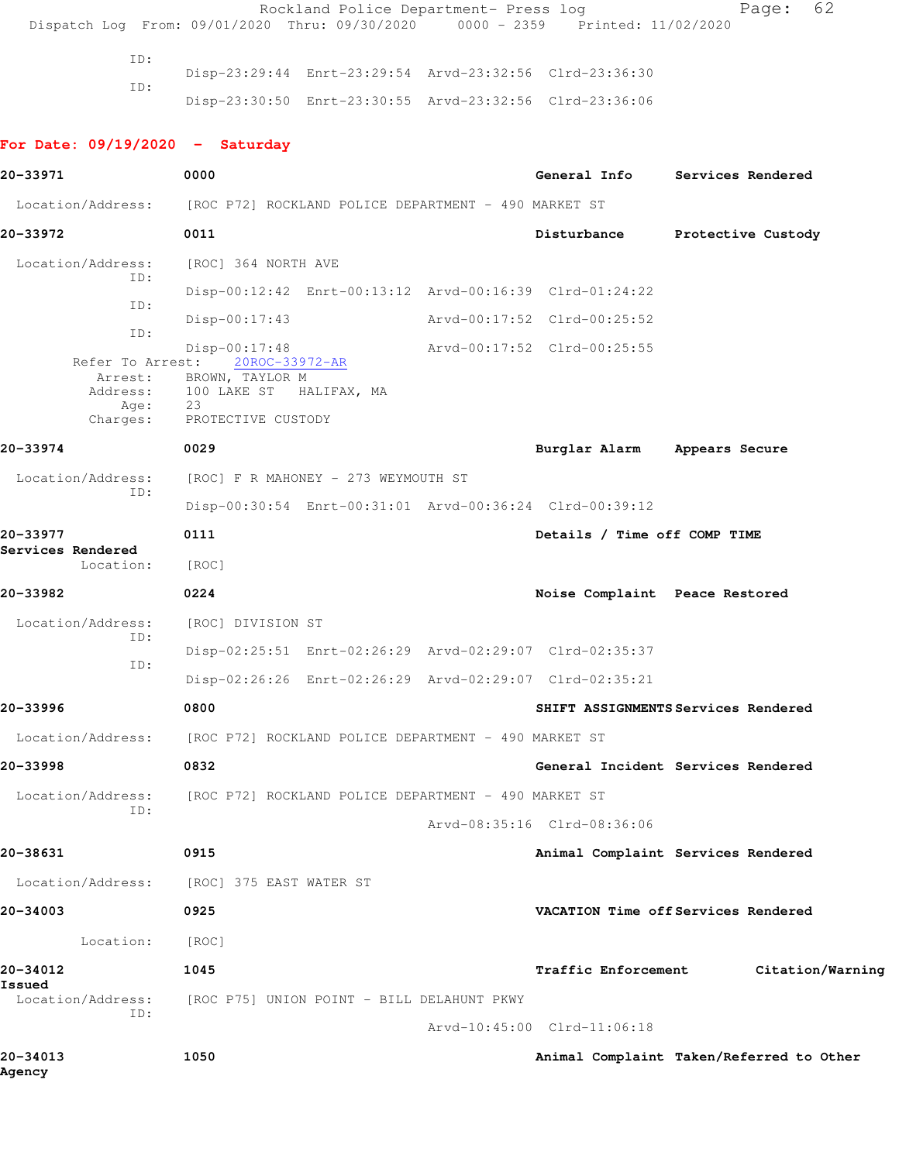|                                                                        |            |                                                                                                                                         | Rockland Police Department- Press log                | Dispatch Log From: 09/01/2020 Thru: 09/30/2020 0000 - 2359 Printed: 11/02/2020                                     |                    | 62<br>Page:      |  |
|------------------------------------------------------------------------|------------|-----------------------------------------------------------------------------------------------------------------------------------------|------------------------------------------------------|--------------------------------------------------------------------------------------------------------------------|--------------------|------------------|--|
|                                                                        | ID:<br>ID: |                                                                                                                                         |                                                      | Disp-23:29:44 Enrt-23:29:54 Arvd-23:32:56 Clrd-23:36:30<br>Disp-23:30:50 Enrt-23:30:55 Arvd-23:32:56 Clrd-23:36:06 |                    |                  |  |
| For Date: $09/19/2020 -$ Saturday                                      |            |                                                                                                                                         |                                                      |                                                                                                                    |                    |                  |  |
| 20-33971                                                               |            | 0000                                                                                                                                    |                                                      | General Info Services Rendered                                                                                     |                    |                  |  |
| Location/Address: [ROC P72] ROCKLAND POLICE DEPARTMENT - 490 MARKET ST |            |                                                                                                                                         |                                                      |                                                                                                                    |                    |                  |  |
| 20-33972                                                               |            | 0011                                                                                                                                    |                                                      | Disturbance                                                                                                        | Protective Custody |                  |  |
| Location/Address:                                                      | ID:        | [ROC] 364 NORTH AVE                                                                                                                     |                                                      |                                                                                                                    |                    |                  |  |
|                                                                        | ID:        |                                                                                                                                         |                                                      | Disp-00:12:42 Enrt-00:13:12 Arvd-00:16:39 Clrd-01:24:22                                                            |                    |                  |  |
|                                                                        | ID:        | $Disp-00:17:43$                                                                                                                         |                                                      | Arvd-00:17:52 Clrd-00:25:52                                                                                        |                    |                  |  |
| Charges:                                                               | Age:<br>23 | $Disp-00:17:48$<br>Refer To Arrest: 20ROC-33972-AR<br>Arrest: BROWN, TAYLOR M<br>Address: 100 LAKE ST HALIFAX, MA<br>PROTECTIVE CUSTODY |                                                      | Arvd-00:17:52 Clrd-00:25:55                                                                                        |                    |                  |  |
| 20-33974                                                               |            | 0029                                                                                                                                    |                                                      | Burglar Alarm Appears Secure                                                                                       |                    |                  |  |
| Location/Address:                                                      |            |                                                                                                                                         | [ROC] F R MAHONEY - 273 WEYMOUTH ST                  |                                                                                                                    |                    |                  |  |
|                                                                        | ID:        |                                                                                                                                         |                                                      | Disp-00:30:54 Enrt-00:31:01 Arvd-00:36:24 Clrd-00:39:12                                                            |                    |                  |  |
| 20-33977<br>Services Rendered                                          |            | 0111                                                                                                                                    |                                                      | Details / Time off COMP TIME                                                                                       |                    |                  |  |
| Location:                                                              |            | [ROC]                                                                                                                                   |                                                      |                                                                                                                    |                    |                  |  |
| 20-33982                                                               |            | 0224                                                                                                                                    |                                                      | Noise Complaint Peace Restored                                                                                     |                    |                  |  |
| Location/Address:                                                      | ID:        | [ROC] DIVISION ST                                                                                                                       |                                                      |                                                                                                                    |                    |                  |  |
|                                                                        | ID:        |                                                                                                                                         |                                                      | Disp-02:25:51 Enrt-02:26:29 Arvd-02:29:07 Clrd-02:35:37<br>Disp-02:26:26 Enrt-02:26:29 Arvd-02:29:07 Clrd-02:35:21 |                    |                  |  |
| 20-33996                                                               |            | 0800                                                                                                                                    |                                                      | SHIFT ASSIGNMENTS Services Rendered                                                                                |                    |                  |  |
| Location/Address:                                                      |            |                                                                                                                                         | [ROC P72] ROCKLAND POLICE DEPARTMENT - 490 MARKET ST |                                                                                                                    |                    |                  |  |
| 20-33998                                                               |            | 0832                                                                                                                                    |                                                      | General Incident Services Rendered                                                                                 |                    |                  |  |
| Location/Address:                                                      |            |                                                                                                                                         | [ROC P72] ROCKLAND POLICE DEPARTMENT - 490 MARKET ST |                                                                                                                    |                    |                  |  |
|                                                                        | ID:        |                                                                                                                                         |                                                      | Arvd-08:35:16 Clrd-08:36:06                                                                                        |                    |                  |  |
| 20-38631                                                               |            | 0915                                                                                                                                    |                                                      | Animal Complaint Services Rendered                                                                                 |                    |                  |  |
| Location/Address:                                                      |            | [ROC] 375 EAST WATER ST                                                                                                                 |                                                      |                                                                                                                    |                    |                  |  |
| 20-34003                                                               |            | 0925                                                                                                                                    |                                                      | VACATION Time off Services Rendered                                                                                |                    |                  |  |
| Location:                                                              |            | [ROC]                                                                                                                                   |                                                      |                                                                                                                    |                    |                  |  |
| 20-34012                                                               |            | 1045                                                                                                                                    |                                                      | Traffic Enforcement                                                                                                |                    | Citation/Warning |  |
| Issued<br>Location/Address:                                            | ID:        |                                                                                                                                         | [ROC P75] UNION POINT - BILL DELAHUNT PKWY           |                                                                                                                    |                    |                  |  |
| 20-34013                                                               |            | 1050                                                                                                                                    |                                                      | Arvd-10:45:00 Clrd-11:06:18<br>Animal Complaint Taken/Referred to Other                                            |                    |                  |  |
|                                                                        |            |                                                                                                                                         |                                                      |                                                                                                                    |                    |                  |  |

**Agency**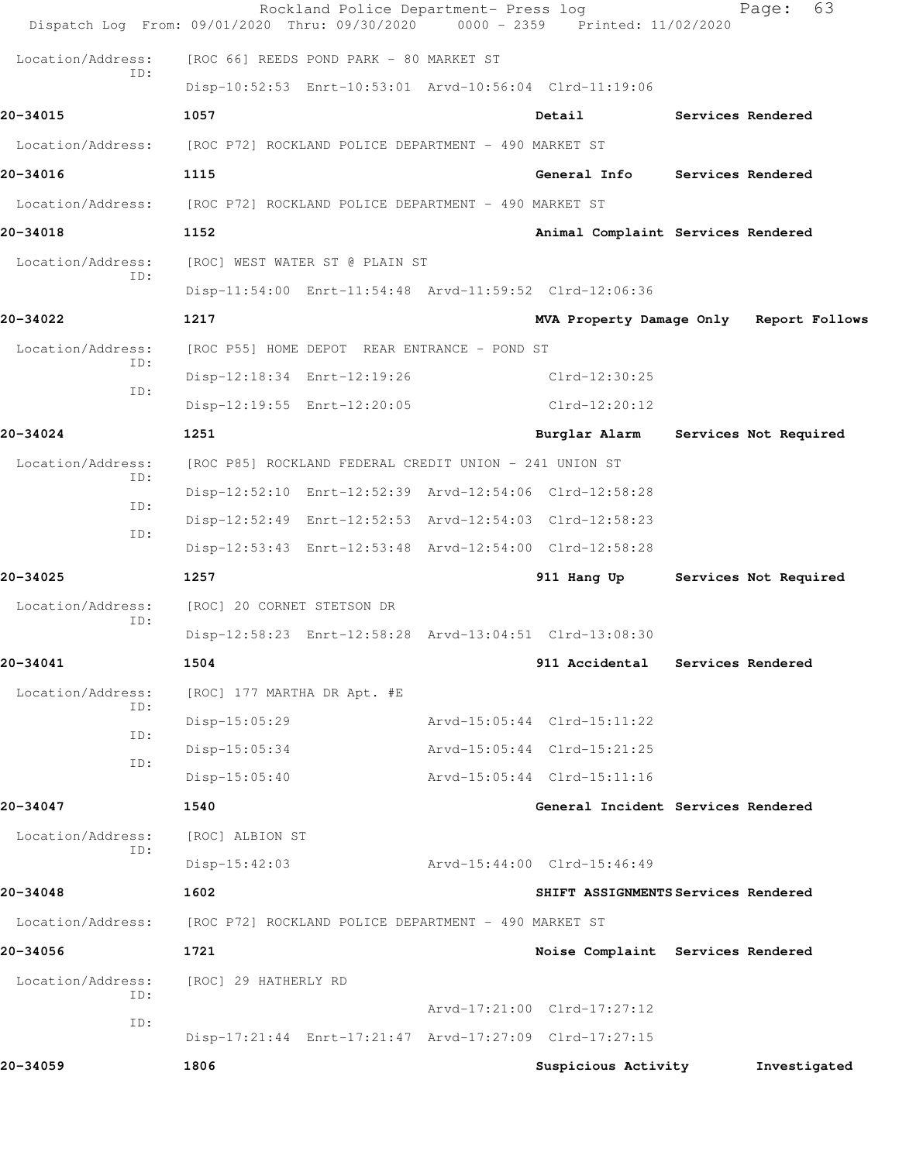|                          | Rockland Police Department- Press log<br>Dispatch Log From: 09/01/2020 Thru: 09/30/2020 | 0000 - 2359 Printed: 11/02/2020         | 63<br>Page:           |
|--------------------------|-----------------------------------------------------------------------------------------|-----------------------------------------|-----------------------|
| Location/Address:        | [ROC 66] REEDS POND PARK - 80 MARKET ST                                                 |                                         |                       |
| TD:                      | Disp-10:52:53 Enrt-10:53:01 Arvd-10:56:04 Clrd-11:19:06                                 |                                         |                       |
| 20-34015                 | 1057                                                                                    | Detail                                  | Services Rendered     |
| Location/Address:        | [ROC P72] ROCKLAND POLICE DEPARTMENT - 490 MARKET ST                                    |                                         |                       |
| 20-34016                 | 1115                                                                                    | <b>General Info</b>                     | Services Rendered     |
| Location/Address:        | [ROC P72] ROCKLAND POLICE DEPARTMENT - 490 MARKET ST                                    |                                         |                       |
| 20-34018                 | 1152                                                                                    | Animal Complaint Services Rendered      |                       |
| Location/Address:        | [ROC] WEST WATER ST @ PLAIN ST                                                          |                                         |                       |
| ID:                      | Disp-11:54:00 Enrt-11:54:48 Arvd-11:59:52 Clrd-12:06:36                                 |                                         |                       |
| 20-34022                 | 1217                                                                                    | MVA Property Damage Only Report Follows |                       |
| Location/Address:        | [ROC P55] HOME DEPOT REAR ENTRANCE - POND ST                                            |                                         |                       |
| ID:<br>ID:               | Disp-12:18:34 Enrt-12:19:26                                                             | Clrd-12:30:25                           |                       |
|                          | Disp-12:19:55 Enrt-12:20:05                                                             | Clrd-12:20:12                           |                       |
| 20-34024                 | 1251                                                                                    | Burglar Alarm                           | Services Not Required |
| Location/Address:<br>ID: | [ROC P85] ROCKLAND FEDERAL CREDIT UNION - 241 UNION ST                                  |                                         |                       |
|                          | Disp-12:52:10 Enrt-12:52:39 Arvd-12:54:06 Clrd-12:58:28                                 |                                         |                       |
| ID:<br>ID:               | Disp-12:52:49 Enrt-12:52:53 Arvd-12:54:03 Clrd-12:58:23                                 |                                         |                       |
|                          | Disp-12:53:43 Enrt-12:53:48 Arvd-12:54:00 Clrd-12:58:28                                 |                                         |                       |
| $20 - 34025$             | 1257                                                                                    | 911 Hang Up                             | Services Not Required |
| Location/Address:<br>ID: | [ROC] 20 CORNET STETSON DR                                                              |                                         |                       |
|                          | Disp-12:58:23 Enrt-12:58:28 Arvd-13:04:51 Clrd-13:08:30                                 |                                         |                       |
| 20-34041                 | 1504                                                                                    | 911 Accidental                          | Services Rendered     |
| Location/Address:<br>ID: | [ROC] 177 MARTHA DR Apt. #E                                                             |                                         |                       |
| ID:                      | $Disp-15:05:29$                                                                         | Arvd-15:05:44 Clrd-15:11:22             |                       |
| ID:                      | Disp-15:05:34                                                                           | Arvd-15:05:44 Clrd-15:21:25             |                       |
|                          | $Disp-15:05:40$                                                                         | Arvd-15:05:44 Clrd-15:11:16             |                       |
| 20-34047                 | 1540                                                                                    | General Incident Services Rendered      |                       |
| Location/Address:<br>ID: | [ROC] ALBION ST                                                                         |                                         |                       |
|                          | $Disp-15:42:03$                                                                         | Arvd-15:44:00 Clrd-15:46:49             |                       |
| 20-34048                 | 1602                                                                                    | SHIFT ASSIGNMENTS Services Rendered     |                       |
| Location/Address:        | [ROC P72] ROCKLAND POLICE DEPARTMENT - 490 MARKET ST                                    |                                         |                       |
| 20-34056                 | 1721                                                                                    | Noise Complaint Services Rendered       |                       |
| Location/Address:<br>ID: | [ROC] 29 HATHERLY RD                                                                    |                                         |                       |
| ID:                      |                                                                                         | Arvd-17:21:00 Clrd-17:27:12             |                       |
|                          | Disp-17:21:44 Enrt-17:21:47 Arvd-17:27:09 Clrd-17:27:15                                 |                                         |                       |
| 20-34059                 | 1806                                                                                    | Suspicious Activity                     | Investigated          |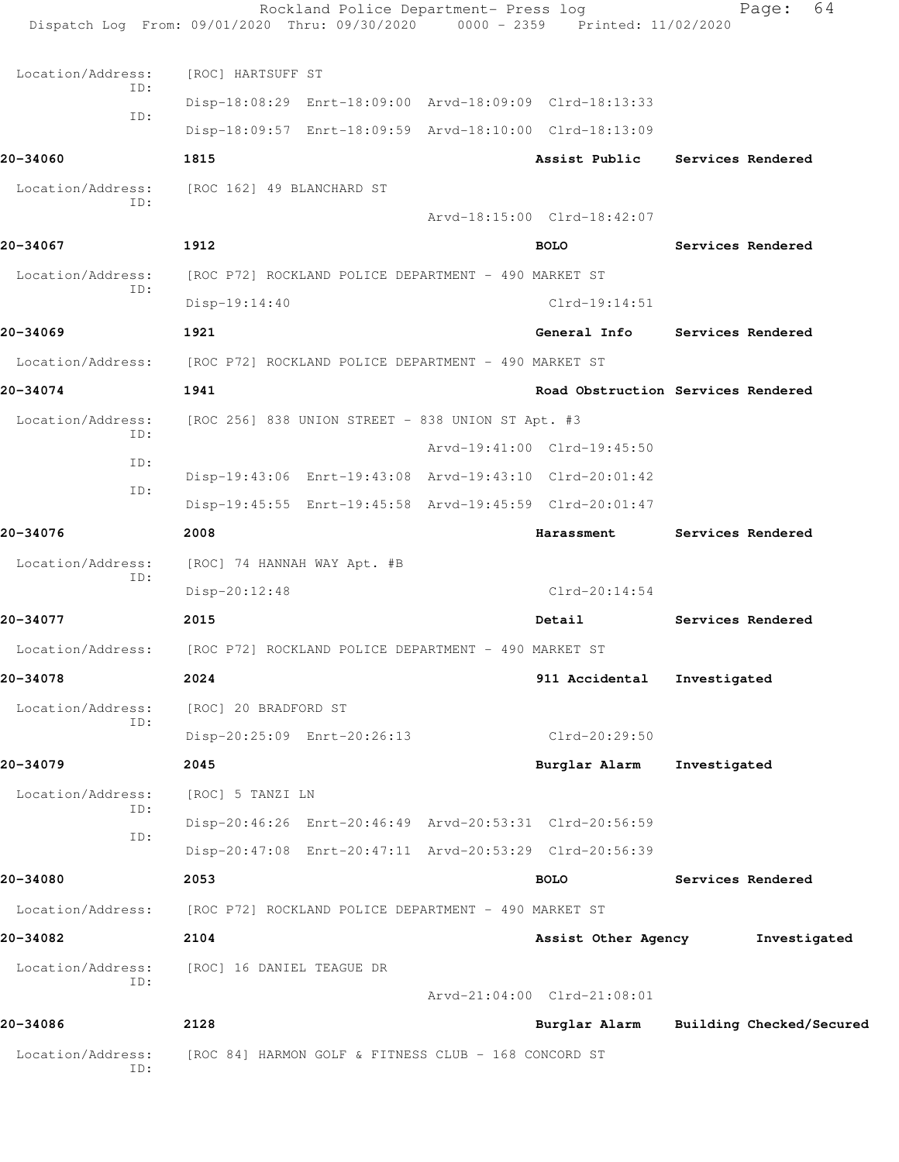|                                                                        | Dispatch Log From: 09/01/2020 Thru: 09/30/2020 0000 - 2359 Printed: 11/02/2020 | Rockland Police Department- Press log |                                    |              | 64<br>Page:              |
|------------------------------------------------------------------------|--------------------------------------------------------------------------------|---------------------------------------|------------------------------------|--------------|--------------------------|
| Location/Address:                                                      | [ROC] HARTSUFF ST                                                              |                                       |                                    |              |                          |
| ID:                                                                    | Disp-18:08:29 Enrt-18:09:00 Arvd-18:09:09 Clrd-18:13:33                        |                                       |                                    |              |                          |
| ID:                                                                    | Disp-18:09:57 Enrt-18:09:59 Arvd-18:10:00 Clrd-18:13:09                        |                                       |                                    |              |                          |
| 20-34060                                                               | 1815                                                                           |                                       | Assist Public                      |              | Services Rendered        |
| Location/Address:                                                      | [ROC 162] 49 BLANCHARD ST                                                      |                                       |                                    |              |                          |
| ID:                                                                    |                                                                                |                                       | Arvd-18:15:00 Clrd-18:42:07        |              |                          |
| 20-34067                                                               | 1912                                                                           |                                       | <b>BOLO</b>                        |              | Services Rendered        |
| Location/Address:                                                      | [ROC P72] ROCKLAND POLICE DEPARTMENT - 490 MARKET ST                           |                                       |                                    |              |                          |
| ID:                                                                    | Disp-19:14:40                                                                  |                                       | $Clrd-19:14:51$                    |              |                          |
| 20-34069                                                               | 1921                                                                           |                                       | General Info                       |              | Services Rendered        |
| Location/Address: [ROC P72] ROCKLAND POLICE DEPARTMENT - 490 MARKET ST |                                                                                |                                       |                                    |              |                          |
| 20-34074                                                               | 1941                                                                           |                                       | Road Obstruction Services Rendered |              |                          |
| Location/Address:                                                      | [ROC 256] 838 UNION STREET - 838 UNION ST Apt. #3                              |                                       |                                    |              |                          |
| ID:                                                                    |                                                                                |                                       | Arvd-19:41:00 Clrd-19:45:50        |              |                          |
| ID:                                                                    | Disp-19:43:06 Enrt-19:43:08 Arvd-19:43:10 Clrd-20:01:42                        |                                       |                                    |              |                          |
| ID:                                                                    | Disp-19:45:55 Enrt-19:45:58 Arvd-19:45:59 Clrd-20:01:47                        |                                       |                                    |              |                          |
| 20-34076                                                               | 2008                                                                           |                                       | Harassment                         |              | Services Rendered        |
| Location/Address:<br>ID:                                               | [ROC] 74 HANNAH WAY Apt. #B                                                    |                                       |                                    |              |                          |
|                                                                        | Disp-20:12:48                                                                  |                                       | Clrd-20:14:54                      |              |                          |
| 20-34077                                                               | 2015                                                                           |                                       | Detail                             |              | Services Rendered        |
| Location/Address: [ROC P72] ROCKLAND POLICE DEPARTMENT - 490 MARKET ST |                                                                                |                                       |                                    |              |                          |
| 20-34078                                                               | 2024                                                                           |                                       | 911 Accidental Investigated        |              |                          |
| Location/Address:<br>ID:                                               | [ROC] 20 BRADFORD ST                                                           |                                       |                                    |              |                          |
|                                                                        | Disp-20:25:09 Enrt-20:26:13                                                    |                                       | Clrd-20:29:50                      |              |                          |
| 20-34079                                                               | 2045                                                                           |                                       | Burglar Alarm                      | Investigated |                          |
| Location/Address:<br>ID:                                               | [ROC] 5 TANZI LN                                                               |                                       |                                    |              |                          |
| ID:                                                                    | Disp-20:46:26 Enrt-20:46:49 Arvd-20:53:31 Clrd-20:56:59                        |                                       |                                    |              |                          |
|                                                                        | Disp-20:47:08 Enrt-20:47:11 Arvd-20:53:29 Clrd-20:56:39                        |                                       |                                    |              |                          |
| 20-34080                                                               | 2053                                                                           |                                       | <b>BOLO</b>                        |              | Services Rendered        |
| Location/Address:                                                      | [ROC P72] ROCKLAND POLICE DEPARTMENT - 490 MARKET ST                           |                                       |                                    |              |                          |
| 20-34082                                                               | 2104                                                                           |                                       | Assist Other Agency                |              | Investigated             |
| Location/Address:<br>ID:                                               | [ROC] 16 DANIEL TEAGUE DR                                                      |                                       | Arvd-21:04:00 Clrd-21:08:01        |              |                          |
| 20-34086                                                               | 2128                                                                           |                                       | Burglar Alarm                      |              | Building Checked/Secured |
| Location/Address:<br>ID:                                               | [ROC 84] HARMON GOLF & FITNESS CLUB - 168 CONCORD ST                           |                                       |                                    |              |                          |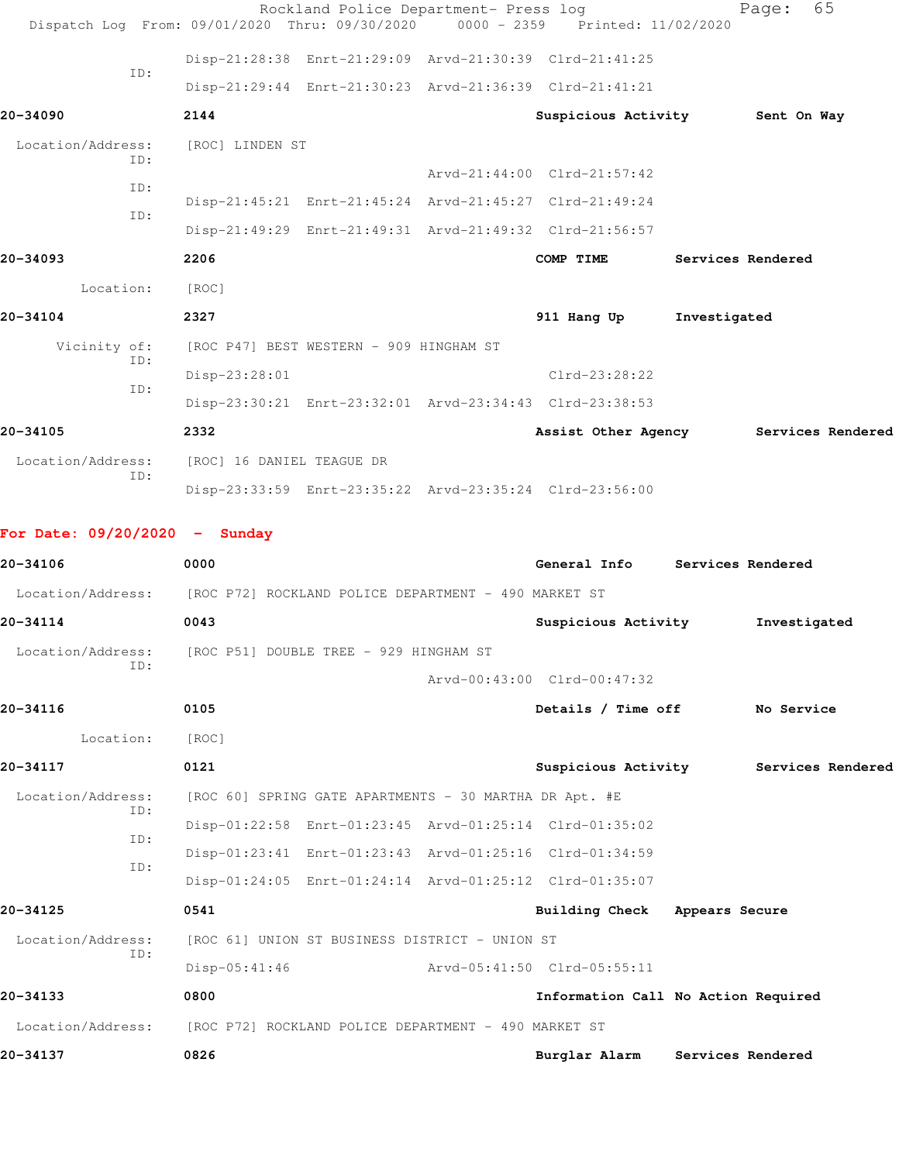|                                 |           |                 | Rockland Police Department- Press log<br>Dispatch Log From: 09/01/2020 Thru: 09/30/2020 0000 - 2359 Printed: 11/02/2020 |                             |              | Page:             | 65                |
|---------------------------------|-----------|-----------------|-------------------------------------------------------------------------------------------------------------------------|-----------------------------|--------------|-------------------|-------------------|
|                                 |           |                 | Disp-21:28:38 Enrt-21:29:09 Arvd-21:30:39 Clrd-21:41:25                                                                 |                             |              |                   |                   |
|                                 | TD:       |                 | Disp-21:29:44 Enrt-21:30:23 Arvd-21:36:39 Clrd-21:41:21                                                                 |                             |              |                   |                   |
| 20-34090                        |           | 2144            |                                                                                                                         | Suspicious Activity         |              | Sent On Way       |                   |
| Location/Address:               | TD:       | [ROC] LINDEN ST |                                                                                                                         |                             |              |                   |                   |
|                                 | ID:       |                 |                                                                                                                         | Arvd-21:44:00 Clrd-21:57:42 |              |                   |                   |
|                                 | ID:       |                 | Disp-21:45:21 Enrt-21:45:24 Arvd-21:45:27 Clrd-21:49:24                                                                 |                             |              |                   |                   |
|                                 |           |                 | Disp-21:49:29 Enrt-21:49:31 Arvd-21:49:32 Clrd-21:56:57                                                                 |                             |              |                   |                   |
| 20-34093                        |           | 2206            |                                                                                                                         | COMP TIME                   |              | Services Rendered |                   |
|                                 | Location: | [ROC]           |                                                                                                                         |                             |              |                   |                   |
| 20-34104                        |           | 2327            |                                                                                                                         | 911 Hang Up                 | Investigated |                   |                   |
| Vicinity of:                    |           |                 | [ROC P47] BEST WESTERN - 909 HINGHAM ST                                                                                 |                             |              |                   |                   |
|                                 | ID:       | Disp-23:28:01   |                                                                                                                         | $Clrd-23:28:22$             |              |                   |                   |
|                                 | ID:       |                 | Disp-23:30:21 Enrt-23:32:01 Arvd-23:34:43 Clrd-23:38:53                                                                 |                             |              |                   |                   |
| 20-34105                        |           | 2332            |                                                                                                                         | Assist Other Agency         |              |                   | Services Rendered |
| Location/Address:               |           |                 | [ROC] 16 DANIEL TEAGUE DR                                                                                               |                             |              |                   |                   |
|                                 | ID:       |                 | Disp-23:33:59 Enrt-23:35:22 Arvd-23:35:24 Clrd-23:56:00                                                                 |                             |              |                   |                   |
| For Date: $09/20/2020$ - Sunday |           |                 |                                                                                                                         |                             |              |                   |                   |

| 20-34106                 | 0000                                                    | General Info                        |                | Services Rendered        |  |
|--------------------------|---------------------------------------------------------|-------------------------------------|----------------|--------------------------|--|
| Location/Address:        | [ROC P72] ROCKLAND POLICE DEPARTMENT - 490 MARKET ST    |                                     |                |                          |  |
| 20-34114                 | 0043                                                    | Suspicious Activity                 |                | Investigated             |  |
| Location/Address:<br>ID: | [ROC P51] DOUBLE TREE - 929 HINGHAM ST                  |                                     |                |                          |  |
|                          |                                                         | Arvd-00:43:00 Clrd-00:47:32         |                |                          |  |
| 20-34116                 | 0105                                                    | Details / Time off                  |                | No Service               |  |
| Location:                | [ROC]                                                   |                                     |                |                          |  |
| 20-34117                 | 0121                                                    | Suspicious Activity                 |                | Services Rendered        |  |
| Location/Address:<br>ID: | [ROC 60] SPRING GATE APARTMENTS - 30 MARTHA DR Apt. #E  |                                     |                |                          |  |
| ID:                      | Disp-01:22:58 Enrt-01:23:45 Arvd-01:25:14 Clrd-01:35:02 |                                     |                |                          |  |
| ID:                      | Disp-01:23:41 Enrt-01:23:43 Arvd-01:25:16 Clrd-01:34:59 |                                     |                |                          |  |
|                          | Disp-01:24:05 Enrt-01:24:14 Arvd-01:25:12 Clrd-01:35:07 |                                     |                |                          |  |
| 20-34125                 | 0541                                                    | Building Check                      | Appears Secure |                          |  |
| Location/Address:<br>TD: | [ROC 61] UNION ST BUSINESS DISTRICT - UNION ST          |                                     |                |                          |  |
|                          | $Disp-05:41:46$                                         | Arvd-05:41:50 Clrd-05:55:11         |                |                          |  |
| 20-34133                 | 0800                                                    | Information Call No Action Required |                |                          |  |
| Location/Address:        | [ROC P72] ROCKLAND POLICE DEPARTMENT - 490 MARKET ST    |                                     |                |                          |  |
| 20-34137                 | 0826                                                    | Burglar Alarm                       |                | <b>Services Rendered</b> |  |
|                          |                                                         |                                     |                |                          |  |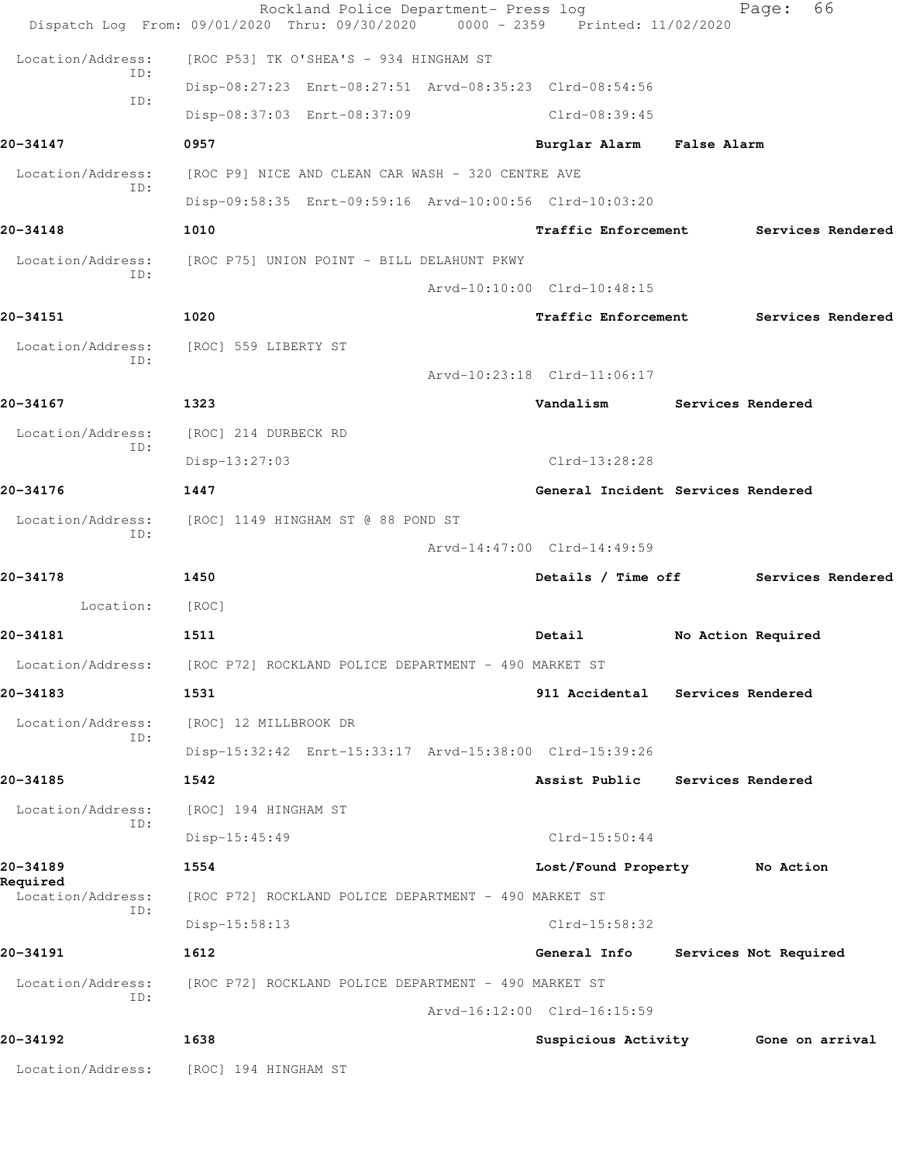|                          | Rockland Police Department- Press log<br>Dispatch Log From: 09/01/2020 Thru: 09/30/2020 | $0000 - 2359$<br>Printed: 11/02/2020 | 66<br>Page:                         |
|--------------------------|-----------------------------------------------------------------------------------------|--------------------------------------|-------------------------------------|
| Location/Address:        | [ROC P53] TK O'SHEA'S - 934 HINGHAM ST                                                  |                                      |                                     |
| ID:                      | Disp-08:27:23 Enrt-08:27:51 Arvd-08:35:23 Clrd-08:54:56                                 |                                      |                                     |
| ID:                      | Disp-08:37:03 Enrt-08:37:09                                                             | Clrd-08:39:45                        |                                     |
| 20-34147                 | 0957                                                                                    | Burglar Alarm False Alarm            |                                     |
| Location/Address:        | [ROC P9] NICE AND CLEAN CAR WASH - 320 CENTRE AVE                                       |                                      |                                     |
| ID:                      | Disp-09:58:35 Enrt-09:59:16 Arvd-10:00:56 Clrd-10:03:20                                 |                                      |                                     |
| 20-34148                 | 1010                                                                                    | Traffic Enforcement                  | Services Rendered                   |
| Location/Address:        | [ROC P75] UNION POINT - BILL DELAHUNT PKWY                                              |                                      |                                     |
| ID:                      |                                                                                         | Arvd-10:10:00 Clrd-10:48:15          |                                     |
| 20-34151                 | 1020                                                                                    | <b>Traffic Enforcement</b>           | Services Rendered                   |
| Location/Address:        | [ROC] 559 LIBERTY ST                                                                    |                                      |                                     |
| ID:                      |                                                                                         | Arvd-10:23:18 Clrd-11:06:17          |                                     |
| 20-34167                 | 1323                                                                                    | Vandalism                            | Services Rendered                   |
| Location/Address:        | [ROC] 214 DURBECK RD                                                                    |                                      |                                     |
| ID:                      | $Disp-13:27:03$                                                                         | Clrd-13:28:28                        |                                     |
| 20-34176                 | 1447                                                                                    | General Incident Services Rendered   |                                     |
| Location/Address:<br>ID: | [ROC] 1149 HINGHAM ST @ 88 POND ST                                                      |                                      |                                     |
|                          |                                                                                         | Arvd-14:47:00 Clrd-14:49:59          |                                     |
| 20-34178                 | 1450                                                                                    | Details / Time off                   | Services Rendered                   |
| Location:                | [ROC]                                                                                   |                                      |                                     |
| 20-34181                 | 1511                                                                                    | Detail                               | No Action Required                  |
| Location/Address:        | [ROC P72] ROCKLAND POLICE DEPARTMENT - 490 MARKET ST                                    |                                      |                                     |
| 20-34183                 | 1531                                                                                    | 911 Accidental                       | Services Rendered                   |
| Location/Address:<br>ID: | [ROC] 12 MILLBROOK DR                                                                   |                                      |                                     |
|                          | Disp-15:32:42 Enrt-15:33:17 Arvd-15:38:00 Clrd-15:39:26                                 |                                      |                                     |
| 20-34185                 | 1542                                                                                    | Assist Public                        | Services Rendered                   |
| Location/Address:<br>ID: | [ROC] 194 HINGHAM ST                                                                    |                                      |                                     |
|                          | Disp-15:45:49                                                                           | $Clrd-15:50:44$                      |                                     |
| 20-34189<br>Required     | 1554                                                                                    | Lost/Found Property No Action        |                                     |
| Location/Address:<br>ID: | [ROC P72] ROCKLAND POLICE DEPARTMENT - 490 MARKET ST                                    |                                      |                                     |
|                          | $Disp-15:58:13$                                                                         | $Clrd-15:58:32$                      |                                     |
| 20-34191                 | 1612                                                                                    | General Info                         | Services Not Required               |
| Location/Address:<br>ID: | [ROC P72] ROCKLAND POLICE DEPARTMENT - 490 MARKET ST                                    |                                      |                                     |
|                          |                                                                                         | Arvd-16:12:00 Clrd-16:15:59          |                                     |
| 20-34192                 | 1638                                                                                    |                                      | Suspicious Activity 6one on arrival |
| Location/Address:        | [ROC] 194 HINGHAM ST                                                                    |                                      |                                     |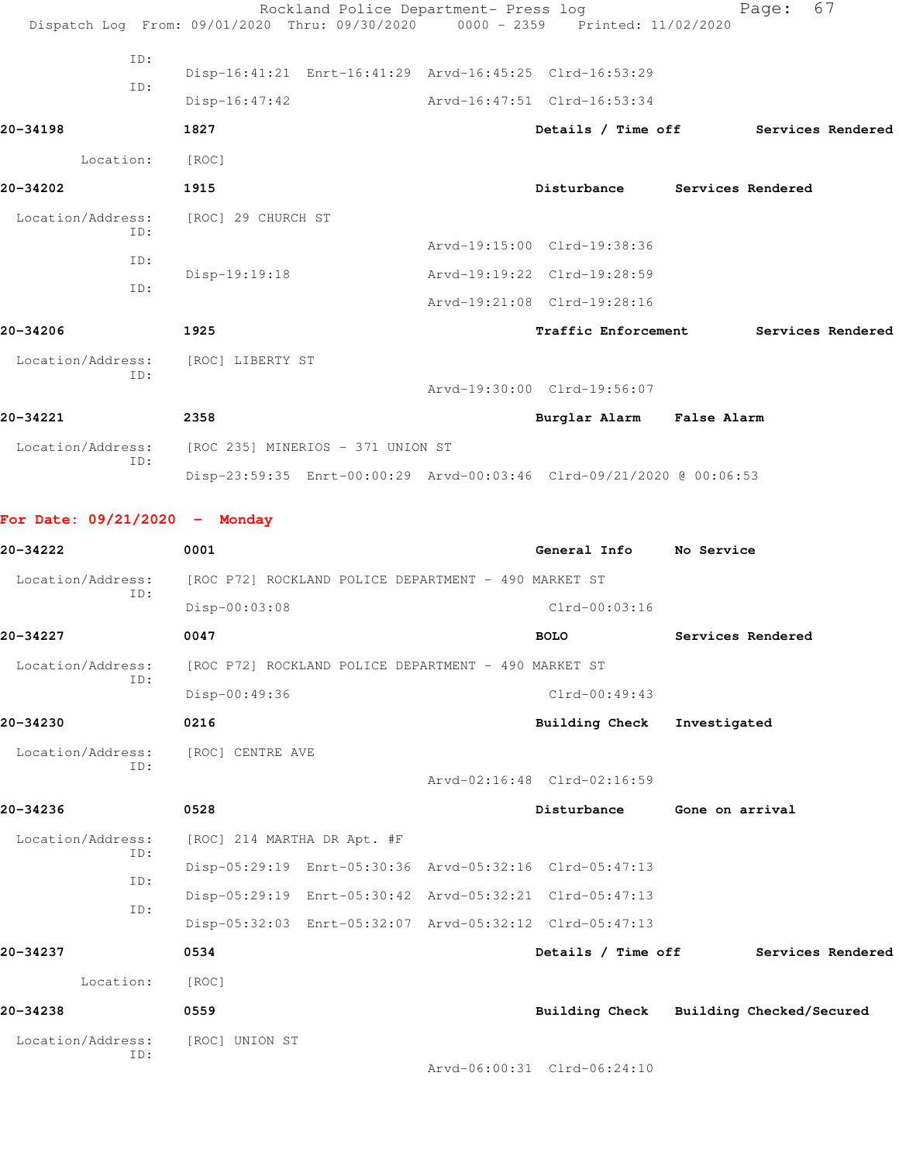|                                 | Rockland Police Department- Press log<br>Dispatch Log From: 09/01/2020 Thru: 09/30/2020 0000 - 2359 Printed: 11/02/2020 |                             | 67<br>Page:                             |
|---------------------------------|-------------------------------------------------------------------------------------------------------------------------|-----------------------------|-----------------------------------------|
| ID:                             | Disp-16:41:21 Enrt-16:41:29 Arvd-16:45:25 Clrd-16:53:29                                                                 |                             |                                         |
| ID:                             | $Disp-16:47:42$                                                                                                         | Arvd-16:47:51 Clrd-16:53:34 |                                         |
| 20-34198                        | 1827                                                                                                                    | Details / Time off          | Services Rendered                       |
| Location:                       | [ROC]                                                                                                                   |                             |                                         |
| 20-34202                        | 1915                                                                                                                    | Disturbance                 | <b>Services Rendered</b>                |
| Location/Address:               | [ROC] 29 CHURCH ST                                                                                                      |                             |                                         |
| ID:                             |                                                                                                                         | Arvd-19:15:00 Clrd-19:38:36 |                                         |
| ID:                             | Disp-19:19:18                                                                                                           | Arvd-19:19:22 Clrd-19:28:59 |                                         |
| ID:                             |                                                                                                                         | Arvd-19:21:08 Clrd-19:28:16 |                                         |
| 20-34206                        | 1925                                                                                                                    | Traffic Enforcement         | Services Rendered                       |
|                                 |                                                                                                                         |                             |                                         |
| Location/Address:<br>ID:        | [ROC] LIBERTY ST                                                                                                        |                             |                                         |
|                                 |                                                                                                                         | Arvd-19:30:00 Clrd-19:56:07 |                                         |
| 20-34221                        | 2358                                                                                                                    | Burglar Alarm False Alarm   |                                         |
| Location/Address:<br>ID:        | [ROC 235] MINERIOS - 371 UNION ST                                                                                       |                             |                                         |
|                                 | Disp-23:59:35 Enrt-00:00:29 Arvd-00:03:46 Clrd-09/21/2020 @ 00:06:53                                                    |                             |                                         |
| For Date: $09/21/2020 -$ Monday |                                                                                                                         |                             |                                         |
|                                 |                                                                                                                         |                             |                                         |
| 20-34222                        | 0001                                                                                                                    | General Info No Service     |                                         |
| Location/Address:               | [ROC P72] ROCKLAND POLICE DEPARTMENT - 490 MARKET ST                                                                    |                             |                                         |
| ID:                             | Disp-00:03:08                                                                                                           | $Clrd-00:03:16$             |                                         |
| 20-34227                        | 0047                                                                                                                    | <b>BOLO</b>                 | Services Rendered                       |
| Location/Address:               | [ROC P72] ROCKLAND POLICE DEPARTMENT - 490 MARKET ST                                                                    |                             |                                         |
| ID:                             | Disp-00:49:36                                                                                                           | $Clrd-00:49:43$             |                                         |
| 20-34230                        | 0216                                                                                                                    | <b>Building Check</b>       | Investigated                            |
| Location/Address:               | [ROC] CENTRE AVE                                                                                                        |                             |                                         |
| ID:                             |                                                                                                                         | Arvd-02:16:48 Clrd-02:16:59 |                                         |
| 20-34236                        | 0528                                                                                                                    | Disturbance                 | Gone on arrival                         |
| Location/Address:               | [ROC] 214 MARTHA DR Apt. #F                                                                                             |                             |                                         |
| ID:                             | Disp-05:29:19 Enrt-05:30:36 Arvd-05:32:16 Clrd-05:47:13                                                                 |                             |                                         |
| ID:                             | Disp-05:29:19 Enrt-05:30:42 Arvd-05:32:21 Clrd-05:47:13                                                                 |                             |                                         |
| ID:                             | Disp-05:32:03 Enrt-05:32:07 Arvd-05:32:12 Clrd-05:47:13                                                                 |                             |                                         |
| 20-34237                        | 0534                                                                                                                    | Details / Time off          | Services Rendered                       |
| Location:                       | [ROC]                                                                                                                   |                             |                                         |
| 20-34238                        | 0559                                                                                                                    |                             | Building Check Building Checked/Secured |
| Location/Address:<br>ID:        | [ROC] UNION ST                                                                                                          |                             |                                         |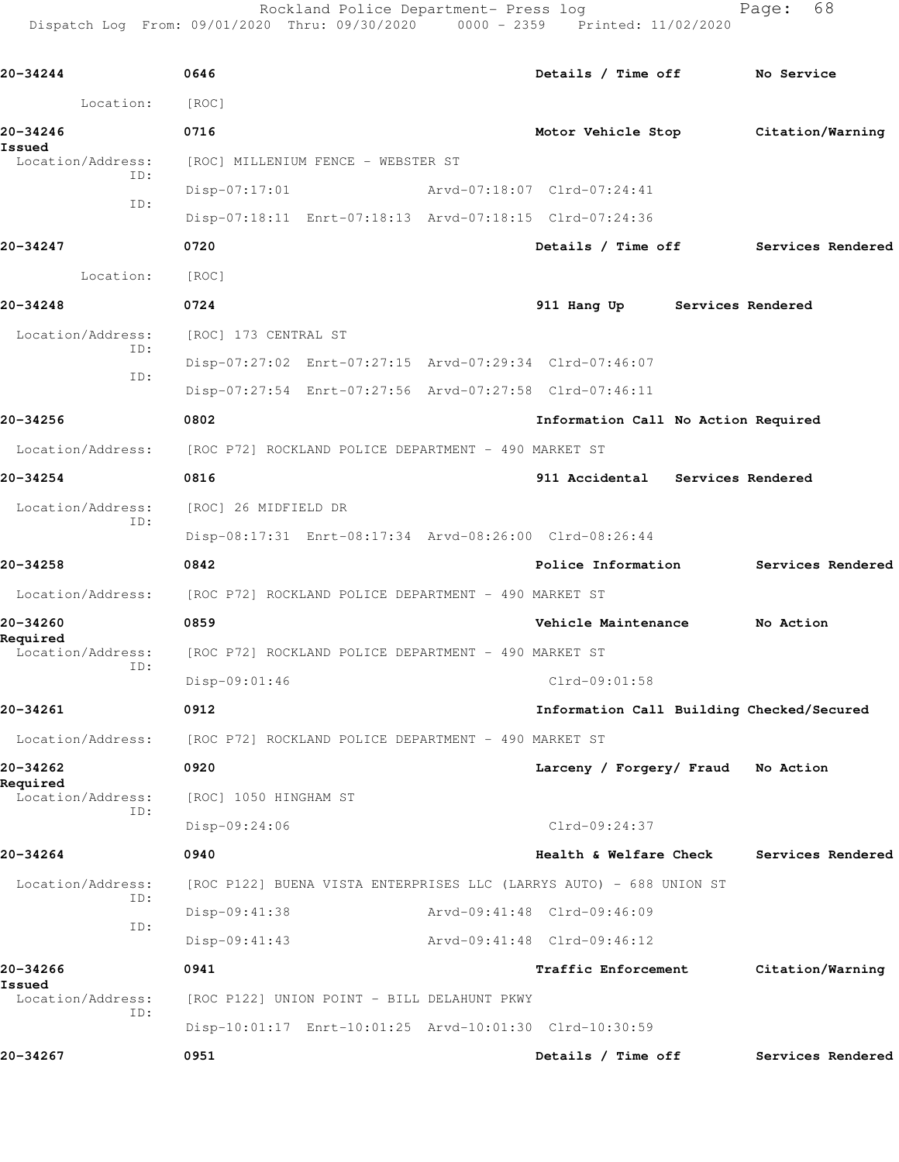Rockland Police Department- Press log entitled Page: 68 Dispatch Log From: 09/01/2020 Thru: 09/30/2020 0000 - 2359 Printed: 11/02/2020

| 20-34244                      | 0646                                                 |                                                         | Details / Time off                                                  |                   | No Service                           |
|-------------------------------|------------------------------------------------------|---------------------------------------------------------|---------------------------------------------------------------------|-------------------|--------------------------------------|
| Location:                     | [ROC]                                                |                                                         |                                                                     |                   |                                      |
| 20-34246                      | 0716                                                 |                                                         |                                                                     |                   | Motor Vehicle Stop Citation/Warning  |
| Issued<br>Location/Address:   |                                                      | [ROC] MILLENIUM FENCE - WEBSTER ST                      |                                                                     |                   |                                      |
| ID:                           | $Disp-07:17:01$                                      |                                                         | Arvd-07:18:07 Clrd-07:24:41                                         |                   |                                      |
| ID:                           |                                                      | Disp-07:18:11 Enrt-07:18:13 Arvd-07:18:15 Clrd-07:24:36 |                                                                     |                   |                                      |
| 20-34247                      | 0720                                                 |                                                         |                                                                     |                   | Details / Time off Services Rendered |
| Location:                     | [ROC]                                                |                                                         |                                                                     |                   |                                      |
| 20-34248                      | 0724                                                 |                                                         | 911 Hang Up                                                         | Services Rendered |                                      |
| Location/Address:             | [ROC] 173 CENTRAL ST                                 |                                                         |                                                                     |                   |                                      |
| ID:                           |                                                      |                                                         | Disp-07:27:02 Enrt-07:27:15 Arvd-07:29:34 Clrd-07:46:07             |                   |                                      |
| ID:                           |                                                      |                                                         | Disp-07:27:54 Enrt-07:27:56 Arvd-07:27:58 Clrd-07:46:11             |                   |                                      |
| 20-34256                      | 0802                                                 |                                                         | Information Call No Action Required                                 |                   |                                      |
| Location/Address:             | [ROC P72] ROCKLAND POLICE DEPARTMENT - 490 MARKET ST |                                                         |                                                                     |                   |                                      |
| 20-34254                      | 0816                                                 |                                                         | 911 Accidental Services Rendered                                    |                   |                                      |
| Location/Address:<br>ID:      | [ROC] 26 MIDFIELD DR                                 |                                                         |                                                                     |                   |                                      |
|                               |                                                      | Disp-08:17:31 Enrt-08:17:34 Arvd-08:26:00 Clrd-08:26:44 |                                                                     |                   |                                      |
| 20-34258                      | 0842                                                 |                                                         |                                                                     |                   | Police Information Services Rendered |
| Location/Address:             | [ROC P72] ROCKLAND POLICE DEPARTMENT - 490 MARKET ST |                                                         |                                                                     |                   |                                      |
| 20-34260                      | 0859                                                 |                                                         | Vehicle Maintenance No Action                                       |                   |                                      |
| Required<br>Location/Address: |                                                      | [ROC P72] ROCKLAND POLICE DEPARTMENT - 490 MARKET ST    |                                                                     |                   |                                      |
| ID:                           | Disp-09:01:46                                        |                                                         | Clrd-09:01:58                                                       |                   |                                      |
| 20-34261                      | 0912                                                 |                                                         | Information Call Building Checked/Secured                           |                   |                                      |
| Location/Address:             | [ROC P72] ROCKLAND POLICE DEPARTMENT - 490 MARKET ST |                                                         |                                                                     |                   |                                      |
| 20-34262                      | 0920                                                 |                                                         | Larceny / Forgery/ Fraud No Action                                  |                   |                                      |
| Required<br>Location/Address: | [ROC] 1050 HINGHAM ST                                |                                                         |                                                                     |                   |                                      |
| ID:                           | Disp-09:24:06                                        |                                                         | Clrd-09:24:37                                                       |                   |                                      |
| 20-34264                      | 0940                                                 |                                                         | Health & Welfare Check                                              |                   | Services Rendered                    |
| Location/Address:             |                                                      |                                                         | [ROC P122] BUENA VISTA ENTERPRISES LLC (LARRYS AUTO) - 688 UNION ST |                   |                                      |
| ID:                           | Disp-09:41:38                                        |                                                         | Arvd-09:41:48 Clrd-09:46:09                                         |                   |                                      |
| ID:                           | $Disp-09:41:43$                                      |                                                         | Arvd-09:41:48 Clrd-09:46:12                                         |                   |                                      |
| 20-34266                      | 0941                                                 |                                                         | <b>Traffic Enforcement</b>                                          |                   | Citation/Warning                     |
| Issued<br>Location/Address:   |                                                      | [ROC P122] UNION POINT - BILL DELAHUNT PKWY             |                                                                     |                   |                                      |
| ID:                           |                                                      | Disp-10:01:17 Enrt-10:01:25 Arvd-10:01:30 Clrd-10:30:59 |                                                                     |                   |                                      |
| 20-34267                      | 0951                                                 |                                                         | Details / Time off                                                  |                   | Services Rendered                    |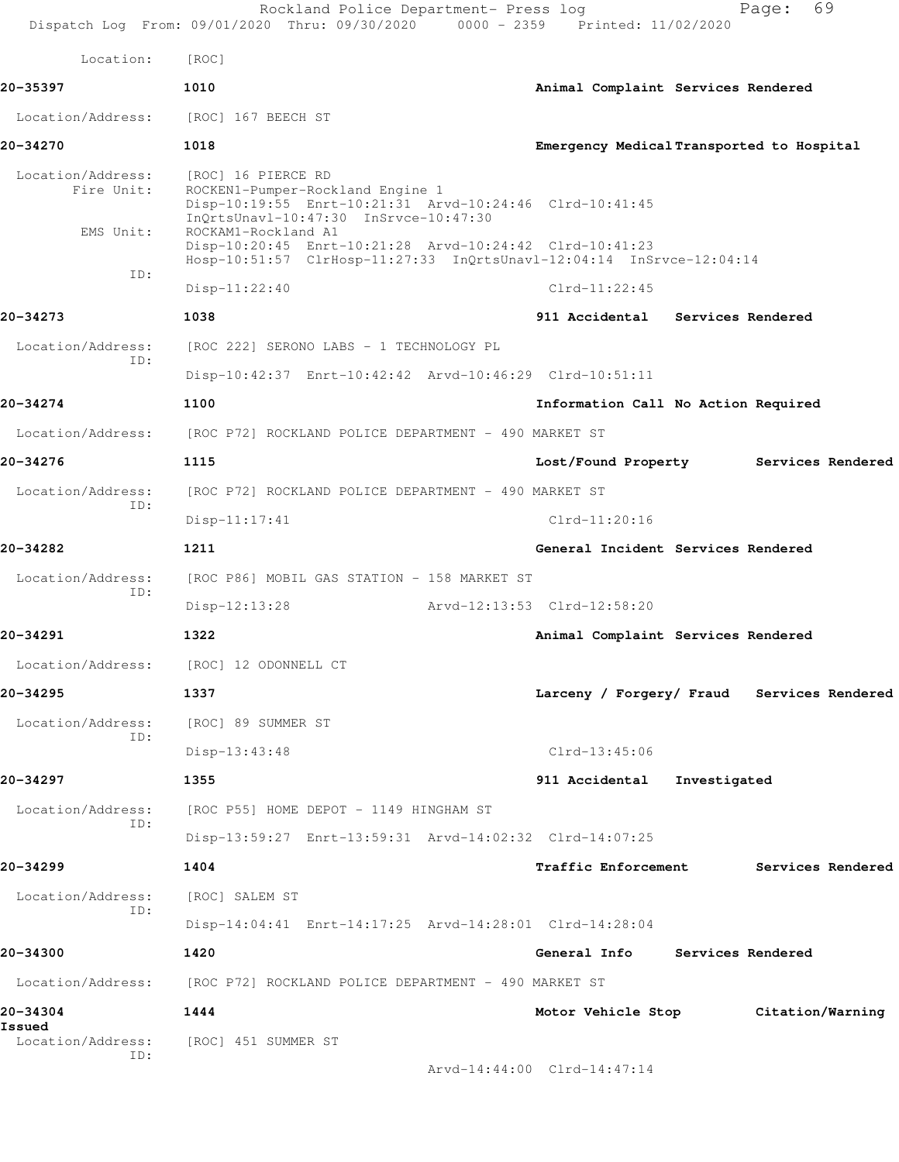|                                              | Rockland Police Department- Press log                                                                                                                                             | 69<br>Page:<br>Dispatch Log From: 09/01/2020 Thru: 09/30/2020 0000 - 2359 Printed: 11/02/2020 |
|----------------------------------------------|-----------------------------------------------------------------------------------------------------------------------------------------------------------------------------------|-----------------------------------------------------------------------------------------------|
| Location:                                    | [ROC]                                                                                                                                                                             |                                                                                               |
| 20-35397                                     | 1010                                                                                                                                                                              | Animal Complaint Services Rendered                                                            |
| Location/Address:                            | [ROC] 167 BEECH ST                                                                                                                                                                |                                                                                               |
| 20-34270                                     | 1018                                                                                                                                                                              | Emergency Medical Transported to Hospital                                                     |
| Location/Address:<br>Fire Unit:<br>EMS Unit: | [ROC] 16 PIERCE RD<br>ROCKEN1-Pumper-Rockland Engine 1<br>Disp-10:19:55 Enrt-10:21:31 Arvd-10:24:46 Clrd-10:41:45<br>InQrtsUnavl-10:47:30 InSrvce-10:47:30<br>ROCKAM1-Rockland A1 |                                                                                               |
|                                              | Disp-10:20:45 Enrt-10:21:28 Arvd-10:24:42 Clrd-10:41:23                                                                                                                           | Hosp-10:51:57 ClrHosp-11:27:33 InQrtsUnavl-12:04:14 InSrvce-12:04:14                          |
| ID:                                          | $Disp-11:22:40$                                                                                                                                                                   | $Clrd-11:22:45$                                                                               |
| 20-34273                                     | 1038                                                                                                                                                                              | 911 Accidental Services Rendered                                                              |
| Location/Address:                            | [ROC 222] SERONO LABS - 1 TECHNOLOGY PL                                                                                                                                           |                                                                                               |
| ID:                                          | Disp-10:42:37 Enrt-10:42:42 Arvd-10:46:29 Clrd-10:51:11                                                                                                                           |                                                                                               |
| 20-34274                                     | 1100                                                                                                                                                                              | Information Call No Action Required                                                           |
| Location/Address:                            | [ROC P72] ROCKLAND POLICE DEPARTMENT - 490 MARKET ST                                                                                                                              |                                                                                               |
| 20-34276                                     | 1115                                                                                                                                                                              | Lost/Found Property<br>Services Rendered                                                      |
| Location/Address:<br>ID:                     | [ROC P72] ROCKLAND POLICE DEPARTMENT - 490 MARKET ST                                                                                                                              |                                                                                               |
|                                              | $Disp-11:17:41$                                                                                                                                                                   | $Clrd-11:20:16$                                                                               |
| 20-34282                                     | 1211                                                                                                                                                                              | General Incident Services Rendered                                                            |
| Location/Address:                            | [ROC P86] MOBIL GAS STATION - 158 MARKET ST                                                                                                                                       |                                                                                               |
| ID:                                          | $Disp-12:13:28$                                                                                                                                                                   | Arvd-12:13:53 Clrd-12:58:20                                                                   |
| 20-34291                                     | 1322                                                                                                                                                                              | Animal Complaint Services Rendered                                                            |
|                                              | Location/Address: [ROC] 12 ODONNELL CT                                                                                                                                            |                                                                                               |
| 20-34295                                     | 1337                                                                                                                                                                              | Larceny / Forgery/ Fraud Services Rendered                                                    |
| Location/Address:<br>ID:                     | [ROC] 89 SUMMER ST                                                                                                                                                                |                                                                                               |
|                                              | Disp-13:43:48                                                                                                                                                                     | $Clrd-13:45:06$                                                                               |
| 20-34297                                     | 1355                                                                                                                                                                              | 911 Accidental Investigated                                                                   |
| Location/Address:<br>ID:                     | [ROC P55] HOME DEPOT - 1149 HINGHAM ST                                                                                                                                            |                                                                                               |
|                                              | Disp-13:59:27 Enrt-13:59:31 Arvd-14:02:32 Clrd-14:07:25                                                                                                                           |                                                                                               |
| 20-34299                                     | 1404                                                                                                                                                                              | <b>Traffic Enforcement</b><br>Services Rendered                                               |
| Location/Address:<br>ID:                     | [ROC] SALEM ST                                                                                                                                                                    |                                                                                               |
|                                              | Disp-14:04:41 Enrt-14:17:25 Arvd-14:28:01 Clrd-14:28:04                                                                                                                           |                                                                                               |
| 20-34300                                     | 1420                                                                                                                                                                              | General Info Services Rendered                                                                |
|                                              | Location/Address: [ROC P72] ROCKLAND POLICE DEPARTMENT - 490 MARKET ST                                                                                                            |                                                                                               |
| 20-34304<br>Issued                           | 1444                                                                                                                                                                              | Motor Vehicle Stop Citation/Warning                                                           |
| Location/Address:<br>ID:                     | [ROC] 451 SUMMER ST                                                                                                                                                               |                                                                                               |
|                                              |                                                                                                                                                                                   | Arvd-14:44:00 Clrd-14:47:14                                                                   |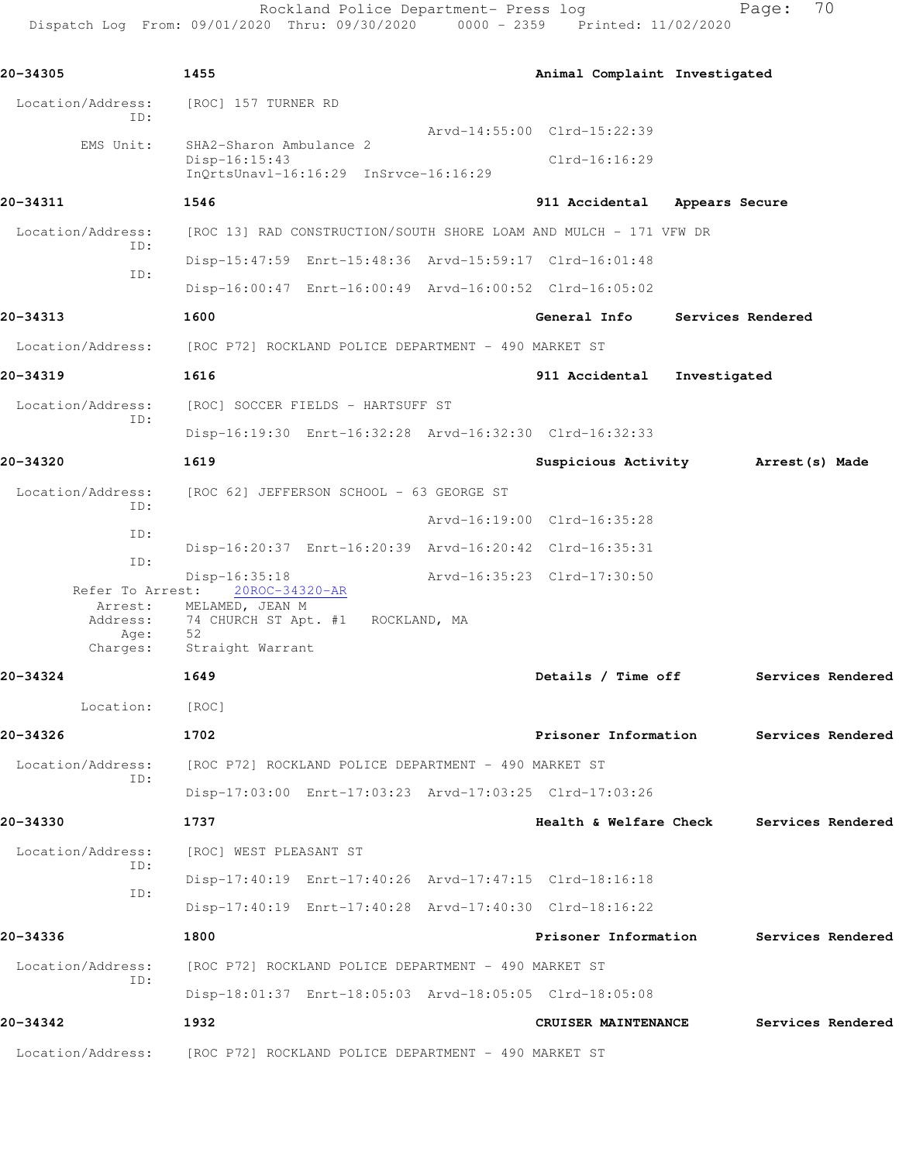Rockland Police Department- Press log Fage: 70 Dispatch Log From: 09/01/2020 Thru: 09/30/2020 0000 - 2359 Printed: 11/02/2020

**20-34305 1455 Animal Complaint Investigated** Location/Address: [ROC] 157 TURNER RD ID: Arvd-14:55:00 Clrd-15:22:39 EMS Unit: SHA2-Sharon Ambulance 2 Disp-16:15:43 Clrd-16:16:29 InQrtsUnavl-16:16:29 InSrvce-16:16:29 **20-34311 1546 911 Accidental Appears Secure** Location/Address: [ROC 13] RAD CONSTRUCTION/SOUTH SHORE LOAM AND MULCH - 171 VFW DR ID: Disp-15:47:59 Enrt-15:48:36 Arvd-15:59:17 Clrd-16:01:48 ID: Disp-16:00:47 Enrt-16:00:49 Arvd-16:00:52 Clrd-16:05:02 **20-34313 1600 General Info Services Rendered** Location/Address: [ROC P72] ROCKLAND POLICE DEPARTMENT - 490 MARKET ST **20-34319 1616 911 Accidental Investigated** Location/Address: [ROC] SOCCER FIELDS - HARTSUFF ST ID: Disp-16:19:30 Enrt-16:32:28 Arvd-16:32:30 Clrd-16:32:33 **20-34320 1619 Suspicious Activity Arrest(s) Made** Location/Address: [ROC 62] JEFFERSON SCHOOL - 63 GEORGE ST ID: Arvd-16:19:00 Clrd-16:35:28 ID: Disp-16:20:37 Enrt-16:20:39 Arvd-16:20:42 Clrd-16:35:31 ID: Disp-16:35:18 <br>bt: 20ROC-34320-AR <br>Arvd-16:35:23 Clrd-17:30:50 Refer To Arrest: Arrest: MELAMED, JEAN M Address: 74 CHURCH ST Apt. #1 ROCKLAND, MA Age: 52<br>Charges: St Straight Warrant **20-34324 1649 Details / Time off Services Rendered** Location: [ROC] **20-34326 1702 Prisoner Information Services Rendered** Location/Address: [ROC P72] ROCKLAND POLICE DEPARTMENT - 490 MARKET ST ID: Disp-17:03:00 Enrt-17:03:23 Arvd-17:03:25 Clrd-17:03:26 **20-34330 1737 Health & Welfare Check Services Rendered** Location/Address: [ROC] WEST PLEASANT ST ID: Disp-17:40:19 Enrt-17:40:26 Arvd-17:47:15 Clrd-18:16:18 ID: Disp-17:40:19 Enrt-17:40:28 Arvd-17:40:30 Clrd-18:16:22 **20-34336 1800 Prisoner Information Services Rendered** Location/Address: [ROC P72] ROCKLAND POLICE DEPARTMENT - 490 MARKET ST ID: Disp-18:01:37 Enrt-18:05:03 Arvd-18:05:05 Clrd-18:05:08 **20-34342 1932 CRUISER MAINTENANCE Services Rendered** Location/Address: [ROC P72] ROCKLAND POLICE DEPARTMENT - 490 MARKET ST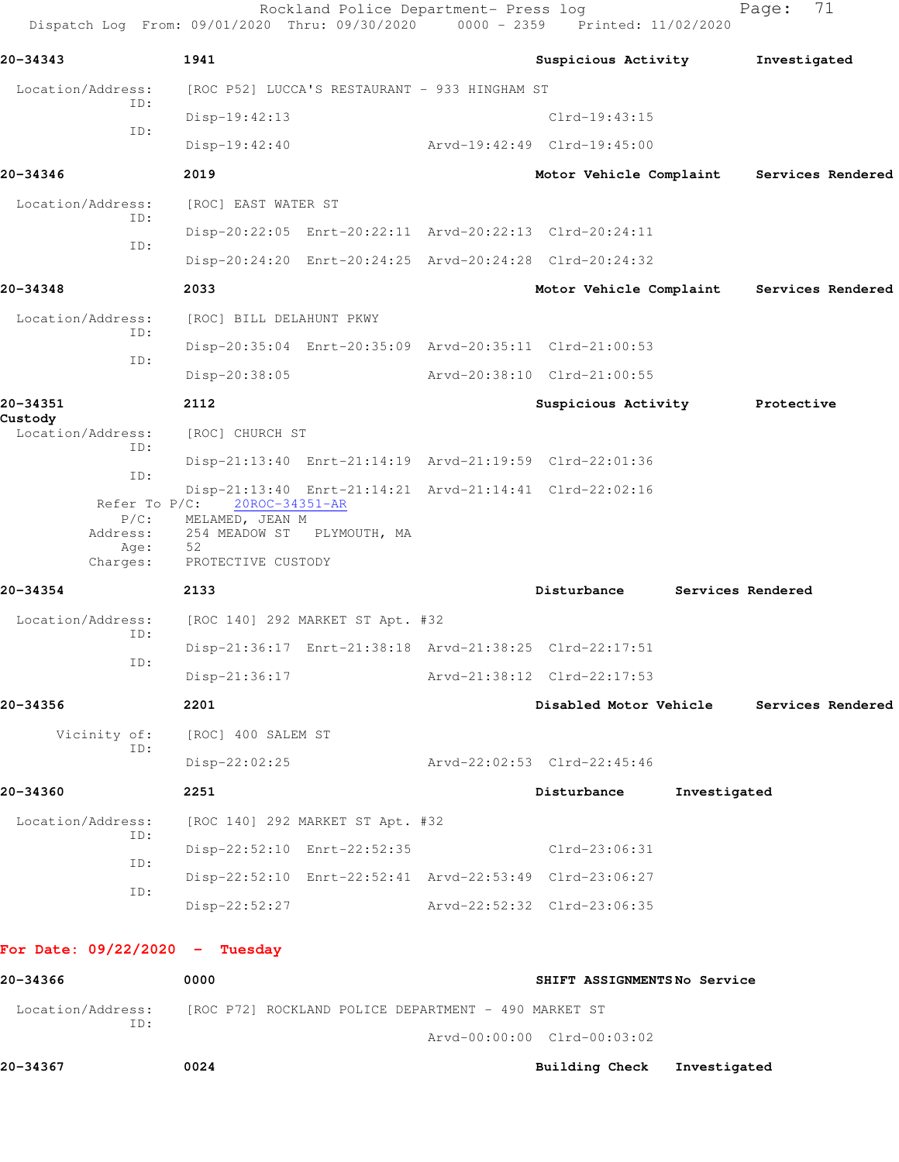Rockland Police Department- Press log Fage: 71 Dispatch Log From: 09/01/2020 Thru: 09/30/2020 0000 - 2359 Printed: 11/02/2020 **20-34343 1941 Suspicious Activity Investigated** Location/Address: [ROC P52] LUCCA'S RESTAURANT - 933 HINGHAM ST ID: Disp-19:42:13 Clrd-19:43:15 ID: Disp-19:42:40 Arvd-19:42:49 Clrd-19:45:00 **20-34346 2019 Motor Vehicle Complaint Services Rendered** Location/Address: [ROC] EAST WATER ST ID: Disp-20:22:05 Enrt-20:22:11 Arvd-20:22:13 Clrd-20:24:11 ID: Disp-20:24:20 Enrt-20:24:25 Arvd-20:24:28 Clrd-20:24:32 **20-34348 2033 Motor Vehicle Complaint Services Rendered** Location/Address: [ROC] BILL DELAHUNT PKWY ID: Disp-20:35:04 Enrt-20:35:09 Arvd-20:35:11 Clrd-21:00:53 ID: Disp-20:38:05 Arvd-20:38:10 Clrd-21:00:55 **20-34351 2112 Suspicious Activity Protective Custody**  Location/Address: [ROC] CHURCH ST ID: Disp-21:13:40 Enrt-21:14:19 Arvd-21:19:59 Clrd-22:01:36 ID: Disp-21:13:40 Enrt-21:14:21 Arvd-21:14:41 Clrd-22:02:16<br>Refer To P/C: 20ROC-34351-AR Refer To P/C: 20ROC-34351-AR P/C: MELAMED, JEAN M Address: 254 MEADOW ST PLYMOUTH, MA Age: 52 Charges: PROTECTIVE CUSTODY **20-34354 2133 Disturbance Services Rendered** Location/Address: [ROC 140] 292 MARKET ST Apt. #32 ID: Disp-21:36:17 Enrt-21:38:18 Arvd-21:38:25 Clrd-22:17:51 ID: Disp-21:36:17 Arvd-21:38:12 Clrd-22:17:53 **20-34356 2201 Disabled Motor Vehicle Services Rendered** Vicinity of: [ROC] 400 SALEM ST ID: Disp-22:02:25 Arvd-22:02:53 Clrd-22:45:46 **20-34360 2251 Disturbance Investigated** Location/Address: [ROC 140] 292 MARKET ST Apt. #32 ID: Disp-22:52:10 Enrt-22:52:35 Clrd-23:06:31 ID: Disp-22:52:10 Enrt-22:52:41 Arvd-22:53:49 Clrd-23:06:27 ID: Disp-22:52:27 Arvd-22:52:32 Clrd-23:06:35 **For Date: 09/22/2020 - Tuesday 20-34366 0000 SHIFT ASSIGNMENTS No Service** Location/Address: [ROC P72] ROCKLAND POLICE DEPARTMENT - 490 MARKET ST

 ID: Arvd-00:00:00 Clrd-00:03:02

**20-34367 0024 Building Check Investigated**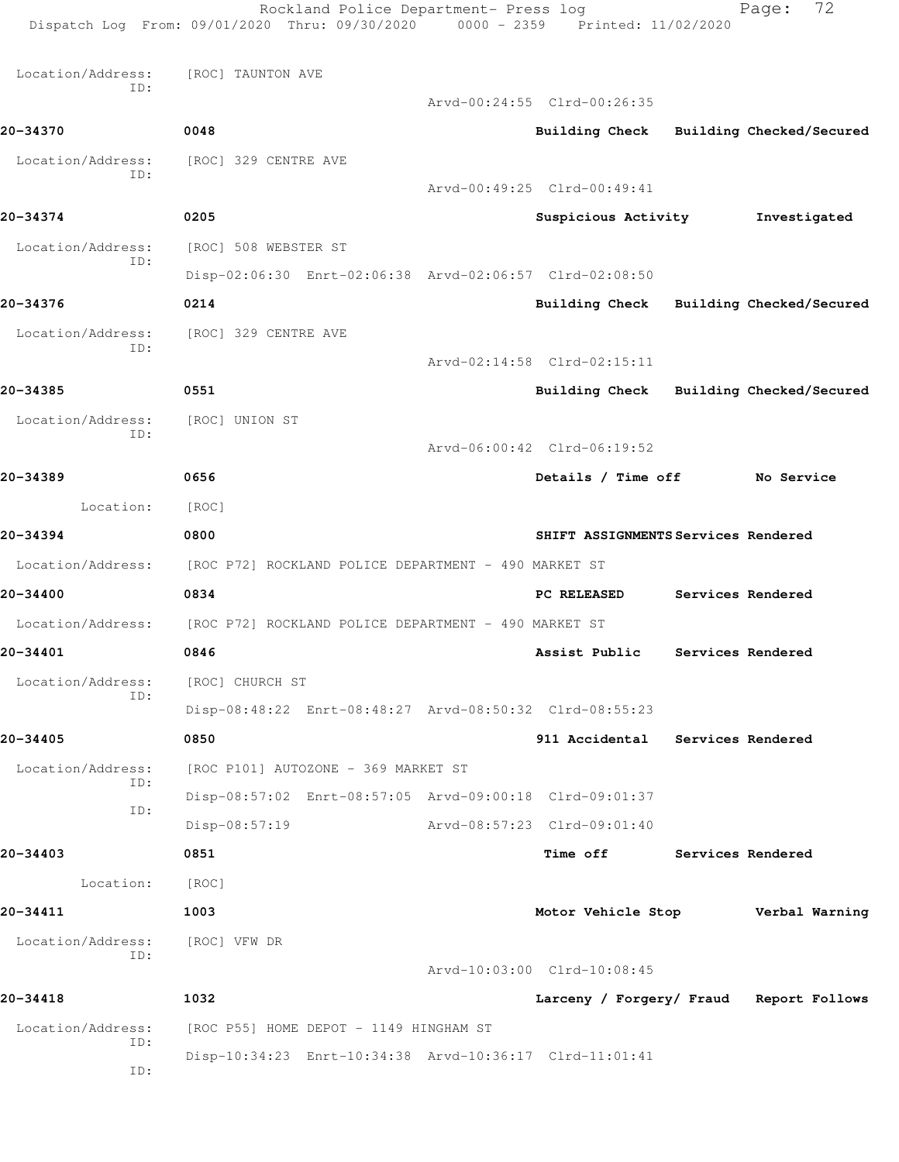|                          | Rockland Police Department- Press log<br>Dispatch Log From: 09/01/2020 Thru: 09/30/2020 0000 - 2359 Printed: 11/02/2020 |                                         | 72<br>Page:              |
|--------------------------|-------------------------------------------------------------------------------------------------------------------------|-----------------------------------------|--------------------------|
| Location/Address:        | [ROC] TAUNTON AVE                                                                                                       |                                         |                          |
| ID:                      |                                                                                                                         | Arvd-00:24:55 Clrd-00:26:35             |                          |
| 20-34370                 | 0048                                                                                                                    | <b>Building Check</b>                   | Building Checked/Secured |
| Location/Address:        | [ROC] 329 CENTRE AVE                                                                                                    |                                         |                          |
| ID:                      |                                                                                                                         | Arvd-00:49:25 Clrd-00:49:41             |                          |
| 20-34374                 | 0205                                                                                                                    | Suspicious Activity                     | Investigated             |
| Location/Address:        | [ROC] 508 WEBSTER ST                                                                                                    |                                         |                          |
| ID:                      | Disp-02:06:30 Enrt-02:06:38 Arvd-02:06:57 Clrd-02:08:50                                                                 |                                         |                          |
| 20-34376                 | 0214                                                                                                                    | <b>Building Check</b>                   | Building Checked/Secured |
| Location/Address:        | [ROC] 329 CENTRE AVE                                                                                                    |                                         |                          |
| ID:                      |                                                                                                                         | Arvd-02:14:58 Clrd-02:15:11             |                          |
| 20-34385                 | 0551                                                                                                                    | Building Check                          | Building Checked/Secured |
| Location/Address:        | [ROC] UNION ST                                                                                                          |                                         |                          |
| ID:                      |                                                                                                                         | Arvd-06:00:42 Clrd-06:19:52             |                          |
| 20-34389                 | 0656                                                                                                                    | Details / Time off                      | No Service               |
| Location:                | [ROC]                                                                                                                   |                                         |                          |
| 20-34394                 | 0800                                                                                                                    | SHIFT ASSIGNMENTS Services Rendered     |                          |
| Location/Address:        | [ROC P72] ROCKLAND POLICE DEPARTMENT - 490 MARKET ST                                                                    |                                         |                          |
| 20-34400                 | 0834                                                                                                                    | PC RELEASED                             | Services Rendered        |
|                          | Location/Address: [ROC P72] ROCKLAND POLICE DEPARTMENT - 490 MARKET ST                                                  |                                         |                          |
| 20-34401                 | 0846                                                                                                                    | Assist Public                           | Services Rendered        |
| Location/Address:        | [ROC] CHURCH ST                                                                                                         |                                         |                          |
| ID:                      | Disp-08:48:22 Enrt-08:48:27 Arvd-08:50:32 Clrd-08:55:23                                                                 |                                         |                          |
| 20-34405                 | 0850                                                                                                                    | 911 Accidental Services Rendered        |                          |
| Location/Address:<br>ID: | [ROC P101] AUTOZONE - 369 MARKET ST                                                                                     |                                         |                          |
| ID:                      | Disp-08:57:02 Enrt-08:57:05 Arvd-09:00:18 Clrd-09:01:37                                                                 |                                         |                          |
|                          | Disp-08:57:19                                                                                                           | Arvd-08:57:23 Clrd-09:01:40             |                          |
| 20-34403                 | 0851                                                                                                                    | <b>Time off</b>                         | Services Rendered        |
| Location:                | [ROC]                                                                                                                   |                                         |                          |
| 20-34411                 | 1003                                                                                                                    | Motor Vehicle Stop                      | Verbal Warning           |
| Location/Address:<br>ID: | [ROC] VFW DR                                                                                                            |                                         |                          |
|                          |                                                                                                                         | Arvd-10:03:00 Clrd-10:08:45             |                          |
| 20-34418                 | 1032                                                                                                                    | Larceny / Forgery/ Fraud Report Follows |                          |
| Location/Address:<br>ID: | [ROC P55] HOME DEPOT - 1149 HINGHAM ST                                                                                  |                                         |                          |
| ID:                      | Disp-10:34:23 Enrt-10:34:38 Arvd-10:36:17 Clrd-11:01:41                                                                 |                                         |                          |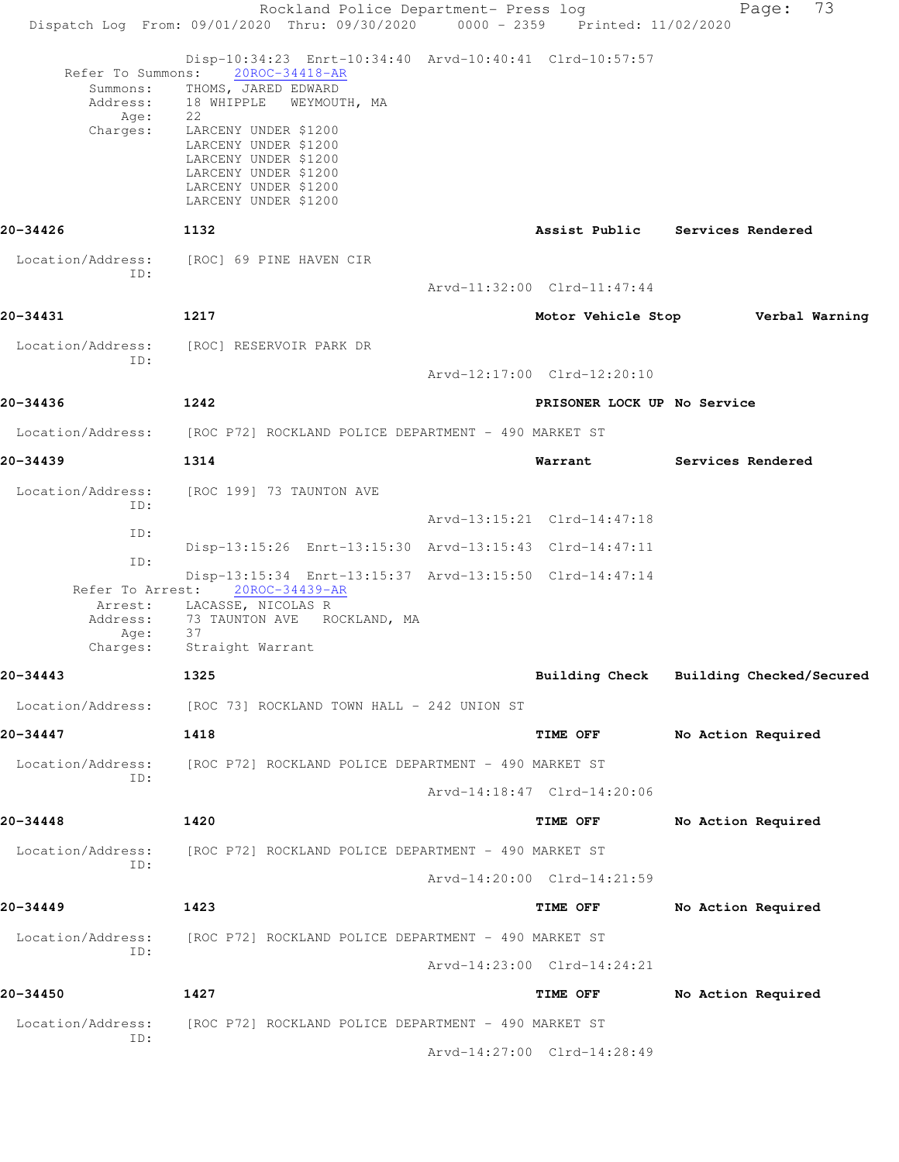Rockland Police Department- Press log Fage: 73 Dispatch Log From: 09/01/2020 Thru: 09/30/2020 0000 - 2359 Printed: 11/02/2020 Disp-10:34:23 Enrt-10:34:40 Arvd-10:40:41 Clrd-10:57:57 Refer To Summons: 20ROC-34418-AR Summons: THOMS, JARED EDWARD Address: 18 WHIPPLE WEYMOUTH, MA Age: 22 Charges: LARCENY UNDER \$1200 LARCENY UNDER \$1200 LARCENY UNDER \$1200 LARCENY UNDER \$1200 LARCENY UNDER \$1200 LARCENY UNDER \$1200 **20-34426 1132 Assist Public Services Rendered** Location/Address: [ROC] 69 PINE HAVEN CIR ID: Arvd-11:32:00 Clrd-11:47:44 **20-34431 1217 Motor Vehicle Stop Verbal Warning** Location/Address: [ROC] RESERVOIR PARK DR ID: Arvd-12:17:00 Clrd-12:20:10 **20-34436 1242 PRISONER LOCK UP No Service** Location/Address: [ROC P72] ROCKLAND POLICE DEPARTMENT - 490 MARKET ST **20-34439 1314 Warrant Services Rendered** Location/Address: [ROC 199] 73 TAUNTON AVE ID: Arvd-13:15:21 Clrd-14:47:18 ID: Disp-13:15:26 Enrt-13:15:30 Arvd-13:15:43 Clrd-14:47:11 ID: Disp-13:15:34 Enrt-13:15:37 Arvd-13:15:50 Clrd-14:47:14 Refer To Arrest: 20ROC-34439-AR Arrest: LACASSE, NICOLAS R<br>Address: 73 TAUNTON AVE RO 73 TAUNTON AVE ROCKLAND, MA Age: 37 Charges: Straight Warrant **20-34443 1325 Building Check Building Checked/Secured** Location/Address: [ROC 73] ROCKLAND TOWN HALL - 242 UNION ST **20-34447 1418 TIME OFF No Action Required** Location/Address: [ROC P72] ROCKLAND POLICE DEPARTMENT - 490 MARKET ST ID: Arvd-14:18:47 Clrd-14:20:06 **20-34448 1420 TIME OFF No Action Required** Location/Address: [ROC P72] ROCKLAND POLICE DEPARTMENT - 490 MARKET ST ID: Arvd-14:20:00 Clrd-14:21:59 **20-34449 1423 TIME OFF No Action Required** Location/Address: [ROC P72] ROCKLAND POLICE DEPARTMENT - 490 MARKET ST ID: Arvd-14:23:00 Clrd-14:24:21 **20-34450 1427 TIME OFF No Action Required** Location/Address: [ROC P72] ROCKLAND POLICE DEPARTMENT - 490 MARKET ST ID: Arvd-14:27:00 Clrd-14:28:49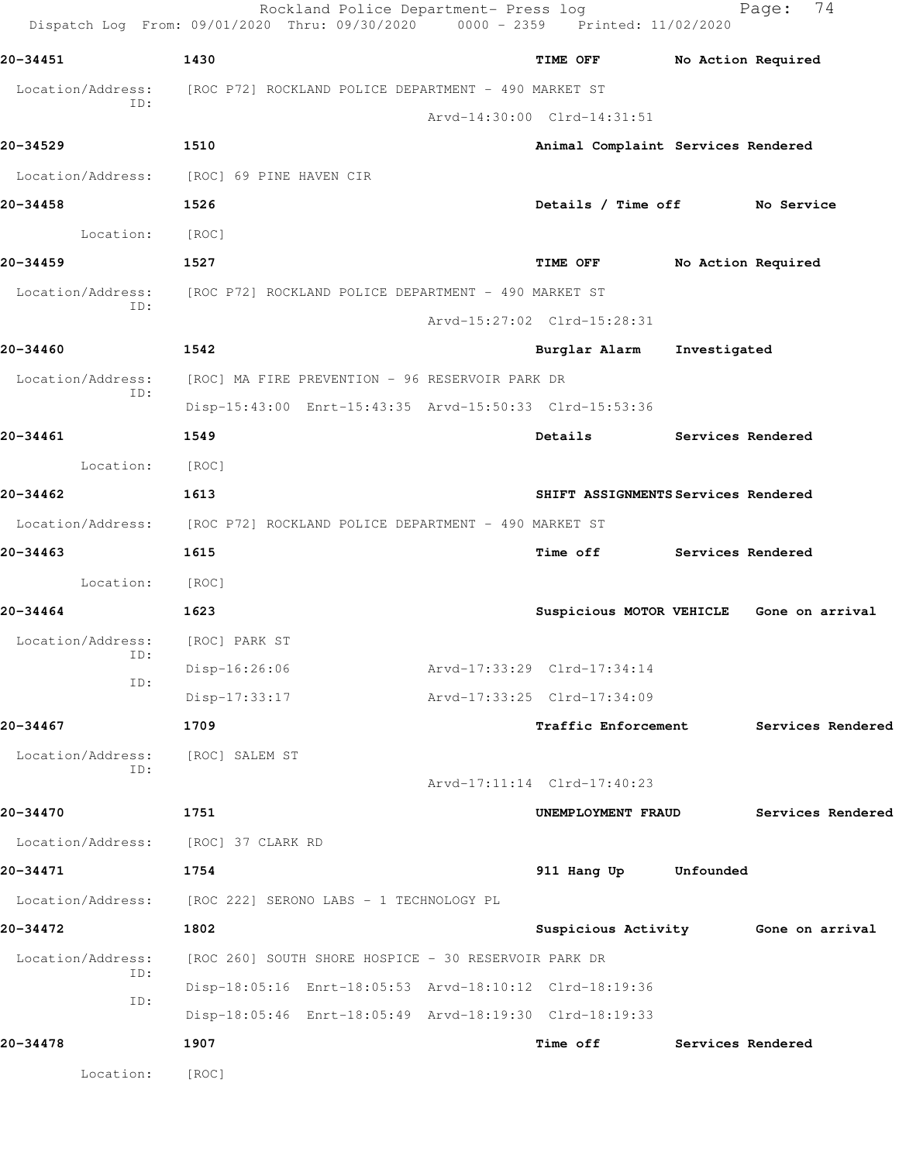|                                     | Rockland Police Department- Press log<br>Dispatch Log From: 09/01/2020 Thru: 09/30/2020 0000 - 2359 Printed: 11/02/2020 |                                     |                   | 74<br>Page:                              |
|-------------------------------------|-------------------------------------------------------------------------------------------------------------------------|-------------------------------------|-------------------|------------------------------------------|
| 20-34451                            | 1430                                                                                                                    | TIME OFF                            |                   | No Action Required                       |
| Location/Address:                   | [ROC P72] ROCKLAND POLICE DEPARTMENT - 490 MARKET ST                                                                    |                                     |                   |                                          |
| ID:                                 |                                                                                                                         | Arvd-14:30:00 Clrd-14:31:51         |                   |                                          |
| 20-34529                            | 1510                                                                                                                    | Animal Complaint Services Rendered  |                   |                                          |
|                                     | Location/Address: [ROC] 69 PINE HAVEN CIR                                                                               |                                     |                   |                                          |
| 20-34458                            | 1526                                                                                                                    | Details / Time off No Service       |                   |                                          |
| Location:                           | [ROC]                                                                                                                   |                                     |                   |                                          |
| 20-34459                            | 1527                                                                                                                    | <b>TIME OFF</b>                     |                   | No Action Required                       |
| Location/Address:                   | [ROC P72] ROCKLAND POLICE DEPARTMENT - 490 MARKET ST                                                                    |                                     |                   |                                          |
| ID:                                 |                                                                                                                         | Arvd-15:27:02 Clrd-15:28:31         |                   |                                          |
| 20-34460                            | 1542                                                                                                                    | Burglar Alarm                       | Investigated      |                                          |
| Location/Address:                   | [ROC] MA FIRE PREVENTION - 96 RESERVOIR PARK DR                                                                         |                                     |                   |                                          |
| ID:                                 | Disp-15:43:00 Enrt-15:43:35 Arvd-15:50:33 Clrd-15:53:36                                                                 |                                     |                   |                                          |
| 20-34461                            | 1549                                                                                                                    | Details Services Rendered           |                   |                                          |
| Location:                           | [ROC]                                                                                                                   |                                     |                   |                                          |
| 20-34462                            | 1613                                                                                                                    | SHIFT ASSIGNMENTS Services Rendered |                   |                                          |
|                                     | Location/Address: [ROC P72] ROCKLAND POLICE DEPARTMENT - 490 MARKET ST                                                  |                                     |                   |                                          |
| 20-34463                            | 1615                                                                                                                    | <b>Time off</b>                     | Services Rendered |                                          |
| Location:                           | [ROC]                                                                                                                   |                                     |                   |                                          |
| 20-34464                            | 1623                                                                                                                    |                                     |                   | Suspicious MOTOR VEHICLE Gone on arrival |
| Location/Address:<br>ID:            | [ROC] PARK ST                                                                                                           |                                     |                   |                                          |
| ID:                                 | Disp-16:26:06                                                                                                           | Arvd-17:33:29 Clrd-17:34:14         |                   |                                          |
|                                     | Disp-17:33:17                                                                                                           | Arvd-17:33:25 Clrd-17:34:09         |                   |                                          |
| 20-34467                            | 1709                                                                                                                    | <b>Traffic Enforcement</b>          |                   | Services Rendered                        |
| Location/Address:<br>ID:            | [ROC] SALEM ST                                                                                                          |                                     |                   |                                          |
|                                     |                                                                                                                         | Arvd-17:11:14 Clrd-17:40:23         |                   |                                          |
| 20-34470                            | 1751                                                                                                                    | UNEMPLOYMENT FRAUD                  |                   | Services Rendered                        |
| Location/Address: [ROC] 37 CLARK RD |                                                                                                                         |                                     |                   |                                          |
| 20-34471                            | 1754                                                                                                                    | 911 Hang Up                         | Unfounded         |                                          |
| Location/Address:                   | [ROC 222] SERONO LABS - 1 TECHNOLOGY PL                                                                                 |                                     |                   |                                          |
| 20-34472                            | 1802                                                                                                                    |                                     |                   | Suspicious Activity Gone on arrival      |
| Location/Address:<br>ID:            | [ROC 260] SOUTH SHORE HOSPICE - 30 RESERVOIR PARK DR                                                                    |                                     |                   |                                          |
| ID:                                 | Disp-18:05:16 Enrt-18:05:53 Arvd-18:10:12 Clrd-18:19:36                                                                 |                                     |                   |                                          |
|                                     | Disp-18:05:46 Enrt-18:05:49 Arvd-18:19:30 Clrd-18:19:33                                                                 |                                     |                   |                                          |
| 20-34478                            | 1907                                                                                                                    | Time off                            | Services Rendered |                                          |
| Location:                           | [ROC]                                                                                                                   |                                     |                   |                                          |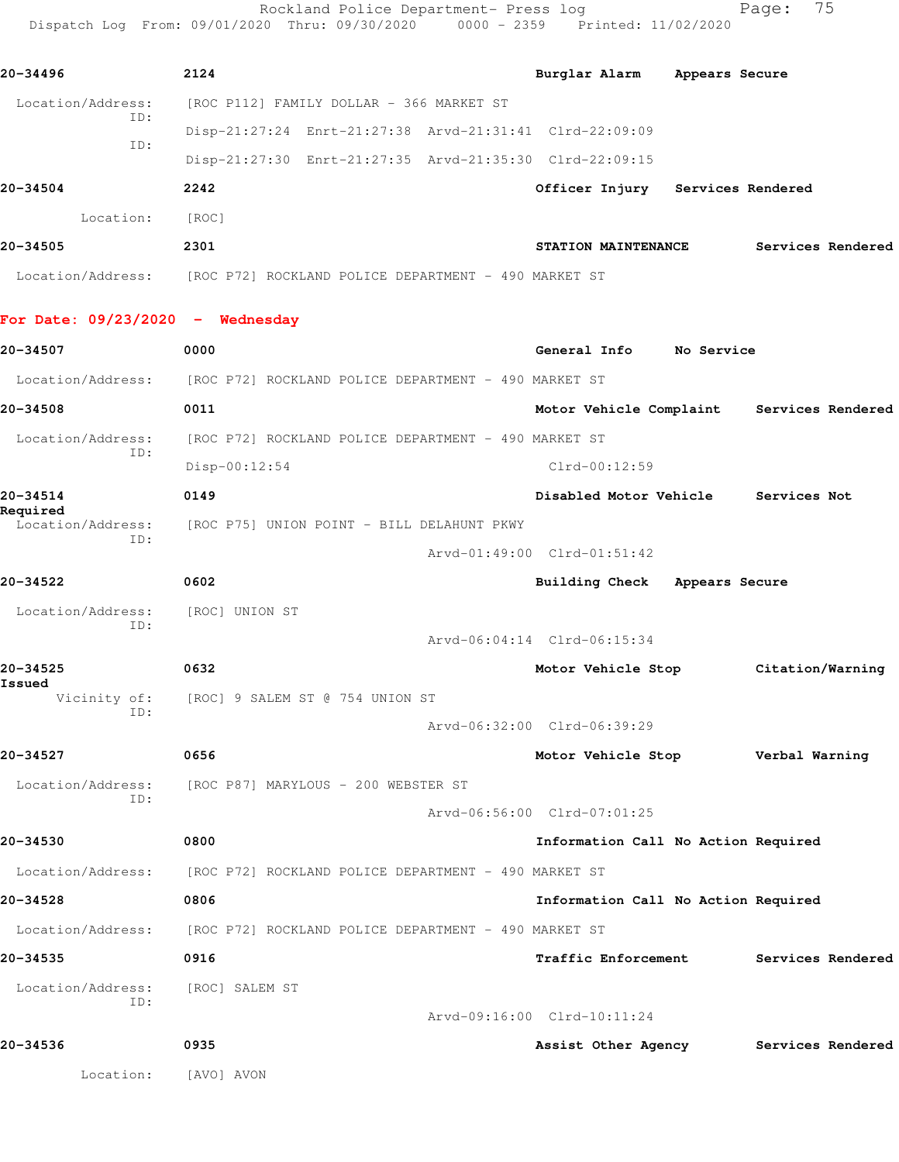Rockland Police Department- Press log entitled Page: 75 Dispatch Log From: 09/01/2020 Thru: 09/30/2020 0000 - 2359 Printed: 11/02/2020

| 20-34496                           | 2124                                                                   | Burglar Alarm Appears Secure              |                   |
|------------------------------------|------------------------------------------------------------------------|-------------------------------------------|-------------------|
| Location/Address:<br>ID:           | [ROC P112] FAMILY DOLLAR - 366 MARKET ST                               |                                           |                   |
| ID:                                | Disp-21:27:24 Enrt-21:27:38 Arvd-21:31:41 Clrd-22:09:09                |                                           |                   |
|                                    | Disp-21:27:30 Enrt-21:27:35 Arvd-21:35:30 Clrd-22:09:15                |                                           |                   |
| 20-34504                           | 2242                                                                   | Officer Injury Services Rendered          |                   |
| Location:                          | [ROC]                                                                  |                                           |                   |
| 20-34505                           | 2301                                                                   | STATION MAINTENANCE                       | Services Rendered |
|                                    | Location/Address: [ROC P72] ROCKLAND POLICE DEPARTMENT - 490 MARKET ST |                                           |                   |
| For Date: $09/23/2020 -$ Wednesday |                                                                        |                                           |                   |
| 20-34507                           | 0000                                                                   | General Info No Service                   |                   |
| Location/Address:                  | [ROC P72] ROCKLAND POLICE DEPARTMENT - 490 MARKET ST                   |                                           |                   |
| 20-34508                           | 0011                                                                   | Motor Vehicle Complaint Services Rendered |                   |
| Location/Address:<br>ID:           | [ROC P72] ROCKLAND POLICE DEPARTMENT - 490 MARKET ST                   |                                           |                   |
|                                    | $Disp-00:12:54$                                                        | $Clrd-00:12:59$                           |                   |
| 20-34514<br>Required               | 0149                                                                   | Disabled Motor Vehicle Services Not       |                   |
| Location/Address:<br>ID:           | [ROC P75] UNION POINT - BILL DELAHUNT PKWY                             |                                           |                   |
|                                    |                                                                        | Arvd-01:49:00 Clrd-01:51:42               |                   |
| 20-34522                           | 0602                                                                   | Building Check Appears Secure             |                   |
| Location/Address:<br>ID:           | [ROC] UNION ST                                                         |                                           |                   |
|                                    |                                                                        | Arvd-06:04:14 Clrd-06:15:34               |                   |
| 20-34525<br>Issued                 | 0632                                                                   | Motor Vehicle Stop                        | Citation/Warning  |
| Vicinity of:<br>ID:                | [ROC] 9 SALEM ST @ 754 UNION ST                                        |                                           |                   |
|                                    |                                                                        | Arvd-06:32:00 Clrd-06:39:29               |                   |
| 20-34527                           | 0656                                                                   | Motor Vehicle Stop                        | Verbal Warning    |
| Location/Address:<br>ID:           | [ROC P87] MARYLOUS - 200 WEBSTER ST                                    |                                           |                   |
|                                    |                                                                        | Arvd-06:56:00 Clrd-07:01:25               |                   |
| 20-34530                           | 0800                                                                   | Information Call No Action Required       |                   |
| Location/Address:                  | [ROC P72] ROCKLAND POLICE DEPARTMENT - 490 MARKET ST                   |                                           |                   |
| 20-34528                           | 0806                                                                   | Information Call No Action Required       |                   |
| Location/Address:                  | [ROC P72] ROCKLAND POLICE DEPARTMENT - 490 MARKET ST                   |                                           |                   |
| 20-34535                           | 0916                                                                   | <b>Traffic Enforcement</b>                | Services Rendered |
| Location/Address:<br>ID:           | [ROC] SALEM ST                                                         |                                           |                   |
|                                    |                                                                        | Arvd-09:16:00 Clrd-10:11:24               |                   |
| 20-34536                           | 0935                                                                   | Assist Other Agency Services Rendered     |                   |
| Location:                          | [AVO] AVON                                                             |                                           |                   |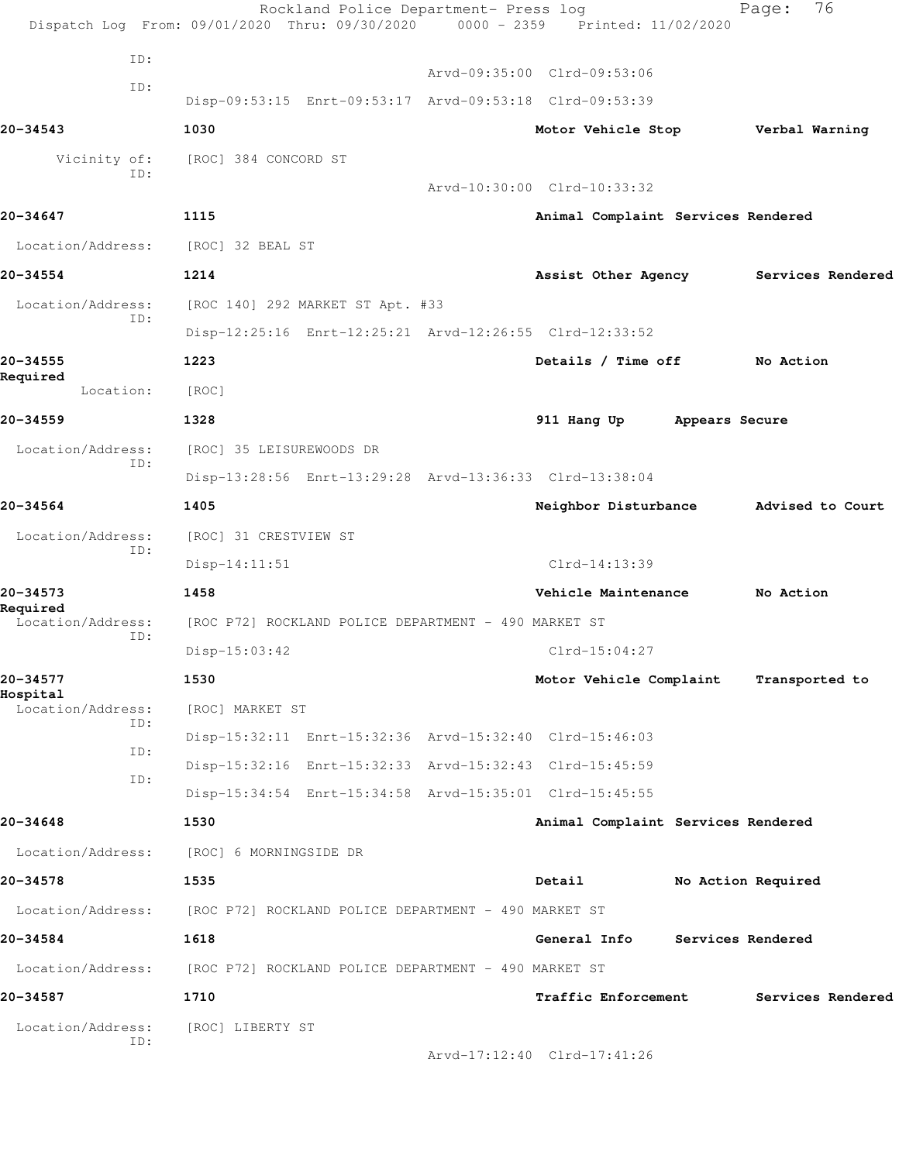| Location/Address:<br>ID:      | [ROC] LIBERTY ST                                        |                                    |                    |
|-------------------------------|---------------------------------------------------------|------------------------------------|--------------------|
| 20-34587                      | 1710                                                    | Traffic Enforcement                | Services Rendered  |
| Location/Address:             | [ROC P72] ROCKLAND POLICE DEPARTMENT - 490 MARKET ST    |                                    |                    |
| 20-34584                      | 1618                                                    | General Info                       | Services Rendered  |
| Location/Address:             | [ROC P72] ROCKLAND POLICE DEPARTMENT - 490 MARKET ST    |                                    |                    |
| 20-34578                      | 1535                                                    | Detail                             | No Action Required |
| Location/Address:             | [ROC] 6 MORNINGSIDE DR                                  |                                    |                    |
| 20-34648                      | 1530                                                    | Animal Complaint Services Rendered |                    |
| ID:                           | Disp-15:34:54 Enrt-15:34:58 Arvd-15:35:01 Clrd-15:45:55 |                                    |                    |
| ID:                           | Disp-15:32:16 Enrt-15:32:33 Arvd-15:32:43 Clrd-15:45:59 |                                    |                    |
| ID:                           | Disp-15:32:11 Enrt-15:32:36 Arvd-15:32:40 Clrd-15:46:03 |                                    |                    |
| Hospital<br>Location/Address: | [ROC] MARKET ST                                         |                                    |                    |
| 20-34577                      | 1530                                                    | Motor Vehicle Complaint            | Transported to     |
| ID:                           | Disp-15:03:42                                           | $Clrd-15:04:27$                    |                    |
| Required<br>Location/Address: | [ROC P72] ROCKLAND POLICE DEPARTMENT - 490 MARKET ST    |                                    |                    |
| 20-34573                      | 1458                                                    | Vehicle Maintenance                | No Action          |
| ID:                           | $Disp-14:11:51$                                         | $Clrd-14:13:39$                    |                    |
| Location/Address:             | [ROC] 31 CRESTVIEW ST                                   |                                    |                    |
| 20-34564                      | 1405                                                    | Neighbor Disturbance               | Advised to Court   |
| ID:                           | Disp-13:28:56 Enrt-13:29:28 Arvd-13:36:33 Clrd-13:38:04 |                                    |                    |
| Location/Address:             | [ROC] 35 LEISUREWOODS DR                                |                                    |                    |
| 20-34559                      | 1328                                                    | 911 Hang Up                        | Appears Secure     |
| Required<br>Location:         | [ROC]                                                   |                                    |                    |
| 20-34555                      | 1223                                                    | Details / Time off                 | No Action          |
| Location/Address:<br>ID:      | Disp-12:25:16 Enrt-12:25:21 Arvd-12:26:55 Clrd-12:33:52 |                                    |                    |
| 20-34554                      | 1214<br>[ROC 140] 292 MARKET ST Apt. #33                | Assist Other Agency                | Services Rendered  |
| Location/Address:             | [ROC] 32 BEAL ST                                        |                                    |                    |
| 20-34647                      | 1115                                                    | Animal Complaint Services Rendered |                    |
|                               |                                                         | Arvd-10:30:00 Clrd-10:33:32        |                    |
| Vicinity of:<br>ID:           | [ROC] 384 CONCORD ST                                    |                                    |                    |
| 20-34543                      | 1030                                                    | Motor Vehicle Stop                 | Verbal Warning     |
| ID:                           | Disp-09:53:15 Enrt-09:53:17 Arvd-09:53:18 Clrd-09:53:39 |                                    |                    |
|                               |                                                         | Arvd-09:35:00 Clrd-09:53:06        |                    |
| ID:                           |                                                         |                                    |                    |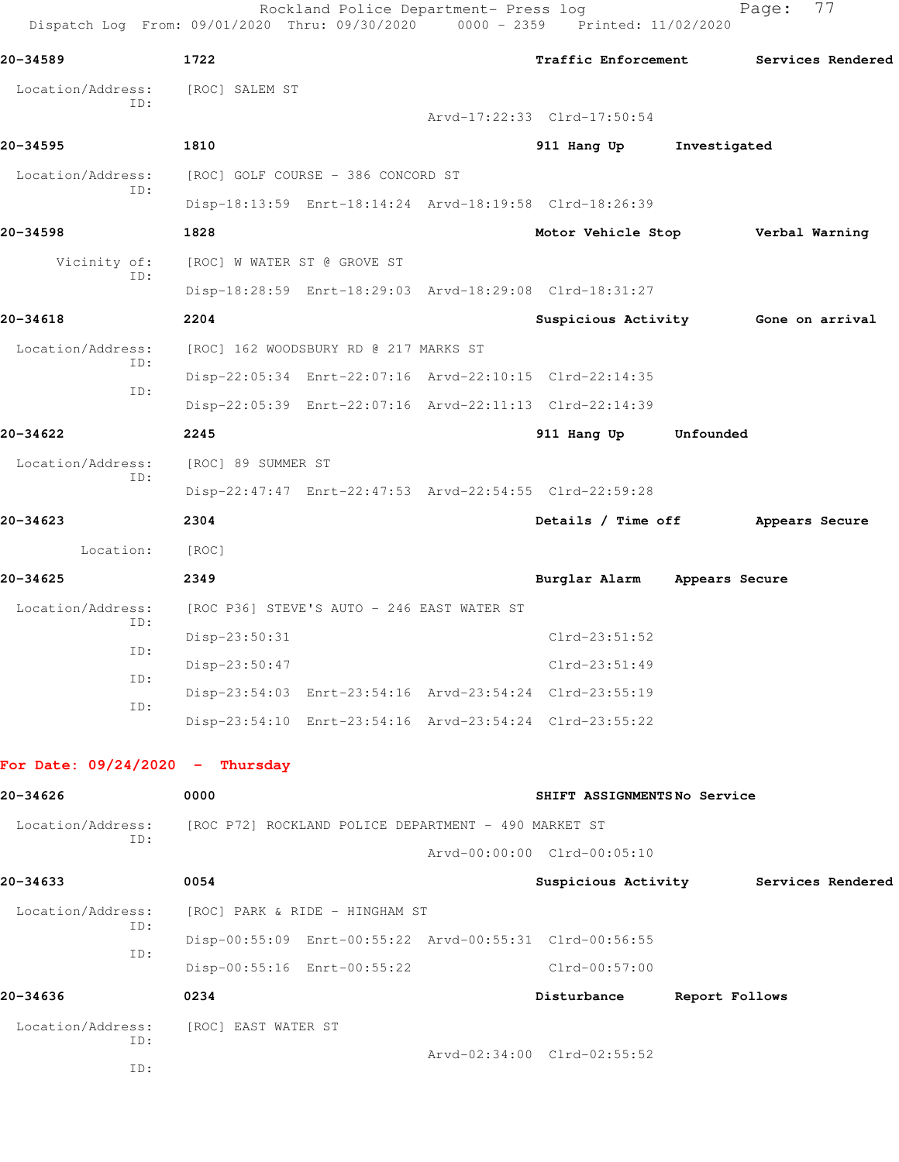|                                   | Rockland Police Department- Press log<br>Dispatch Log From: 09/01/2020 Thru: 09/30/2020 0000 - 2359 Printed: 11/02/2020 |                                   |                | 77<br>Page:                         |
|-----------------------------------|-------------------------------------------------------------------------------------------------------------------------|-----------------------------------|----------------|-------------------------------------|
| 20-34589                          | 1722                                                                                                                    | <b>Traffic Enforcement</b>        |                | Services Rendered                   |
| Location/Address:<br>ID:          | [ROC] SALEM ST                                                                                                          | Arvd-17:22:33 Clrd-17:50:54       |                |                                     |
| 20-34595                          | 1810                                                                                                                    | 911 Hang Up                       | Investigated   |                                     |
| Location/Address:                 | [ROC] GOLF COURSE - 386 CONCORD ST                                                                                      |                                   |                |                                     |
| ID:                               | Disp-18:13:59 Enrt-18:14:24 Arvd-18:19:58 Clrd-18:26:39                                                                 |                                   |                |                                     |
| 20-34598                          | 1828                                                                                                                    | Motor Vehicle Stop Verbal Warning |                |                                     |
| Vicinity of:                      | [ROC] W WATER ST @ GROVE ST                                                                                             |                                   |                |                                     |
| ID:                               | Disp-18:28:59 Enrt-18:29:03 Arvd-18:29:08 Clrd-18:31:27                                                                 |                                   |                |                                     |
| 20-34618                          | 2204                                                                                                                    |                                   |                | Suspicious Activity Gone on arrival |
| Location/Address:                 | [ROC] 162 WOODSBURY RD @ 217 MARKS ST                                                                                   |                                   |                |                                     |
| ID:                               | Disp-22:05:34 Enrt-22:07:16 Arvd-22:10:15 Clrd-22:14:35                                                                 |                                   |                |                                     |
| ID:                               | Disp-22:05:39 Enrt-22:07:16 Arvd-22:11:13 Clrd-22:14:39                                                                 |                                   |                |                                     |
| 20-34622                          | 2245                                                                                                                    | 911 Hang Up                       | Unfounded      |                                     |
| Location/Address:                 | [ROC] 89 SUMMER ST                                                                                                      |                                   |                |                                     |
| ID:                               | Disp-22:47:47 Enrt-22:47:53 Arvd-22:54:55 Clrd-22:59:28                                                                 |                                   |                |                                     |
| 20-34623                          | 2304                                                                                                                    | Details / Time off                |                | Appears Secure                      |
| Location:                         | [ROC]                                                                                                                   |                                   |                |                                     |
| 20-34625                          | 2349                                                                                                                    | Burglar Alarm                     | Appears Secure |                                     |
| Location/Address:                 | [ROC P36] STEVE'S AUTO - 246 EAST WATER ST                                                                              |                                   |                |                                     |
| ID:                               | Disp-23:50:31                                                                                                           | $Clrd-23:51:52$                   |                |                                     |
| ID:                               | Disp-23:50:47                                                                                                           | Clrd-23:51:49                     |                |                                     |
| ID:                               | Disp-23:54:03 Enrt-23:54:16 Arvd-23:54:24 Clrd-23:55:19                                                                 |                                   |                |                                     |
| ID:                               | Disp-23:54:10 Enrt-23:54:16 Arvd-23:54:24 Clrd-23:55:22                                                                 |                                   |                |                                     |
| For Date: $09/24/2020 -$ Thursday |                                                                                                                         |                                   |                |                                     |
| 20-34626                          | 0000                                                                                                                    | SHIFT ASSIGNMENTSNo Service       |                |                                     |
| Location/Address:                 | [ROC P72] ROCKLAND POLICE DEPARTMENT - 490 MARKET ST                                                                    |                                   |                |                                     |
| ID:                               |                                                                                                                         | Arvd-00:00:00 Clrd-00:05:10       |                |                                     |
| 20-34633                          | 0054                                                                                                                    | Suspicious Activity               |                | Services Rendered                   |
| Location/Address:                 | [ROC] PARK & RIDE - HINGHAM ST                                                                                          |                                   |                |                                     |
| ID:                               | Disp-00:55:09 Enrt-00:55:22 Arvd-00:55:31 Clrd-00:56:55                                                                 |                                   |                |                                     |
| ID:                               | Disp-00:55:16 Enrt-00:55:22                                                                                             | $Clrd-00:57:00$                   |                |                                     |
| 20-34636                          | 0234                                                                                                                    | Disturbance                       | Report Follows |                                     |
| Location/Address:<br>ID:          | [ROC] EAST WATER ST                                                                                                     |                                   |                |                                     |
| ID:                               |                                                                                                                         | Arvd-02:34:00 Clrd-02:55:52       |                |                                     |
|                                   |                                                                                                                         |                                   |                |                                     |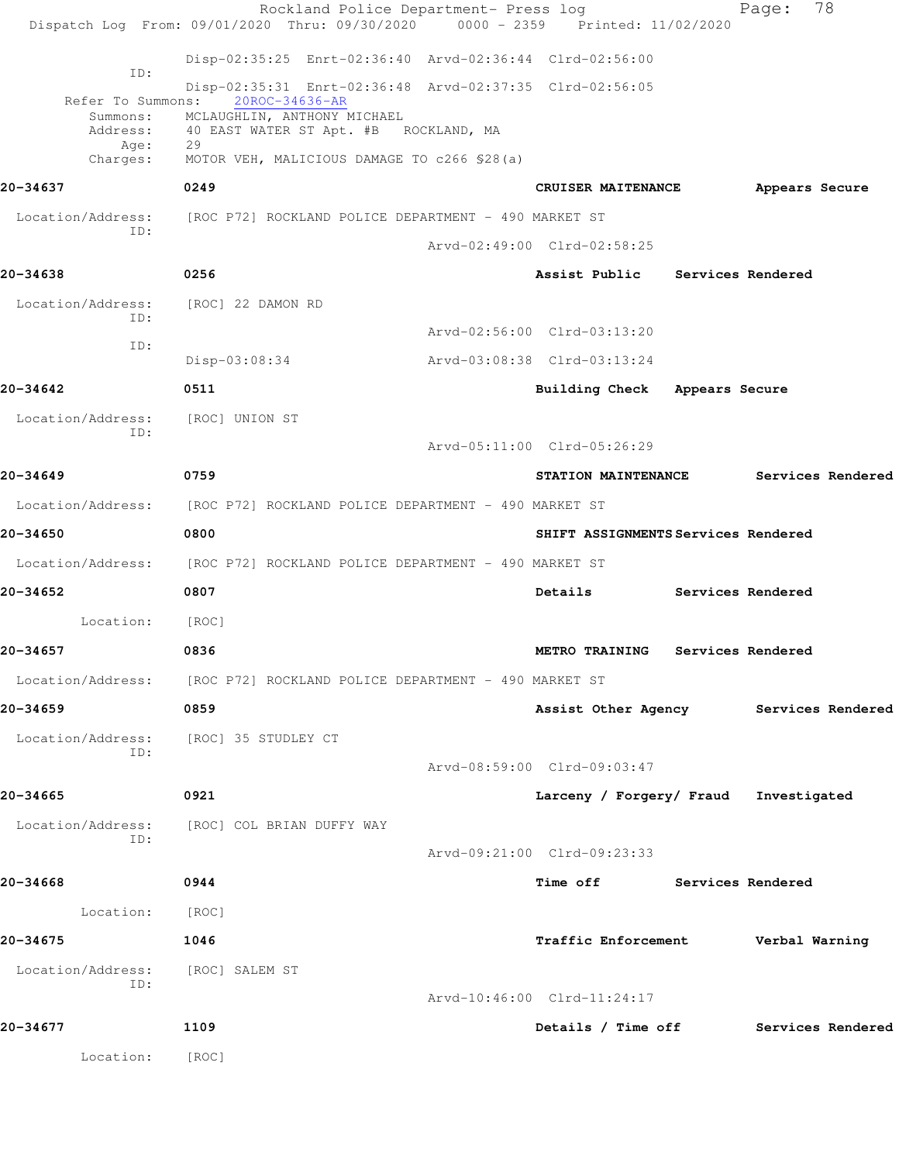| Disp-02:35:25 Enrt-02:36:40 Arvd-02:36:44 Clrd-02:56:00<br>ID:<br>Disp-02:35:31 Enrt-02:36:48 Arvd-02:37:35 Clrd-02:56:05<br>20ROC-34636-AR<br>Refer To Summons:<br>MCLAUGHLIN, ANTHONY MICHAEL<br>Summons:<br>Address:<br>40 EAST WATER ST Apt. #B ROCKLAND, MA<br>29<br>Age:<br>MOTOR VEH, MALICIOUS DAMAGE TO c266 \$28(a)<br>Charges:<br>0249<br>20-34637<br>CRUISER MAITENANCE<br>Appears Secure<br>Location/Address:<br>[ROC P72] ROCKLAND POLICE DEPARTMENT - 490 MARKET ST<br>ID:<br>Arvd-02:49:00 Clrd-02:58:25<br>20-34638<br>0256<br>Assist Public Services Rendered<br>Location/Address:<br>[ROC] 22 DAMON RD<br>ID:<br>Arvd-02:56:00 Clrd-03:13:20<br>ID:<br>Disp-03:08:34<br>Arvd-03:08:38 Clrd-03:13:24<br>20-34642<br>0511<br>Building Check Appears Secure<br>Location/Address:<br>[ROC] UNION ST<br>ID:<br>Arvd-05:11:00 Clrd-05:26:29<br>20-34649<br>0759<br>STATION MAINTENANCE<br>Services Rendered<br>Location/Address:<br>[ROC P72] ROCKLAND POLICE DEPARTMENT - 490 MARKET ST<br>20-34650<br>0800<br>SHIFT ASSIGNMENTS Services Rendered<br>Location/Address: [ROC P72] ROCKLAND POLICE DEPARTMENT - 490 MARKET ST<br>20-34652<br>0807<br>Details<br>Services Rendered<br>Location:<br>[ROC]<br>20-34657<br>0836<br>METRO TRAINING<br>Services Rendered<br>Location/Address: [ROC P72] ROCKLAND POLICE DEPARTMENT - 490 MARKET ST<br>20-34659<br>0859<br>Assist Other Agency Services Rendered<br>Location/Address: [ROC] 35 STUDLEY CT<br>ID:<br>Arvd-08:59:00 Clrd-09:03:47<br>20-34665<br>0921<br>Larceny / Forgery/ Fraud Investigated<br>Location/Address: [ROC] COL BRIAN DUFFY WAY<br>ID:<br>Arvd-09:21:00 Clrd-09:23:33<br>20-34668<br>0944<br>Time off Services Rendered<br>Location: [ROC]<br>20-34675<br>1046<br>Traffic Enforcement Verbal Warning<br>Location/Address:<br>[ROC] SALEM ST<br>TD:<br>Arvd-10:46:00 Clrd-11:24:17<br>20-34677<br>1109<br>Details / Time off Services Rendered<br>Location:<br>[ROC] | Rockland Police Department- Press log<br>Dispatch Log From: 09/01/2020 Thru: 09/30/2020 0000 - 2359 Printed: 11/02/2020 |  | Page: | 78 |
|-------------------------------------------------------------------------------------------------------------------------------------------------------------------------------------------------------------------------------------------------------------------------------------------------------------------------------------------------------------------------------------------------------------------------------------------------------------------------------------------------------------------------------------------------------------------------------------------------------------------------------------------------------------------------------------------------------------------------------------------------------------------------------------------------------------------------------------------------------------------------------------------------------------------------------------------------------------------------------------------------------------------------------------------------------------------------------------------------------------------------------------------------------------------------------------------------------------------------------------------------------------------------------------------------------------------------------------------------------------------------------------------------------------------------------------------------------------------------------------------------------------------------------------------------------------------------------------------------------------------------------------------------------------------------------------------------------------------------------------------------------------------------------------------------------------------------------------------------------------------------------------------------------------------------------------------------------|-------------------------------------------------------------------------------------------------------------------------|--|-------|----|
|                                                                                                                                                                                                                                                                                                                                                                                                                                                                                                                                                                                                                                                                                                                                                                                                                                                                                                                                                                                                                                                                                                                                                                                                                                                                                                                                                                                                                                                                                                                                                                                                                                                                                                                                                                                                                                                                                                                                                       |                                                                                                                         |  |       |    |
|                                                                                                                                                                                                                                                                                                                                                                                                                                                                                                                                                                                                                                                                                                                                                                                                                                                                                                                                                                                                                                                                                                                                                                                                                                                                                                                                                                                                                                                                                                                                                                                                                                                                                                                                                                                                                                                                                                                                                       |                                                                                                                         |  |       |    |
|                                                                                                                                                                                                                                                                                                                                                                                                                                                                                                                                                                                                                                                                                                                                                                                                                                                                                                                                                                                                                                                                                                                                                                                                                                                                                                                                                                                                                                                                                                                                                                                                                                                                                                                                                                                                                                                                                                                                                       |                                                                                                                         |  |       |    |
|                                                                                                                                                                                                                                                                                                                                                                                                                                                                                                                                                                                                                                                                                                                                                                                                                                                                                                                                                                                                                                                                                                                                                                                                                                                                                                                                                                                                                                                                                                                                                                                                                                                                                                                                                                                                                                                                                                                                                       |                                                                                                                         |  |       |    |
|                                                                                                                                                                                                                                                                                                                                                                                                                                                                                                                                                                                                                                                                                                                                                                                                                                                                                                                                                                                                                                                                                                                                                                                                                                                                                                                                                                                                                                                                                                                                                                                                                                                                                                                                                                                                                                                                                                                                                       |                                                                                                                         |  |       |    |
|                                                                                                                                                                                                                                                                                                                                                                                                                                                                                                                                                                                                                                                                                                                                                                                                                                                                                                                                                                                                                                                                                                                                                                                                                                                                                                                                                                                                                                                                                                                                                                                                                                                                                                                                                                                                                                                                                                                                                       |                                                                                                                         |  |       |    |
|                                                                                                                                                                                                                                                                                                                                                                                                                                                                                                                                                                                                                                                                                                                                                                                                                                                                                                                                                                                                                                                                                                                                                                                                                                                                                                                                                                                                                                                                                                                                                                                                                                                                                                                                                                                                                                                                                                                                                       |                                                                                                                         |  |       |    |
|                                                                                                                                                                                                                                                                                                                                                                                                                                                                                                                                                                                                                                                                                                                                                                                                                                                                                                                                                                                                                                                                                                                                                                                                                                                                                                                                                                                                                                                                                                                                                                                                                                                                                                                                                                                                                                                                                                                                                       |                                                                                                                         |  |       |    |
|                                                                                                                                                                                                                                                                                                                                                                                                                                                                                                                                                                                                                                                                                                                                                                                                                                                                                                                                                                                                                                                                                                                                                                                                                                                                                                                                                                                                                                                                                                                                                                                                                                                                                                                                                                                                                                                                                                                                                       |                                                                                                                         |  |       |    |
|                                                                                                                                                                                                                                                                                                                                                                                                                                                                                                                                                                                                                                                                                                                                                                                                                                                                                                                                                                                                                                                                                                                                                                                                                                                                                                                                                                                                                                                                                                                                                                                                                                                                                                                                                                                                                                                                                                                                                       |                                                                                                                         |  |       |    |
|                                                                                                                                                                                                                                                                                                                                                                                                                                                                                                                                                                                                                                                                                                                                                                                                                                                                                                                                                                                                                                                                                                                                                                                                                                                                                                                                                                                                                                                                                                                                                                                                                                                                                                                                                                                                                                                                                                                                                       |                                                                                                                         |  |       |    |
|                                                                                                                                                                                                                                                                                                                                                                                                                                                                                                                                                                                                                                                                                                                                                                                                                                                                                                                                                                                                                                                                                                                                                                                                                                                                                                                                                                                                                                                                                                                                                                                                                                                                                                                                                                                                                                                                                                                                                       |                                                                                                                         |  |       |    |
|                                                                                                                                                                                                                                                                                                                                                                                                                                                                                                                                                                                                                                                                                                                                                                                                                                                                                                                                                                                                                                                                                                                                                                                                                                                                                                                                                                                                                                                                                                                                                                                                                                                                                                                                                                                                                                                                                                                                                       |                                                                                                                         |  |       |    |
|                                                                                                                                                                                                                                                                                                                                                                                                                                                                                                                                                                                                                                                                                                                                                                                                                                                                                                                                                                                                                                                                                                                                                                                                                                                                                                                                                                                                                                                                                                                                                                                                                                                                                                                                                                                                                                                                                                                                                       |                                                                                                                         |  |       |    |
|                                                                                                                                                                                                                                                                                                                                                                                                                                                                                                                                                                                                                                                                                                                                                                                                                                                                                                                                                                                                                                                                                                                                                                                                                                                                                                                                                                                                                                                                                                                                                                                                                                                                                                                                                                                                                                                                                                                                                       |                                                                                                                         |  |       |    |
|                                                                                                                                                                                                                                                                                                                                                                                                                                                                                                                                                                                                                                                                                                                                                                                                                                                                                                                                                                                                                                                                                                                                                                                                                                                                                                                                                                                                                                                                                                                                                                                                                                                                                                                                                                                                                                                                                                                                                       |                                                                                                                         |  |       |    |
|                                                                                                                                                                                                                                                                                                                                                                                                                                                                                                                                                                                                                                                                                                                                                                                                                                                                                                                                                                                                                                                                                                                                                                                                                                                                                                                                                                                                                                                                                                                                                                                                                                                                                                                                                                                                                                                                                                                                                       |                                                                                                                         |  |       |    |
|                                                                                                                                                                                                                                                                                                                                                                                                                                                                                                                                                                                                                                                                                                                                                                                                                                                                                                                                                                                                                                                                                                                                                                                                                                                                                                                                                                                                                                                                                                                                                                                                                                                                                                                                                                                                                                                                                                                                                       |                                                                                                                         |  |       |    |
|                                                                                                                                                                                                                                                                                                                                                                                                                                                                                                                                                                                                                                                                                                                                                                                                                                                                                                                                                                                                                                                                                                                                                                                                                                                                                                                                                                                                                                                                                                                                                                                                                                                                                                                                                                                                                                                                                                                                                       |                                                                                                                         |  |       |    |
|                                                                                                                                                                                                                                                                                                                                                                                                                                                                                                                                                                                                                                                                                                                                                                                                                                                                                                                                                                                                                                                                                                                                                                                                                                                                                                                                                                                                                                                                                                                                                                                                                                                                                                                                                                                                                                                                                                                                                       |                                                                                                                         |  |       |    |
|                                                                                                                                                                                                                                                                                                                                                                                                                                                                                                                                                                                                                                                                                                                                                                                                                                                                                                                                                                                                                                                                                                                                                                                                                                                                                                                                                                                                                                                                                                                                                                                                                                                                                                                                                                                                                                                                                                                                                       |                                                                                                                         |  |       |    |
|                                                                                                                                                                                                                                                                                                                                                                                                                                                                                                                                                                                                                                                                                                                                                                                                                                                                                                                                                                                                                                                                                                                                                                                                                                                                                                                                                                                                                                                                                                                                                                                                                                                                                                                                                                                                                                                                                                                                                       |                                                                                                                         |  |       |    |
|                                                                                                                                                                                                                                                                                                                                                                                                                                                                                                                                                                                                                                                                                                                                                                                                                                                                                                                                                                                                                                                                                                                                                                                                                                                                                                                                                                                                                                                                                                                                                                                                                                                                                                                                                                                                                                                                                                                                                       |                                                                                                                         |  |       |    |
|                                                                                                                                                                                                                                                                                                                                                                                                                                                                                                                                                                                                                                                                                                                                                                                                                                                                                                                                                                                                                                                                                                                                                                                                                                                                                                                                                                                                                                                                                                                                                                                                                                                                                                                                                                                                                                                                                                                                                       |                                                                                                                         |  |       |    |
|                                                                                                                                                                                                                                                                                                                                                                                                                                                                                                                                                                                                                                                                                                                                                                                                                                                                                                                                                                                                                                                                                                                                                                                                                                                                                                                                                                                                                                                                                                                                                                                                                                                                                                                                                                                                                                                                                                                                                       |                                                                                                                         |  |       |    |
|                                                                                                                                                                                                                                                                                                                                                                                                                                                                                                                                                                                                                                                                                                                                                                                                                                                                                                                                                                                                                                                                                                                                                                                                                                                                                                                                                                                                                                                                                                                                                                                                                                                                                                                                                                                                                                                                                                                                                       |                                                                                                                         |  |       |    |
|                                                                                                                                                                                                                                                                                                                                                                                                                                                                                                                                                                                                                                                                                                                                                                                                                                                                                                                                                                                                                                                                                                                                                                                                                                                                                                                                                                                                                                                                                                                                                                                                                                                                                                                                                                                                                                                                                                                                                       |                                                                                                                         |  |       |    |
|                                                                                                                                                                                                                                                                                                                                                                                                                                                                                                                                                                                                                                                                                                                                                                                                                                                                                                                                                                                                                                                                                                                                                                                                                                                                                                                                                                                                                                                                                                                                                                                                                                                                                                                                                                                                                                                                                                                                                       |                                                                                                                         |  |       |    |
|                                                                                                                                                                                                                                                                                                                                                                                                                                                                                                                                                                                                                                                                                                                                                                                                                                                                                                                                                                                                                                                                                                                                                                                                                                                                                                                                                                                                                                                                                                                                                                                                                                                                                                                                                                                                                                                                                                                                                       |                                                                                                                         |  |       |    |
|                                                                                                                                                                                                                                                                                                                                                                                                                                                                                                                                                                                                                                                                                                                                                                                                                                                                                                                                                                                                                                                                                                                                                                                                                                                                                                                                                                                                                                                                                                                                                                                                                                                                                                                                                                                                                                                                                                                                                       |                                                                                                                         |  |       |    |
|                                                                                                                                                                                                                                                                                                                                                                                                                                                                                                                                                                                                                                                                                                                                                                                                                                                                                                                                                                                                                                                                                                                                                                                                                                                                                                                                                                                                                                                                                                                                                                                                                                                                                                                                                                                                                                                                                                                                                       |                                                                                                                         |  |       |    |
|                                                                                                                                                                                                                                                                                                                                                                                                                                                                                                                                                                                                                                                                                                                                                                                                                                                                                                                                                                                                                                                                                                                                                                                                                                                                                                                                                                                                                                                                                                                                                                                                                                                                                                                                                                                                                                                                                                                                                       |                                                                                                                         |  |       |    |
|                                                                                                                                                                                                                                                                                                                                                                                                                                                                                                                                                                                                                                                                                                                                                                                                                                                                                                                                                                                                                                                                                                                                                                                                                                                                                                                                                                                                                                                                                                                                                                                                                                                                                                                                                                                                                                                                                                                                                       |                                                                                                                         |  |       |    |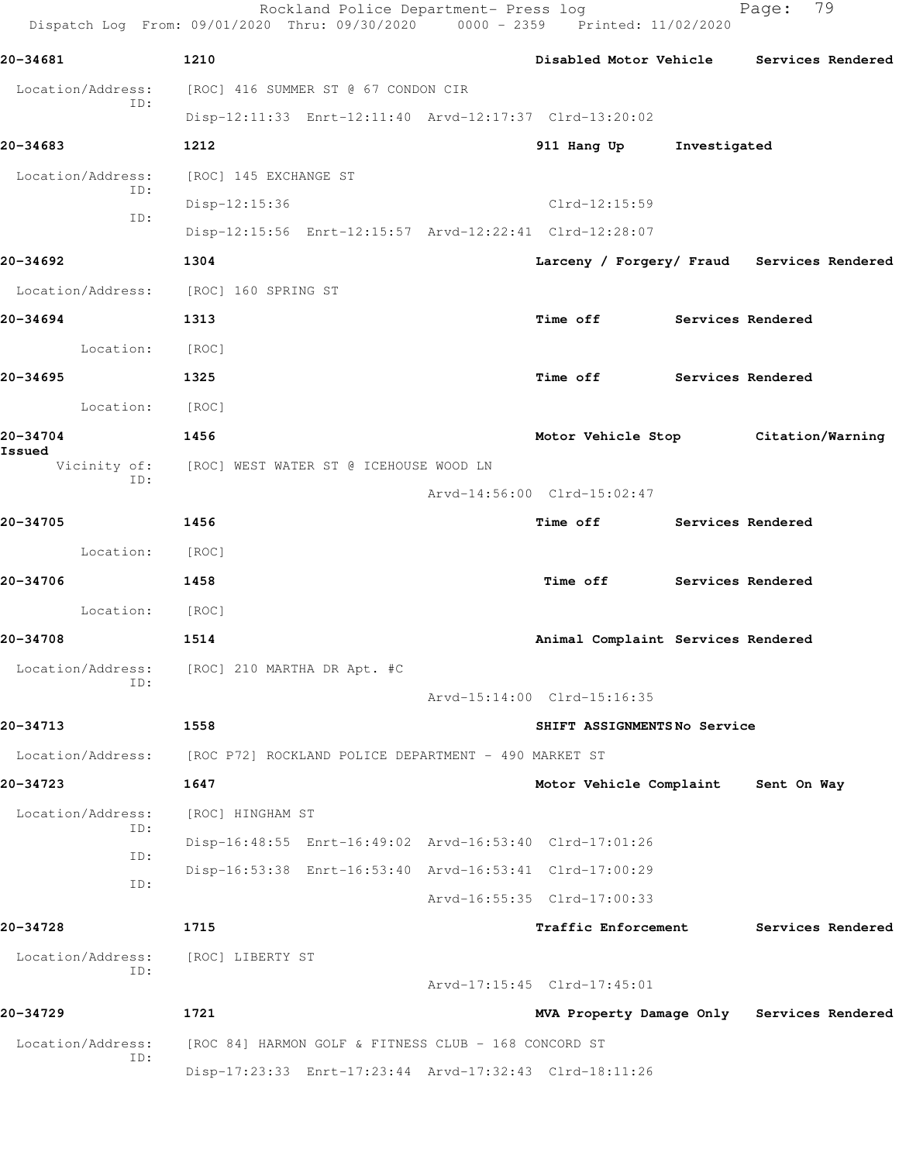| 20-34681                 | 1210                                                    |                                    |                   | Disabled Motor Vehicle Services Rendered   |
|--------------------------|---------------------------------------------------------|------------------------------------|-------------------|--------------------------------------------|
| Location/Address:        | [ROC] 416 SUMMER ST @ 67 CONDON CIR                     |                                    |                   |                                            |
| ID:                      | Disp-12:11:33 Enrt-12:11:40 Arvd-12:17:37 Clrd-13:20:02 |                                    |                   |                                            |
| 20-34683                 | 1212                                                    | 911 Hang Up                        | Investigated      |                                            |
| Location/Address:<br>ID: | [ROC] 145 EXCHANGE ST                                   |                                    |                   |                                            |
| ID:                      | Disp-12:15:36                                           | Clrd-12:15:59                      |                   |                                            |
|                          | Disp-12:15:56 Enrt-12:15:57 Arvd-12:22:41 Clrd-12:28:07 |                                    |                   |                                            |
| 20-34692                 | 1304                                                    |                                    |                   | Larceny / Forgery/ Fraud Services Rendered |
| Location/Address:        | [ROC] 160 SPRING ST                                     |                                    |                   |                                            |
| 20-34694                 | 1313                                                    | <b>Time off</b>                    |                   | Services Rendered                          |
| Location:                | [ROC]                                                   |                                    |                   |                                            |
| 20-34695                 | 1325                                                    | Time off                           | Services Rendered |                                            |
| Location:                | [ROC]                                                   |                                    |                   |                                            |
| 20-34704<br>Issued       | 1456                                                    | Motor Vehicle Stop                 |                   | Citation/Warning                           |
| Vicinity of:<br>ID:      | [ROC] WEST WATER ST @ ICEHOUSE WOOD LN                  |                                    |                   |                                            |
|                          |                                                         | Arvd-14:56:00 Clrd-15:02:47        |                   |                                            |
| 20-34705                 | 1456                                                    | <b>Time off</b>                    |                   | Services Rendered                          |
| Location:                | [ROC]                                                   |                                    |                   |                                            |
| 20-34706                 | 1458                                                    | <b>Time off</b>                    |                   | Services Rendered                          |
| Location:                | [ROC]                                                   |                                    |                   |                                            |
| 20-34708                 | 1514                                                    | Animal Complaint Services Rendered |                   |                                            |
| Location/Address:<br>ID: | [ROC] 210 MARTHA DR Apt. #C                             |                                    |                   |                                            |
|                          |                                                         | Arvd-15:14:00 Clrd-15:16:35        |                   |                                            |
| 20-34713                 | 1558                                                    | SHIFT ASSIGNMENTSNo Service        |                   |                                            |
| Location/Address:        | [ROC P72] ROCKLAND POLICE DEPARTMENT - 490 MARKET ST    |                                    |                   |                                            |
| 20-34723                 | 1647                                                    | Motor Vehicle Complaint            |                   | Sent On Way                                |
| Location/Address:<br>ID: | [ROC] HINGHAM ST                                        |                                    |                   |                                            |
| ID:                      | Disp-16:48:55 Enrt-16:49:02 Arvd-16:53:40 Clrd-17:01:26 |                                    |                   |                                            |
| ID:                      | Disp-16:53:38 Enrt-16:53:40 Arvd-16:53:41 Clrd-17:00:29 |                                    |                   |                                            |
|                          |                                                         | Arvd-16:55:35 Clrd-17:00:33        |                   |                                            |
| 20-34728                 | 1715                                                    | Traffic Enforcement                |                   | Services Rendered                          |
| Location/Address:<br>ID: | [ROC] LIBERTY ST                                        |                                    |                   |                                            |
|                          |                                                         | Arvd-17:15:45 Clrd-17:45:01        |                   |                                            |
| 20-34729                 | 1721                                                    |                                    |                   | MVA Property Damage Only Services Rendered |
| Location/Address:<br>ID: | [ROC 84] HARMON GOLF & FITNESS CLUB - 168 CONCORD ST    |                                    |                   |                                            |
|                          | Disp-17:23:33 Enrt-17:23:44 Arvd-17:32:43 Clrd-18:11:26 |                                    |                   |                                            |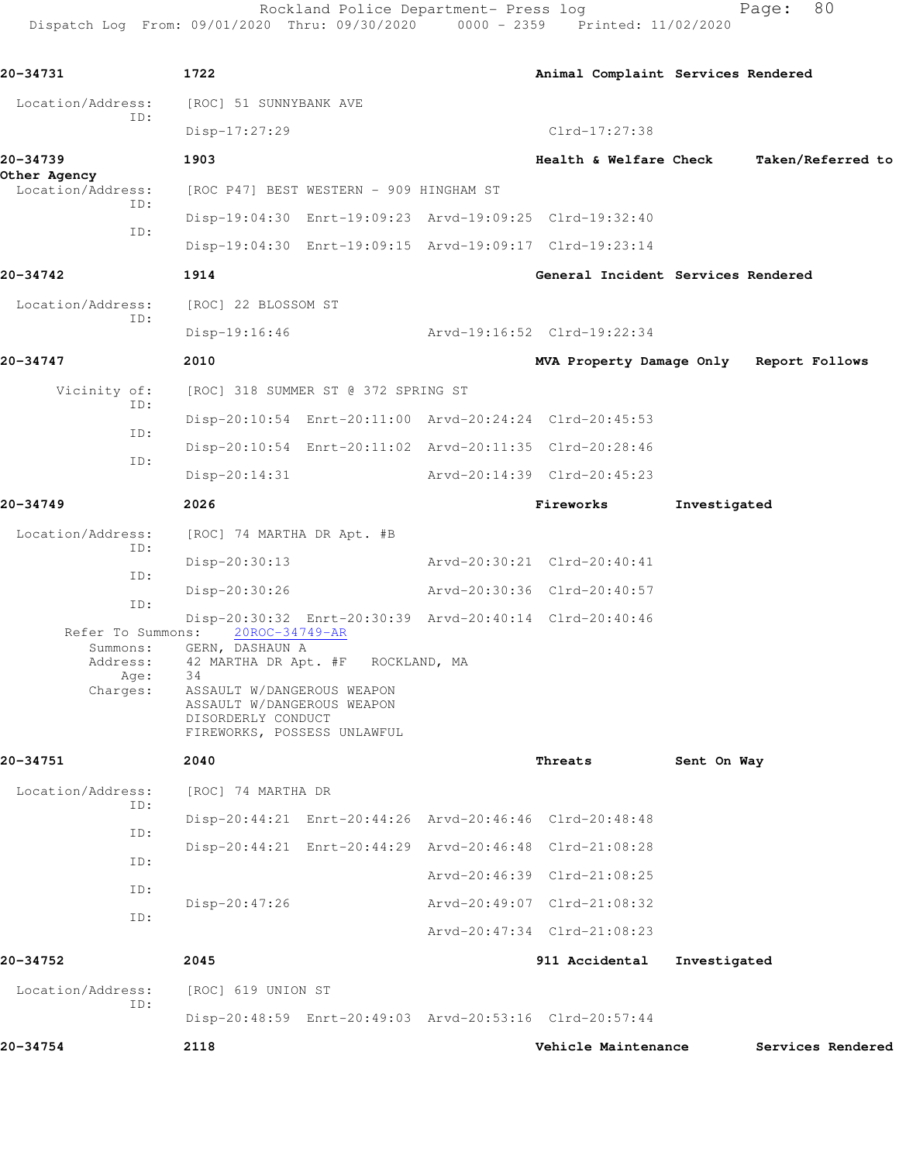Rockland Police Department- Press log entitled and Page: 80 Dispatch Log From: 09/01/2020 Thru: 09/30/2020 0000 - 2359 Printed: 11/02/2020

| 20-34731                                                      | 1722                                                                                                                                                                                          |                                                         |                             |           | Animal Complaint Services Rendered |              |                                         |
|---------------------------------------------------------------|-----------------------------------------------------------------------------------------------------------------------------------------------------------------------------------------------|---------------------------------------------------------|-----------------------------|-----------|------------------------------------|--------------|-----------------------------------------|
| Location/Address:                                             | [ROC] 51 SUNNYBANK AVE                                                                                                                                                                        |                                                         |                             |           |                                    |              |                                         |
| ID:                                                           | Disp-17:27:29                                                                                                                                                                                 |                                                         |                             |           | Clrd-17:27:38                      |              |                                         |
| 20-34739<br>Other Agency                                      | 1903                                                                                                                                                                                          |                                                         |                             |           | Health & Welfare Check             |              | Taken/Referred to                       |
| Location/Address:<br>TD:                                      | [ROC P47] BEST WESTERN - 909 HINGHAM ST                                                                                                                                                       |                                                         |                             |           |                                    |              |                                         |
| ID:                                                           |                                                                                                                                                                                               | Disp-19:04:30 Enrt-19:09:23 Arvd-19:09:25 Clrd-19:32:40 |                             |           |                                    |              |                                         |
|                                                               | Disp-19:04:30 Enrt-19:09:15 Arvd-19:09:17 Clrd-19:23:14                                                                                                                                       |                                                         |                             |           |                                    |              |                                         |
| 20-34742                                                      | 1914                                                                                                                                                                                          |                                                         |                             |           | General Incident Services Rendered |              |                                         |
| Location/Address:<br>ID:                                      | [ROC] 22 BLOSSOM ST                                                                                                                                                                           |                                                         |                             |           |                                    |              |                                         |
|                                                               | $Disp-19:16:46$                                                                                                                                                                               |                                                         | Arvd-19:16:52 Clrd-19:22:34 |           |                                    |              |                                         |
| 20-34747                                                      | 2010                                                                                                                                                                                          |                                                         |                             |           |                                    |              | MVA Property Damage Only Report Follows |
| Vicinity of:                                                  | [ROC] 318 SUMMER ST @ 372 SPRING ST                                                                                                                                                           |                                                         |                             |           |                                    |              |                                         |
| ID:                                                           | Disp-20:10:54 Enrt-20:11:00 Arvd-20:24:24 Clrd-20:45:53                                                                                                                                       |                                                         |                             |           |                                    |              |                                         |
| ID:                                                           | Disp-20:10:54 Enrt-20:11:02 Arvd-20:11:35 Clrd-20:28:46                                                                                                                                       |                                                         |                             |           |                                    |              |                                         |
| ID:                                                           | $Disp-20:14:31$                                                                                                                                                                               |                                                         | Arvd-20:14:39 Clrd-20:45:23 |           |                                    |              |                                         |
| 20-34749                                                      | 2026                                                                                                                                                                                          |                                                         |                             | Fireworks |                                    | Investigated |                                         |
| Location/Address:                                             | [ROC] 74 MARTHA DR Apt. #B                                                                                                                                                                    |                                                         |                             |           |                                    |              |                                         |
| ID:                                                           | Disp-20:30:13                                                                                                                                                                                 |                                                         | Arvd-20:30:21 Clrd-20:40:41 |           |                                    |              |                                         |
| ID:                                                           | Disp-20:30:26                                                                                                                                                                                 |                                                         | Arvd-20:30:36 Clrd-20:40:57 |           |                                    |              |                                         |
| ID:                                                           | Disp-20:30:32 Enrt-20:30:39 Arvd-20:40:14 Clrd-20:40:46                                                                                                                                       |                                                         |                             |           |                                    |              |                                         |
| Refer To Summons:<br>Summons:<br>Address:<br>Age:<br>Charges: | 20ROC-34749-AR<br>GERN, DASHAUN A<br>42 MARTHA DR Apt. #F ROCKLAND, MA<br>34<br>ASSAULT W/DANGEROUS WEAPON<br>ASSAULT W/DANGEROUS WEAPON<br>DISORDERLY CONDUCT<br>FIREWORKS, POSSESS UNLAWFUL |                                                         |                             |           |                                    |              |                                         |
| 20-34751                                                      | 2040                                                                                                                                                                                          |                                                         |                             | Threats   |                                    | Sent On Way  |                                         |
| Location/Address:                                             | [ROC] 74 MARTHA DR                                                                                                                                                                            |                                                         |                             |           |                                    |              |                                         |
| ID:                                                           | Disp-20:44:21 Enrt-20:44:26 Arvd-20:46:46 Clrd-20:48:48                                                                                                                                       |                                                         |                             |           |                                    |              |                                         |
| ID:                                                           |                                                                                                                                                                                               | Disp-20:44:21 Enrt-20:44:29 Arvd-20:46:48 Clrd-21:08:28 |                             |           |                                    |              |                                         |
| ID:                                                           |                                                                                                                                                                                               |                                                         | Arvd-20:46:39 Clrd-21:08:25 |           |                                    |              |                                         |
| ID:                                                           | Disp-20:47:26                                                                                                                                                                                 |                                                         | Arvd-20:49:07 Clrd-21:08:32 |           |                                    |              |                                         |
| ID:                                                           |                                                                                                                                                                                               |                                                         | Arvd-20:47:34 Clrd-21:08:23 |           |                                    |              |                                         |
| 20-34752                                                      | 2045                                                                                                                                                                                          |                                                         |                             |           | 911 Accidental                     | Investigated |                                         |
| Location/Address:                                             | [ROC] 619 UNION ST                                                                                                                                                                            |                                                         |                             |           |                                    |              |                                         |
| ID:                                                           |                                                                                                                                                                                               | Disp-20:48:59 Enrt-20:49:03 Arvd-20:53:16 Clrd-20:57:44 |                             |           |                                    |              |                                         |
| 20-34754                                                      | 2118                                                                                                                                                                                          |                                                         |                             |           | Vehicle Maintenance                |              | Services Rendered                       |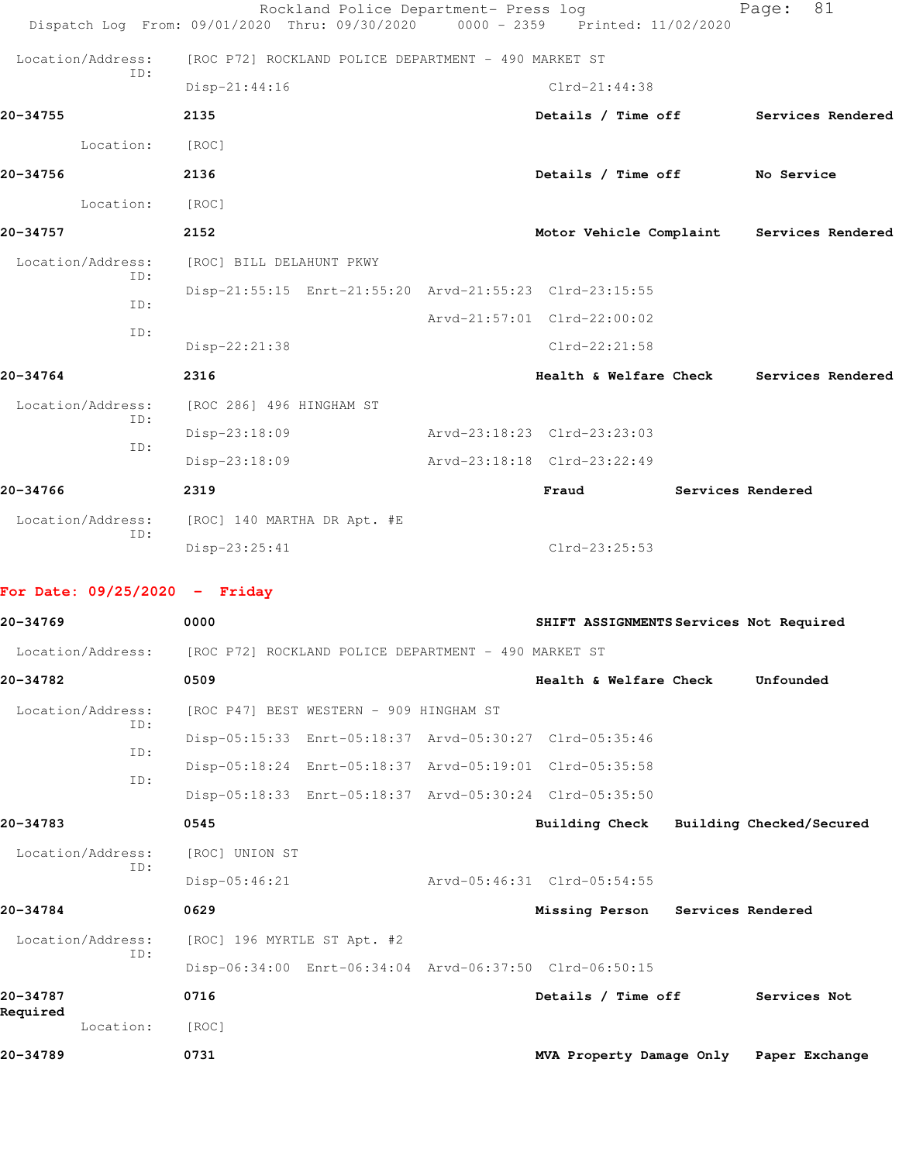|                                 | Rockland Police Department- Press log<br>Dispatch Log From: 09/01/2020 Thru: 09/30/2020 | $0000 - 2359$ | Printed: 11/02/2020                     | 81<br>Page:              |
|---------------------------------|-----------------------------------------------------------------------------------------|---------------|-----------------------------------------|--------------------------|
| Location/Address:               | [ROC P72] ROCKLAND POLICE DEPARTMENT - 490 MARKET ST                                    |               |                                         |                          |
| ID:                             | $Disp-21:44:16$                                                                         |               | $Clrd-21:44:38$                         |                          |
| 20-34755                        | 2135                                                                                    |               | Details / Time off                      | Services Rendered        |
| Location:                       | [ROC]                                                                                   |               |                                         |                          |
| 20-34756                        | 2136                                                                                    |               | Details / Time off No Service           |                          |
| Location:                       | [ROC]                                                                                   |               |                                         |                          |
| 20-34757                        | 2152                                                                                    |               | Motor Vehicle Complaint                 | Services Rendered        |
| Location/Address:               | [ROC] BILL DELAHUNT PKWY                                                                |               |                                         |                          |
| ID:                             | Disp-21:55:15 Enrt-21:55:20 Arvd-21:55:23 Clrd-23:15:55                                 |               |                                         |                          |
| ID:                             |                                                                                         |               | Arvd-21:57:01 Clrd-22:00:02             |                          |
| ID:                             | Disp-22:21:38                                                                           |               | $Clrd-22:21:58$                         |                          |
| 20-34764                        | 2316                                                                                    |               | <b>Health &amp; Welfare Check</b>       | Services Rendered        |
| Location/Address:               | [ROC 286] 496 HINGHAM ST                                                                |               |                                         |                          |
| ID:<br>ID:                      | Disp-23:18:09                                                                           |               | Arvd-23:18:23 Clrd-23:23:03             |                          |
|                                 | Disp-23:18:09                                                                           |               | Arvd-23:18:18 Clrd-23:22:49             |                          |
| 20-34766                        | 2319                                                                                    |               | Fraud                                   | Services Rendered        |
| Location/Address:               | [ROC] 140 MARTHA DR Apt. #E                                                             |               |                                         |                          |
| ID:                             | Disp-23:25:41                                                                           |               | $Clrd-23:25:53$                         |                          |
| For Date: $09/25/2020 -$ Friday |                                                                                         |               |                                         |                          |
| 20-34769                        | 0000                                                                                    |               | SHIFT ASSIGNMENTS Services Not Required |                          |
| Location/Address:               | [ROC P72] ROCKLAND POLICE DEPARTMENT - 490 MARKET ST                                    |               |                                         |                          |
| 20-34782                        | 0509                                                                                    |               | Health & Welfare Check                  | Unfounded                |
| Location/Address:<br>ID:        | [ROC P47] BEST WESTERN - 909 HINGHAM ST                                                 |               |                                         |                          |
| ID:                             | Disp-05:15:33 Enrt-05:18:37 Arvd-05:30:27 Clrd-05:35:46                                 |               |                                         |                          |
| ID:                             | Disp-05:18:24 Enrt-05:18:37 Arvd-05:19:01 Clrd-05:35:58                                 |               |                                         |                          |
|                                 | Disp-05:18:33 Enrt-05:18:37 Arvd-05:30:24 Clrd-05:35:50                                 |               |                                         |                          |
| 20-34783                        | 0545                                                                                    |               | Building Check                          | Building Checked/Secured |
| Location/Address:<br>ID:        | [ROC] UNION ST                                                                          |               |                                         |                          |
|                                 | $Disp-05:46:21$                                                                         |               | Arvd-05:46:31 Clrd-05:54:55             |                          |
| 20-34784                        | 0629                                                                                    |               | Missing Person Services Rendered        |                          |
| Location/Address:               | [ROC] 196 MYRTLE ST Apt. #2                                                             |               |                                         |                          |
| ID:                             | Disp-06:34:00 Enrt-06:34:04 Arvd-06:37:50 Clrd-06:50:15                                 |               |                                         |                          |
| 20-34787                        | 0716                                                                                    |               | Details / Time off                      | Services Not             |

Location: [ROC]

**Required** 

**20-34789 0731 MVA Property Damage Only Paper Exchange**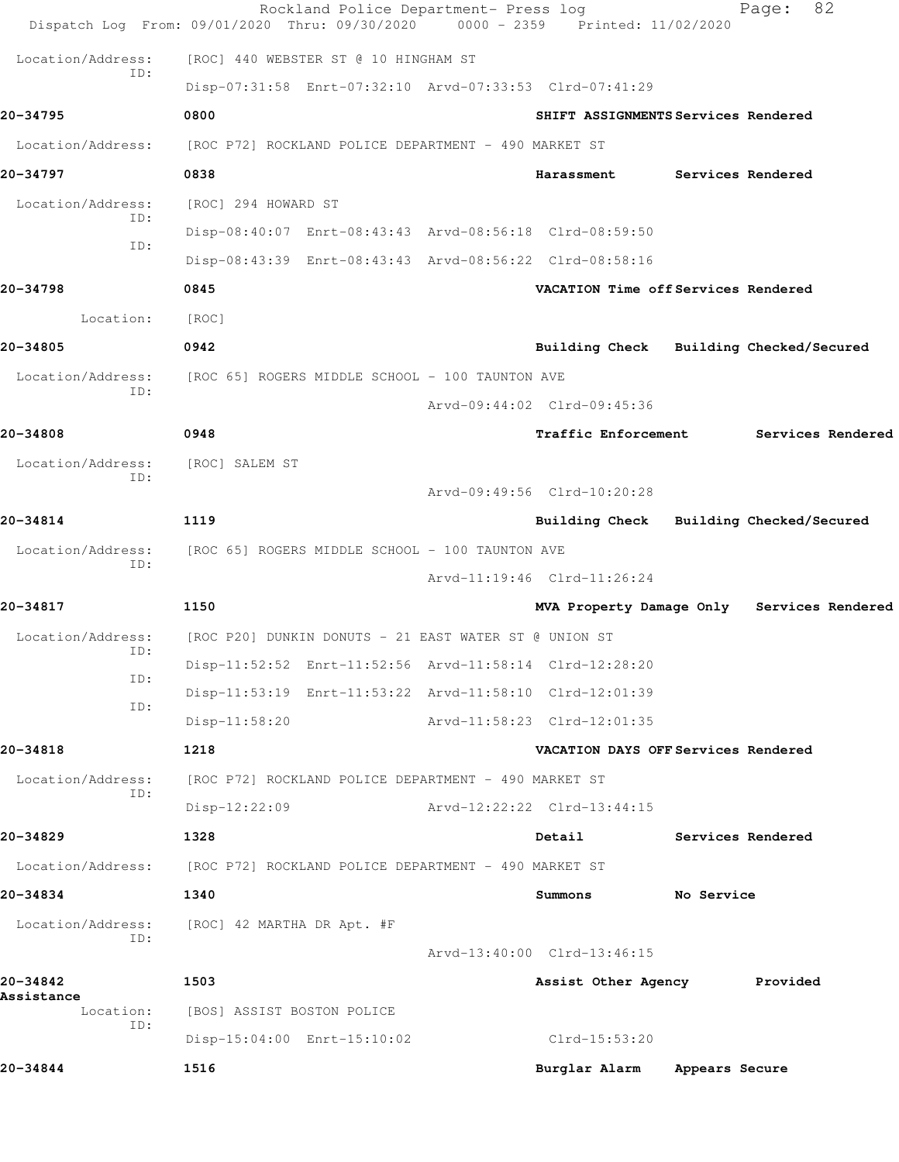|                          | Rockland Police Department- Press log<br>Dispatch Log From: 09/01/2020 Thru: 09/30/2020 | 0000 - 2359 Printed: 11/02/2020         |                | 82<br>Page:                                |
|--------------------------|-----------------------------------------------------------------------------------------|-----------------------------------------|----------------|--------------------------------------------|
| Location/Address:        | [ROC] 440 WEBSTER ST @ 10 HINGHAM ST                                                    |                                         |                |                                            |
| ID:                      | Disp-07:31:58 Enrt-07:32:10 Arvd-07:33:53 Clrd-07:41:29                                 |                                         |                |                                            |
| 20-34795                 | 0800                                                                                    | SHIFT ASSIGNMENTS Services Rendered     |                |                                            |
| Location/Address:        | [ROC P72] ROCKLAND POLICE DEPARTMENT - 490 MARKET ST                                    |                                         |                |                                            |
| 20-34797                 | 0838                                                                                    | Harassment                              |                | Services Rendered                          |
| Location/Address:        | [ROC] 294 HOWARD ST                                                                     |                                         |                |                                            |
| ID:                      | Disp-08:40:07 Enrt-08:43:43 Arvd-08:56:18 Clrd-08:59:50                                 |                                         |                |                                            |
| TD:                      | Disp-08:43:39 Enrt-08:43:43 Arvd-08:56:22 Clrd-08:58:16                                 |                                         |                |                                            |
| 20-34798                 | 0845                                                                                    | VACATION Time off Services Rendered     |                |                                            |
| Location:                | [ROC]                                                                                   |                                         |                |                                            |
| 20-34805                 | 0942                                                                                    | Building Check Building Checked/Secured |                |                                            |
| Location/Address:        | [ROC 65] ROGERS MIDDLE SCHOOL - 100 TAUNTON AVE                                         |                                         |                |                                            |
| ID:                      |                                                                                         | Arvd-09:44:02 Clrd-09:45:36             |                |                                            |
| 20-34808                 | 0948                                                                                    | <b>Traffic Enforcement</b>              |                | Services Rendered                          |
| Location/Address:        | [ROC] SALEM ST                                                                          |                                         |                |                                            |
| ID:                      |                                                                                         | Arvd-09:49:56 Clrd-10:20:28             |                |                                            |
| 20-34814                 | 1119                                                                                    | Building Check Building Checked/Secured |                |                                            |
| Location/Address:<br>ID: | [ROC 65] ROGERS MIDDLE SCHOOL - 100 TAUNTON AVE                                         |                                         |                |                                            |
|                          |                                                                                         | Arvd-11:19:46 Clrd-11:26:24             |                |                                            |
| 20-34817                 | 1150                                                                                    |                                         |                | MVA Property Damage Only Services Rendered |
| Location/Address:<br>ID: | [ROC P20] DUNKIN DONUTS - 21 EAST WATER ST @ UNION ST                                   |                                         |                |                                            |
| ID:                      | Disp-11:52:52 Enrt-11:52:56 Arvd-11:58:14 Clrd-12:28:20                                 |                                         |                |                                            |
| ID:                      | Disp-11:53:19 Enrt-11:53:22 Arvd-11:58:10 Clrd-12:01:39                                 |                                         |                |                                            |
|                          | $Disp-11:58:20$                                                                         | Arvd-11:58:23 Clrd-12:01:35             |                |                                            |
| 20-34818                 | 1218                                                                                    | VACATION DAYS OFF Services Rendered     |                |                                            |
| Location/Address:<br>ID: | [ROC P72] ROCKLAND POLICE DEPARTMENT - 490 MARKET ST                                    |                                         |                |                                            |
|                          | $Disp-12:22:09$                                                                         | Arvd-12:22:22 Clrd-13:44:15             |                |                                            |
| 20-34829                 | 1328                                                                                    | Detail                                  |                | Services Rendered                          |
| Location/Address:        | [ROC P72] ROCKLAND POLICE DEPARTMENT - 490 MARKET ST                                    |                                         |                |                                            |
| 20-34834                 | 1340                                                                                    | Summons                                 | No Service     |                                            |
| Location/Address:<br>ID: | [ROC] 42 MARTHA DR Apt. #F                                                              |                                         |                |                                            |
|                          |                                                                                         | Arvd-13:40:00 Clrd-13:46:15             |                |                                            |
| 20-34842<br>Assistance   | 1503                                                                                    | Assist Other Agency                     |                | Provided                                   |
| Location:<br>ID:         | [BOS] ASSIST BOSTON POLICE                                                              |                                         |                |                                            |
|                          | Disp-15:04:00 Enrt-15:10:02                                                             | Clrd-15:53:20                           |                |                                            |
| 20-34844                 | 1516                                                                                    | Burglar Alarm                           | Appears Secure |                                            |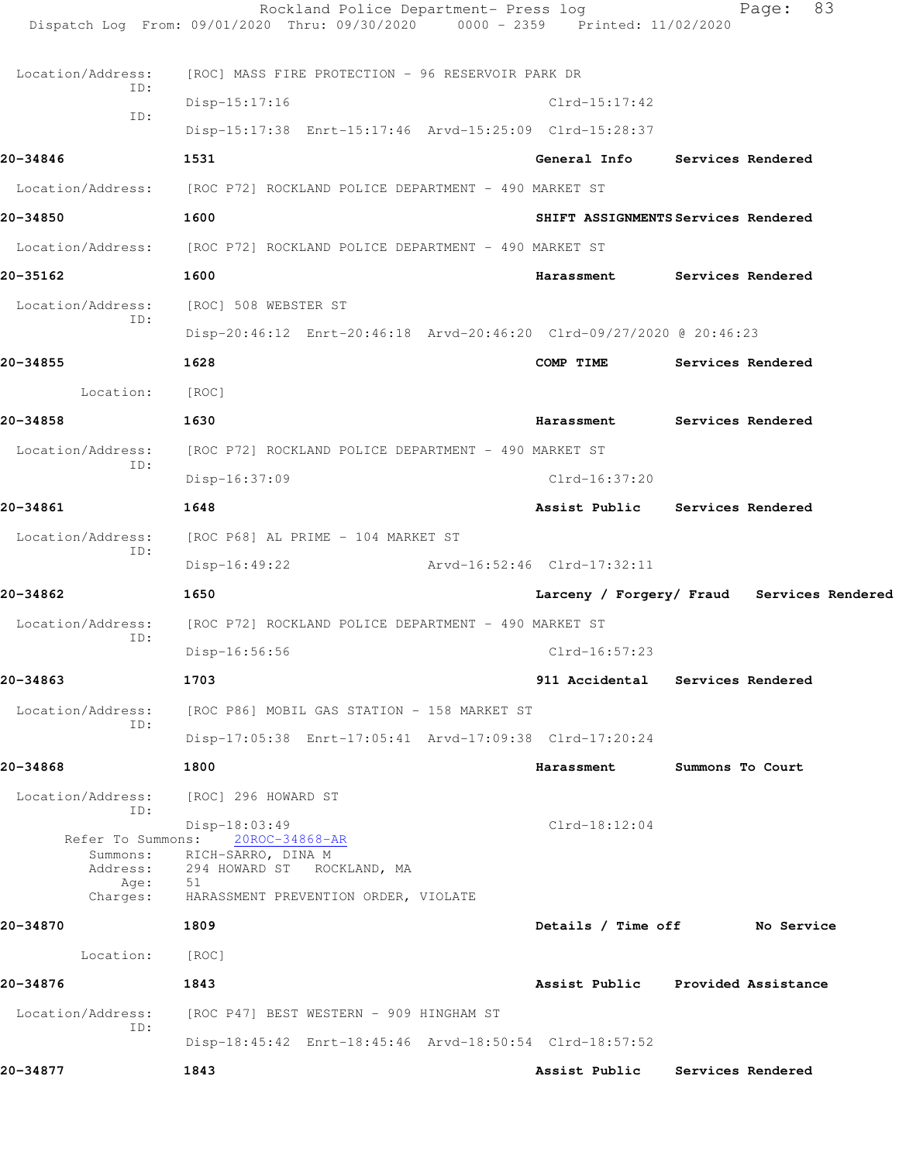|                   | Rockland Police Department- Press log<br>Dispatch Log From: 09/01/2020 Thru: 09/30/2020 0000 - 2359 Printed: 11/02/2020 |                             | 83<br>Page:                                |
|-------------------|-------------------------------------------------------------------------------------------------------------------------|-----------------------------|--------------------------------------------|
| Location/Address: | [ROC] MASS FIRE PROTECTION - 96 RESERVOIR PARK DR                                                                       |                             |                                            |
| TD:               | $Disp-15:17:16$                                                                                                         | $Clrd-15:17:42$             |                                            |
| ID:               | Disp-15:17:38 Enrt-15:17:46 Arvd-15:25:09 Clrd-15:28:37                                                                 |                             |                                            |
| 20-34846          | 1531                                                                                                                    |                             | General Info Services Rendered             |
|                   | Location/Address: [ROC P72] ROCKLAND POLICE DEPARTMENT - 490 MARKET ST                                                  |                             |                                            |
| 20-34850          | 1600                                                                                                                    |                             | SHIFT ASSIGNMENTS Services Rendered        |
|                   | Location/Address: [ROC P72] ROCKLAND POLICE DEPARTMENT - 490 MARKET ST                                                  |                             |                                            |
| 20-35162          | 1600                                                                                                                    | Harassment                  | Services Rendered                          |
| Location/Address: | [ROC] 508 WEBSTER ST                                                                                                    |                             |                                            |
| ID:               | Disp-20:46:12 Enrt-20:46:18 Arvd-20:46:20 Clrd-09/27/2020 @ 20:46:23                                                    |                             |                                            |
| 20-34855          | 1628                                                                                                                    | COMP TIME                   | Services Rendered                          |
| Location:         | [ROC]                                                                                                                   |                             |                                            |
| 20-34858          | 1630                                                                                                                    | Harassment                  | Services Rendered                          |
| Location/Address: | [ROC P72] ROCKLAND POLICE DEPARTMENT - 490 MARKET ST                                                                    |                             |                                            |
| ID:               | Disp-16:37:09                                                                                                           | $Clrd-16:37:20$             |                                            |
| 20-34861          | 1648                                                                                                                    |                             | Assist Public Services Rendered            |
| Location/Address: | [ROC P68] AL PRIME - 104 MARKET ST                                                                                      |                             |                                            |
| ID:               | Disp-16:49:22                                                                                                           | Arvd-16:52:46 Clrd-17:32:11 |                                            |
| 20-34862          | 1650                                                                                                                    |                             | Larceny / Forgery/ Fraud Services Rendered |
| Location/Address: | [ROC P72] ROCKLAND POLICE DEPARTMENT - 490 MARKET ST                                                                    |                             |                                            |
| ID:               | Disp-16:56:56                                                                                                           | Clrd-16:57:23               |                                            |
| 20-34863          | 1703                                                                                                                    |                             | 911 Accidental Services Rendered           |
| Location/Address: | [ROC P86] MOBIL GAS STATION - 158 MARKET ST                                                                             |                             |                                            |
| ID:               | Disp-17:05:38 Enrt-17:05:41 Arvd-17:09:38 Clrd-17:20:24                                                                 |                             |                                            |
| 20-34868          | 1800                                                                                                                    | Harassment                  | Summons To Court                           |
| Location/Address: | [ROC] 296 HOWARD ST                                                                                                     |                             |                                            |
| ID:               | Disp-18:03:49<br>Refer To Summons: 20ROC-34868-AR                                                                       | $Clrd-18:12:04$             |                                            |
|                   | Summons: RICH-SARRO, DINA M                                                                                             |                             |                                            |
| Age:              | Address: 294 HOWARD ST ROCKLAND, MA<br>51<br>Charges: HARASSMENT PREVENTION ORDER, VIOLATE                              |                             |                                            |
| 20-34870          | 1809                                                                                                                    |                             | Details / Time off No Service              |
| Location:         | [ROC]                                                                                                                   |                             |                                            |
| 20-34876          | 1843                                                                                                                    |                             | Assist Public Provided Assistance          |
|                   | Location/Address: [ROC P47] BEST WESTERN - 909 HINGHAM ST                                                               |                             |                                            |
| ID:               | Disp-18:45:42 Enrt-18:45:46 Arvd-18:50:54 Clrd-18:57:52                                                                 |                             |                                            |
| 20-34877          | 1843                                                                                                                    |                             | Assist Public Services Rendered            |
|                   |                                                                                                                         |                             |                                            |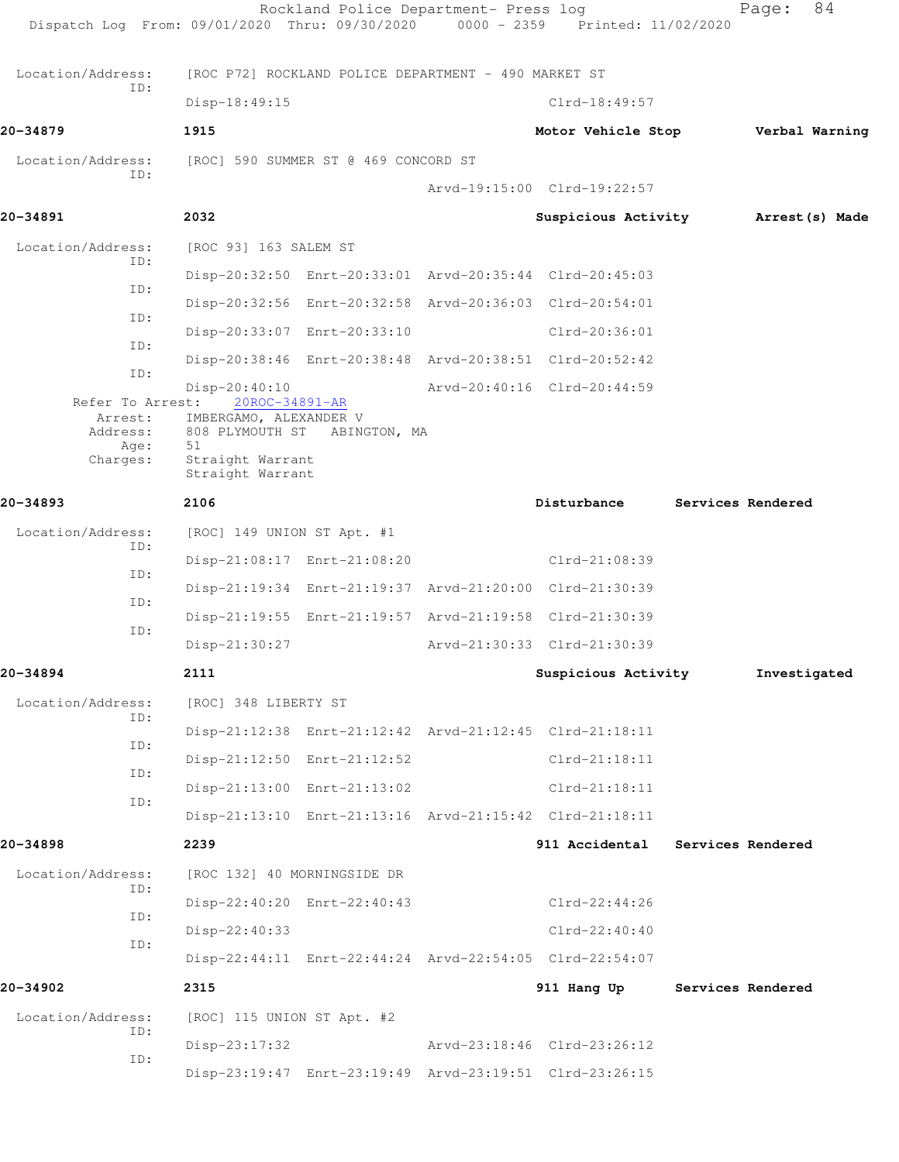| Dispatch Log From: 09/01/2020 Thru: 09/30/2020 0000 - 2359 Printed: 11/02/2020 |                                                                    | Rockland Police Department- Press log                |                                                         | 84<br>Page:       |
|--------------------------------------------------------------------------------|--------------------------------------------------------------------|------------------------------------------------------|---------------------------------------------------------|-------------------|
| Location/Address:                                                              |                                                                    | [ROC P72] ROCKLAND POLICE DEPARTMENT - 490 MARKET ST |                                                         |                   |
| ID:                                                                            | Disp-18:49:15                                                      |                                                      | $Clrd-18:49:57$                                         |                   |
| 20-34879                                                                       | 1915                                                               |                                                      | Motor Vehicle Stop                                      | Verbal Warning    |
| Location/Address:                                                              |                                                                    | [ROC] 590 SUMMER ST @ 469 CONCORD ST                 |                                                         |                   |
| ID:                                                                            |                                                                    |                                                      | Arvd-19:15:00 Clrd-19:22:57                             |                   |
| 20-34891                                                                       | 2032                                                               |                                                      | Suspicious Activity                                     | Arrest(s) Made    |
| Location/Address:                                                              | [ROC 93] 163 SALEM ST                                              |                                                      |                                                         |                   |
| ID:                                                                            |                                                                    |                                                      | Disp-20:32:50 Enrt-20:33:01 Arvd-20:35:44 Clrd-20:45:03 |                   |
| ID:                                                                            |                                                                    |                                                      | Disp-20:32:56 Enrt-20:32:58 Arvd-20:36:03 Clrd-20:54:01 |                   |
| ID:                                                                            |                                                                    | Disp-20:33:07 Enrt-20:33:10                          | Clrd-20:36:01                                           |                   |
| ID:                                                                            |                                                                    |                                                      | Disp-20:38:46 Enrt-20:38:48 Arvd-20:38:51 Clrd-20:52:42 |                   |
| ID:                                                                            | Disp-20:40:10                                                      |                                                      | Arvd-20:40:16 Clrd-20:44:59                             |                   |
| Refer To Arrest:<br>Arrest:<br>Address:<br>Age:<br>Charges:                    | 20ROC-34891-AR<br>IMBERGAMO, ALEXANDER V<br>51<br>Straight Warrant | 808 PLYMOUTH ST ABINGTON, MA                         |                                                         |                   |
|                                                                                | Straight Warrant                                                   |                                                      |                                                         |                   |
| 20-34893                                                                       | 2106                                                               |                                                      | Disturbance                                             | Services Rendered |
| Location/Address:<br>ID:                                                       | [ROC] 149 UNION ST Apt. #1                                         |                                                      |                                                         |                   |
| ID:                                                                            |                                                                    | Disp-21:08:17 Enrt-21:08:20                          | Clrd-21:08:39                                           |                   |
| ID:                                                                            |                                                                    |                                                      | Disp-21:19:34 Enrt-21:19:37 Arvd-21:20:00 Clrd-21:30:39 |                   |
| ID:                                                                            |                                                                    |                                                      | Disp-21:19:55 Enrt-21:19:57 Arvd-21:19:58 Clrd-21:30:39 |                   |
|                                                                                | Disp-21:30:27                                                      |                                                      | Arvd-21:30:33 Clrd-21:30:39                             |                   |
| 20-34894                                                                       | 2111                                                               |                                                      | Suspicious Activity                                     | Investigated      |
| Location/Address:<br>ID:                                                       | [ROC] 348 LIBERTY ST                                               |                                                      |                                                         |                   |
| ID:                                                                            |                                                                    |                                                      | Disp-21:12:38 Enrt-21:12:42 Arvd-21:12:45 Clrd-21:18:11 |                   |
| ID:                                                                            |                                                                    | Disp-21:12:50 Enrt-21:12:52                          | $Clrd-21:18:11$                                         |                   |
| ID:                                                                            |                                                                    | Disp-21:13:00 Enrt-21:13:02                          | $Clrd-21:18:11$                                         |                   |
|                                                                                |                                                                    |                                                      | Disp-21:13:10 Enrt-21:13:16 Arvd-21:15:42 Clrd-21:18:11 |                   |
| 20-34898                                                                       | 2239                                                               |                                                      | 911 Accidental                                          | Services Rendered |
| Location/Address:                                                              | [ROC 132] 40 MORNINGSIDE DR                                        |                                                      |                                                         |                   |
| ID:                                                                            |                                                                    | Disp-22:40:20 Enrt-22:40:43                          | $Clrd-22:44:26$                                         |                   |
| ID:                                                                            | Disp-22:40:33                                                      |                                                      | $Clrd-22:40:40$                                         |                   |
| ID:                                                                            |                                                                    |                                                      | Disp-22:44:11 Enrt-22:44:24 Arvd-22:54:05 Clrd-22:54:07 |                   |
| 20-34902                                                                       | 2315                                                               |                                                      | 911 Hang Up                                             | Services Rendered |
| Location/Address:                                                              | [ROC] 115 UNION ST Apt. #2                                         |                                                      |                                                         |                   |
| ID:                                                                            | $Disp-23:17:32$                                                    |                                                      | Arvd-23:18:46 Clrd-23:26:12                             |                   |
| ID:                                                                            |                                                                    |                                                      | Disp-23:19:47 Enrt-23:19:49 Arvd-23:19:51 Clrd-23:26:15 |                   |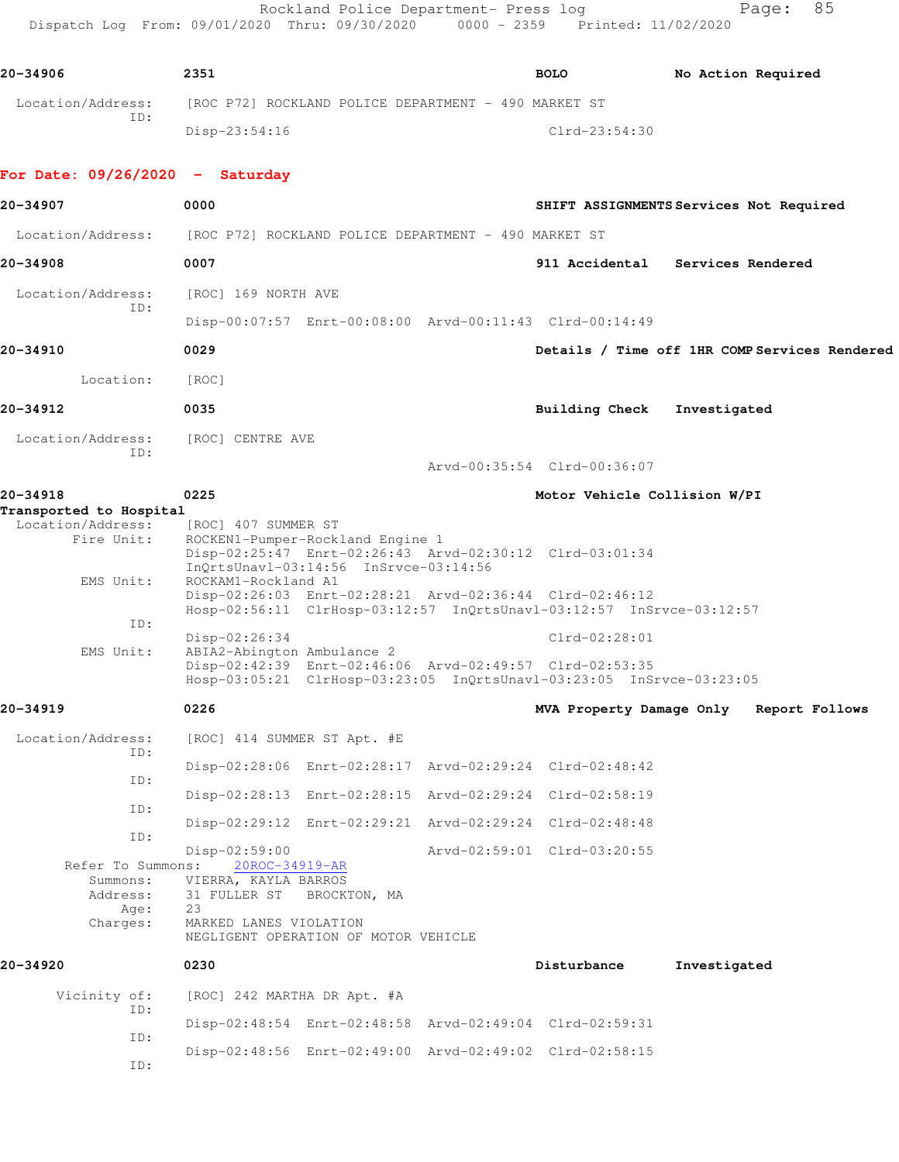Rockland Police Department- Press log entitled and Page: 85 Dispatch Log From: 09/01/2020 Thru: 09/30/2020 0000 - 2359 Printed: 11/02/2020

| 20-34906                 | 2351                                                 | <b>BOLO</b>     | No Action Required |
|--------------------------|------------------------------------------------------|-----------------|--------------------|
| Location/Address:<br>TD: | [ROC P72] ROCKLAND POLICE DEPARTMENT - 490 MARKET ST |                 |                    |
|                          | Disp-23:54:16                                        | $Clrd-23:54:30$ |                    |

## **For Date: 09/26/2020 - Saturday**

| 20-34907                                                      | 0000                                                                                                                                                                                                  |                              | SHIFT ASSIGNMENTS Services Not Required       |  |
|---------------------------------------------------------------|-------------------------------------------------------------------------------------------------------------------------------------------------------------------------------------------------------|------------------------------|-----------------------------------------------|--|
| Location/Address:                                             | [ROC P72] ROCKLAND POLICE DEPARTMENT - 490 MARKET ST                                                                                                                                                  |                              |                                               |  |
| 20-34908                                                      | 0007                                                                                                                                                                                                  |                              | 911 Accidental Services Rendered              |  |
| Location/Address:                                             | [ROC] 169 NORTH AVE                                                                                                                                                                                   |                              |                                               |  |
| ID:                                                           | Disp-00:07:57 Enrt-00:08:00 Arvd-00:11:43 Clrd-00:14:49                                                                                                                                               |                              |                                               |  |
| 20-34910                                                      | 0029                                                                                                                                                                                                  |                              | Details / Time off 1HR COMP Services Rendered |  |
| Location:                                                     | [ROC]                                                                                                                                                                                                 |                              |                                               |  |
| 20-34912                                                      | 0035                                                                                                                                                                                                  | Building Check               | Investigated                                  |  |
| Location/Address:<br>ID:                                      | [ROC] CENTRE AVE                                                                                                                                                                                      | Arvd-00:35:54 Clrd-00:36:07  |                                               |  |
| 20-34918                                                      | 0225                                                                                                                                                                                                  | Motor Vehicle Collision W/PI |                                               |  |
| Transported to Hospital<br>Location/Address:<br>Fire Unit:    | [ROC] 407 SUMMER ST<br>ROCKEN1-Pumper-Rockland Engine 1<br>Disp-02:25:47 Enrt-02:26:43 Arvd-02:30:12 Clrd-03:01:34<br>InQrtsUnavl-03:14:56 InSrvce-03:14:56                                           |                              |                                               |  |
| EMS Unit:<br>ID:<br>EMS Unit:                                 | ROCKAM1-Rockland A1<br>Disp-02:26:03 Enrt-02:28:21 Arvd-02:36:44 Clrd-02:46:12<br>Hosp-02:56:11 ClrHosp-03:12:57 InQrtsUnavl-03:12:57 InSrvce-03:12:57<br>Disp-02:26:34<br>ABIA2-Abington Ambulance 2 | $Clrd-02:28:01$              |                                               |  |
|                                                               | Disp-02:42:39 Enrt-02:46:06 Arvd-02:49:57 Clrd-02:53:35<br>Hosp-03:05:21 ClrHosp-03:23:05 InQrtsUnavl-03:23:05 InSrvce-03:23:05                                                                       |                              |                                               |  |
| 20-34919                                                      | 0226                                                                                                                                                                                                  | MVA Property Damage Only     | Report Follows                                |  |
| Location/Address:<br>ID:                                      | [ROC] 414 SUMMER ST Apt. #E                                                                                                                                                                           |                              |                                               |  |
| ID:                                                           | Disp-02:28:06 Enrt-02:28:17 Arvd-02:29:24 Clrd-02:48:42                                                                                                                                               |                              |                                               |  |
| ID:                                                           | Disp-02:28:13 Enrt-02:28:15 Arvd-02:29:24 Clrd-02:58:19                                                                                                                                               |                              |                                               |  |
| ID:                                                           | Disp-02:29:12 Enrt-02:29:21 Arvd-02:29:24 Clrd-02:48:48                                                                                                                                               |                              |                                               |  |
| Refer To Summons:<br>Summons:<br>Address:<br>Age:<br>Charges: | Disp-02:59:00<br>20ROC-34919-AR<br>VIERRA, KAYLA BARROS<br>31 FULLER ST<br>BROCKTON, MA<br>23<br>MARKED LANES VIOLATION<br>NEGLIGENT OPERATION OF MOTOR VEHICLE                                       | Arvd-02:59:01 Clrd-03:20:55  |                                               |  |
| 20-34920                                                      | 0230                                                                                                                                                                                                  | Disturbance                  | Investigated                                  |  |
| Vicinity of:                                                  | [ROC] 242 MARTHA DR Apt. #A                                                                                                                                                                           |                              |                                               |  |
| ID:<br>ID:                                                    | Disp-02:48:54 Enrt-02:48:58 Arvd-02:49:04 Clrd-02:59:31                                                                                                                                               |                              |                                               |  |
| ID:                                                           | Disp-02:48:56 Enrt-02:49:00 Arvd-02:49:02 Clrd-02:58:15                                                                                                                                               |                              |                                               |  |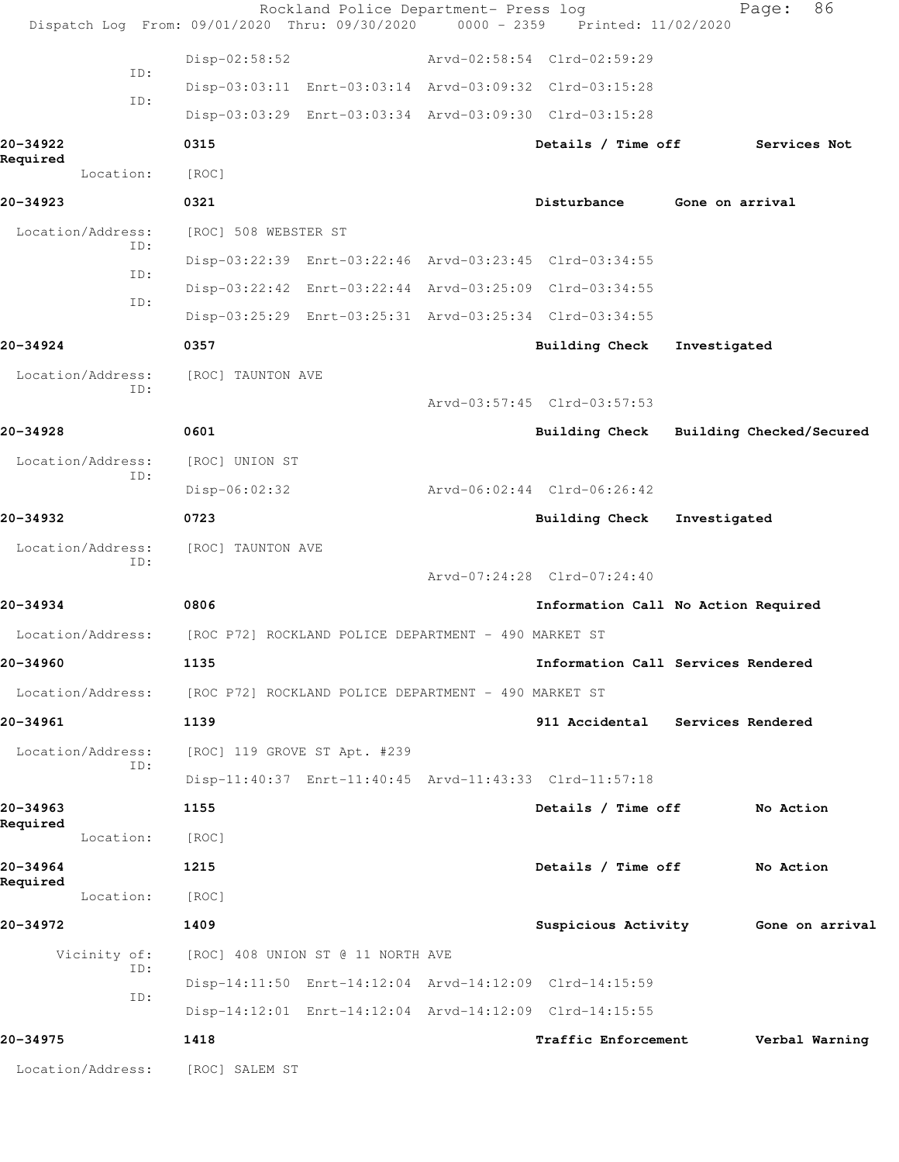| Dispatch Log From: 09/01/2020 Thru: 09/30/2020 0000 - 2359 Printed: 11/02/2020 |                      | Rockland Police Department- Press log                |                                                         |                 | 86<br>Page:              |
|--------------------------------------------------------------------------------|----------------------|------------------------------------------------------|---------------------------------------------------------|-----------------|--------------------------|
|                                                                                | $Disp-02:58:52$      |                                                      | Arvd-02:58:54 Clrd-02:59:29                             |                 |                          |
| ID:                                                                            |                      |                                                      | Disp-03:03:11 Enrt-03:03:14 Arvd-03:09:32 Clrd-03:15:28 |                 |                          |
| ID:                                                                            |                      |                                                      | Disp-03:03:29 Enrt-03:03:34 Arvd-03:09:30 Clrd-03:15:28 |                 |                          |
| 20-34922                                                                       | 0315                 |                                                      | Details / Time off                                      |                 | Services Not             |
| Required<br>Location:                                                          | [ROC]                |                                                      |                                                         |                 |                          |
| 20-34923                                                                       | 0321                 |                                                      | Disturbance                                             | Gone on arrival |                          |
| Location/Address:                                                              | [ROC] 508 WEBSTER ST |                                                      |                                                         |                 |                          |
| ID:                                                                            |                      |                                                      | Disp-03:22:39 Enrt-03:22:46 Arvd-03:23:45 Clrd-03:34:55 |                 |                          |
| ID:                                                                            |                      |                                                      | Disp-03:22:42 Enrt-03:22:44 Arvd-03:25:09 Clrd-03:34:55 |                 |                          |
| ID:                                                                            |                      |                                                      | Disp-03:25:29 Enrt-03:25:31 Arvd-03:25:34 Clrd-03:34:55 |                 |                          |
| 20-34924                                                                       | 0357                 |                                                      | Building Check                                          | Investigated    |                          |
| Location/Address:                                                              | [ROC] TAUNTON AVE    |                                                      |                                                         |                 |                          |
| ID:                                                                            |                      |                                                      | Arvd-03:57:45 Clrd-03:57:53                             |                 |                          |
| 20-34928                                                                       | 0601                 |                                                      | Building Check                                          |                 | Building Checked/Secured |
| Location/Address:<br>ID:                                                       | [ROC] UNION ST       |                                                      |                                                         |                 |                          |
|                                                                                | Disp-06:02:32        |                                                      | Arvd-06:02:44 Clrd-06:26:42                             |                 |                          |
| 20-34932                                                                       | 0723                 |                                                      | <b>Building Check</b>                                   | Investigated    |                          |
| Location/Address:<br>ID:                                                       | [ROC] TAUNTON AVE    |                                                      |                                                         |                 |                          |
|                                                                                |                      |                                                      | Arvd-07:24:28 Clrd-07:24:40                             |                 |                          |
| 20-34934                                                                       | 0806                 |                                                      | Information Call No Action Required                     |                 |                          |
| Location/Address:                                                              |                      | [ROC P72] ROCKLAND POLICE DEPARTMENT - 490 MARKET ST |                                                         |                 |                          |
| 20–34960                                                                       | 1135                 |                                                      | Information Call Services Rendered                      |                 |                          |
| Location/Address:                                                              |                      | [ROC P72] ROCKLAND POLICE DEPARTMENT - 490 MARKET ST |                                                         |                 |                          |
| 20-34961                                                                       | 1139                 |                                                      | 911 Accidental Services Rendered                        |                 |                          |
| Location/Address:<br>ID:                                                       |                      | [ROC] 119 GROVE ST Apt. #239                         |                                                         |                 |                          |
|                                                                                |                      |                                                      | Disp-11:40:37 Enrt-11:40:45 Arvd-11:43:33 Clrd-11:57:18 |                 |                          |
| 20-34963<br>Required                                                           | 1155                 |                                                      | Details / Time off                                      |                 | No Action                |
| Location:                                                                      | [ROC]                |                                                      |                                                         |                 |                          |
| 20-34964<br>Required                                                           | 1215                 |                                                      | Details / Time off                                      |                 | No Action                |
| Location:                                                                      | [ROC]                |                                                      |                                                         |                 |                          |
| 20-34972                                                                       | 1409                 |                                                      | Suspicious Activity                                     |                 | Gone on arrival          |
| Vicinity of:<br>ID:                                                            |                      | [ROC] 408 UNION ST @ 11 NORTH AVE                    |                                                         |                 |                          |
| ID:                                                                            |                      |                                                      | Disp-14:11:50 Enrt-14:12:04 Arvd-14:12:09 Clrd-14:15:59 |                 |                          |
|                                                                                |                      |                                                      | Disp-14:12:01 Enrt-14:12:04 Arvd-14:12:09 Clrd-14:15:55 |                 |                          |
| 20-34975                                                                       | 1418                 |                                                      | Traffic Enforcement                                     |                 | Verbal Warning           |
| Location/Address:                                                              | [ROC] SALEM ST       |                                                      |                                                         |                 |                          |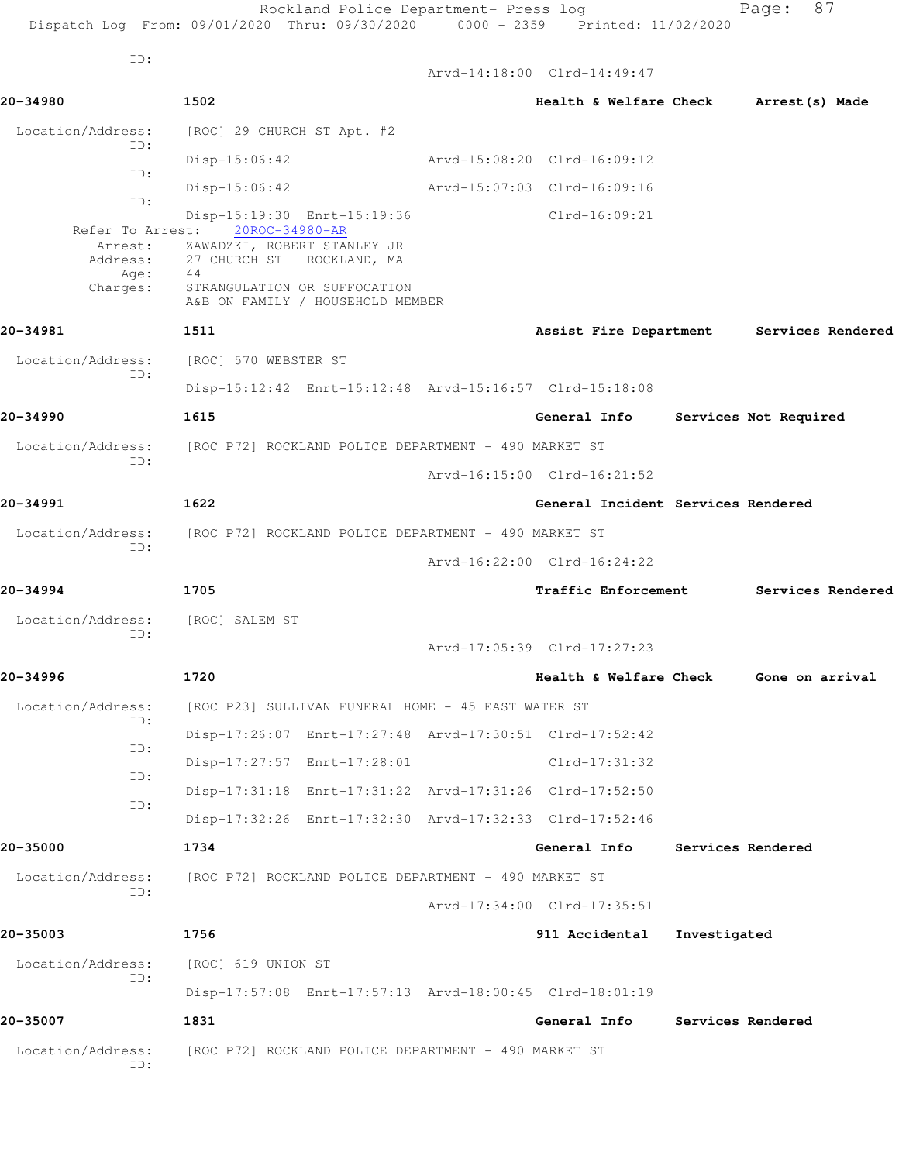|                          | Rockland Police Department- Press log<br>Dispatch Log From: 09/01/2020 Thru: 09/30/2020 0000 - 2359 Printed: 11/02/2020 |                                        |              | Page: 87                                 |
|--------------------------|-------------------------------------------------------------------------------------------------------------------------|----------------------------------------|--------------|------------------------------------------|
| ID:                      |                                                                                                                         | Arvd-14:18:00 Clrd-14:49:47            |              |                                          |
| 20-34980                 | 1502                                                                                                                    | Health & Welfare Check Arrest (s) Made |              |                                          |
| Location/Address:        | [ROC] 29 CHURCH ST Apt. #2                                                                                              |                                        |              |                                          |
| ID:                      | Disp-15:06:42                                                                                                           | Arvd-15:08:20 Clrd-16:09:12            |              |                                          |
| ID:                      | $Disp-15:06:42$                                                                                                         | Arvd-15:07:03 Clrd-16:09:16            |              |                                          |
| ID:                      | Disp-15:19:30 Enrt-15:19:36                                                                                             | Clrd-16:09:21                          |              |                                          |
|                          | Refer To Arrest: 20ROC-34980-AR<br>Arrest: ZAWADZKI, ROBERT STANLEY JR<br>Address: 27 CHURCH ST ROCKLAND, MA            |                                        |              |                                          |
| Age: 44<br>Charges:      | STRANGULATION OR SUFFOCATION<br>A&B ON FAMILY / HOUSEHOLD MEMBER                                                        |                                        |              |                                          |
| 20-34981                 | 1511                                                                                                                    |                                        |              | Assist Fire Department Services Rendered |
| Location/Address:        | [ROC] 570 WEBSTER ST                                                                                                    |                                        |              |                                          |
| ID:                      | Disp-15:12:42 Enrt-15:12:48 Arvd-15:16:57 Clrd-15:18:08                                                                 |                                        |              |                                          |
| 20-34990                 | 1615                                                                                                                    | General Info Services Not Required     |              |                                          |
| Location/Address:        | [ROC P72] ROCKLAND POLICE DEPARTMENT - 490 MARKET ST                                                                    |                                        |              |                                          |
| ID:                      |                                                                                                                         | Arvd-16:15:00 Clrd-16:21:52            |              |                                          |
| 20-34991                 | 1622                                                                                                                    | General Incident Services Rendered     |              |                                          |
| Location/Address:        | [ROC P72] ROCKLAND POLICE DEPARTMENT - 490 MARKET ST                                                                    |                                        |              |                                          |
| ID:                      |                                                                                                                         | Arvd-16:22:00 Clrd-16:24:22            |              |                                          |
| 20-34994                 | 1705                                                                                                                    |                                        |              | Traffic Enforcement Services Rendered    |
| Location/Address:        | [ROC] SALEM ST                                                                                                          |                                        |              |                                          |
| TD:                      |                                                                                                                         | Arvd-17:05:39 Clrd-17:27:23            |              |                                          |
| 20-34996                 | 1720                                                                                                                    |                                        |              | Health & Welfare Check Gone on arrival   |
| Location/Address:        | [ROC P23] SULLIVAN FUNERAL HOME - 45 EAST WATER ST                                                                      |                                        |              |                                          |
| ID:                      | Disp-17:26:07 Enrt-17:27:48 Arvd-17:30:51 Clrd-17:52:42                                                                 |                                        |              |                                          |
| ID:                      | Disp-17:27:57 Enrt-17:28:01                                                                                             | $Clrd-17:31:32$                        |              |                                          |
| ID:                      | Disp-17:31:18 Enrt-17:31:22 Arvd-17:31:26 Clrd-17:52:50                                                                 |                                        |              |                                          |
| ID:                      | Disp-17:32:26 Enrt-17:32:30 Arvd-17:32:33 Clrd-17:52:46                                                                 |                                        |              |                                          |
| 20-35000                 | 1734                                                                                                                    | General Info                           |              | Services Rendered                        |
| Location/Address:        | [ROC P72] ROCKLAND POLICE DEPARTMENT - 490 MARKET ST                                                                    |                                        |              |                                          |
| ID:                      |                                                                                                                         | Arvd-17:34:00 Clrd-17:35:51            |              |                                          |
| 20-35003                 | 1756                                                                                                                    | 911 Accidental                         | Investigated |                                          |
| Location/Address:        | [ROC] 619 UNION ST                                                                                                      |                                        |              |                                          |
| ID:                      | Disp-17:57:08 Enrt-17:57:13 Arvd-18:00:45 Clrd-18:01:19                                                                 |                                        |              |                                          |
| 20-35007                 | 1831                                                                                                                    | General Info                           |              | Services Rendered                        |
| Location/Address:<br>ID: | [ROC P72] ROCKLAND POLICE DEPARTMENT - 490 MARKET ST                                                                    |                                        |              |                                          |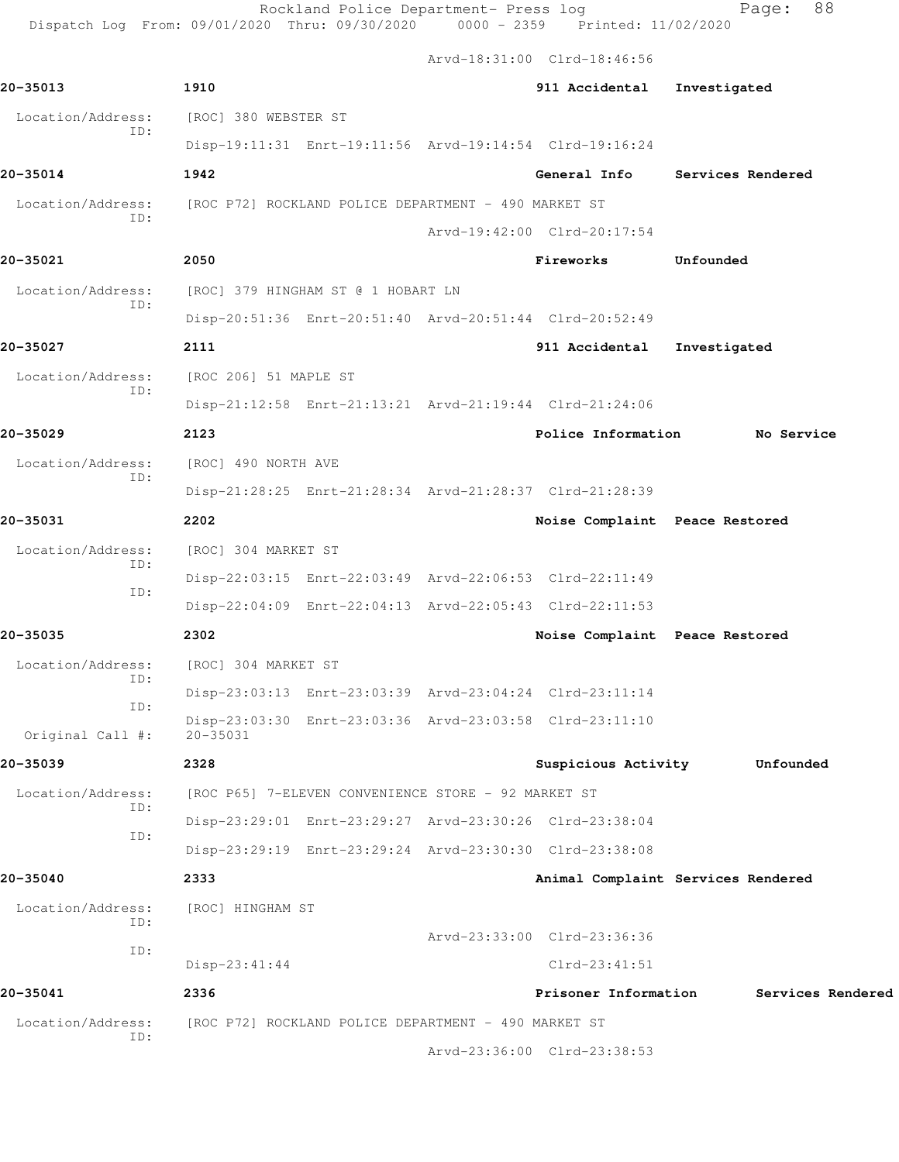**20-35013 1910 911 Accidental Investigated**

Arvd-18:31:00 Clrd-18:46:56

 Location/Address: [ROC] 380 WEBSTER ST ID: Disp-19:11:31 Enrt-19:11:56 Arvd-19:14:54 Clrd-19:16:24 **20-35014 1942 General Info Services Rendered** Location/Address: [ROC P72] ROCKLAND POLICE DEPARTMENT - 490 MARKET ST ID: Arvd-19:42:00 Clrd-20:17:54 **20-35021 2050 Fireworks Unfounded**  Location/Address: [ROC] 379 HINGHAM ST @ 1 HOBART LN ID:

## Disp-20:51:36 Enrt-20:51:40 Arvd-20:51:44 Clrd-20:52:49 **20-35027 2111 911 Accidental Investigated**

 Location/Address: [ROC 206] 51 MAPLE ST ID: Disp-21:12:58 Enrt-21:13:21 Arvd-21:19:44 Clrd-21:24:06

**20-35029 2123 Police Information No Service** Location/Address: [ROC] 490 NORTH AVE ID: Disp-21:28:25 Enrt-21:28:34 Arvd-21:28:37 Clrd-21:28:39

**20-35031 2202 Noise Complaint Peace Restored** Location/Address: [ROC] 304 MARKET ST ID: Disp-22:03:15 Enrt-22:03:49 Arvd-22:06:53 Clrd-22:11:49 ID: Disp-22:04:09 Enrt-22:04:13 Arvd-22:05:43 Clrd-22:11:53 **20-35035 2302 Noise Complaint Peace Restored**

 Location/Address: [ROC] 304 MARKET ST Disp-23:03:13 Enrt-23:03:39 Arvd-23:04:24 Clrd-23:11:14 Disp-23:03:30 Enrt-23:03:36 Arvd-23:03:58 Clrd-23:11:10 Original Call #: 20-35031

**20-35039 2328 Suspicious Activity Unfounded** Location/Address: [ROC P65] 7-ELEVEN CONVENIENCE STORE - 92 MARKET ST ID: Disp-23:29:01 Enrt-23:29:27 Arvd-23:30:26 Clrd-23:38:04 Disp-23:29:19 Enrt-23:29:24 Arvd-23:30:30 Clrd-23:38:08

 ID: **20-35040 2333 Animal Complaint Services Rendered** Location/Address: [ROC] HINGHAM ST ID: Arvd-23:33:00 Clrd-23:36:36 ID: Disp-23:41:44 Clrd-23:41:51 **20-35041 2336 Prisoner Information Services Rendered** Location/Address: [ROC P72] ROCKLAND POLICE DEPARTMENT - 490 MARKET ST

Arvd-23:36:00 Clrd-23:38:53

```
 ID:
```
ID:

ID: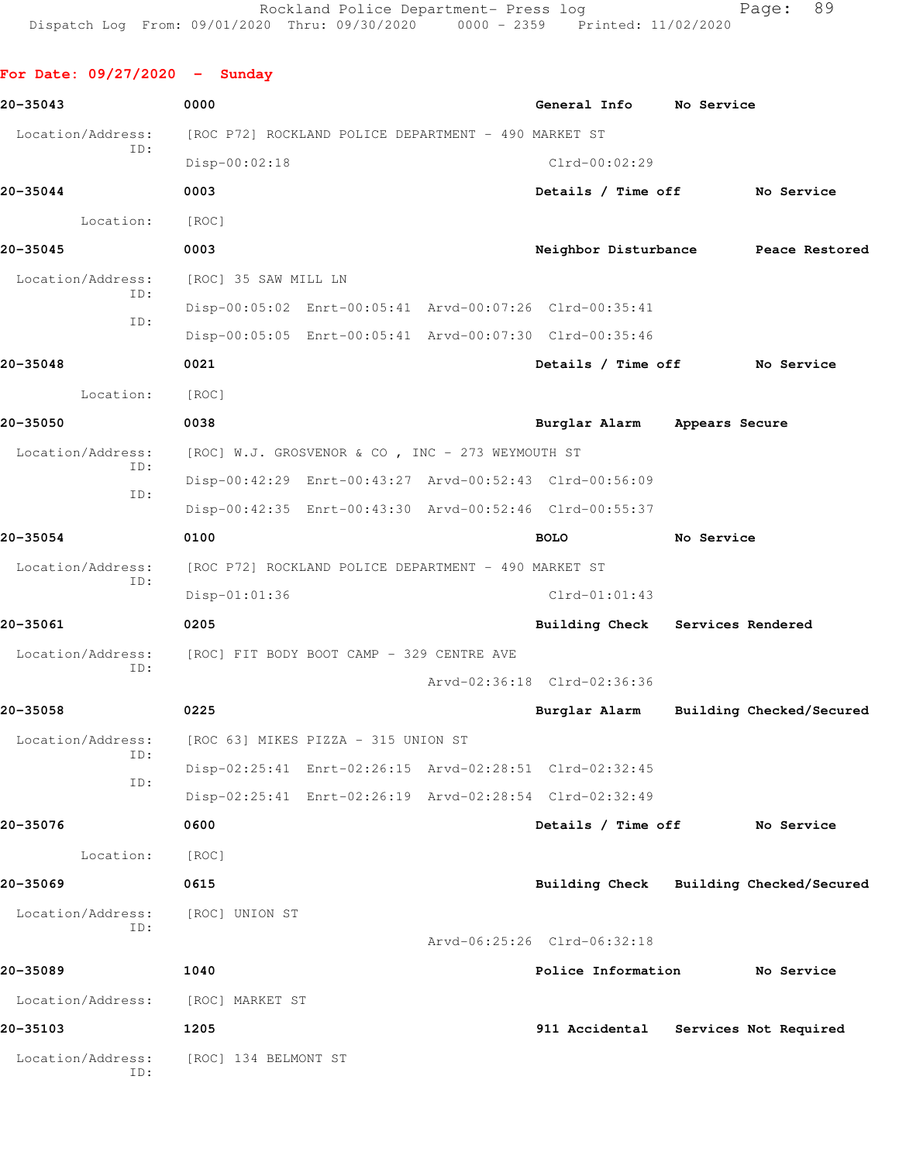| For Date: $09/27/2020 -$ Sunday |                                                      |                                                      |                                                         |            |                          |
|---------------------------------|------------------------------------------------------|------------------------------------------------------|---------------------------------------------------------|------------|--------------------------|
| 20-35043                        | 0000                                                 |                                                      | General Info No Service                                 |            |                          |
| Location/Address:<br>ID:        | [ROC P72] ROCKLAND POLICE DEPARTMENT - 490 MARKET ST |                                                      |                                                         |            |                          |
|                                 | Disp-00:02:18                                        |                                                      | $Clrd-00:02:29$                                         |            |                          |
| 20-35044                        | 0003                                                 |                                                      | Details / Time off No Service                           |            |                          |
| Location:                       | [ROC]                                                |                                                      |                                                         |            |                          |
| 20-35045                        | 0003                                                 |                                                      | Neighbor Disturbance                                    |            | Peace Restored           |
| Location/Address:<br>ID:        | [ROC] 35 SAW MILL LN                                 |                                                      |                                                         |            |                          |
| ID:                             |                                                      |                                                      | Disp-00:05:02 Enrt-00:05:41 Arvd-00:07:26 Clrd-00:35:41 |            |                          |
|                                 |                                                      |                                                      | Disp-00:05:05 Enrt-00:05:41 Arvd-00:07:30 Clrd-00:35:46 |            |                          |
| 20-35048                        | 0021                                                 |                                                      | Details / Time off                                      |            | No Service               |
| Location:                       | [ROC]                                                |                                                      |                                                         |            |                          |
| 20-35050                        | 0038                                                 |                                                      | Burglar Alarm Appears Secure                            |            |                          |
| Location/Address:<br>ID:        |                                                      | [ROC] W.J. GROSVENOR & CO, INC - 273 WEYMOUTH ST     |                                                         |            |                          |
| ID:                             |                                                      |                                                      | Disp-00:42:29 Enrt-00:43:27 Arvd-00:52:43 Clrd-00:56:09 |            |                          |
|                                 |                                                      |                                                      | Disp-00:42:35 Enrt-00:43:30 Arvd-00:52:46 Clrd-00:55:37 |            |                          |
| 20-35054                        | 0100                                                 |                                                      | <b>BOLO</b>                                             | No Service |                          |
| Location/Address:<br>ID:        |                                                      | [ROC P72] ROCKLAND POLICE DEPARTMENT - 490 MARKET ST |                                                         |            |                          |
|                                 | $Disp-01:01:36$                                      |                                                      | $Clrd-01:01:43$                                         |            |                          |
| 20-35061                        | 0205                                                 |                                                      | Building Check Services Rendered                        |            |                          |
| Location/Address:<br>ID:        | [ROC] FIT BODY BOOT CAMP - 329 CENTRE AVE            |                                                      |                                                         |            |                          |
|                                 |                                                      |                                                      | Arvd-02:36:18 Clrd-02:36:36                             |            |                          |
| 20-35058                        | 0225                                                 |                                                      | Burglar Alarm                                           |            | Building Checked/Secured |
| Location/Address:<br>ID:        | [ROC 63] MIKES PIZZA - 315 UNION ST                  |                                                      |                                                         |            |                          |
| ID:                             |                                                      |                                                      | Disp-02:25:41 Enrt-02:26:15 Arvd-02:28:51 Clrd-02:32:45 |            |                          |
|                                 |                                                      |                                                      | Disp-02:25:41 Enrt-02:26:19 Arvd-02:28:54 Clrd-02:32:49 |            |                          |
| 20-35076                        | 0600                                                 |                                                      | Details / Time off                                      |            | No Service               |
| Location:                       | [ROC]                                                |                                                      |                                                         |            |                          |
| 20-35069                        | 0615                                                 |                                                      | Building Check Building Checked/Secured                 |            |                          |
| Location/Address:<br>ID:        | [ROC] UNION ST                                       |                                                      |                                                         |            |                          |
|                                 |                                                      |                                                      | Arvd-06:25:26 Clrd-06:32:18                             |            |                          |
| 20-35089                        | 1040                                                 |                                                      | Police Information                                      |            | No Service               |
| Location/Address:               | [ROC] MARKET ST                                      |                                                      |                                                         |            |                          |
| 20-35103                        | 1205                                                 |                                                      | 911 Accidental Services Not Required                    |            |                          |
| Location/Address:<br>ID:        | [ROC] 134 BELMONT ST                                 |                                                      |                                                         |            |                          |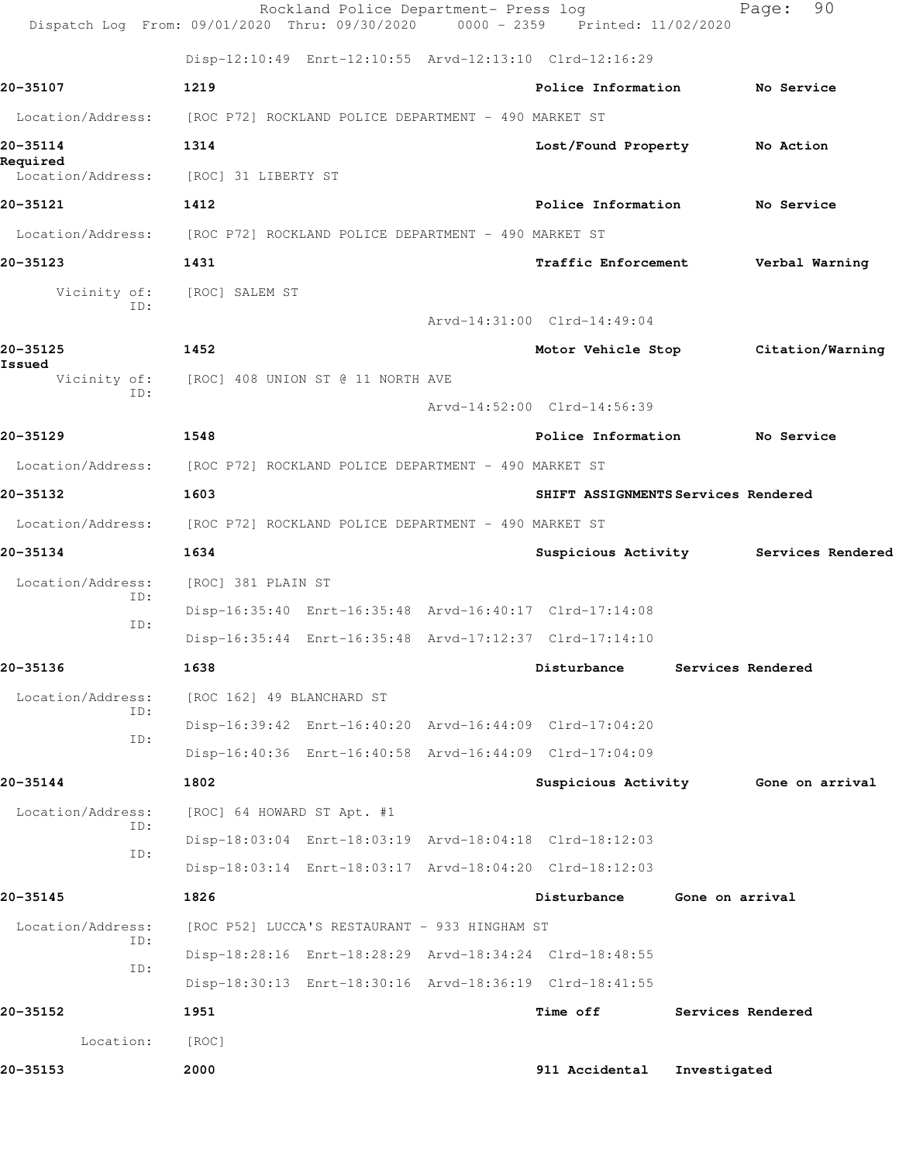|                               | Rockland Police Department- Press log<br>Dispatch Log From: 09/01/2020 Thru: 09/30/2020 0000 - 2359 Printed: 11/02/2020 |                                     |                 | 90<br>Page:                           |  |
|-------------------------------|-------------------------------------------------------------------------------------------------------------------------|-------------------------------------|-----------------|---------------------------------------|--|
|                               | Disp-12:10:49 Enrt-12:10:55 Arvd-12:13:10 Clrd-12:16:29                                                                 |                                     |                 |                                       |  |
| 20-35107                      | 1219                                                                                                                    | Police Information                  |                 | No Service                            |  |
| Location/Address:             | [ROC P72] ROCKLAND POLICE DEPARTMENT - 490 MARKET ST                                                                    |                                     |                 |                                       |  |
| 20-35114                      | 1314                                                                                                                    | Lost/Found Property No Action       |                 |                                       |  |
| Required<br>Location/Address: | [ROC] 31 LIBERTY ST                                                                                                     |                                     |                 |                                       |  |
| 20-35121                      | 1412                                                                                                                    | Police Information                  |                 | No Service                            |  |
|                               | Location/Address: [ROC P72] ROCKLAND POLICE DEPARTMENT - 490 MARKET ST                                                  |                                     |                 |                                       |  |
| 20-35123                      | 1431                                                                                                                    | Traffic Enforcement                 |                 | Verbal Warning                        |  |
| Vicinity of:<br>TD:           | [ROC] SALEM ST                                                                                                          |                                     |                 |                                       |  |
|                               |                                                                                                                         | Arvd-14:31:00 Clrd-14:49:04         |                 |                                       |  |
| 20-35125<br>Issued            | 1452                                                                                                                    |                                     |                 | Motor Vehicle Stop Citation/Warning   |  |
| ID:                           | Vicinity of: [ROC] 408 UNION ST @ 11 NORTH AVE                                                                          |                                     |                 |                                       |  |
|                               |                                                                                                                         | Arvd-14:52:00 Clrd-14:56:39         |                 |                                       |  |
| 20-35129                      | 1548                                                                                                                    | Police Information No Service       |                 |                                       |  |
|                               | Location/Address: [ROC P72] ROCKLAND POLICE DEPARTMENT - 490 MARKET ST                                                  |                                     |                 |                                       |  |
| 20-35132                      | 1603                                                                                                                    | SHIFT ASSIGNMENTS Services Rendered |                 |                                       |  |
| Location/Address:             | [ROC P72] ROCKLAND POLICE DEPARTMENT - 490 MARKET ST                                                                    |                                     |                 |                                       |  |
| 20-35134                      | 1634                                                                                                                    |                                     |                 | Suspicious Activity Services Rendered |  |
| Location/Address:<br>ID:      | [ROC] 381 PLAIN ST                                                                                                      |                                     |                 |                                       |  |
| ID:                           | Disp-16:35:40 Enrt-16:35:48 Arvd-16:40:17 Clrd-17:14:08                                                                 |                                     |                 |                                       |  |
|                               | Disp-16:35:44 Enrt-16:35:48 Arvd-17:12:37 Clrd-17:14:10                                                                 |                                     |                 |                                       |  |
| 20-35136                      | 1638                                                                                                                    | Disturbance                         |                 | Services Rendered                     |  |
| Location/Address:<br>ID:      | [ROC 162] 49 BLANCHARD ST                                                                                               |                                     |                 |                                       |  |
| ID:                           | Disp-16:39:42 Enrt-16:40:20 Arvd-16:44:09 Clrd-17:04:20                                                                 |                                     |                 |                                       |  |
|                               | Disp-16:40:36 Enrt-16:40:58 Arvd-16:44:09 Clrd-17:04:09                                                                 |                                     |                 |                                       |  |
| 20-35144                      | 1802                                                                                                                    |                                     |                 | Suspicious Activity Gone on arrival   |  |
| Location/Address:<br>ID:      | [ROC] 64 HOWARD ST Apt. #1                                                                                              |                                     |                 |                                       |  |
| ID:                           | Disp-18:03:04 Enrt-18:03:19 Arvd-18:04:18 Clrd-18:12:03                                                                 |                                     |                 |                                       |  |
|                               | Disp-18:03:14 Enrt-18:03:17 Arvd-18:04:20 Clrd-18:12:03                                                                 |                                     |                 |                                       |  |
| 20-35145                      | 1826                                                                                                                    | Disturbance                         | Gone on arrival |                                       |  |
| Location/Address:<br>ID:      | [ROC P52] LUCCA'S RESTAURANT - 933 HINGHAM ST                                                                           |                                     |                 |                                       |  |
| ID:                           | Disp-18:28:16 Enrt-18:28:29 Arvd-18:34:24 Clrd-18:48:55                                                                 |                                     |                 |                                       |  |
|                               | Disp-18:30:13 Enrt-18:30:16 Arvd-18:36:19 Clrd-18:41:55                                                                 |                                     |                 |                                       |  |
| 20-35152                      | 1951                                                                                                                    | Time off                            |                 | Services Rendered                     |  |
| Location:                     | [ROC]                                                                                                                   |                                     |                 |                                       |  |
| 20-35153                      | 2000                                                                                                                    | 911 Accidental                      | Investigated    |                                       |  |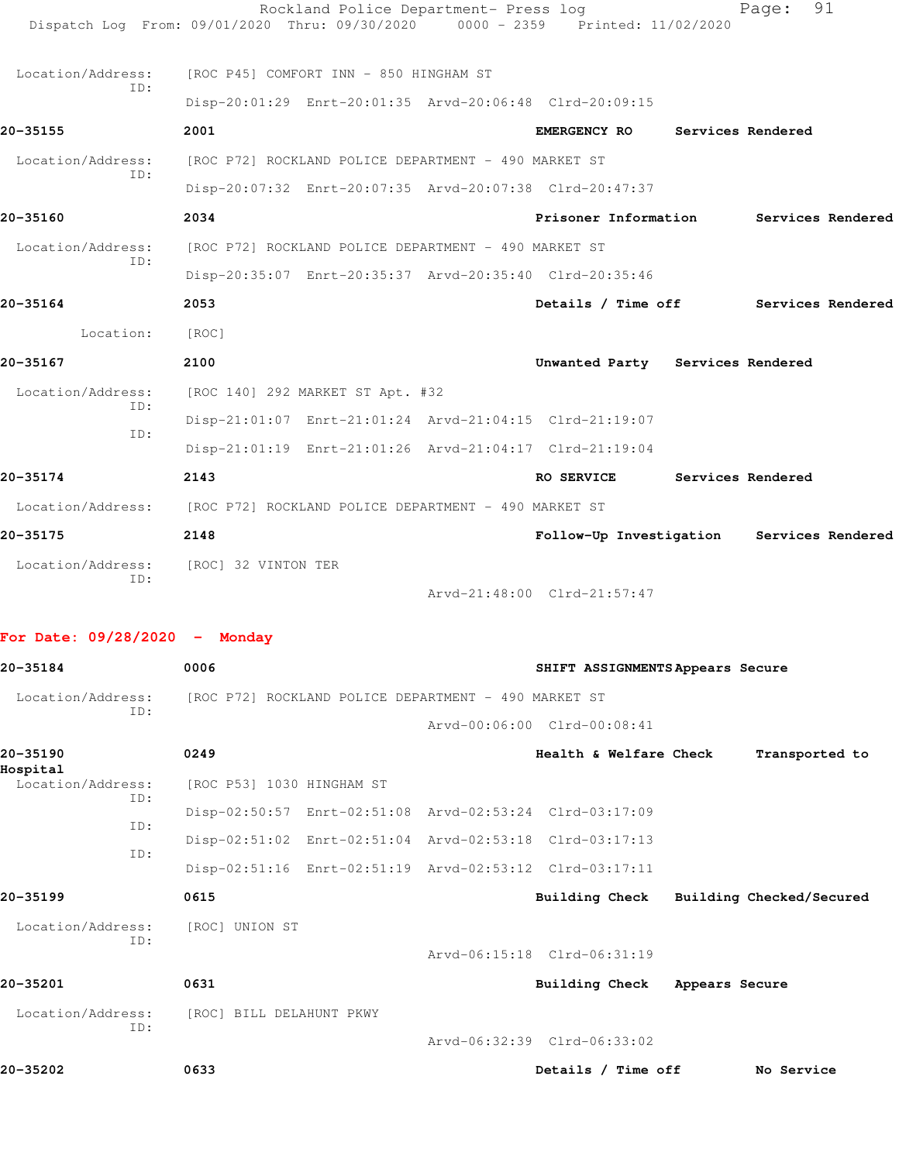| Location/Address: | ID: | [ROC] 32 VINTON TER |                                                                        | Arvd-21:48:00 Clrd-21:57:47 |                                  |  |                   |                   |
|-------------------|-----|---------------------|------------------------------------------------------------------------|-----------------------------|----------------------------------|--|-------------------|-------------------|
| 20-35175          |     | 2148                |                                                                        |                             | Follow-Up Investigation          |  |                   | Services Rendered |
|                   |     |                     | Location/Address: [ROC P72] ROCKLAND POLICE DEPARTMENT - 490 MARKET ST |                             |                                  |  |                   |                   |
| 20-35174          |     | 2143                |                                                                        |                             | RO SERVICE                       |  | Services Rendered |                   |
|                   |     |                     | Disp-21:01:19 Enrt-21:01:26 Arvd-21:04:17 Clrd-21:19:04                |                             |                                  |  |                   |                   |
|                   | ID: |                     | Disp-21:01:07 Enrt-21:01:24 Arvd-21:04:15 Clrd-21:19:07                |                             |                                  |  |                   |                   |
| Location/Address: | TD: |                     | [ROC 140] 292 MARKET ST Apt. #32                                       |                             |                                  |  |                   |                   |
| 20-35167          |     | 2100                |                                                                        |                             | Unwanted Party Services Rendered |  |                   |                   |
| Location:         |     | [ROC]               |                                                                        |                             |                                  |  |                   |                   |
| 20-35164          |     | 2053                |                                                                        |                             | Details / Time off               |  |                   | Services Rendered |
|                   |     |                     | Disp-20:35:07 Enrt-20:35:37 Arvd-20:35:40 Clrd-20:35:46                |                             |                                  |  |                   |                   |
| Location/Address: | TD: |                     | [ROC P72] ROCKLAND POLICE DEPARTMENT - 490 MARKET ST                   |                             |                                  |  |                   |                   |
| 20-35160          |     | 2034                |                                                                        |                             | Prisoner Information             |  |                   | Services Rendered |
|                   |     |                     | Disp-20:07:32 Enrt-20:07:35 Arvd-20:07:38 Clrd-20:47:37                |                             |                                  |  |                   |                   |
| Location/Address: | TD: |                     | [ROC P72] ROCKLAND POLICE DEPARTMENT - 490 MARKET ST                   |                             |                                  |  |                   |                   |
| 20-35155          |     | 2001                |                                                                        |                             | <b>EMERGENCY RO</b>              |  | Services Rendered |                   |
|                   |     |                     | Disp-20:01:29 Enrt-20:01:35 Arvd-20:06:48 Clrd-20:09:15                |                             |                                  |  |                   |                   |
| Location/Address: | ID: |                     | [ROC P45] COMFORT INN - 850 HINGHAM ST                                 |                             |                                  |  |                   |                   |
|                   |     |                     |                                                                        |                             |                                  |  |                   |                   |

| 20-35184                 | 0006                                                    | SHIFT ASSIGNMENTS Appears Secure |                          |
|--------------------------|---------------------------------------------------------|----------------------------------|--------------------------|
| Location/Address:        | [ROC P72] ROCKLAND POLICE DEPARTMENT - 490 MARKET ST    |                                  |                          |
| ID:                      |                                                         | Arvd-00:06:00 Clrd-00:08:41      |                          |
| 20-35190<br>Hospital     | 0249                                                    | Health & Welfare Check           | Transported to           |
| Location/Address:<br>ID: | [ROC P53] 1030 HINGHAM ST                               |                                  |                          |
| TD:                      | Disp-02:50:57 Enrt-02:51:08 Arvd-02:53:24 Clrd-03:17:09 |                                  |                          |
| TD:                      | Disp-02:51:02 Enrt-02:51:04 Arvd-02:53:18 Clrd-03:17:13 |                                  |                          |
|                          | Disp-02:51:16 Enrt-02:51:19 Arvd-02:53:12 Clrd-03:17:11 |                                  |                          |
| $20 - 35199$             | 0615                                                    | <b>Building Check</b>            | Building Checked/Secured |
| Location/Address:        | [ROC] UNION ST                                          |                                  |                          |
| ID:                      |                                                         | Aryd-06:15:18 Clrd-06:31:19      |                          |
| 20-35201                 | 0631                                                    | Building Check                   | Appears Secure           |
| Location/Address:<br>ID: | [ROC] BILL DELAHUNT PKWY                                |                                  |                          |
|                          |                                                         | Arvd-06:32:39 Clrd-06:33:02      |                          |
| 20-35202                 | 0633                                                    | Details / Time off               | No Service               |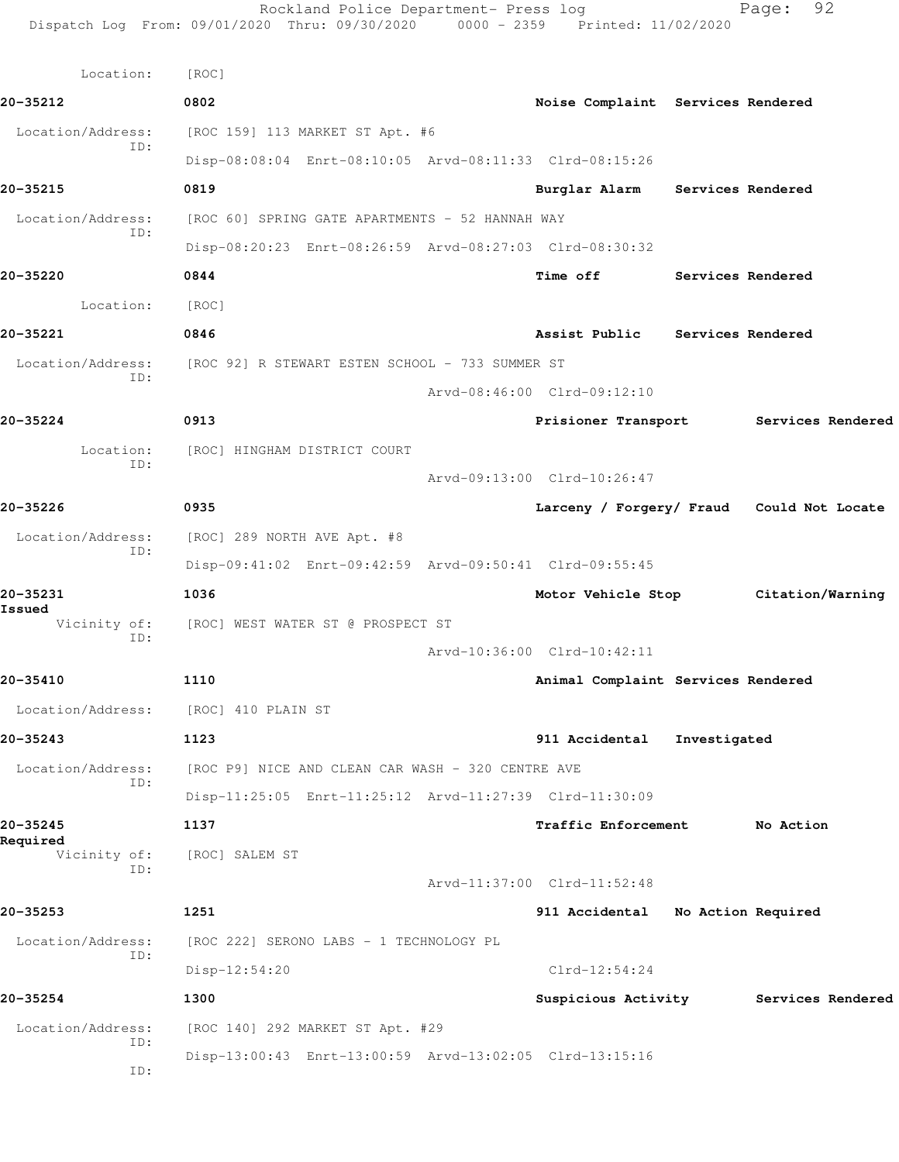Rockland Police Department- Press log Fage: 92 Dispatch Log From: 09/01/2020 Thru: 09/30/2020 0000 - 2359 Printed: 11/02/2020 Location: [ROC] **20-35212 0802 Noise Complaint Services Rendered** Location/Address: [ROC 159] 113 MARKET ST Apt. #6 ID: Disp-08:08:04 Enrt-08:10:05 Arvd-08:11:33 Clrd-08:15:26 **20-35215 0819 Burglar Alarm Services Rendered** Location/Address: [ROC 60] SPRING GATE APARTMENTS - 52 HANNAH WAY ID: Disp-08:20:23 Enrt-08:26:59 Arvd-08:27:03 Clrd-08:30:32 **20-35220 0844 Time off Services Rendered** Location: [ROC] **20-35221 0846 Assist Public Services Rendered** Location/Address: [ROC 92] R STEWART ESTEN SCHOOL - 733 SUMMER ST ID: Arvd-08:46:00 Clrd-09:12:10 **20-35224 0913 Prisioner Transport Services Rendered** Location: [ROC] HINGHAM DISTRICT COURT ID: Arvd-09:13:00 Clrd-10:26:47 **20-35226 0935 Larceny / Forgery/ Fraud Could Not Locate** Location/Address: [ROC] 289 NORTH AVE Apt. #8 ID: Disp-09:41:02 Enrt-09:42:59 Arvd-09:50:41 Clrd-09:55:45 **20-35231 1036 Motor Vehicle Stop Citation/Warning Issued**  Vicinity of: [ROC] WEST WATER ST @ PROSPECT ST ID: Arvd-10:36:00 Clrd-10:42:11 **20-35410 1110 Animal Complaint Services Rendered** Location/Address: [ROC] 410 PLAIN ST **20-35243 1123 911 Accidental Investigated** Location/Address: [ROC P9] NICE AND CLEAN CAR WASH - 320 CENTRE AVE ID: Disp-11:25:05 Enrt-11:25:12 Arvd-11:27:39 Clrd-11:30:09 **20-35245 1137 Traffic Enforcement No Action Required**  Vicinity of: [ROC] SALEM ST ID: Arvd-11:37:00 Clrd-11:52:48 **20-35253 1251 911 Accidental No Action Required** Location/Address: [ROC 222] SERONO LABS - 1 TECHNOLOGY PL ID: Disp-12:54:20 Clrd-12:54:24 **20-35254 1300 Suspicious Activity Services Rendered** Location/Address: [ROC 140] 292 MARKET ST Apt. #29 ID: Disp-13:00:43 Enrt-13:00:59 Arvd-13:02:05 Clrd-13:15:16 ID: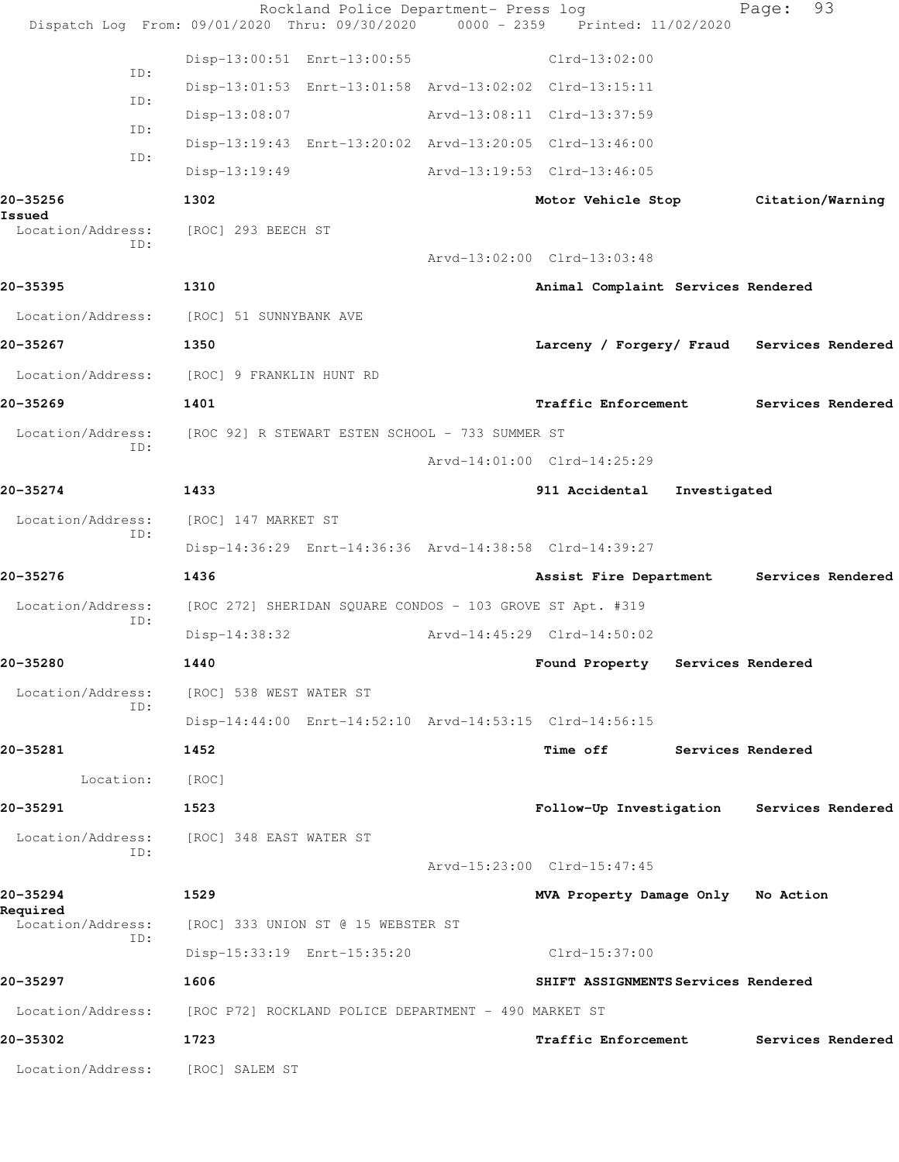|                                            |     |                         | Rockland Police Department- Press log                     | Dispatch Log From: 09/01/2020 Thru: 09/30/2020 0000 - 2359 Printed: 11/02/2020 |                   | Page:             | 93                |
|--------------------------------------------|-----|-------------------------|-----------------------------------------------------------|--------------------------------------------------------------------------------|-------------------|-------------------|-------------------|
|                                            |     |                         | Disp-13:00:51 Enrt-13:00:55                               | $Clrd-13:02:00$                                                                |                   |                   |                   |
|                                            | ID: |                         | Disp-13:01:53 Enrt-13:01:58 Arvd-13:02:02 Clrd-13:15:11   |                                                                                |                   |                   |                   |
|                                            | ID: | Disp-13:08:07           |                                                           | Arvd-13:08:11 Clrd-13:37:59                                                    |                   |                   |                   |
|                                            | ID: |                         | Disp-13:19:43 Enrt-13:20:02 Arvd-13:20:05 Clrd-13:46:00   |                                                                                |                   |                   |                   |
|                                            | ID: | $Disp-13:19:49$         |                                                           | Arvd-13:19:53 Clrd-13:46:05                                                    |                   |                   |                   |
| 20-35256                                   |     | 1302                    |                                                           | Motor Vehicle Stop Citation/Warning                                            |                   |                   |                   |
| Issued<br>Location/Address:                |     | [ROC] 293 BEECH ST      |                                                           |                                                                                |                   |                   |                   |
|                                            | ID: |                         |                                                           | Arvd-13:02:00 Clrd-13:03:48                                                    |                   |                   |                   |
| 20-35395                                   |     | 1310                    |                                                           | Animal Complaint Services Rendered                                             |                   |                   |                   |
| Location/Address: [ROC] 51 SUNNYBANK AVE   |     |                         |                                                           |                                                                                |                   |                   |                   |
| 20-35267                                   |     | 1350                    |                                                           | Larceny / Forgery/ Fraud Services Rendered                                     |                   |                   |                   |
| Location/Address: [ROC] 9 FRANKLIN HUNT RD |     |                         |                                                           |                                                                                |                   |                   |                   |
| 20-35269                                   |     | 1401                    |                                                           | <b>Traffic Enforcement</b>                                                     |                   |                   | Services Rendered |
|                                            |     |                         |                                                           |                                                                                |                   |                   |                   |
| Location/Address:                          | ID: |                         | [ROC 92] R STEWART ESTEN SCHOOL - 733 SUMMER ST           | Arvd-14:01:00 Clrd-14:25:29                                                    |                   |                   |                   |
| 20-35274                                   |     | 1433                    |                                                           |                                                                                |                   |                   |                   |
|                                            |     |                         |                                                           | 911 Accidental                                                                 | Investigated      |                   |                   |
| Location/Address:                          | ID: | [ROC] 147 MARKET ST     |                                                           |                                                                                |                   |                   |                   |
|                                            |     |                         | Disp-14:36:29 Enrt-14:36:36 Arvd-14:38:58 Clrd-14:39:27   |                                                                                |                   |                   |                   |
| 20-35276                                   |     | 1436                    |                                                           | Assist Fire Department                                                         |                   |                   | Services Rendered |
| Location/Address:                          | ID: |                         | [ROC 272] SHERIDAN SQUARE CONDOS - 103 GROVE ST Apt. #319 |                                                                                |                   |                   |                   |
|                                            |     | $Disp-14:38:32$         |                                                           | Arvd-14:45:29 Clrd-14:50:02                                                    |                   |                   |                   |
| 20-35280                                   |     | 1440                    |                                                           | Found Property                                                                 | Services Rendered |                   |                   |
| Location/Address:                          | ID: | [ROC] 538 WEST WATER ST |                                                           |                                                                                |                   |                   |                   |
|                                            |     |                         | Disp-14:44:00 Enrt-14:52:10 Arvd-14:53:15 Clrd-14:56:15   |                                                                                |                   |                   |                   |
| 20-35281                                   |     | 1452                    |                                                           | Time off                                                                       |                   | Services Rendered |                   |
| Location:                                  |     | [ROC]                   |                                                           |                                                                                |                   |                   |                   |
| 20-35291                                   |     | 1523                    |                                                           | Follow-Up Investigation Services Rendered                                      |                   |                   |                   |
| Location/Address:                          | ID: | [ROC] 348 EAST WATER ST |                                                           |                                                                                |                   |                   |                   |
|                                            |     |                         |                                                           | Arvd-15:23:00 Clrd-15:47:45                                                    |                   |                   |                   |
| 20-35294<br>Required                       |     | 1529                    |                                                           | MVA Property Damage Only No Action                                             |                   |                   |                   |
| Location/Address:                          | ID: |                         | [ROC] 333 UNION ST @ 15 WEBSTER ST                        |                                                                                |                   |                   |                   |
|                                            |     |                         | Disp-15:33:19 Enrt-15:35:20                               | Clrd-15:37:00                                                                  |                   |                   |                   |
| 20-35297                                   |     | 1606                    |                                                           | SHIFT ASSIGNMENTS Services Rendered                                            |                   |                   |                   |
| Location/Address:                          |     |                         | [ROC P72] ROCKLAND POLICE DEPARTMENT - 490 MARKET ST      |                                                                                |                   |                   |                   |
| 20-35302                                   |     | 1723                    |                                                           | Traffic Enforcement                                                            |                   |                   | Services Rendered |
| Location/Address:                          |     | [ROC] SALEM ST          |                                                           |                                                                                |                   |                   |                   |
|                                            |     |                         |                                                           |                                                                                |                   |                   |                   |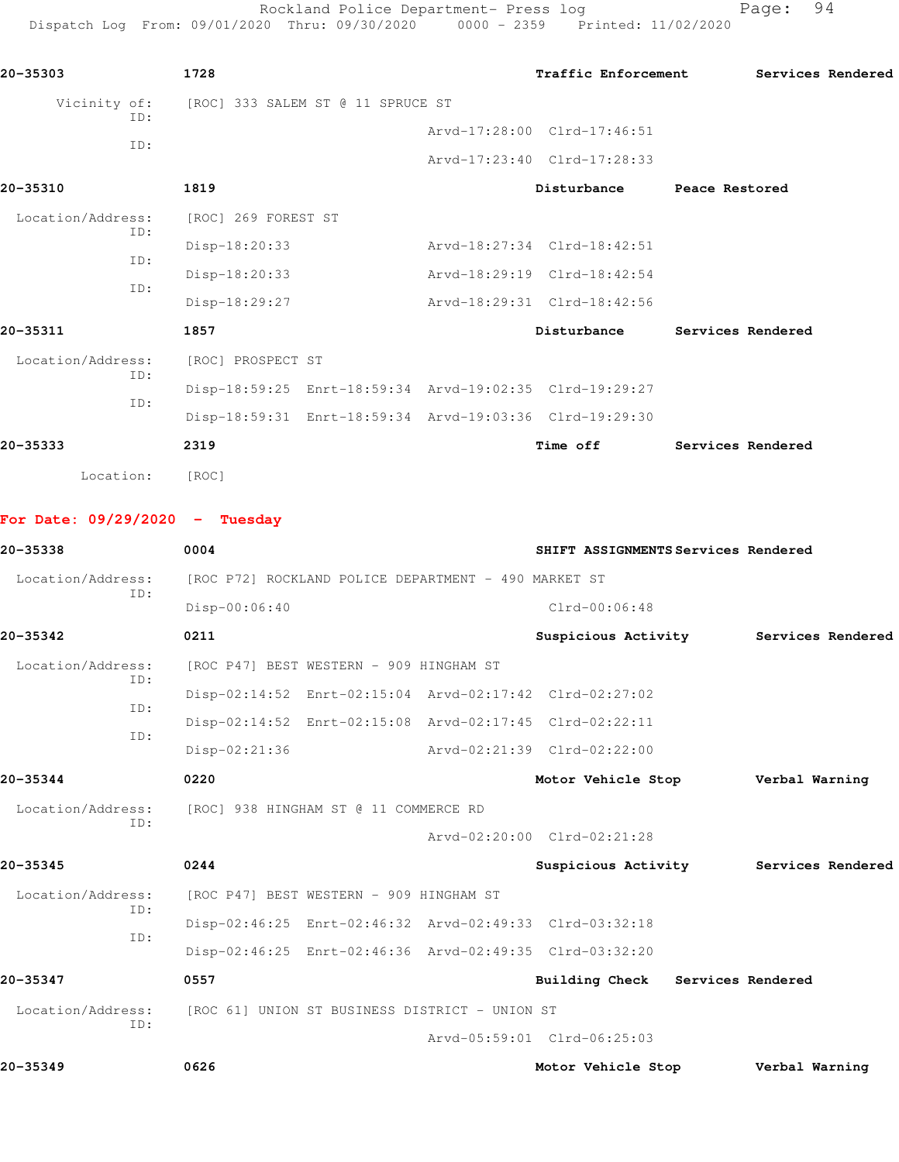Rockland Police Department- Press log entitled and Page: 94 Dispatch Log From: 09/01/2020 Thru: 09/30/2020 0000 - 2359 Printed: 11/02/2020

| 20-35303            | 1728                              |  | Traffic Enforcement                                     |                   | Services Rendered |
|---------------------|-----------------------------------|--|---------------------------------------------------------|-------------------|-------------------|
| Vicinity of:<br>ID: | [ROC] 333 SALEM ST @ 11 SPRUCE ST |  |                                                         |                   |                   |
|                     |                                   |  | Arvd-17:28:00 Clrd-17:46:51                             |                   |                   |
| ID:                 |                                   |  | Arvd-17:23:40 Clrd-17:28:33                             |                   |                   |
| 20-35310            | 1819                              |  | Disturbance                                             | Peace Restored    |                   |
| Location/Address:   | [ROC] 269 FOREST ST               |  |                                                         |                   |                   |
| ID:                 | $Disp-18:20:33$                   |  | Arvd-18:27:34 Clrd-18:42:51                             |                   |                   |
| ID:                 | Disp-18:20:33                     |  | Arvd-18:29:19 Clrd-18:42:54                             |                   |                   |
| TD:                 | Disp-18:29:27                     |  | Arvd-18:29:31 Clrd-18:42:56                             |                   |                   |
| 20-35311            | 1857                              |  | Disturbance                                             | Services Rendered |                   |
| Location/Address:   | [ROC] PROSPECT ST                 |  |                                                         |                   |                   |
| ID:                 |                                   |  | Disp-18:59:25 Enrt-18:59:34 Arvd-19:02:35 Clrd-19:29:27 |                   |                   |
| TD:                 |                                   |  | Disp-18:59:31 Enrt-18:59:34 Arvd-19:03:36 Clrd-19:29:30 |                   |                   |
| 20-35333            | 2319                              |  | Time off                                                | Services Rendered |                   |
| Location:           | [ROC]                             |  |                                                         |                   |                   |
|                     |                                   |  |                                                         |                   |                   |

**For Date: 09/29/2020 - Tuesday**

| 20-35338          | 0004                                                    |  |                             | SHIFT ASSIGNMENTS Services Rendered   |  |  |
|-------------------|---------------------------------------------------------|--|-----------------------------|---------------------------------------|--|--|
| Location/Address: | [ROC P72] ROCKLAND POLICE DEPARTMENT - 490 MARKET ST    |  |                             |                                       |  |  |
| ID:               | Disp-00:06:40                                           |  | $Clrd-00:06:48$             |                                       |  |  |
| 20-35342          | 0211                                                    |  |                             | Suspicious Activity Services Rendered |  |  |
| Location/Address: | [ROC P47] BEST WESTERN - 909 HINGHAM ST                 |  |                             |                                       |  |  |
| ID:               | Disp-02:14:52 Enrt-02:15:04 Arvd-02:17:42 Clrd-02:27:02 |  |                             |                                       |  |  |
| TD:               | Disp-02:14:52 Enrt-02:15:08 Arvd-02:17:45 Clrd-02:22:11 |  |                             |                                       |  |  |
| TD:               | $Disp-02:21:36$                                         |  | Arvd-02:21:39 Clrd-02:22:00 |                                       |  |  |
| 20-35344          | 0220                                                    |  | Motor Vehicle Stop          | Verbal Warning                        |  |  |
| Location/Address: | [ROC] 938 HINGHAM ST @ 11 COMMERCE RD                   |  |                             |                                       |  |  |
| ID:               |                                                         |  | Arvd-02:20:00 Clrd-02:21:28 |                                       |  |  |
| 20-35345          | 0244                                                    |  |                             | Suspicious Activity Services Rendered |  |  |
| Location/Address: | [ROC P47] BEST WESTERN - 909 HINGHAM ST                 |  |                             |                                       |  |  |
| TD:               | Disp-02:46:25 Enrt-02:46:32 Arvd-02:49:33 Clrd-03:32:18 |  |                             |                                       |  |  |
| TD:               | Disp-02:46:25 Enrt-02:46:36 Arvd-02:49:35 Clrd-03:32:20 |  |                             |                                       |  |  |
| 20-35347          | 0557                                                    |  |                             | Building Check Services Rendered      |  |  |
| Location/Address: | [ROC 61] UNION ST BUSINESS DISTRICT - UNION ST          |  |                             |                                       |  |  |
| TD:               |                                                         |  | Arvd-05:59:01 Clrd-06:25:03 |                                       |  |  |
| 20-35349          | 0626                                                    |  | Motor Vehicle Stop          | Verbal Warning                        |  |  |
|                   |                                                         |  |                             |                                       |  |  |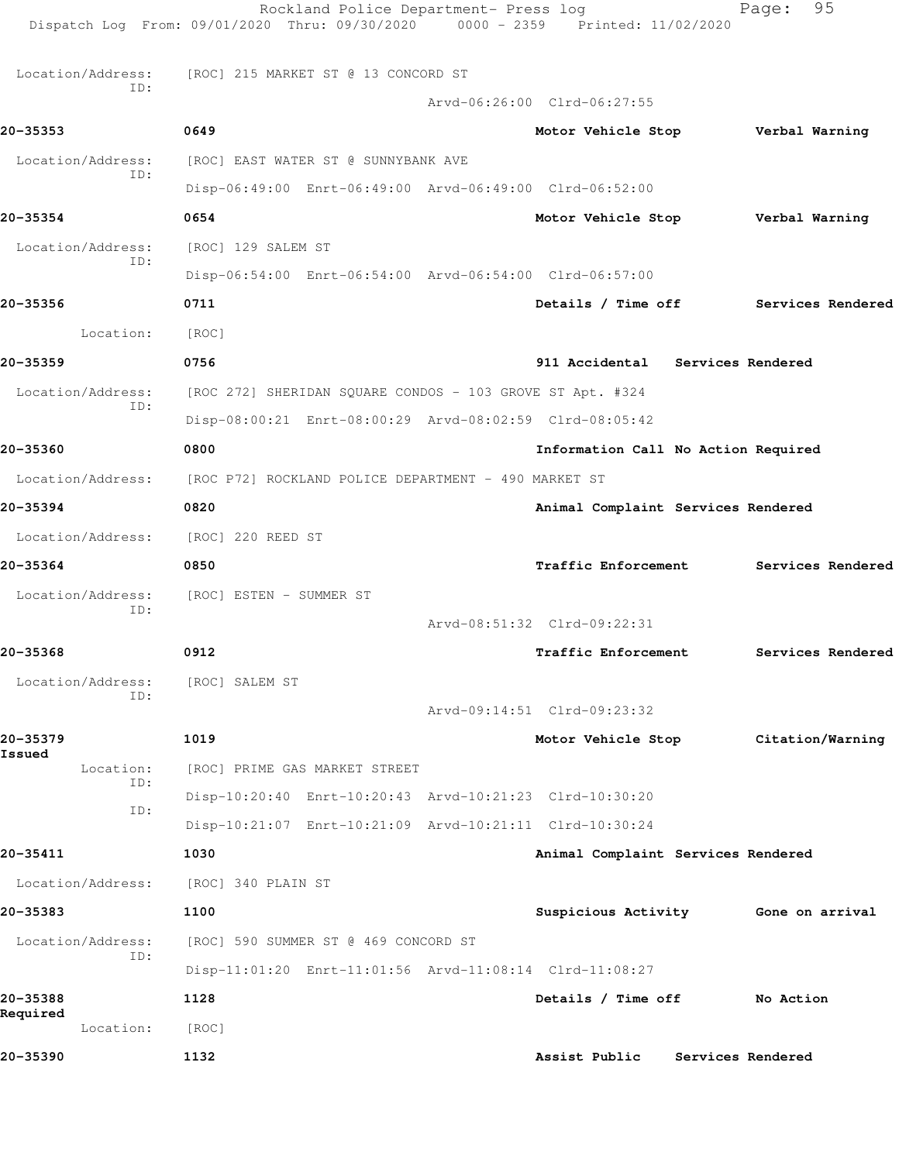|                          | Rockland Police Department- Press log<br>Dispatch Log From: 09/01/2020 Thru: 09/30/2020 0000 - 2359 Printed: 11/02/2020 |                                     |                   | Page:          | 95                |
|--------------------------|-------------------------------------------------------------------------------------------------------------------------|-------------------------------------|-------------------|----------------|-------------------|
| Location/Address:        | [ROC] 215 MARKET ST @ 13 CONCORD ST                                                                                     |                                     |                   |                |                   |
| ID:                      |                                                                                                                         | Arvd-06:26:00 Clrd-06:27:55         |                   |                |                   |
| 20-35353                 | 0649                                                                                                                    | Motor Vehicle Stop                  |                   | Verbal Warning |                   |
| Location/Address:        | [ROC] EAST WATER ST @ SUNNYBANK AVE                                                                                     |                                     |                   |                |                   |
| ID:                      | Disp-06:49:00 Enrt-06:49:00 Arvd-06:49:00 Clrd-06:52:00                                                                 |                                     |                   |                |                   |
| 20-35354                 | 0654                                                                                                                    | Motor Vehicle Stop                  |                   | Verbal Warning |                   |
| Location/Address:        | [ROC] 129 SALEM ST                                                                                                      |                                     |                   |                |                   |
| ID:                      | Disp-06:54:00 Enrt-06:54:00 Arvd-06:54:00 Clrd-06:57:00                                                                 |                                     |                   |                |                   |
| 20-35356                 | 0711                                                                                                                    | Details / Time off                  |                   |                | Services Rendered |
| Location:                | [ROC]                                                                                                                   |                                     |                   |                |                   |
| 20-35359                 | 0756                                                                                                                    | 911 Accidental Services Rendered    |                   |                |                   |
| Location/Address:        | [ROC 272] SHERIDAN SQUARE CONDOS - 103 GROVE ST Apt. #324                                                               |                                     |                   |                |                   |
| ID:                      | Disp-08:00:21 Enrt-08:00:29 Arvd-08:02:59 Clrd-08:05:42                                                                 |                                     |                   |                |                   |
| 20-35360                 | 0800                                                                                                                    | Information Call No Action Required |                   |                |                   |
| Location/Address:        | [ROC P72] ROCKLAND POLICE DEPARTMENT - 490 MARKET ST                                                                    |                                     |                   |                |                   |
| 20-35394                 | 0820                                                                                                                    | Animal Complaint Services Rendered  |                   |                |                   |
| Location/Address:        | [ROC] 220 REED ST                                                                                                       |                                     |                   |                |                   |
| 20-35364                 | 0850                                                                                                                    | <b>Traffic Enforcement</b>          |                   |                | Services Rendered |
| Location/Address:<br>ID: | [ROC] ESTEN - SUMMER ST                                                                                                 |                                     |                   |                |                   |
|                          |                                                                                                                         | Arvd-08:51:32 Clrd-09:22:31         |                   |                |                   |
| 20-35368                 | 0912                                                                                                                    | Traffic Enforcement                 |                   |                | Services Rendered |
| Location/Address:<br>ID: | [ROC] SALEM ST                                                                                                          |                                     |                   |                |                   |
|                          |                                                                                                                         | Arvd-09:14:51 Clrd-09:23:32         |                   |                |                   |
| 20-35379<br>Issued       | 1019                                                                                                                    | Motor Vehicle Stop                  |                   |                | Citation/Warning  |
| Location:<br>ID:         | [ROC] PRIME GAS MARKET STREET                                                                                           |                                     |                   |                |                   |
| ID:                      | Disp-10:20:40 Enrt-10:20:43 Arvd-10:21:23 Clrd-10:30:20                                                                 |                                     |                   |                |                   |
|                          | Disp-10:21:07 Enrt-10:21:09 Arvd-10:21:11 Clrd-10:30:24                                                                 |                                     |                   |                |                   |
| 20-35411                 | 1030                                                                                                                    | Animal Complaint Services Rendered  |                   |                |                   |
| Location/Address:        | [ROC] 340 PLAIN ST                                                                                                      |                                     |                   |                |                   |
| 20-35383                 | 1100                                                                                                                    | Suspicious Activity 6one on arrival |                   |                |                   |
| Location/Address:<br>ID: | [ROC] 590 SUMMER ST @ 469 CONCORD ST                                                                                    |                                     |                   |                |                   |
|                          | Disp-11:01:20 Enrt-11:01:56 Arvd-11:08:14 Clrd-11:08:27                                                                 |                                     |                   |                |                   |
| 20-35388<br>Required     | 1128                                                                                                                    | Details / Time off                  |                   | No Action      |                   |
| Location:                | [ROC]                                                                                                                   |                                     |                   |                |                   |
| 20-35390                 | 1132                                                                                                                    | Assist Public                       | Services Rendered |                |                   |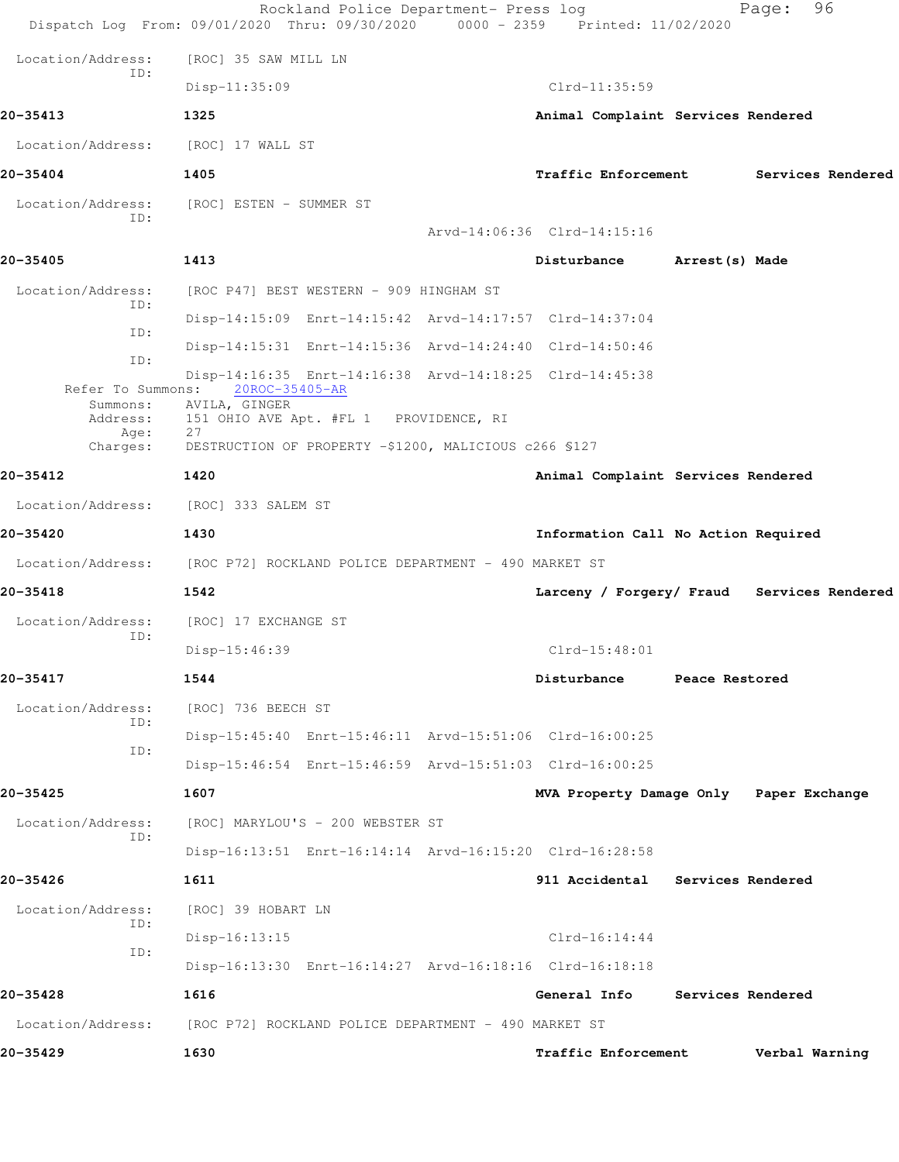|                               | Rockland Police Department- Press log<br>Dispatch Log From: 09/01/2020 Thru: 09/30/2020 0000 - 2359 Printed: 11/02/2020 |                                     | 96<br>Page:                                |
|-------------------------------|-------------------------------------------------------------------------------------------------------------------------|-------------------------------------|--------------------------------------------|
| Location/Address:             | [ROC] 35 SAW MILL LN                                                                                                    |                                     |                                            |
| ID:                           | $Disp-11:35:09$                                                                                                         | Clrd-11:35:59                       |                                            |
| 20-35413                      | 1325                                                                                                                    | Animal Complaint Services Rendered  |                                            |
| Location/Address:             | [ROC] 17 WALL ST                                                                                                        |                                     |                                            |
| 20-35404                      | 1405                                                                                                                    | <b>Traffic Enforcement</b>          | Services Rendered                          |
| Location/Address:             | [ROC] ESTEN - SUMMER ST                                                                                                 |                                     |                                            |
| TD:                           |                                                                                                                         | Arvd-14:06:36 Clrd-14:15:16         |                                            |
| 20-35405                      | 1413                                                                                                                    | Disturbance                         | Arrest (s) Made                            |
| Location/Address:             | [ROC P47] BEST WESTERN - 909 HINGHAM ST                                                                                 |                                     |                                            |
| ID:                           | Disp-14:15:09 Enrt-14:15:42 Arvd-14:17:57 Clrd-14:37:04                                                                 |                                     |                                            |
| ID:                           | Disp-14:15:31 Enrt-14:15:36 Arvd-14:24:40 Clrd-14:50:46                                                                 |                                     |                                            |
| ID:                           | Disp-14:16:35 Enrt-14:16:38 Arvd-14:18:25 Clrd-14:45:38                                                                 |                                     |                                            |
| Refer To Summons:<br>Summons: | 20ROC-35405-AR<br>AVILA, GINGER                                                                                         |                                     |                                            |
| Address:<br>Age:              | 151 OHIO AVE Apt. #FL 1 PROVIDENCE, RI<br>27                                                                            |                                     |                                            |
| Charges:<br>20-35412          | DESTRUCTION OF PROPERTY -\$1200, MALICIOUS c266 \$127                                                                   |                                     |                                            |
|                               | 1420                                                                                                                    | Animal Complaint Services Rendered  |                                            |
| Location/Address:             | [ROC] 333 SALEM ST                                                                                                      |                                     |                                            |
| 20-35420                      | 1430                                                                                                                    | Information Call No Action Required |                                            |
|                               | Location/Address: [ROC P72] ROCKLAND POLICE DEPARTMENT - 490 MARKET ST                                                  |                                     |                                            |
| 20-35418                      | 1542                                                                                                                    |                                     | Larceny / Forgery/ Fraud Services Rendered |
| Location/Address:<br>ID:      | [ROC] 17 EXCHANGE ST                                                                                                    |                                     |                                            |
|                               | Disp-15:46:39                                                                                                           | $Clrd-15:48:01$                     |                                            |
| 20-35417                      | 1544                                                                                                                    | Disturbance                         | Peace Restored                             |
| Location/Address:<br>ID:      | [ROC] 736 BEECH ST                                                                                                      |                                     |                                            |
| ID:                           | Disp-15:45:40 Enrt-15:46:11 Arvd-15:51:06 Clrd-16:00:25                                                                 |                                     |                                            |
|                               | Disp-15:46:54 Enrt-15:46:59 Arvd-15:51:03 Clrd-16:00:25                                                                 |                                     |                                            |
| 20-35425                      | 1607                                                                                                                    |                                     | MVA Property Damage Only Paper Exchange    |
| Location/Address:<br>ID:      | [ROC] MARYLOU'S - 200 WEBSTER ST                                                                                        |                                     |                                            |
|                               | Disp-16:13:51 Enrt-16:14:14 Arvd-16:15:20 Clrd-16:28:58                                                                 |                                     |                                            |
| 20-35426                      | 1611                                                                                                                    | 911 Accidental Services Rendered    |                                            |
| Location/Address:<br>ID:      | [ROC] 39 HOBART LN                                                                                                      |                                     |                                            |
| ID:                           | $Disp-16:13:15$                                                                                                         | $Clrd-16:14:44$                     |                                            |
|                               | Disp-16:13:30 Enrt-16:14:27 Arvd-16:18:16 Clrd-16:18:18                                                                 |                                     |                                            |
| 20-35428                      | 1616                                                                                                                    | General Info                        | Services Rendered                          |
| Location/Address:             | [ROC P72] ROCKLAND POLICE DEPARTMENT - 490 MARKET ST                                                                    |                                     |                                            |
| 20-35429                      | 1630                                                                                                                    | Traffic Enforcement                 | Verbal Warning                             |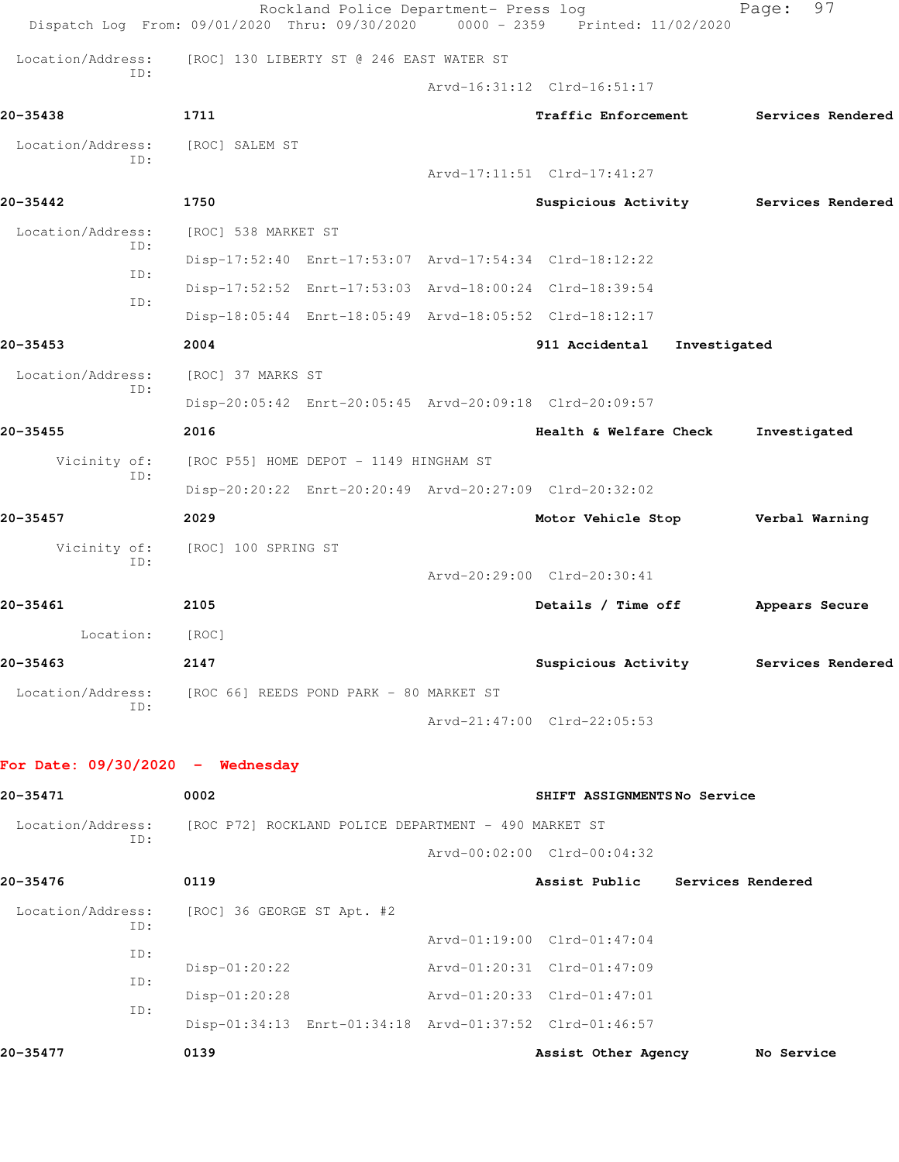|                                    | Rockland Police Department- Press log<br>Dispatch Log From: 09/01/2020 Thru: 09/30/2020 | $0000 - 2359$ | Printed: 11/02/2020                   | 97<br>Page:       |  |  |  |
|------------------------------------|-----------------------------------------------------------------------------------------|---------------|---------------------------------------|-------------------|--|--|--|
| Location/Address:                  | [ROC] 130 LIBERTY ST @ 246 EAST WATER ST                                                |               |                                       |                   |  |  |  |
| ID:                                |                                                                                         |               | Arvd-16:31:12 Clrd-16:51:17           |                   |  |  |  |
| 20-35438                           | 1711                                                                                    |               | <b>Traffic Enforcement</b>            | Services Rendered |  |  |  |
| Location/Address:                  | [ROC] SALEM ST                                                                          |               |                                       |                   |  |  |  |
| ID:                                |                                                                                         |               | Arvd-17:11:51 Clrd-17:41:27           |                   |  |  |  |
| 20-35442                           | 1750                                                                                    |               | Suspicious Activity                   | Services Rendered |  |  |  |
| Location/Address:<br>ID:           | [ROC] 538 MARKET ST                                                                     |               |                                       |                   |  |  |  |
|                                    | Disp-17:52:40 Enrt-17:53:07 Arvd-17:54:34 Clrd-18:12:22                                 |               |                                       |                   |  |  |  |
| ID:                                | Disp-17:52:52 Enrt-17:53:03 Arvd-18:00:24 Clrd-18:39:54                                 |               |                                       |                   |  |  |  |
| ID:                                | Disp-18:05:44 Enrt-18:05:49 Arvd-18:05:52 Clrd-18:12:17                                 |               |                                       |                   |  |  |  |
| 20-35453                           | 2004                                                                                    |               | 911 Accidental<br>Investigated        |                   |  |  |  |
| Location/Address:                  | [ROC] 37 MARKS ST                                                                       |               |                                       |                   |  |  |  |
| ID:                                | Disp-20:05:42 Enrt-20:05:45 Arvd-20:09:18 Clrd-20:09:57                                 |               |                                       |                   |  |  |  |
| 20-35455                           | 2016                                                                                    |               | Health & Welfare Check                | Investigated      |  |  |  |
| Vicinity of:                       | [ROC P55] HOME DEPOT - 1149 HINGHAM ST                                                  |               |                                       |                   |  |  |  |
| ID:                                | Disp-20:20:22 Enrt-20:20:49 Arvd-20:27:09 Clrd-20:32:02                                 |               |                                       |                   |  |  |  |
| 20-35457                           | 2029                                                                                    |               | Motor Vehicle Stop                    | Verbal Warning    |  |  |  |
| Vicinity of:                       | [ROC] 100 SPRING ST                                                                     |               |                                       |                   |  |  |  |
| ID:                                |                                                                                         |               | Arvd-20:29:00 Clrd-20:30:41           |                   |  |  |  |
| 20-35461                           | 2105                                                                                    |               | Details / Time off                    | Appears Secure    |  |  |  |
| Location:                          | [ROC]                                                                                   |               |                                       |                   |  |  |  |
| 20-35463                           | 2147                                                                                    |               | Suspicious Activity Services Rendered |                   |  |  |  |
| Location/Address:                  | [ROC 66] REEDS POND PARK - 80 MARKET ST                                                 |               |                                       |                   |  |  |  |
| ID:                                |                                                                                         |               | Arvd-21:47:00 Clrd-22:05:53           |                   |  |  |  |
|                                    |                                                                                         |               |                                       |                   |  |  |  |
| For Date: $09/30/2020 -$ Wednesday |                                                                                         |               |                                       |                   |  |  |  |
| 20-35471                           | 0002                                                                                    |               | SHIFT ASSIGNMENTSNo Service           |                   |  |  |  |
| Location/Address:<br>ID:           | [ROC P72] ROCKLAND POLICE DEPARTMENT - 490 MARKET ST                                    |               |                                       |                   |  |  |  |
|                                    |                                                                                         |               | Arvd-00:02:00 Clrd-00:04:32           |                   |  |  |  |
| 20-35476                           | 0119                                                                                    |               | Assist Public                         | Services Rendered |  |  |  |
| Location/Address:<br>ID:           | [ROC] 36 GEORGE ST Apt. #2                                                              |               |                                       |                   |  |  |  |
| ID:                                |                                                                                         |               | Arvd-01:19:00 Clrd-01:47:04           |                   |  |  |  |
| ID:                                | Disp-01:20:22                                                                           |               | Arvd-01:20:31 Clrd-01:47:09           |                   |  |  |  |
| ID:                                | Disp-01:20:28                                                                           |               | Arvd-01:20:33 Clrd-01:47:01           |                   |  |  |  |
|                                    | Disp-01:34:13 Enrt-01:34:18 Arvd-01:37:52 Clrd-01:46:57                                 |               |                                       |                   |  |  |  |
| 20-35477                           | 0139                                                                                    |               | Assist Other Agency                   | No Service        |  |  |  |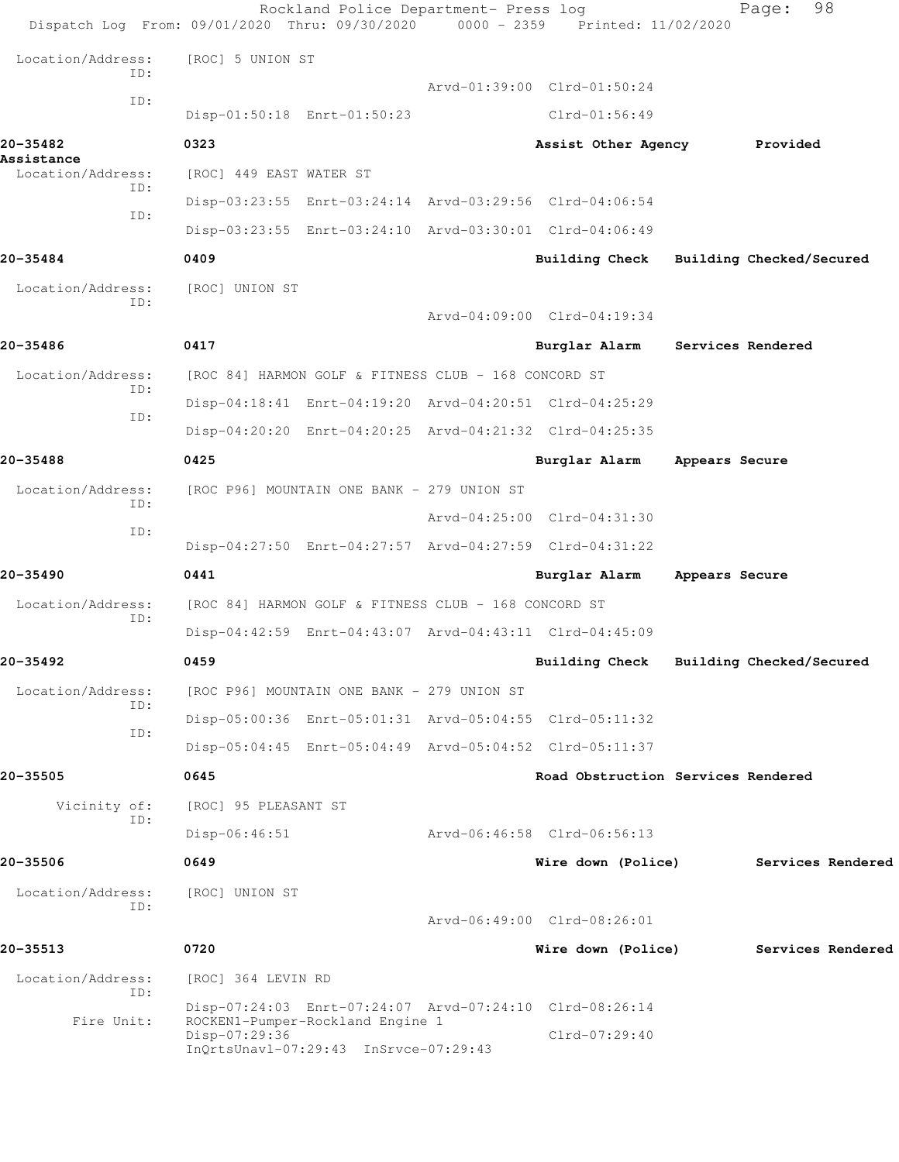|                                 | Rockland Police Department- Press log<br>Dispatch Log From: 09/01/2020 Thru: 09/30/2020     | 0000 - 2359 Printed: 11/02/2020 | 98<br>Page:                        |
|---------------------------------|---------------------------------------------------------------------------------------------|---------------------------------|------------------------------------|
| Location/Address:<br>TD:        | [ROC] 5 UNION ST                                                                            |                                 |                                    |
| ID:                             |                                                                                             | Arvd-01:39:00 Clrd-01:50:24     |                                    |
|                                 | Disp-01:50:18 Enrt-01:50:23                                                                 | Clrd-01:56:49                   |                                    |
| 20-35482                        | 0323                                                                                        | Assist Other Agency             | Provided                           |
| Assistance<br>Location/Address: | [ROC] 449 EAST WATER ST                                                                     |                                 |                                    |
| ID:                             | Disp-03:23:55 Enrt-03:24:14 Arvd-03:29:56 Clrd-04:06:54                                     |                                 |                                    |
| ID:                             | Disp-03:23:55 Enrt-03:24:10 Arvd-03:30:01 Clrd-04:06:49                                     |                                 |                                    |
| 20-35484                        | 0409                                                                                        | <b>Building Check</b>           | Building Checked/Secured           |
| Location/Address:               | [ROC] UNION ST                                                                              |                                 |                                    |
| TD:                             |                                                                                             | Arvd-04:09:00 Clrd-04:19:34     |                                    |
| 20-35486                        | 0417                                                                                        | Burglar Alarm                   | Services Rendered                  |
| Location/Address:               | [ROC 84] HARMON GOLF & FITNESS CLUB - 168 CONCORD ST                                        |                                 |                                    |
| ID:                             | Disp-04:18:41 Enrt-04:19:20 Arvd-04:20:51 Clrd-04:25:29                                     |                                 |                                    |
| ID:                             | Disp-04:20:20 Enrt-04:20:25 Arvd-04:21:32 Clrd-04:25:35                                     |                                 |                                    |
| 20-35488                        | 0425                                                                                        | Burglar Alarm                   | Appears Secure                     |
| Location/Address:               | [ROC P96] MOUNTAIN ONE BANK - 279 UNION ST                                                  |                                 |                                    |
| ID:                             |                                                                                             | Arvd-04:25:00 Clrd-04:31:30     |                                    |
| ID:                             | Disp-04:27:50 Enrt-04:27:57 Arvd-04:27:59 Clrd-04:31:22                                     |                                 |                                    |
| 20-35490                        | 0441                                                                                        | Burglar Alarm                   | Appears Secure                     |
| Location/Address:               | [ROC 84] HARMON GOLF & FITNESS CLUB - 168 CONCORD ST                                        |                                 |                                    |
| ID:                             | Disp-04:42:59 Enrt-04:43:07 Arvd-04:43:11 Clrd-04:45:09                                     |                                 |                                    |
| 20-35492                        | 0459                                                                                        | <b>Building Check</b>           | Building Checked/Secured           |
| Location/Address:               | [ROC P96] MOUNTAIN ONE BANK - 279 UNION ST                                                  |                                 |                                    |
| TD:                             | Disp-05:00:36 Enrt-05:01:31 Arvd-05:04:55 Clrd-05:11:32                                     |                                 |                                    |
| ID:                             | Disp-05:04:45 Enrt-05:04:49 Arvd-05:04:52 Clrd-05:11:37                                     |                                 |                                    |
| 20-35505                        | 0645                                                                                        |                                 | Road Obstruction Services Rendered |
| Vicinity of:                    | [ROC] 95 PLEASANT ST                                                                        |                                 |                                    |
| TD:                             | $Disp-06:46:51$                                                                             | Arvd-06:46:58 Clrd-06:56:13     |                                    |
| 20-35506                        | 0649                                                                                        | Wire down (Police)              | Services Rendered                  |
| Location/Address:               | [ROC] UNION ST                                                                              |                                 |                                    |
| ID:                             |                                                                                             | Arvd-06:49:00 Clrd-08:26:01     |                                    |
|                                 |                                                                                             |                                 |                                    |
| 20-35513                        | 0720                                                                                        | Wire down (Police)              | Services Rendered                  |
| Location/Address:<br>ID:        | [ROC] 364 LEVIN RD                                                                          |                                 |                                    |
| Fire Unit:                      | Disp-07:24:03 Enrt-07:24:07 Arvd-07:24:10 Clrd-08:26:14<br>ROCKEN1-Pumper-Rockland Engine 1 |                                 |                                    |
|                                 | Disp-07:29:36<br>InQrtsUnavl-07:29:43 InSrvce-07:29:43                                      | $Clrd-07:29:40$                 |                                    |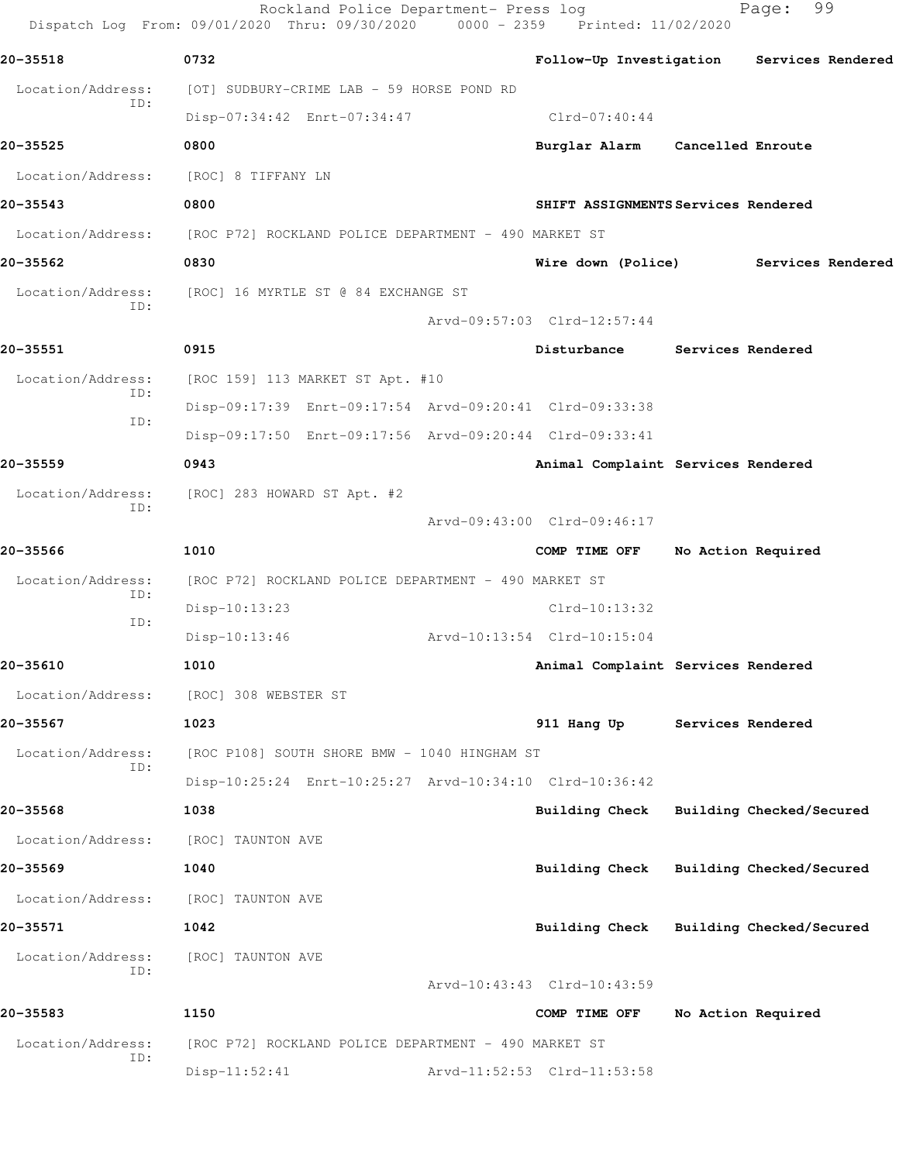Rockland Police Department- Press log Fage: 99 Dispatch Log From: 09/01/2020 Thru: 09/30/2020 0000 - 2359 Printed: 11/02/2020 **20-35518 0732 Follow-Up Investigation Services Rendered** Location/Address: [OT] SUDBURY-CRIME LAB - 59 HORSE POND RD ID: Disp-07:34:42 Enrt-07:34:47 Clrd-07:40:44 **20-35525 0800 Burglar Alarm Cancelled Enroute** Location/Address: [ROC] 8 TIFFANY LN **20-35543 0800 SHIFT ASSIGNMENTS Services Rendered** Location/Address: [ROC P72] ROCKLAND POLICE DEPARTMENT - 490 MARKET ST **20-35562 0830 Wire down (Police) Services Rendered** Location/Address: [ROC] 16 MYRTLE ST @ 84 EXCHANGE ST ID: Arvd-09:57:03 Clrd-12:57:44 **20-35551 0915 Disturbance Services Rendered** Location/Address: [ROC 159] 113 MARKET ST Apt. #10 ID: Disp-09:17:39 Enrt-09:17:54 Arvd-09:20:41 Clrd-09:33:38 ID: Disp-09:17:50 Enrt-09:17:56 Arvd-09:20:44 Clrd-09:33:41 **20-35559 0943 Animal Complaint Services Rendered** Location/Address: [ROC] 283 HOWARD ST Apt. #2 ID: Arvd-09:43:00 Clrd-09:46:17 **20-35566 1010 COMP TIME OFF No Action Required** Location/Address: [ROC P72] ROCKLAND POLICE DEPARTMENT - 490 MARKET ST ID: Disp-10:13:23 Clrd-10:13:32 ID: Disp-10:13:46 Arvd-10:13:54 Clrd-10:15:04 **20-35610 1010 Animal Complaint Services Rendered** Location/Address: [ROC] 308 WEBSTER ST **20-35567 1023 911 Hang Up Services Rendered** Location/Address: [ROC P108] SOUTH SHORE BMW - 1040 HINGHAM ST ID: Disp-10:25:24 Enrt-10:25:27 Arvd-10:34:10 Clrd-10:36:42 **20-35568 1038 Building Check Building Checked/Secured** Location/Address: [ROC] TAUNTON AVE **20-35569 1040 Building Check Building Checked/Secured** Location/Address: [ROC] TAUNTON AVE **20-35571 1042 Building Check Building Checked/Secured** Location/Address: [ROC] TAUNTON AVE ID: Arvd-10:43:43 Clrd-10:43:59 **20-35583 1150 COMP TIME OFF No Action Required** Location/Address: [ROC P72] ROCKLAND POLICE DEPARTMENT - 490 MARKET ST ID: Disp-11:52:41 Arvd-11:52:53 Clrd-11:53:58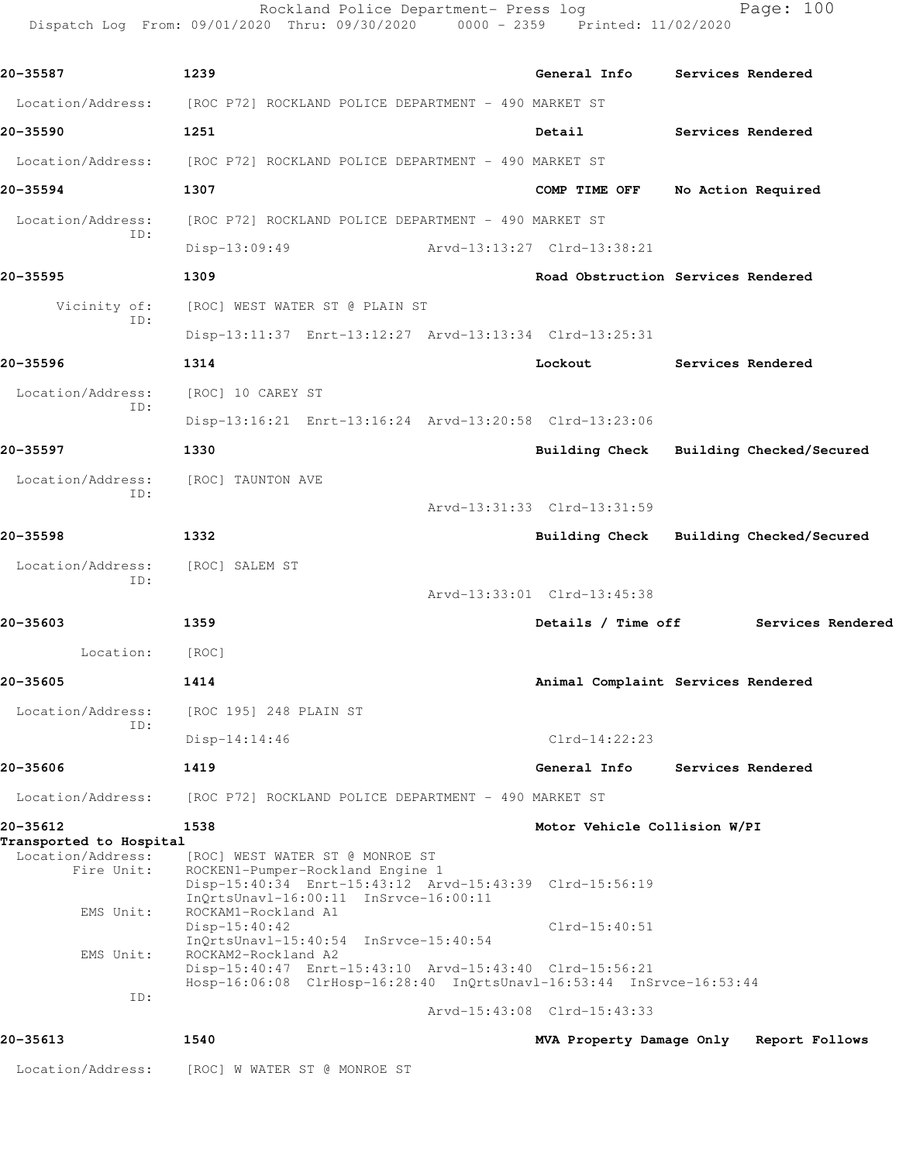|                                                            | Rockland Police Department- Press log<br>Dispatch Log From: 09/01/2020 Thru: 09/30/2020 0000 - 2359 Printed: 11/02/2020                                                 | Page: 100                                         |  |  |  |
|------------------------------------------------------------|-------------------------------------------------------------------------------------------------------------------------------------------------------------------------|---------------------------------------------------|--|--|--|
| 20-35587                                                   | 1239                                                                                                                                                                    | General Info<br>Services Rendered                 |  |  |  |
|                                                            | Location/Address: [ROC P72] ROCKLAND POLICE DEPARTMENT - 490 MARKET ST                                                                                                  |                                                   |  |  |  |
| 20-35590                                                   | 1251                                                                                                                                                                    | Detail<br>Services Rendered                       |  |  |  |
| Location/Address:                                          | [ROC P72] ROCKLAND POLICE DEPARTMENT - 490 MARKET ST                                                                                                                    |                                                   |  |  |  |
| 20-35594                                                   | 1307                                                                                                                                                                    | COMP TIME OFF<br>No Action Required               |  |  |  |
| Location/Address:                                          | [ROC P72] ROCKLAND POLICE DEPARTMENT - 490 MARKET ST                                                                                                                    |                                                   |  |  |  |
| ID:                                                        | Disp-13:09:49                                                                                                                                                           | Arvd-13:13:27 Clrd-13:38:21                       |  |  |  |
| 20-35595                                                   | 1309                                                                                                                                                                    | Road Obstruction Services Rendered                |  |  |  |
| Vicinity of:                                               | [ROC] WEST WATER ST @ PLAIN ST                                                                                                                                          |                                                   |  |  |  |
| ID:                                                        | Disp-13:11:37 Enrt-13:12:27 Arvd-13:13:34 Clrd-13:25:31                                                                                                                 |                                                   |  |  |  |
| 20-35596                                                   | 1314                                                                                                                                                                    | Lockout<br>Services Rendered                      |  |  |  |
| Location/Address:                                          | [ROC] 10 CAREY ST                                                                                                                                                       |                                                   |  |  |  |
| ID:                                                        | Disp-13:16:21 Enrt-13:16:24 Arvd-13:20:58 Clrd-13:23:06                                                                                                                 |                                                   |  |  |  |
| 20-35597                                                   | 1330                                                                                                                                                                    | Building Checked/Secured<br>Building Check        |  |  |  |
| Location/Address:                                          | [ROC] TAUNTON AVE                                                                                                                                                       |                                                   |  |  |  |
| ID:                                                        |                                                                                                                                                                         | Arvd-13:31:33 Clrd-13:31:59                       |  |  |  |
| 20-35598                                                   | 1332                                                                                                                                                                    | Building Checked/Secured<br><b>Building Check</b> |  |  |  |
| Location/Address:                                          | [ROC] SALEM ST                                                                                                                                                          |                                                   |  |  |  |
| ID:                                                        |                                                                                                                                                                         | Arvd-13:33:01 Clrd-13:45:38                       |  |  |  |
| 20-35603                                                   | 1359                                                                                                                                                                    | Details / Time off<br>Services Rendered           |  |  |  |
| Location:                                                  | [ROC]                                                                                                                                                                   |                                                   |  |  |  |
| 20-35605                                                   | 1414                                                                                                                                                                    | Animal Complaint Services Rendered                |  |  |  |
| Location/Address:                                          | [ROC 195] 248 PLAIN ST                                                                                                                                                  |                                                   |  |  |  |
| ID:                                                        | $Disp-14:14:46$                                                                                                                                                         | $Clrd-14:22:23$                                   |  |  |  |
| 20-35606                                                   | 1419                                                                                                                                                                    | General Info<br>Services Rendered                 |  |  |  |
| Location/Address:                                          | [ROC P72] ROCKLAND POLICE DEPARTMENT - 490 MARKET ST                                                                                                                    |                                                   |  |  |  |
| 20-35612                                                   | 1538                                                                                                                                                                    | Motor Vehicle Collision W/PI                      |  |  |  |
| Transported to Hospital<br>Location/Address:<br>Fire Unit: | [ROC] WEST WATER ST @ MONROE ST<br>ROCKEN1-Pumper-Rockland Engine 1<br>Disp-15:40:34 Enrt-15:43:12 Arvd-15:43:39 Clrd-15:56:19<br>InQrtsUnavl-16:00:11 InSrvce-16:00:11 |                                                   |  |  |  |
| EMS Unit:                                                  | ROCKAM1-Rockland A1<br>$Disp-15:40:42$<br>$InQrtsUnav1-15:40:54 InSrvce-15:40:54$<br>ROCKAM2-Rockland A2                                                                | $Clrd-15:40:51$                                   |  |  |  |
| EMS Unit:                                                  | Disp-15:40:47 Enrt-15:43:10 Arvd-15:43:40 Clrd-15:56:21                                                                                                                 |                                                   |  |  |  |
| ID:                                                        | Hosp-16:06:08 ClrHosp-16:28:40 InQrtsUnavl-16:53:44 InSrvce-16:53:44                                                                                                    | Arvd-15:43:08 Clrd-15:43:33                       |  |  |  |
| 20-35613                                                   | 1540                                                                                                                                                                    | MVA Property Damage Only<br>Report Follows        |  |  |  |
| Location/Address:                                          | [ROC] W WATER ST @ MONROE ST                                                                                                                                            |                                                   |  |  |  |
|                                                            |                                                                                                                                                                         |                                                   |  |  |  |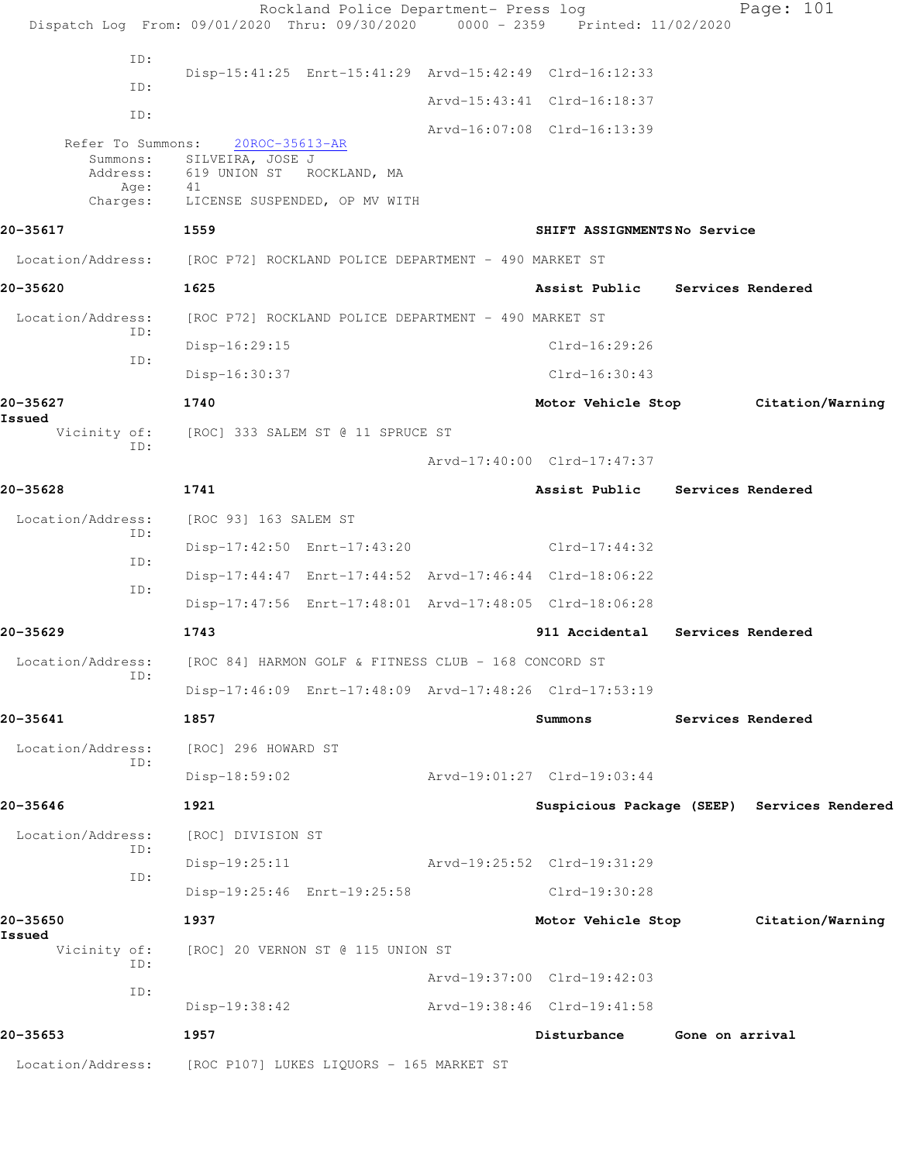Rockland Police Department- Press log Page: 101 Dispatch Log From: 09/01/2020 Thru: 09/30/2020 0000 - 2359 Printed: 11/02/2020 ID: Disp-15:41:25 Enrt-15:41:29 Arvd-15:42:49 Clrd-16:12:33 ID: Arvd-15:43:41 Clrd-16:18:37 ID: Arvd-16:07:08 Clrd-16:13:39 Refer To Summons: 20ROC-35613-AR Summons: SILVEIRA, JOSE J Address: 619 UNION ST ROCKLAND, MA Age: 41 Charges: LICENSE SUSPENDED, OP MV WITH **20-35617 1559 SHIFT ASSIGNMENTS No Service** Location/Address: [ROC P72] ROCKLAND POLICE DEPARTMENT - 490 MARKET ST **20-35620 1625 Assist Public Services Rendered** Location/Address: [ROC P72] ROCKLAND POLICE DEPARTMENT - 490 MARKET ST ID: Disp-16:29:15 Clrd-16:29:26 ID: Disp-16:30:37 Clrd-16:30:43 **20-35627 1740 Motor Vehicle Stop Citation/Warning Issued**  Vicinity of: [ROC] 333 SALEM ST @ 11 SPRUCE ST ID: Arvd-17:40:00 Clrd-17:47:37 **20-35628 1741 Assist Public Services Rendered** Location/Address: [ROC 93] 163 SALEM ST ID: Disp-17:42:50 Enrt-17:43:20 Clrd-17:44:32 ID: Disp-17:44:47 Enrt-17:44:52 Arvd-17:46:44 Clrd-18:06:22 ID: Disp-17:47:56 Enrt-17:48:01 Arvd-17:48:05 Clrd-18:06:28 **20-35629 1743 911 Accidental Services Rendered** Location/Address: [ROC 84] HARMON GOLF & FITNESS CLUB - 168 CONCORD ST ID: Disp-17:46:09 Enrt-17:48:09 Arvd-17:48:26 Clrd-17:53:19 **20-35641 1857 Summons Services Rendered** Location/Address: [ROC] 296 HOWARD ST ID: Disp-18:59:02 Arvd-19:01:27 Clrd-19:03:44 **20-35646 1921 Suspicious Package (SEEP) Services Rendered** Location/Address: [ROC] DIVISION ST ID: Disp-19:25:11 Arvd-19:25:52 Clrd-19:31:29 ID: Disp-19:25:46 Enrt-19:25:58 Clrd-19:30:28 **20-35650 1937 Motor Vehicle Stop Citation/Warning Issued**  Vicinity of: [ROC] 20 VERNON ST @ 115 UNION ST ID: Arvd-19:37:00 Clrd-19:42:03 ID: Disp-19:38:42 Arvd-19:38:46 Clrd-19:41:58 **20-35653 1957 Disturbance Gone on arrival** Location/Address: [ROC P107] LUKES LIQUORS - 165 MARKET ST